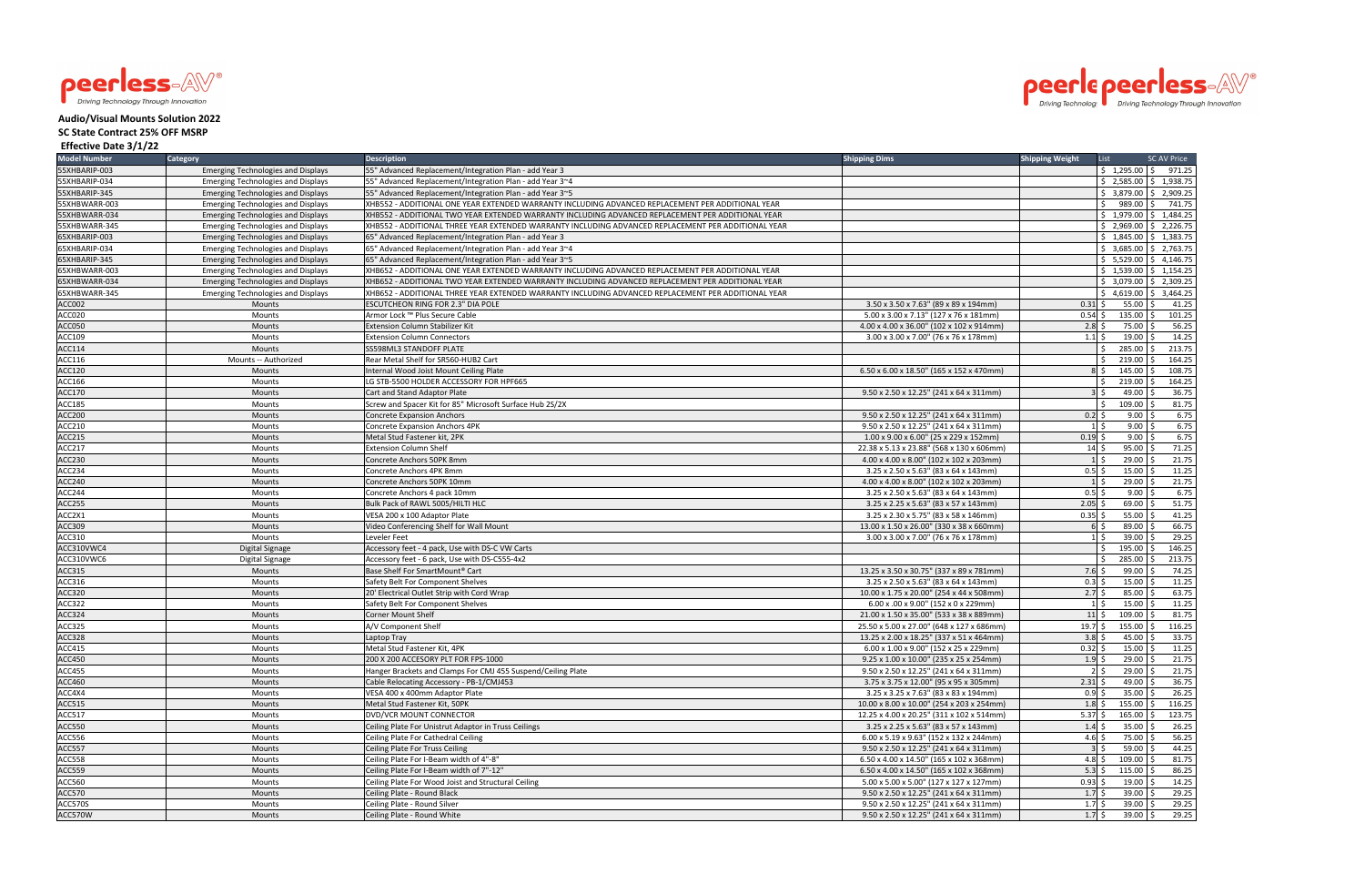



## **Audio/Visual Mounts Solution 2022**

## **SC State Contract 25% OFF MSRP**

## **Effective Date 3/1/22**

| 55XHBARIP-003<br>55" Advanced Replacement/Integration Plan - add Year 3<br>$$1,295.00$ $$971.25$<br><b>Emerging Technologies and Displays</b><br>$$2,585.00 \;   \; $1,938.75$<br>55XHBARIP-034<br><b>Emerging Technologies and Displays</b><br>55" Advanced Replacement/Integration Plan - add Year 3~4<br>55XHBARIP-345<br>$$3,879.00 \mid $2,909.25$<br><b>Emerging Technologies and Displays</b><br>55" Advanced Replacement/Integration Plan - add Year 3~5<br>989.00<br>55XHBWARR-003<br><b>Emerging Technologies and Displays</b><br>XHB552 - ADDITIONAL ONE YEAR EXTENDED WARRANTY INCLUDING ADVANCED REPLACEMENT PER ADDITIONAL YEAR<br>Ŝ.<br>741.75<br>Ŝ.<br>XHB552 - ADDITIONAL TWO YEAR EXTENDED WARRANTY INCLUDING ADVANCED REPLACEMENT PER ADDITIONAL YEAR<br>$$1,979.00$ $$1,484.25$<br>55XHBWARR-034<br><b>Emerging Technologies and Displays</b><br>55XHBWARR-345<br>XHB552 - ADDITIONAL THREE YEAR EXTENDED WARRANTY INCLUDING ADVANCED REPLACEMENT PER ADDITIONAL YEAR<br>$$2,969.00 \  \  $2,226.75$<br><b>Emerging Technologies and Displays</b><br>65XHBARIP-003<br>65" Advanced Replacement/Integration Plan - add Year 3<br>$$1,845.00 \mid $1,383.75$<br><b>Emerging Technologies and Displays</b><br>65XHBARIP-034<br>$$3,685.00$ $$2,763.75$<br><b>Emerging Technologies and Displays</b><br>65" Advanced Replacement/Integration Plan - add Year 3~4<br>65XHBARIP-345<br>65" Advanced Replacement/Integration Plan - add Year 3~5<br>$$5,529.00$ $$4,146.75$<br><b>Emerging Technologies and Displays</b><br>$\frac{1}{2}$ 1,539.00 $\frac{1}{2}$ 1,154.25<br>65XHBWARR-003<br>XHB652 - ADDITIONAL ONE YEAR EXTENDED WARRANTY INCLUDING ADVANCED REPLACEMENT PER ADDITIONAL YEAR<br><b>Emerging Technologies and Displays</b><br>XHB652 - ADDITIONAL TWO YEAR EXTENDED WARRANTY INCLUDING ADVANCED REPLACEMENT PER ADDITIONAL YEAR<br>$$3,079.00$ $$2,309.25$<br>65XHBWARR-034<br><b>Emerging Technologies and Displays</b><br>$$4,619.00 \mid $3,464.25$<br>65XHBWARR-345<br><b>Emerging Technologies and Displays</b><br>XHB652 - ADDITIONAL THREE YEAR EXTENDED WARRANTY INCLUDING ADVANCED REPLACEMENT PER ADDITIONAL YEAR<br>55.00<br>ACC002<br>ESCUTCHEON RING FOR 2.3" DIA POLE<br>3.50 x 3.50 x 7.63" (89 x 89 x 194mm)<br>$0.31$ \$<br>41.25<br>Mounts<br>ACC020<br>5.00 x 3.00 x 7.13" (127 x 76 x 181mm)<br>135.00<br>101.25<br>Mounts<br>Armor Lock ™ Plus Secure Cable<br>0.54<br>75.00<br>56.25<br>ACC050<br>Mounts<br>Extension Column Stabilizer Kit<br>4.00 x 4.00 x 36.00" (102 x 102 x 914mm)<br>2.8<br>19.00<br>14.25<br>ACC109<br>Mounts<br>3.00 x 3.00 x 7.00" (76 x 76 x 178mm)<br>1.1<br><b>Extension Column Connectors</b><br>213.75<br>ACC114<br>285.00<br>Mounts<br>SS598ML3 STANDOFF PLATE<br>219.00<br>164.25<br>ACC116<br>Mounts -- Authorized<br>Rear Metal Shelf for SR560-HUB2 Cart<br>145.00<br>108.75<br><b>ACC120</b><br>6.50 x 6.00 x 18.50" (165 x 152 x 470mm)<br>Mounts<br>Internal Wood Joist Mount Ceiling Plate<br>$8\bar{5}$<br>ACC166<br>LG STB-5500 HOLDER ACCESSORY FOR HPF665<br>219.00<br>164.25<br>Mounts<br>36.75<br><b>ACC170</b><br>49.00<br>Mounts<br>Cart and Stand Adaptor Plate<br>9.50 x 2.50 x 12.25" (241 x 64 x 311mm)<br>81.75<br>109.00<br>ACC185<br>Screw and Spacer Kit for 85" Microsoft Surface Hub 2S/2X<br>$\zeta$<br>Mounts<br>6.75<br><b>ACC200</b><br>Mounts<br><b>Concrete Expansion Anchors</b><br>9.50 x 2.50 x 12.25" (241 x 64 x 311mm)<br>0.2<br>9.00<br>6.75<br>9.00<br>ACC210<br><b>Concrete Expansion Anchors 4PK</b><br>9.50 x 2.50 x 12.25" (241 x 64 x 311mm)<br>Mounts<br>6.75<br>$0.19$ \$<br>ACC215<br>Metal Stud Fastener kit, 2PK<br>1.00 x 9.00 x 6.00" (25 x 229 x 152mm)<br>$9.00$ \$<br>Mounts<br>71.25<br>95.00<br>ACC217<br>Mounts<br><b>Extension Column Shelf</b><br>22.38 x 5.13 x 23.88" (568 x 130 x 606mm<br>$14 \,$ \$<br>21.75<br><b>ACC230</b><br>29.00<br>Mounts<br>Concrete Anchors 50PK 8mm<br>4.00 x 4.00 x 8.00" (102 x 102 x 203mm)<br>11.25<br>$15.00$ \$<br>ACC234<br>Mounts<br>Concrete Anchors 4PK 8mm<br>3.25 x 2.50 x 5.63" (83 x 64 x 143mm)<br>0.5<br>21.75<br>29.00<br>ACC240<br>Concrete Anchors 50PK 10mm<br>4.00 x 4.00 x 8.00" (102 x 102 x 203mm)<br>Mounts<br>6.75<br>ACC244<br>9.00<br>Mounts<br>Concrete Anchors 4 pack 10mm<br>3.25 x 2.50 x 5.63" (83 x 64 x 143mm)<br>0.5<br>51.75<br>$2.05$ \$<br>$69.00$ \$<br>ACC255<br>Bulk Pack of RAWL 5005/HILTI HLC<br>3.25 x 2.25 x 5.63" (83 x 57 x 143mm)<br><b>Mounts</b><br>41.25<br>55.00<br>ACC2X1<br>VESA 200 x 100 Adaptor Plate<br>3.25 x 2.30 x 5.75" (83 x 58 x 146mm)<br>0.35<br>Mounts<br>66.75<br>ACC309<br>89.00<br>Mounts<br>Video Conferencing Shelf for Wall Mount<br>13.00 x 1.50 x 26.00" (330 x 38 x 660mm)<br>29.25<br>39.00<br>ACC310<br>Mounts<br>3.00 x 3.00 x 7.00" (76 x 76 x 178mm)<br>$1\overline{\smash{\cdot}}$<br>Leveler Feet<br>146.25<br>195.00<br>ACC310VWC4<br>Accessory feet - 4 pack, Use with DS-C VW Carts<br>Digital Signage<br>ACC310VWC6<br>285.00<br>213.75<br>Accessory feet - 6 pack, Use with DS-C555-4x2<br>Digital Signage<br>74.25<br>ACC315<br>Base Shelf For SmartMount® Cart<br>13.25 x 3.50 x 30.75" (337 x 89 x 781mm)<br>7.6<br>99.00<br><b>Mounts</b><br>11.25<br>15.00<br>Safety Belt For Component Shelves<br>3.25 x 2.50 x 5.63" (83 x 64 x 143mm)<br>0.3<br>Mounts<br>85.00<br>63.75<br>ACC320<br>Mounts<br>20' Electrical Outlet Strip with Cord Wrap<br>10.00 x 1.75 x 20.00" (254 x 44 x 508mm)<br>2.7<br>11.25<br>ACC322<br>Mounts<br>Safety Belt For Component Shelves<br>6.00 x .00 x 9.00" (152 x 0 x 229mm)<br>$15.00$ \$<br><b>Corner Mount Shelf</b><br>109.00<br>81.75<br>ACC324<br>Mounts<br>21.00 x 1.50 x 35.00" (533 x 38 x 889mm)<br>$11\overline{\phantom{0}}$<br>155.00<br>116.25<br>Mounts<br>A/V Component Shelf<br>25.50 x 5.00 x 27.00" (648 x 127 x 686mm)<br>19.7<br>3.8<br>45.00<br>33.75<br>13.25 x 2.00 x 18.25" (337 x 51 x 464mm)<br>Mounts<br>Laptop Tray<br>$0.32 \leq$<br>$15.00$ \$<br>11.25<br>ACC415<br>Metal Stud Fastener Kit, 4PK<br>6.00 x 1.00 x 9.00" (152 x 25 x 229mm)<br>Mounts<br>200 X 200 ACCESORY PLT FOR FPS-1000<br>$1.9 \,$ \$<br>$29.00$ \$<br>21.75<br>9.25 x 1.00 x 10.00" (235 x 25 x 254mm)<br><b>Mounts</b><br>ACC455<br>$2 \overline{\smash{\cdot}}$<br>$29.00$ \$<br>Hanger Brackets and Clamps For CMJ 455 Suspend/Ceiling Plate<br>21.75<br>Mounts<br>9.50 x 2.50 x 12.25" (241 x 64 x 311mm)<br>Cable Relocating Accessory - PB-1/CMJ453<br>$2.31 \text{ }$<br>$49.00$ \$<br>36.75<br>3.75 x 3.75 x 12.00" (95 x 95 x 305mm)<br>Mounts<br>$35.00$ \$<br>26.25<br>VESA 400 x 400mm Adaptor Plate<br>3.25 x 3.25 x 7.63" (83 x 83 x 194mm)<br>$0.9 \,$ \$<br>Mounts<br>$1.8 \,$ \$<br>$155.00$ \$<br>116.25<br>Metal Stud Fastener Kit, 50PK<br>10.00 x 8.00 x 10.00" (254 x 203 x 254mm)<br>Mounts<br>DVD/VCR MOUNT CONNECTOR<br>12.25 x 4.00 x 20.25" (311 x 102 x 514mm)<br>$5.37\;$ \$<br>$165.00$ \$<br>123.75<br>Mounts<br>$35.00$ \$<br>Mounts<br>Ceiling Plate For Unistrut Adaptor in Truss Ceilings<br>3.25 x 2.25 x 5.63" (83 x 57 x 143mm)<br>$1.4\;$ \$<br>26.25<br>$4.6\frac{1}{2}$<br>75.00 \$<br>56.25<br>6.00 x 5.19 x 9.63" (152 x 132 x 244mm)<br>Mounts<br>Ceiling Plate For Cathedral Ceiling<br>$59.00$ \$<br>44.25<br><b>Ceiling Plate For Truss Ceiling</b><br>9.50 x 2.50 x 12.25" (241 x 64 x 311mm)<br>$3\overline{5}$<br>Mounts<br>Ceiling Plate For I-Beam width of 4"-8"<br>4.8 \$<br>$109.00$ \$<br>81.75<br>6.50 x 4.00 x 14.50" (165 x 102 x 368mm)<br>Mounts<br>$5.3 \,$ \$<br>86.25<br>Mounts<br>Ceiling Plate For I-Beam width of 7"-12"<br>6.50 x 4.00 x 14.50" (165 x 102 x 368mm)<br>$115.00$ \$<br>$0.93$ \$<br>$19.00 \&$<br>14.25<br>Mounts<br>Ceiling Plate For Wood Joist and Structural Ceiling<br>5.00 x 5.00 x 5.00" (127 x 127 x 127mm)<br>Ceiling Plate - Round Black<br>9.50 x 2.50 x 12.25" (241 x 64 x 311mm)<br>$1.7\frac{1}{5}$<br>$39.00$ \$<br>29.25<br>Mounts<br>9.50 x 2.50 x 12.25" (241 x 64 x 311mm)<br>$39.00$ \$<br>29.25<br>Ceiling Plate - Round Silver<br>$1.7\;$ \$<br>Mounts<br>29.25<br>Ceiling Plate - Round White<br>9.50 x 2.50 x 12.25" (241 x 64 x 311mm)<br>$1.7 \,$ \$<br>$39.00$ \$<br>Mounts | <b>Model Number</b> | Category | <b>Description</b> | <b>Shipping Dims</b> | <b>Shipping Weight</b> | List | <b>SC AV Price</b> |
|-------------------------------------------------------------------------------------------------------------------------------------------------------------------------------------------------------------------------------------------------------------------------------------------------------------------------------------------------------------------------------------------------------------------------------------------------------------------------------------------------------------------------------------------------------------------------------------------------------------------------------------------------------------------------------------------------------------------------------------------------------------------------------------------------------------------------------------------------------------------------------------------------------------------------------------------------------------------------------------------------------------------------------------------------------------------------------------------------------------------------------------------------------------------------------------------------------------------------------------------------------------------------------------------------------------------------------------------------------------------------------------------------------------------------------------------------------------------------------------------------------------------------------------------------------------------------------------------------------------------------------------------------------------------------------------------------------------------------------------------------------------------------------------------------------------------------------------------------------------------------------------------------------------------------------------------------------------------------------------------------------------------------------------------------------------------------------------------------------------------------------------------------------------------------------------------------------------------------------------------------------------------------------------------------------------------------------------------------------------------------------------------------------------------------------------------------------------------------------------------------------------------------------------------------------------------------------------------------------------------------------------------------------------------------------------------------------------------------------------------------------------------------------------------------------------------------------------------------------------------------------------------------------------------------------------------------------------------------------------------------------------------------------------------------------------------------------------------------------------------------------------------------------------------------------------------------------------------------------------------------------------------------------------------------------------------------------------------------------------------------------------------------------------------------------------------------------------------------------------------------------------------------------------------------------------------------------------------------------------------------------------------------------------------------------------------------------------------------------------------------------------------------------------------------------------------------------------------------------------------------------------------------------------------------------------------------------------------------------------------------------------------------------------------------------------------------------------------------------------------------------------------------------------------------------------------------------------------------------------------------------------------------------------------------------------------------------------------------------------------------------------------------------------------------------------------------------------------------------------------------------------------------------------------------------------------------------------------------------------------------------------------------------------------------------------------------------------------------------------------------------------------------------------------------------------------------------------------------------------------------------------------------------------------------------------------------------------------------------------------------------------------------------------------------------------------------------------------------------------------------------------------------------------------------------------------------------------------------------------------------------------------------------------------------------------------------------------------------------------------------------------------------------------------------------------------------------------------------------------------------------------------------------------------------------------------------------------------------------------------------------------------------------------------------------------------------------------------------------------------------------------------------------------------------------------------------------------------------------------------------------------------------------------------------------------------------------------------------------------------------------------------------------------------------------------------------------------------------------------------------------------------------------------------------------------------------------------------------------------------------------------------------------------------------------------------------------------------------------------------------------------------------------------------------------------------------------------------------------------------------------------------------------------------------------------------------------------------------------------------------------------------------------------------------------------------------------------------------------------------------------------------------------------------------------------------------------------------------------------------------------------------------------------------------------------------------------------------------------------------------------------------------------------------------------------------------------------------------------------------------------------------------------------------------------------------------------------------------------------------------------------------------------------------------------------------------------------------------------------------------------------------------------------------------------------------------------------------------------------------------------------------------------------------------------------------------------------------------------------------------------------------------------------------------------------------------------------------------------------------------------------------------------------------------------------------------------------------------------------------------------------------------------------------------------------------------------------------------------------------------------------------------------------------------------------------------------------------------------------------------------------------------------------------------------------------------------------|---------------------|----------|--------------------|----------------------|------------------------|------|--------------------|
|                                                                                                                                                                                                                                                                                                                                                                                                                                                                                                                                                                                                                                                                                                                                                                                                                                                                                                                                                                                                                                                                                                                                                                                                                                                                                                                                                                                                                                                                                                                                                                                                                                                                                                                                                                                                                                                                                                                                                                                                                                                                                                                                                                                                                                                                                                                                                                                                                                                                                                                                                                                                                                                                                                                                                                                                                                                                                                                                                                                                                                                                                                                                                                                                                                                                                                                                                                                                                                                                                                                                                                                                                                                                                                                                                                                                                                                                                                                                                                                                                                                                                                                                                                                                                                                                                                                                                                                                                                                                                                                                                                                                                                                                                                                                                                                                                                                                                                                                                                                                                                                                                                                                                                                                                                                                                                                                                                                                                                                                                                                                                                                                                                                                                                                                                                                                                                                                                                                                                                                                                                                                                                                                                                                                                                                                                                                                                                                                                                                                                                                                                                                                                                                                                                                                                                                                                                                                                                                                                                                                                                                                                                                                                                                                                                                                                                                                                                                                                                                                                                                                                                                                                                                                                                                                                                                                                                                                                                                                                                                                                                                                                                                                                                                                             |                     |          |                    |                      |                        |      |                    |
|                                                                                                                                                                                                                                                                                                                                                                                                                                                                                                                                                                                                                                                                                                                                                                                                                                                                                                                                                                                                                                                                                                                                                                                                                                                                                                                                                                                                                                                                                                                                                                                                                                                                                                                                                                                                                                                                                                                                                                                                                                                                                                                                                                                                                                                                                                                                                                                                                                                                                                                                                                                                                                                                                                                                                                                                                                                                                                                                                                                                                                                                                                                                                                                                                                                                                                                                                                                                                                                                                                                                                                                                                                                                                                                                                                                                                                                                                                                                                                                                                                                                                                                                                                                                                                                                                                                                                                                                                                                                                                                                                                                                                                                                                                                                                                                                                                                                                                                                                                                                                                                                                                                                                                                                                                                                                                                                                                                                                                                                                                                                                                                                                                                                                                                                                                                                                                                                                                                                                                                                                                                                                                                                                                                                                                                                                                                                                                                                                                                                                                                                                                                                                                                                                                                                                                                                                                                                                                                                                                                                                                                                                                                                                                                                                                                                                                                                                                                                                                                                                                                                                                                                                                                                                                                                                                                                                                                                                                                                                                                                                                                                                                                                                                                                             |                     |          |                    |                      |                        |      |                    |
|                                                                                                                                                                                                                                                                                                                                                                                                                                                                                                                                                                                                                                                                                                                                                                                                                                                                                                                                                                                                                                                                                                                                                                                                                                                                                                                                                                                                                                                                                                                                                                                                                                                                                                                                                                                                                                                                                                                                                                                                                                                                                                                                                                                                                                                                                                                                                                                                                                                                                                                                                                                                                                                                                                                                                                                                                                                                                                                                                                                                                                                                                                                                                                                                                                                                                                                                                                                                                                                                                                                                                                                                                                                                                                                                                                                                                                                                                                                                                                                                                                                                                                                                                                                                                                                                                                                                                                                                                                                                                                                                                                                                                                                                                                                                                                                                                                                                                                                                                                                                                                                                                                                                                                                                                                                                                                                                                                                                                                                                                                                                                                                                                                                                                                                                                                                                                                                                                                                                                                                                                                                                                                                                                                                                                                                                                                                                                                                                                                                                                                                                                                                                                                                                                                                                                                                                                                                                                                                                                                                                                                                                                                                                                                                                                                                                                                                                                                                                                                                                                                                                                                                                                                                                                                                                                                                                                                                                                                                                                                                                                                                                                                                                                                                                             |                     |          |                    |                      |                        |      |                    |
|                                                                                                                                                                                                                                                                                                                                                                                                                                                                                                                                                                                                                                                                                                                                                                                                                                                                                                                                                                                                                                                                                                                                                                                                                                                                                                                                                                                                                                                                                                                                                                                                                                                                                                                                                                                                                                                                                                                                                                                                                                                                                                                                                                                                                                                                                                                                                                                                                                                                                                                                                                                                                                                                                                                                                                                                                                                                                                                                                                                                                                                                                                                                                                                                                                                                                                                                                                                                                                                                                                                                                                                                                                                                                                                                                                                                                                                                                                                                                                                                                                                                                                                                                                                                                                                                                                                                                                                                                                                                                                                                                                                                                                                                                                                                                                                                                                                                                                                                                                                                                                                                                                                                                                                                                                                                                                                                                                                                                                                                                                                                                                                                                                                                                                                                                                                                                                                                                                                                                                                                                                                                                                                                                                                                                                                                                                                                                                                                                                                                                                                                                                                                                                                                                                                                                                                                                                                                                                                                                                                                                                                                                                                                                                                                                                                                                                                                                                                                                                                                                                                                                                                                                                                                                                                                                                                                                                                                                                                                                                                                                                                                                                                                                                                                             |                     |          |                    |                      |                        |      |                    |
|                                                                                                                                                                                                                                                                                                                                                                                                                                                                                                                                                                                                                                                                                                                                                                                                                                                                                                                                                                                                                                                                                                                                                                                                                                                                                                                                                                                                                                                                                                                                                                                                                                                                                                                                                                                                                                                                                                                                                                                                                                                                                                                                                                                                                                                                                                                                                                                                                                                                                                                                                                                                                                                                                                                                                                                                                                                                                                                                                                                                                                                                                                                                                                                                                                                                                                                                                                                                                                                                                                                                                                                                                                                                                                                                                                                                                                                                                                                                                                                                                                                                                                                                                                                                                                                                                                                                                                                                                                                                                                                                                                                                                                                                                                                                                                                                                                                                                                                                                                                                                                                                                                                                                                                                                                                                                                                                                                                                                                                                                                                                                                                                                                                                                                                                                                                                                                                                                                                                                                                                                                                                                                                                                                                                                                                                                                                                                                                                                                                                                                                                                                                                                                                                                                                                                                                                                                                                                                                                                                                                                                                                                                                                                                                                                                                                                                                                                                                                                                                                                                                                                                                                                                                                                                                                                                                                                                                                                                                                                                                                                                                                                                                                                                                                             |                     |          |                    |                      |                        |      |                    |
|                                                                                                                                                                                                                                                                                                                                                                                                                                                                                                                                                                                                                                                                                                                                                                                                                                                                                                                                                                                                                                                                                                                                                                                                                                                                                                                                                                                                                                                                                                                                                                                                                                                                                                                                                                                                                                                                                                                                                                                                                                                                                                                                                                                                                                                                                                                                                                                                                                                                                                                                                                                                                                                                                                                                                                                                                                                                                                                                                                                                                                                                                                                                                                                                                                                                                                                                                                                                                                                                                                                                                                                                                                                                                                                                                                                                                                                                                                                                                                                                                                                                                                                                                                                                                                                                                                                                                                                                                                                                                                                                                                                                                                                                                                                                                                                                                                                                                                                                                                                                                                                                                                                                                                                                                                                                                                                                                                                                                                                                                                                                                                                                                                                                                                                                                                                                                                                                                                                                                                                                                                                                                                                                                                                                                                                                                                                                                                                                                                                                                                                                                                                                                                                                                                                                                                                                                                                                                                                                                                                                                                                                                                                                                                                                                                                                                                                                                                                                                                                                                                                                                                                                                                                                                                                                                                                                                                                                                                                                                                                                                                                                                                                                                                                                             |                     |          |                    |                      |                        |      |                    |
|                                                                                                                                                                                                                                                                                                                                                                                                                                                                                                                                                                                                                                                                                                                                                                                                                                                                                                                                                                                                                                                                                                                                                                                                                                                                                                                                                                                                                                                                                                                                                                                                                                                                                                                                                                                                                                                                                                                                                                                                                                                                                                                                                                                                                                                                                                                                                                                                                                                                                                                                                                                                                                                                                                                                                                                                                                                                                                                                                                                                                                                                                                                                                                                                                                                                                                                                                                                                                                                                                                                                                                                                                                                                                                                                                                                                                                                                                                                                                                                                                                                                                                                                                                                                                                                                                                                                                                                                                                                                                                                                                                                                                                                                                                                                                                                                                                                                                                                                                                                                                                                                                                                                                                                                                                                                                                                                                                                                                                                                                                                                                                                                                                                                                                                                                                                                                                                                                                                                                                                                                                                                                                                                                                                                                                                                                                                                                                                                                                                                                                                                                                                                                                                                                                                                                                                                                                                                                                                                                                                                                                                                                                                                                                                                                                                                                                                                                                                                                                                                                                                                                                                                                                                                                                                                                                                                                                                                                                                                                                                                                                                                                                                                                                                                             |                     |          |                    |                      |                        |      |                    |
|                                                                                                                                                                                                                                                                                                                                                                                                                                                                                                                                                                                                                                                                                                                                                                                                                                                                                                                                                                                                                                                                                                                                                                                                                                                                                                                                                                                                                                                                                                                                                                                                                                                                                                                                                                                                                                                                                                                                                                                                                                                                                                                                                                                                                                                                                                                                                                                                                                                                                                                                                                                                                                                                                                                                                                                                                                                                                                                                                                                                                                                                                                                                                                                                                                                                                                                                                                                                                                                                                                                                                                                                                                                                                                                                                                                                                                                                                                                                                                                                                                                                                                                                                                                                                                                                                                                                                                                                                                                                                                                                                                                                                                                                                                                                                                                                                                                                                                                                                                                                                                                                                                                                                                                                                                                                                                                                                                                                                                                                                                                                                                                                                                                                                                                                                                                                                                                                                                                                                                                                                                                                                                                                                                                                                                                                                                                                                                                                                                                                                                                                                                                                                                                                                                                                                                                                                                                                                                                                                                                                                                                                                                                                                                                                                                                                                                                                                                                                                                                                                                                                                                                                                                                                                                                                                                                                                                                                                                                                                                                                                                                                                                                                                                                                             |                     |          |                    |                      |                        |      |                    |
|                                                                                                                                                                                                                                                                                                                                                                                                                                                                                                                                                                                                                                                                                                                                                                                                                                                                                                                                                                                                                                                                                                                                                                                                                                                                                                                                                                                                                                                                                                                                                                                                                                                                                                                                                                                                                                                                                                                                                                                                                                                                                                                                                                                                                                                                                                                                                                                                                                                                                                                                                                                                                                                                                                                                                                                                                                                                                                                                                                                                                                                                                                                                                                                                                                                                                                                                                                                                                                                                                                                                                                                                                                                                                                                                                                                                                                                                                                                                                                                                                                                                                                                                                                                                                                                                                                                                                                                                                                                                                                                                                                                                                                                                                                                                                                                                                                                                                                                                                                                                                                                                                                                                                                                                                                                                                                                                                                                                                                                                                                                                                                                                                                                                                                                                                                                                                                                                                                                                                                                                                                                                                                                                                                                                                                                                                                                                                                                                                                                                                                                                                                                                                                                                                                                                                                                                                                                                                                                                                                                                                                                                                                                                                                                                                                                                                                                                                                                                                                                                                                                                                                                                                                                                                                                                                                                                                                                                                                                                                                                                                                                                                                                                                                                                             |                     |          |                    |                      |                        |      |                    |
|                                                                                                                                                                                                                                                                                                                                                                                                                                                                                                                                                                                                                                                                                                                                                                                                                                                                                                                                                                                                                                                                                                                                                                                                                                                                                                                                                                                                                                                                                                                                                                                                                                                                                                                                                                                                                                                                                                                                                                                                                                                                                                                                                                                                                                                                                                                                                                                                                                                                                                                                                                                                                                                                                                                                                                                                                                                                                                                                                                                                                                                                                                                                                                                                                                                                                                                                                                                                                                                                                                                                                                                                                                                                                                                                                                                                                                                                                                                                                                                                                                                                                                                                                                                                                                                                                                                                                                                                                                                                                                                                                                                                                                                                                                                                                                                                                                                                                                                                                                                                                                                                                                                                                                                                                                                                                                                                                                                                                                                                                                                                                                                                                                                                                                                                                                                                                                                                                                                                                                                                                                                                                                                                                                                                                                                                                                                                                                                                                                                                                                                                                                                                                                                                                                                                                                                                                                                                                                                                                                                                                                                                                                                                                                                                                                                                                                                                                                                                                                                                                                                                                                                                                                                                                                                                                                                                                                                                                                                                                                                                                                                                                                                                                                                                             |                     |          |                    |                      |                        |      |                    |
|                                                                                                                                                                                                                                                                                                                                                                                                                                                                                                                                                                                                                                                                                                                                                                                                                                                                                                                                                                                                                                                                                                                                                                                                                                                                                                                                                                                                                                                                                                                                                                                                                                                                                                                                                                                                                                                                                                                                                                                                                                                                                                                                                                                                                                                                                                                                                                                                                                                                                                                                                                                                                                                                                                                                                                                                                                                                                                                                                                                                                                                                                                                                                                                                                                                                                                                                                                                                                                                                                                                                                                                                                                                                                                                                                                                                                                                                                                                                                                                                                                                                                                                                                                                                                                                                                                                                                                                                                                                                                                                                                                                                                                                                                                                                                                                                                                                                                                                                                                                                                                                                                                                                                                                                                                                                                                                                                                                                                                                                                                                                                                                                                                                                                                                                                                                                                                                                                                                                                                                                                                                                                                                                                                                                                                                                                                                                                                                                                                                                                                                                                                                                                                                                                                                                                                                                                                                                                                                                                                                                                                                                                                                                                                                                                                                                                                                                                                                                                                                                                                                                                                                                                                                                                                                                                                                                                                                                                                                                                                                                                                                                                                                                                                                                             |                     |          |                    |                      |                        |      |                    |
|                                                                                                                                                                                                                                                                                                                                                                                                                                                                                                                                                                                                                                                                                                                                                                                                                                                                                                                                                                                                                                                                                                                                                                                                                                                                                                                                                                                                                                                                                                                                                                                                                                                                                                                                                                                                                                                                                                                                                                                                                                                                                                                                                                                                                                                                                                                                                                                                                                                                                                                                                                                                                                                                                                                                                                                                                                                                                                                                                                                                                                                                                                                                                                                                                                                                                                                                                                                                                                                                                                                                                                                                                                                                                                                                                                                                                                                                                                                                                                                                                                                                                                                                                                                                                                                                                                                                                                                                                                                                                                                                                                                                                                                                                                                                                                                                                                                                                                                                                                                                                                                                                                                                                                                                                                                                                                                                                                                                                                                                                                                                                                                                                                                                                                                                                                                                                                                                                                                                                                                                                                                                                                                                                                                                                                                                                                                                                                                                                                                                                                                                                                                                                                                                                                                                                                                                                                                                                                                                                                                                                                                                                                                                                                                                                                                                                                                                                                                                                                                                                                                                                                                                                                                                                                                                                                                                                                                                                                                                                                                                                                                                                                                                                                                                             |                     |          |                    |                      |                        |      |                    |
|                                                                                                                                                                                                                                                                                                                                                                                                                                                                                                                                                                                                                                                                                                                                                                                                                                                                                                                                                                                                                                                                                                                                                                                                                                                                                                                                                                                                                                                                                                                                                                                                                                                                                                                                                                                                                                                                                                                                                                                                                                                                                                                                                                                                                                                                                                                                                                                                                                                                                                                                                                                                                                                                                                                                                                                                                                                                                                                                                                                                                                                                                                                                                                                                                                                                                                                                                                                                                                                                                                                                                                                                                                                                                                                                                                                                                                                                                                                                                                                                                                                                                                                                                                                                                                                                                                                                                                                                                                                                                                                                                                                                                                                                                                                                                                                                                                                                                                                                                                                                                                                                                                                                                                                                                                                                                                                                                                                                                                                                                                                                                                                                                                                                                                                                                                                                                                                                                                                                                                                                                                                                                                                                                                                                                                                                                                                                                                                                                                                                                                                                                                                                                                                                                                                                                                                                                                                                                                                                                                                                                                                                                                                                                                                                                                                                                                                                                                                                                                                                                                                                                                                                                                                                                                                                                                                                                                                                                                                                                                                                                                                                                                                                                                                                             |                     |          |                    |                      |                        |      |                    |
|                                                                                                                                                                                                                                                                                                                                                                                                                                                                                                                                                                                                                                                                                                                                                                                                                                                                                                                                                                                                                                                                                                                                                                                                                                                                                                                                                                                                                                                                                                                                                                                                                                                                                                                                                                                                                                                                                                                                                                                                                                                                                                                                                                                                                                                                                                                                                                                                                                                                                                                                                                                                                                                                                                                                                                                                                                                                                                                                                                                                                                                                                                                                                                                                                                                                                                                                                                                                                                                                                                                                                                                                                                                                                                                                                                                                                                                                                                                                                                                                                                                                                                                                                                                                                                                                                                                                                                                                                                                                                                                                                                                                                                                                                                                                                                                                                                                                                                                                                                                                                                                                                                                                                                                                                                                                                                                                                                                                                                                                                                                                                                                                                                                                                                                                                                                                                                                                                                                                                                                                                                                                                                                                                                                                                                                                                                                                                                                                                                                                                                                                                                                                                                                                                                                                                                                                                                                                                                                                                                                                                                                                                                                                                                                                                                                                                                                                                                                                                                                                                                                                                                                                                                                                                                                                                                                                                                                                                                                                                                                                                                                                                                                                                                                                             |                     |          |                    |                      |                        |      |                    |
|                                                                                                                                                                                                                                                                                                                                                                                                                                                                                                                                                                                                                                                                                                                                                                                                                                                                                                                                                                                                                                                                                                                                                                                                                                                                                                                                                                                                                                                                                                                                                                                                                                                                                                                                                                                                                                                                                                                                                                                                                                                                                                                                                                                                                                                                                                                                                                                                                                                                                                                                                                                                                                                                                                                                                                                                                                                                                                                                                                                                                                                                                                                                                                                                                                                                                                                                                                                                                                                                                                                                                                                                                                                                                                                                                                                                                                                                                                                                                                                                                                                                                                                                                                                                                                                                                                                                                                                                                                                                                                                                                                                                                                                                                                                                                                                                                                                                                                                                                                                                                                                                                                                                                                                                                                                                                                                                                                                                                                                                                                                                                                                                                                                                                                                                                                                                                                                                                                                                                                                                                                                                                                                                                                                                                                                                                                                                                                                                                                                                                                                                                                                                                                                                                                                                                                                                                                                                                                                                                                                                                                                                                                                                                                                                                                                                                                                                                                                                                                                                                                                                                                                                                                                                                                                                                                                                                                                                                                                                                                                                                                                                                                                                                                                                             |                     |          |                    |                      |                        |      |                    |
|                                                                                                                                                                                                                                                                                                                                                                                                                                                                                                                                                                                                                                                                                                                                                                                                                                                                                                                                                                                                                                                                                                                                                                                                                                                                                                                                                                                                                                                                                                                                                                                                                                                                                                                                                                                                                                                                                                                                                                                                                                                                                                                                                                                                                                                                                                                                                                                                                                                                                                                                                                                                                                                                                                                                                                                                                                                                                                                                                                                                                                                                                                                                                                                                                                                                                                                                                                                                                                                                                                                                                                                                                                                                                                                                                                                                                                                                                                                                                                                                                                                                                                                                                                                                                                                                                                                                                                                                                                                                                                                                                                                                                                                                                                                                                                                                                                                                                                                                                                                                                                                                                                                                                                                                                                                                                                                                                                                                                                                                                                                                                                                                                                                                                                                                                                                                                                                                                                                                                                                                                                                                                                                                                                                                                                                                                                                                                                                                                                                                                                                                                                                                                                                                                                                                                                                                                                                                                                                                                                                                                                                                                                                                                                                                                                                                                                                                                                                                                                                                                                                                                                                                                                                                                                                                                                                                                                                                                                                                                                                                                                                                                                                                                                                                             |                     |          |                    |                      |                        |      |                    |
|                                                                                                                                                                                                                                                                                                                                                                                                                                                                                                                                                                                                                                                                                                                                                                                                                                                                                                                                                                                                                                                                                                                                                                                                                                                                                                                                                                                                                                                                                                                                                                                                                                                                                                                                                                                                                                                                                                                                                                                                                                                                                                                                                                                                                                                                                                                                                                                                                                                                                                                                                                                                                                                                                                                                                                                                                                                                                                                                                                                                                                                                                                                                                                                                                                                                                                                                                                                                                                                                                                                                                                                                                                                                                                                                                                                                                                                                                                                                                                                                                                                                                                                                                                                                                                                                                                                                                                                                                                                                                                                                                                                                                                                                                                                                                                                                                                                                                                                                                                                                                                                                                                                                                                                                                                                                                                                                                                                                                                                                                                                                                                                                                                                                                                                                                                                                                                                                                                                                                                                                                                                                                                                                                                                                                                                                                                                                                                                                                                                                                                                                                                                                                                                                                                                                                                                                                                                                                                                                                                                                                                                                                                                                                                                                                                                                                                                                                                                                                                                                                                                                                                                                                                                                                                                                                                                                                                                                                                                                                                                                                                                                                                                                                                                                             |                     |          |                    |                      |                        |      |                    |
|                                                                                                                                                                                                                                                                                                                                                                                                                                                                                                                                                                                                                                                                                                                                                                                                                                                                                                                                                                                                                                                                                                                                                                                                                                                                                                                                                                                                                                                                                                                                                                                                                                                                                                                                                                                                                                                                                                                                                                                                                                                                                                                                                                                                                                                                                                                                                                                                                                                                                                                                                                                                                                                                                                                                                                                                                                                                                                                                                                                                                                                                                                                                                                                                                                                                                                                                                                                                                                                                                                                                                                                                                                                                                                                                                                                                                                                                                                                                                                                                                                                                                                                                                                                                                                                                                                                                                                                                                                                                                                                                                                                                                                                                                                                                                                                                                                                                                                                                                                                                                                                                                                                                                                                                                                                                                                                                                                                                                                                                                                                                                                                                                                                                                                                                                                                                                                                                                                                                                                                                                                                                                                                                                                                                                                                                                                                                                                                                                                                                                                                                                                                                                                                                                                                                                                                                                                                                                                                                                                                                                                                                                                                                                                                                                                                                                                                                                                                                                                                                                                                                                                                                                                                                                                                                                                                                                                                                                                                                                                                                                                                                                                                                                                                                             |                     |          |                    |                      |                        |      |                    |
|                                                                                                                                                                                                                                                                                                                                                                                                                                                                                                                                                                                                                                                                                                                                                                                                                                                                                                                                                                                                                                                                                                                                                                                                                                                                                                                                                                                                                                                                                                                                                                                                                                                                                                                                                                                                                                                                                                                                                                                                                                                                                                                                                                                                                                                                                                                                                                                                                                                                                                                                                                                                                                                                                                                                                                                                                                                                                                                                                                                                                                                                                                                                                                                                                                                                                                                                                                                                                                                                                                                                                                                                                                                                                                                                                                                                                                                                                                                                                                                                                                                                                                                                                                                                                                                                                                                                                                                                                                                                                                                                                                                                                                                                                                                                                                                                                                                                                                                                                                                                                                                                                                                                                                                                                                                                                                                                                                                                                                                                                                                                                                                                                                                                                                                                                                                                                                                                                                                                                                                                                                                                                                                                                                                                                                                                                                                                                                                                                                                                                                                                                                                                                                                                                                                                                                                                                                                                                                                                                                                                                                                                                                                                                                                                                                                                                                                                                                                                                                                                                                                                                                                                                                                                                                                                                                                                                                                                                                                                                                                                                                                                                                                                                                                                             |                     |          |                    |                      |                        |      |                    |
|                                                                                                                                                                                                                                                                                                                                                                                                                                                                                                                                                                                                                                                                                                                                                                                                                                                                                                                                                                                                                                                                                                                                                                                                                                                                                                                                                                                                                                                                                                                                                                                                                                                                                                                                                                                                                                                                                                                                                                                                                                                                                                                                                                                                                                                                                                                                                                                                                                                                                                                                                                                                                                                                                                                                                                                                                                                                                                                                                                                                                                                                                                                                                                                                                                                                                                                                                                                                                                                                                                                                                                                                                                                                                                                                                                                                                                                                                                                                                                                                                                                                                                                                                                                                                                                                                                                                                                                                                                                                                                                                                                                                                                                                                                                                                                                                                                                                                                                                                                                                                                                                                                                                                                                                                                                                                                                                                                                                                                                                                                                                                                                                                                                                                                                                                                                                                                                                                                                                                                                                                                                                                                                                                                                                                                                                                                                                                                                                                                                                                                                                                                                                                                                                                                                                                                                                                                                                                                                                                                                                                                                                                                                                                                                                                                                                                                                                                                                                                                                                                                                                                                                                                                                                                                                                                                                                                                                                                                                                                                                                                                                                                                                                                                                                             |                     |          |                    |                      |                        |      |                    |
|                                                                                                                                                                                                                                                                                                                                                                                                                                                                                                                                                                                                                                                                                                                                                                                                                                                                                                                                                                                                                                                                                                                                                                                                                                                                                                                                                                                                                                                                                                                                                                                                                                                                                                                                                                                                                                                                                                                                                                                                                                                                                                                                                                                                                                                                                                                                                                                                                                                                                                                                                                                                                                                                                                                                                                                                                                                                                                                                                                                                                                                                                                                                                                                                                                                                                                                                                                                                                                                                                                                                                                                                                                                                                                                                                                                                                                                                                                                                                                                                                                                                                                                                                                                                                                                                                                                                                                                                                                                                                                                                                                                                                                                                                                                                                                                                                                                                                                                                                                                                                                                                                                                                                                                                                                                                                                                                                                                                                                                                                                                                                                                                                                                                                                                                                                                                                                                                                                                                                                                                                                                                                                                                                                                                                                                                                                                                                                                                                                                                                                                                                                                                                                                                                                                                                                                                                                                                                                                                                                                                                                                                                                                                                                                                                                                                                                                                                                                                                                                                                                                                                                                                                                                                                                                                                                                                                                                                                                                                                                                                                                                                                                                                                                                                             |                     |          |                    |                      |                        |      |                    |
|                                                                                                                                                                                                                                                                                                                                                                                                                                                                                                                                                                                                                                                                                                                                                                                                                                                                                                                                                                                                                                                                                                                                                                                                                                                                                                                                                                                                                                                                                                                                                                                                                                                                                                                                                                                                                                                                                                                                                                                                                                                                                                                                                                                                                                                                                                                                                                                                                                                                                                                                                                                                                                                                                                                                                                                                                                                                                                                                                                                                                                                                                                                                                                                                                                                                                                                                                                                                                                                                                                                                                                                                                                                                                                                                                                                                                                                                                                                                                                                                                                                                                                                                                                                                                                                                                                                                                                                                                                                                                                                                                                                                                                                                                                                                                                                                                                                                                                                                                                                                                                                                                                                                                                                                                                                                                                                                                                                                                                                                                                                                                                                                                                                                                                                                                                                                                                                                                                                                                                                                                                                                                                                                                                                                                                                                                                                                                                                                                                                                                                                                                                                                                                                                                                                                                                                                                                                                                                                                                                                                                                                                                                                                                                                                                                                                                                                                                                                                                                                                                                                                                                                                                                                                                                                                                                                                                                                                                                                                                                                                                                                                                                                                                                                                             |                     |          |                    |                      |                        |      |                    |
|                                                                                                                                                                                                                                                                                                                                                                                                                                                                                                                                                                                                                                                                                                                                                                                                                                                                                                                                                                                                                                                                                                                                                                                                                                                                                                                                                                                                                                                                                                                                                                                                                                                                                                                                                                                                                                                                                                                                                                                                                                                                                                                                                                                                                                                                                                                                                                                                                                                                                                                                                                                                                                                                                                                                                                                                                                                                                                                                                                                                                                                                                                                                                                                                                                                                                                                                                                                                                                                                                                                                                                                                                                                                                                                                                                                                                                                                                                                                                                                                                                                                                                                                                                                                                                                                                                                                                                                                                                                                                                                                                                                                                                                                                                                                                                                                                                                                                                                                                                                                                                                                                                                                                                                                                                                                                                                                                                                                                                                                                                                                                                                                                                                                                                                                                                                                                                                                                                                                                                                                                                                                                                                                                                                                                                                                                                                                                                                                                                                                                                                                                                                                                                                                                                                                                                                                                                                                                                                                                                                                                                                                                                                                                                                                                                                                                                                                                                                                                                                                                                                                                                                                                                                                                                                                                                                                                                                                                                                                                                                                                                                                                                                                                                                                             |                     |          |                    |                      |                        |      |                    |
|                                                                                                                                                                                                                                                                                                                                                                                                                                                                                                                                                                                                                                                                                                                                                                                                                                                                                                                                                                                                                                                                                                                                                                                                                                                                                                                                                                                                                                                                                                                                                                                                                                                                                                                                                                                                                                                                                                                                                                                                                                                                                                                                                                                                                                                                                                                                                                                                                                                                                                                                                                                                                                                                                                                                                                                                                                                                                                                                                                                                                                                                                                                                                                                                                                                                                                                                                                                                                                                                                                                                                                                                                                                                                                                                                                                                                                                                                                                                                                                                                                                                                                                                                                                                                                                                                                                                                                                                                                                                                                                                                                                                                                                                                                                                                                                                                                                                                                                                                                                                                                                                                                                                                                                                                                                                                                                                                                                                                                                                                                                                                                                                                                                                                                                                                                                                                                                                                                                                                                                                                                                                                                                                                                                                                                                                                                                                                                                                                                                                                                                                                                                                                                                                                                                                                                                                                                                                                                                                                                                                                                                                                                                                                                                                                                                                                                                                                                                                                                                                                                                                                                                                                                                                                                                                                                                                                                                                                                                                                                                                                                                                                                                                                                                                             |                     |          |                    |                      |                        |      |                    |
|                                                                                                                                                                                                                                                                                                                                                                                                                                                                                                                                                                                                                                                                                                                                                                                                                                                                                                                                                                                                                                                                                                                                                                                                                                                                                                                                                                                                                                                                                                                                                                                                                                                                                                                                                                                                                                                                                                                                                                                                                                                                                                                                                                                                                                                                                                                                                                                                                                                                                                                                                                                                                                                                                                                                                                                                                                                                                                                                                                                                                                                                                                                                                                                                                                                                                                                                                                                                                                                                                                                                                                                                                                                                                                                                                                                                                                                                                                                                                                                                                                                                                                                                                                                                                                                                                                                                                                                                                                                                                                                                                                                                                                                                                                                                                                                                                                                                                                                                                                                                                                                                                                                                                                                                                                                                                                                                                                                                                                                                                                                                                                                                                                                                                                                                                                                                                                                                                                                                                                                                                                                                                                                                                                                                                                                                                                                                                                                                                                                                                                                                                                                                                                                                                                                                                                                                                                                                                                                                                                                                                                                                                                                                                                                                                                                                                                                                                                                                                                                                                                                                                                                                                                                                                                                                                                                                                                                                                                                                                                                                                                                                                                                                                                                                             |                     |          |                    |                      |                        |      |                    |
|                                                                                                                                                                                                                                                                                                                                                                                                                                                                                                                                                                                                                                                                                                                                                                                                                                                                                                                                                                                                                                                                                                                                                                                                                                                                                                                                                                                                                                                                                                                                                                                                                                                                                                                                                                                                                                                                                                                                                                                                                                                                                                                                                                                                                                                                                                                                                                                                                                                                                                                                                                                                                                                                                                                                                                                                                                                                                                                                                                                                                                                                                                                                                                                                                                                                                                                                                                                                                                                                                                                                                                                                                                                                                                                                                                                                                                                                                                                                                                                                                                                                                                                                                                                                                                                                                                                                                                                                                                                                                                                                                                                                                                                                                                                                                                                                                                                                                                                                                                                                                                                                                                                                                                                                                                                                                                                                                                                                                                                                                                                                                                                                                                                                                                                                                                                                                                                                                                                                                                                                                                                                                                                                                                                                                                                                                                                                                                                                                                                                                                                                                                                                                                                                                                                                                                                                                                                                                                                                                                                                                                                                                                                                                                                                                                                                                                                                                                                                                                                                                                                                                                                                                                                                                                                                                                                                                                                                                                                                                                                                                                                                                                                                                                                                             |                     |          |                    |                      |                        |      |                    |
|                                                                                                                                                                                                                                                                                                                                                                                                                                                                                                                                                                                                                                                                                                                                                                                                                                                                                                                                                                                                                                                                                                                                                                                                                                                                                                                                                                                                                                                                                                                                                                                                                                                                                                                                                                                                                                                                                                                                                                                                                                                                                                                                                                                                                                                                                                                                                                                                                                                                                                                                                                                                                                                                                                                                                                                                                                                                                                                                                                                                                                                                                                                                                                                                                                                                                                                                                                                                                                                                                                                                                                                                                                                                                                                                                                                                                                                                                                                                                                                                                                                                                                                                                                                                                                                                                                                                                                                                                                                                                                                                                                                                                                                                                                                                                                                                                                                                                                                                                                                                                                                                                                                                                                                                                                                                                                                                                                                                                                                                                                                                                                                                                                                                                                                                                                                                                                                                                                                                                                                                                                                                                                                                                                                                                                                                                                                                                                                                                                                                                                                                                                                                                                                                                                                                                                                                                                                                                                                                                                                                                                                                                                                                                                                                                                                                                                                                                                                                                                                                                                                                                                                                                                                                                                                                                                                                                                                                                                                                                                                                                                                                                                                                                                                                             |                     |          |                    |                      |                        |      |                    |
|                                                                                                                                                                                                                                                                                                                                                                                                                                                                                                                                                                                                                                                                                                                                                                                                                                                                                                                                                                                                                                                                                                                                                                                                                                                                                                                                                                                                                                                                                                                                                                                                                                                                                                                                                                                                                                                                                                                                                                                                                                                                                                                                                                                                                                                                                                                                                                                                                                                                                                                                                                                                                                                                                                                                                                                                                                                                                                                                                                                                                                                                                                                                                                                                                                                                                                                                                                                                                                                                                                                                                                                                                                                                                                                                                                                                                                                                                                                                                                                                                                                                                                                                                                                                                                                                                                                                                                                                                                                                                                                                                                                                                                                                                                                                                                                                                                                                                                                                                                                                                                                                                                                                                                                                                                                                                                                                                                                                                                                                                                                                                                                                                                                                                                                                                                                                                                                                                                                                                                                                                                                                                                                                                                                                                                                                                                                                                                                                                                                                                                                                                                                                                                                                                                                                                                                                                                                                                                                                                                                                                                                                                                                                                                                                                                                                                                                                                                                                                                                                                                                                                                                                                                                                                                                                                                                                                                                                                                                                                                                                                                                                                                                                                                                                             |                     |          |                    |                      |                        |      |                    |
|                                                                                                                                                                                                                                                                                                                                                                                                                                                                                                                                                                                                                                                                                                                                                                                                                                                                                                                                                                                                                                                                                                                                                                                                                                                                                                                                                                                                                                                                                                                                                                                                                                                                                                                                                                                                                                                                                                                                                                                                                                                                                                                                                                                                                                                                                                                                                                                                                                                                                                                                                                                                                                                                                                                                                                                                                                                                                                                                                                                                                                                                                                                                                                                                                                                                                                                                                                                                                                                                                                                                                                                                                                                                                                                                                                                                                                                                                                                                                                                                                                                                                                                                                                                                                                                                                                                                                                                                                                                                                                                                                                                                                                                                                                                                                                                                                                                                                                                                                                                                                                                                                                                                                                                                                                                                                                                                                                                                                                                                                                                                                                                                                                                                                                                                                                                                                                                                                                                                                                                                                                                                                                                                                                                                                                                                                                                                                                                                                                                                                                                                                                                                                                                                                                                                                                                                                                                                                                                                                                                                                                                                                                                                                                                                                                                                                                                                                                                                                                                                                                                                                                                                                                                                                                                                                                                                                                                                                                                                                                                                                                                                                                                                                                                                             |                     |          |                    |                      |                        |      |                    |
|                                                                                                                                                                                                                                                                                                                                                                                                                                                                                                                                                                                                                                                                                                                                                                                                                                                                                                                                                                                                                                                                                                                                                                                                                                                                                                                                                                                                                                                                                                                                                                                                                                                                                                                                                                                                                                                                                                                                                                                                                                                                                                                                                                                                                                                                                                                                                                                                                                                                                                                                                                                                                                                                                                                                                                                                                                                                                                                                                                                                                                                                                                                                                                                                                                                                                                                                                                                                                                                                                                                                                                                                                                                                                                                                                                                                                                                                                                                                                                                                                                                                                                                                                                                                                                                                                                                                                                                                                                                                                                                                                                                                                                                                                                                                                                                                                                                                                                                                                                                                                                                                                                                                                                                                                                                                                                                                                                                                                                                                                                                                                                                                                                                                                                                                                                                                                                                                                                                                                                                                                                                                                                                                                                                                                                                                                                                                                                                                                                                                                                                                                                                                                                                                                                                                                                                                                                                                                                                                                                                                                                                                                                                                                                                                                                                                                                                                                                                                                                                                                                                                                                                                                                                                                                                                                                                                                                                                                                                                                                                                                                                                                                                                                                                                             |                     |          |                    |                      |                        |      |                    |
|                                                                                                                                                                                                                                                                                                                                                                                                                                                                                                                                                                                                                                                                                                                                                                                                                                                                                                                                                                                                                                                                                                                                                                                                                                                                                                                                                                                                                                                                                                                                                                                                                                                                                                                                                                                                                                                                                                                                                                                                                                                                                                                                                                                                                                                                                                                                                                                                                                                                                                                                                                                                                                                                                                                                                                                                                                                                                                                                                                                                                                                                                                                                                                                                                                                                                                                                                                                                                                                                                                                                                                                                                                                                                                                                                                                                                                                                                                                                                                                                                                                                                                                                                                                                                                                                                                                                                                                                                                                                                                                                                                                                                                                                                                                                                                                                                                                                                                                                                                                                                                                                                                                                                                                                                                                                                                                                                                                                                                                                                                                                                                                                                                                                                                                                                                                                                                                                                                                                                                                                                                                                                                                                                                                                                                                                                                                                                                                                                                                                                                                                                                                                                                                                                                                                                                                                                                                                                                                                                                                                                                                                                                                                                                                                                                                                                                                                                                                                                                                                                                                                                                                                                                                                                                                                                                                                                                                                                                                                                                                                                                                                                                                                                                                                             |                     |          |                    |                      |                        |      |                    |
|                                                                                                                                                                                                                                                                                                                                                                                                                                                                                                                                                                                                                                                                                                                                                                                                                                                                                                                                                                                                                                                                                                                                                                                                                                                                                                                                                                                                                                                                                                                                                                                                                                                                                                                                                                                                                                                                                                                                                                                                                                                                                                                                                                                                                                                                                                                                                                                                                                                                                                                                                                                                                                                                                                                                                                                                                                                                                                                                                                                                                                                                                                                                                                                                                                                                                                                                                                                                                                                                                                                                                                                                                                                                                                                                                                                                                                                                                                                                                                                                                                                                                                                                                                                                                                                                                                                                                                                                                                                                                                                                                                                                                                                                                                                                                                                                                                                                                                                                                                                                                                                                                                                                                                                                                                                                                                                                                                                                                                                                                                                                                                                                                                                                                                                                                                                                                                                                                                                                                                                                                                                                                                                                                                                                                                                                                                                                                                                                                                                                                                                                                                                                                                                                                                                                                                                                                                                                                                                                                                                                                                                                                                                                                                                                                                                                                                                                                                                                                                                                                                                                                                                                                                                                                                                                                                                                                                                                                                                                                                                                                                                                                                                                                                                                             |                     |          |                    |                      |                        |      |                    |
|                                                                                                                                                                                                                                                                                                                                                                                                                                                                                                                                                                                                                                                                                                                                                                                                                                                                                                                                                                                                                                                                                                                                                                                                                                                                                                                                                                                                                                                                                                                                                                                                                                                                                                                                                                                                                                                                                                                                                                                                                                                                                                                                                                                                                                                                                                                                                                                                                                                                                                                                                                                                                                                                                                                                                                                                                                                                                                                                                                                                                                                                                                                                                                                                                                                                                                                                                                                                                                                                                                                                                                                                                                                                                                                                                                                                                                                                                                                                                                                                                                                                                                                                                                                                                                                                                                                                                                                                                                                                                                                                                                                                                                                                                                                                                                                                                                                                                                                                                                                                                                                                                                                                                                                                                                                                                                                                                                                                                                                                                                                                                                                                                                                                                                                                                                                                                                                                                                                                                                                                                                                                                                                                                                                                                                                                                                                                                                                                                                                                                                                                                                                                                                                                                                                                                                                                                                                                                                                                                                                                                                                                                                                                                                                                                                                                                                                                                                                                                                                                                                                                                                                                                                                                                                                                                                                                                                                                                                                                                                                                                                                                                                                                                                                                             |                     |          |                    |                      |                        |      |                    |
|                                                                                                                                                                                                                                                                                                                                                                                                                                                                                                                                                                                                                                                                                                                                                                                                                                                                                                                                                                                                                                                                                                                                                                                                                                                                                                                                                                                                                                                                                                                                                                                                                                                                                                                                                                                                                                                                                                                                                                                                                                                                                                                                                                                                                                                                                                                                                                                                                                                                                                                                                                                                                                                                                                                                                                                                                                                                                                                                                                                                                                                                                                                                                                                                                                                                                                                                                                                                                                                                                                                                                                                                                                                                                                                                                                                                                                                                                                                                                                                                                                                                                                                                                                                                                                                                                                                                                                                                                                                                                                                                                                                                                                                                                                                                                                                                                                                                                                                                                                                                                                                                                                                                                                                                                                                                                                                                                                                                                                                                                                                                                                                                                                                                                                                                                                                                                                                                                                                                                                                                                                                                                                                                                                                                                                                                                                                                                                                                                                                                                                                                                                                                                                                                                                                                                                                                                                                                                                                                                                                                                                                                                                                                                                                                                                                                                                                                                                                                                                                                                                                                                                                                                                                                                                                                                                                                                                                                                                                                                                                                                                                                                                                                                                                                             |                     |          |                    |                      |                        |      |                    |
|                                                                                                                                                                                                                                                                                                                                                                                                                                                                                                                                                                                                                                                                                                                                                                                                                                                                                                                                                                                                                                                                                                                                                                                                                                                                                                                                                                                                                                                                                                                                                                                                                                                                                                                                                                                                                                                                                                                                                                                                                                                                                                                                                                                                                                                                                                                                                                                                                                                                                                                                                                                                                                                                                                                                                                                                                                                                                                                                                                                                                                                                                                                                                                                                                                                                                                                                                                                                                                                                                                                                                                                                                                                                                                                                                                                                                                                                                                                                                                                                                                                                                                                                                                                                                                                                                                                                                                                                                                                                                                                                                                                                                                                                                                                                                                                                                                                                                                                                                                                                                                                                                                                                                                                                                                                                                                                                                                                                                                                                                                                                                                                                                                                                                                                                                                                                                                                                                                                                                                                                                                                                                                                                                                                                                                                                                                                                                                                                                                                                                                                                                                                                                                                                                                                                                                                                                                                                                                                                                                                                                                                                                                                                                                                                                                                                                                                                                                                                                                                                                                                                                                                                                                                                                                                                                                                                                                                                                                                                                                                                                                                                                                                                                                                                             |                     |          |                    |                      |                        |      |                    |
|                                                                                                                                                                                                                                                                                                                                                                                                                                                                                                                                                                                                                                                                                                                                                                                                                                                                                                                                                                                                                                                                                                                                                                                                                                                                                                                                                                                                                                                                                                                                                                                                                                                                                                                                                                                                                                                                                                                                                                                                                                                                                                                                                                                                                                                                                                                                                                                                                                                                                                                                                                                                                                                                                                                                                                                                                                                                                                                                                                                                                                                                                                                                                                                                                                                                                                                                                                                                                                                                                                                                                                                                                                                                                                                                                                                                                                                                                                                                                                                                                                                                                                                                                                                                                                                                                                                                                                                                                                                                                                                                                                                                                                                                                                                                                                                                                                                                                                                                                                                                                                                                                                                                                                                                                                                                                                                                                                                                                                                                                                                                                                                                                                                                                                                                                                                                                                                                                                                                                                                                                                                                                                                                                                                                                                                                                                                                                                                                                                                                                                                                                                                                                                                                                                                                                                                                                                                                                                                                                                                                                                                                                                                                                                                                                                                                                                                                                                                                                                                                                                                                                                                                                                                                                                                                                                                                                                                                                                                                                                                                                                                                                                                                                                                                             |                     |          |                    |                      |                        |      |                    |
|                                                                                                                                                                                                                                                                                                                                                                                                                                                                                                                                                                                                                                                                                                                                                                                                                                                                                                                                                                                                                                                                                                                                                                                                                                                                                                                                                                                                                                                                                                                                                                                                                                                                                                                                                                                                                                                                                                                                                                                                                                                                                                                                                                                                                                                                                                                                                                                                                                                                                                                                                                                                                                                                                                                                                                                                                                                                                                                                                                                                                                                                                                                                                                                                                                                                                                                                                                                                                                                                                                                                                                                                                                                                                                                                                                                                                                                                                                                                                                                                                                                                                                                                                                                                                                                                                                                                                                                                                                                                                                                                                                                                                                                                                                                                                                                                                                                                                                                                                                                                                                                                                                                                                                                                                                                                                                                                                                                                                                                                                                                                                                                                                                                                                                                                                                                                                                                                                                                                                                                                                                                                                                                                                                                                                                                                                                                                                                                                                                                                                                                                                                                                                                                                                                                                                                                                                                                                                                                                                                                                                                                                                                                                                                                                                                                                                                                                                                                                                                                                                                                                                                                                                                                                                                                                                                                                                                                                                                                                                                                                                                                                                                                                                                                                             |                     |          |                    |                      |                        |      |                    |
|                                                                                                                                                                                                                                                                                                                                                                                                                                                                                                                                                                                                                                                                                                                                                                                                                                                                                                                                                                                                                                                                                                                                                                                                                                                                                                                                                                                                                                                                                                                                                                                                                                                                                                                                                                                                                                                                                                                                                                                                                                                                                                                                                                                                                                                                                                                                                                                                                                                                                                                                                                                                                                                                                                                                                                                                                                                                                                                                                                                                                                                                                                                                                                                                                                                                                                                                                                                                                                                                                                                                                                                                                                                                                                                                                                                                                                                                                                                                                                                                                                                                                                                                                                                                                                                                                                                                                                                                                                                                                                                                                                                                                                                                                                                                                                                                                                                                                                                                                                                                                                                                                                                                                                                                                                                                                                                                                                                                                                                                                                                                                                                                                                                                                                                                                                                                                                                                                                                                                                                                                                                                                                                                                                                                                                                                                                                                                                                                                                                                                                                                                                                                                                                                                                                                                                                                                                                                                                                                                                                                                                                                                                                                                                                                                                                                                                                                                                                                                                                                                                                                                                                                                                                                                                                                                                                                                                                                                                                                                                                                                                                                                                                                                                                                             |                     |          |                    |                      |                        |      |                    |
|                                                                                                                                                                                                                                                                                                                                                                                                                                                                                                                                                                                                                                                                                                                                                                                                                                                                                                                                                                                                                                                                                                                                                                                                                                                                                                                                                                                                                                                                                                                                                                                                                                                                                                                                                                                                                                                                                                                                                                                                                                                                                                                                                                                                                                                                                                                                                                                                                                                                                                                                                                                                                                                                                                                                                                                                                                                                                                                                                                                                                                                                                                                                                                                                                                                                                                                                                                                                                                                                                                                                                                                                                                                                                                                                                                                                                                                                                                                                                                                                                                                                                                                                                                                                                                                                                                                                                                                                                                                                                                                                                                                                                                                                                                                                                                                                                                                                                                                                                                                                                                                                                                                                                                                                                                                                                                                                                                                                                                                                                                                                                                                                                                                                                                                                                                                                                                                                                                                                                                                                                                                                                                                                                                                                                                                                                                                                                                                                                                                                                                                                                                                                                                                                                                                                                                                                                                                                                                                                                                                                                                                                                                                                                                                                                                                                                                                                                                                                                                                                                                                                                                                                                                                                                                                                                                                                                                                                                                                                                                                                                                                                                                                                                                                                             | ACC316              |          |                    |                      |                        |      |                    |
|                                                                                                                                                                                                                                                                                                                                                                                                                                                                                                                                                                                                                                                                                                                                                                                                                                                                                                                                                                                                                                                                                                                                                                                                                                                                                                                                                                                                                                                                                                                                                                                                                                                                                                                                                                                                                                                                                                                                                                                                                                                                                                                                                                                                                                                                                                                                                                                                                                                                                                                                                                                                                                                                                                                                                                                                                                                                                                                                                                                                                                                                                                                                                                                                                                                                                                                                                                                                                                                                                                                                                                                                                                                                                                                                                                                                                                                                                                                                                                                                                                                                                                                                                                                                                                                                                                                                                                                                                                                                                                                                                                                                                                                                                                                                                                                                                                                                                                                                                                                                                                                                                                                                                                                                                                                                                                                                                                                                                                                                                                                                                                                                                                                                                                                                                                                                                                                                                                                                                                                                                                                                                                                                                                                                                                                                                                                                                                                                                                                                                                                                                                                                                                                                                                                                                                                                                                                                                                                                                                                                                                                                                                                                                                                                                                                                                                                                                                                                                                                                                                                                                                                                                                                                                                                                                                                                                                                                                                                                                                                                                                                                                                                                                                                                             |                     |          |                    |                      |                        |      |                    |
|                                                                                                                                                                                                                                                                                                                                                                                                                                                                                                                                                                                                                                                                                                                                                                                                                                                                                                                                                                                                                                                                                                                                                                                                                                                                                                                                                                                                                                                                                                                                                                                                                                                                                                                                                                                                                                                                                                                                                                                                                                                                                                                                                                                                                                                                                                                                                                                                                                                                                                                                                                                                                                                                                                                                                                                                                                                                                                                                                                                                                                                                                                                                                                                                                                                                                                                                                                                                                                                                                                                                                                                                                                                                                                                                                                                                                                                                                                                                                                                                                                                                                                                                                                                                                                                                                                                                                                                                                                                                                                                                                                                                                                                                                                                                                                                                                                                                                                                                                                                                                                                                                                                                                                                                                                                                                                                                                                                                                                                                                                                                                                                                                                                                                                                                                                                                                                                                                                                                                                                                                                                                                                                                                                                                                                                                                                                                                                                                                                                                                                                                                                                                                                                                                                                                                                                                                                                                                                                                                                                                                                                                                                                                                                                                                                                                                                                                                                                                                                                                                                                                                                                                                                                                                                                                                                                                                                                                                                                                                                                                                                                                                                                                                                                                             |                     |          |                    |                      |                        |      |                    |
|                                                                                                                                                                                                                                                                                                                                                                                                                                                                                                                                                                                                                                                                                                                                                                                                                                                                                                                                                                                                                                                                                                                                                                                                                                                                                                                                                                                                                                                                                                                                                                                                                                                                                                                                                                                                                                                                                                                                                                                                                                                                                                                                                                                                                                                                                                                                                                                                                                                                                                                                                                                                                                                                                                                                                                                                                                                                                                                                                                                                                                                                                                                                                                                                                                                                                                                                                                                                                                                                                                                                                                                                                                                                                                                                                                                                                                                                                                                                                                                                                                                                                                                                                                                                                                                                                                                                                                                                                                                                                                                                                                                                                                                                                                                                                                                                                                                                                                                                                                                                                                                                                                                                                                                                                                                                                                                                                                                                                                                                                                                                                                                                                                                                                                                                                                                                                                                                                                                                                                                                                                                                                                                                                                                                                                                                                                                                                                                                                                                                                                                                                                                                                                                                                                                                                                                                                                                                                                                                                                                                                                                                                                                                                                                                                                                                                                                                                                                                                                                                                                                                                                                                                                                                                                                                                                                                                                                                                                                                                                                                                                                                                                                                                                                                             |                     |          |                    |                      |                        |      |                    |
|                                                                                                                                                                                                                                                                                                                                                                                                                                                                                                                                                                                                                                                                                                                                                                                                                                                                                                                                                                                                                                                                                                                                                                                                                                                                                                                                                                                                                                                                                                                                                                                                                                                                                                                                                                                                                                                                                                                                                                                                                                                                                                                                                                                                                                                                                                                                                                                                                                                                                                                                                                                                                                                                                                                                                                                                                                                                                                                                                                                                                                                                                                                                                                                                                                                                                                                                                                                                                                                                                                                                                                                                                                                                                                                                                                                                                                                                                                                                                                                                                                                                                                                                                                                                                                                                                                                                                                                                                                                                                                                                                                                                                                                                                                                                                                                                                                                                                                                                                                                                                                                                                                                                                                                                                                                                                                                                                                                                                                                                                                                                                                                                                                                                                                                                                                                                                                                                                                                                                                                                                                                                                                                                                                                                                                                                                                                                                                                                                                                                                                                                                                                                                                                                                                                                                                                                                                                                                                                                                                                                                                                                                                                                                                                                                                                                                                                                                                                                                                                                                                                                                                                                                                                                                                                                                                                                                                                                                                                                                                                                                                                                                                                                                                                                             | ACC325              |          |                    |                      |                        |      |                    |
|                                                                                                                                                                                                                                                                                                                                                                                                                                                                                                                                                                                                                                                                                                                                                                                                                                                                                                                                                                                                                                                                                                                                                                                                                                                                                                                                                                                                                                                                                                                                                                                                                                                                                                                                                                                                                                                                                                                                                                                                                                                                                                                                                                                                                                                                                                                                                                                                                                                                                                                                                                                                                                                                                                                                                                                                                                                                                                                                                                                                                                                                                                                                                                                                                                                                                                                                                                                                                                                                                                                                                                                                                                                                                                                                                                                                                                                                                                                                                                                                                                                                                                                                                                                                                                                                                                                                                                                                                                                                                                                                                                                                                                                                                                                                                                                                                                                                                                                                                                                                                                                                                                                                                                                                                                                                                                                                                                                                                                                                                                                                                                                                                                                                                                                                                                                                                                                                                                                                                                                                                                                                                                                                                                                                                                                                                                                                                                                                                                                                                                                                                                                                                                                                                                                                                                                                                                                                                                                                                                                                                                                                                                                                                                                                                                                                                                                                                                                                                                                                                                                                                                                                                                                                                                                                                                                                                                                                                                                                                                                                                                                                                                                                                                                                             | ACC328              |          |                    |                      |                        |      |                    |
|                                                                                                                                                                                                                                                                                                                                                                                                                                                                                                                                                                                                                                                                                                                                                                                                                                                                                                                                                                                                                                                                                                                                                                                                                                                                                                                                                                                                                                                                                                                                                                                                                                                                                                                                                                                                                                                                                                                                                                                                                                                                                                                                                                                                                                                                                                                                                                                                                                                                                                                                                                                                                                                                                                                                                                                                                                                                                                                                                                                                                                                                                                                                                                                                                                                                                                                                                                                                                                                                                                                                                                                                                                                                                                                                                                                                                                                                                                                                                                                                                                                                                                                                                                                                                                                                                                                                                                                                                                                                                                                                                                                                                                                                                                                                                                                                                                                                                                                                                                                                                                                                                                                                                                                                                                                                                                                                                                                                                                                                                                                                                                                                                                                                                                                                                                                                                                                                                                                                                                                                                                                                                                                                                                                                                                                                                                                                                                                                                                                                                                                                                                                                                                                                                                                                                                                                                                                                                                                                                                                                                                                                                                                                                                                                                                                                                                                                                                                                                                                                                                                                                                                                                                                                                                                                                                                                                                                                                                                                                                                                                                                                                                                                                                                                             |                     |          |                    |                      |                        |      |                    |
|                                                                                                                                                                                                                                                                                                                                                                                                                                                                                                                                                                                                                                                                                                                                                                                                                                                                                                                                                                                                                                                                                                                                                                                                                                                                                                                                                                                                                                                                                                                                                                                                                                                                                                                                                                                                                                                                                                                                                                                                                                                                                                                                                                                                                                                                                                                                                                                                                                                                                                                                                                                                                                                                                                                                                                                                                                                                                                                                                                                                                                                                                                                                                                                                                                                                                                                                                                                                                                                                                                                                                                                                                                                                                                                                                                                                                                                                                                                                                                                                                                                                                                                                                                                                                                                                                                                                                                                                                                                                                                                                                                                                                                                                                                                                                                                                                                                                                                                                                                                                                                                                                                                                                                                                                                                                                                                                                                                                                                                                                                                                                                                                                                                                                                                                                                                                                                                                                                                                                                                                                                                                                                                                                                                                                                                                                                                                                                                                                                                                                                                                                                                                                                                                                                                                                                                                                                                                                                                                                                                                                                                                                                                                                                                                                                                                                                                                                                                                                                                                                                                                                                                                                                                                                                                                                                                                                                                                                                                                                                                                                                                                                                                                                                                                             | <b>ACC450</b>       |          |                    |                      |                        |      |                    |
|                                                                                                                                                                                                                                                                                                                                                                                                                                                                                                                                                                                                                                                                                                                                                                                                                                                                                                                                                                                                                                                                                                                                                                                                                                                                                                                                                                                                                                                                                                                                                                                                                                                                                                                                                                                                                                                                                                                                                                                                                                                                                                                                                                                                                                                                                                                                                                                                                                                                                                                                                                                                                                                                                                                                                                                                                                                                                                                                                                                                                                                                                                                                                                                                                                                                                                                                                                                                                                                                                                                                                                                                                                                                                                                                                                                                                                                                                                                                                                                                                                                                                                                                                                                                                                                                                                                                                                                                                                                                                                                                                                                                                                                                                                                                                                                                                                                                                                                                                                                                                                                                                                                                                                                                                                                                                                                                                                                                                                                                                                                                                                                                                                                                                                                                                                                                                                                                                                                                                                                                                                                                                                                                                                                                                                                                                                                                                                                                                                                                                                                                                                                                                                                                                                                                                                                                                                                                                                                                                                                                                                                                                                                                                                                                                                                                                                                                                                                                                                                                                                                                                                                                                                                                                                                                                                                                                                                                                                                                                                                                                                                                                                                                                                                                             |                     |          |                    |                      |                        |      |                    |
|                                                                                                                                                                                                                                                                                                                                                                                                                                                                                                                                                                                                                                                                                                                                                                                                                                                                                                                                                                                                                                                                                                                                                                                                                                                                                                                                                                                                                                                                                                                                                                                                                                                                                                                                                                                                                                                                                                                                                                                                                                                                                                                                                                                                                                                                                                                                                                                                                                                                                                                                                                                                                                                                                                                                                                                                                                                                                                                                                                                                                                                                                                                                                                                                                                                                                                                                                                                                                                                                                                                                                                                                                                                                                                                                                                                                                                                                                                                                                                                                                                                                                                                                                                                                                                                                                                                                                                                                                                                                                                                                                                                                                                                                                                                                                                                                                                                                                                                                                                                                                                                                                                                                                                                                                                                                                                                                                                                                                                                                                                                                                                                                                                                                                                                                                                                                                                                                                                                                                                                                                                                                                                                                                                                                                                                                                                                                                                                                                                                                                                                                                                                                                                                                                                                                                                                                                                                                                                                                                                                                                                                                                                                                                                                                                                                                                                                                                                                                                                                                                                                                                                                                                                                                                                                                                                                                                                                                                                                                                                                                                                                                                                                                                                                                             | ACC460              |          |                    |                      |                        |      |                    |
|                                                                                                                                                                                                                                                                                                                                                                                                                                                                                                                                                                                                                                                                                                                                                                                                                                                                                                                                                                                                                                                                                                                                                                                                                                                                                                                                                                                                                                                                                                                                                                                                                                                                                                                                                                                                                                                                                                                                                                                                                                                                                                                                                                                                                                                                                                                                                                                                                                                                                                                                                                                                                                                                                                                                                                                                                                                                                                                                                                                                                                                                                                                                                                                                                                                                                                                                                                                                                                                                                                                                                                                                                                                                                                                                                                                                                                                                                                                                                                                                                                                                                                                                                                                                                                                                                                                                                                                                                                                                                                                                                                                                                                                                                                                                                                                                                                                                                                                                                                                                                                                                                                                                                                                                                                                                                                                                                                                                                                                                                                                                                                                                                                                                                                                                                                                                                                                                                                                                                                                                                                                                                                                                                                                                                                                                                                                                                                                                                                                                                                                                                                                                                                                                                                                                                                                                                                                                                                                                                                                                                                                                                                                                                                                                                                                                                                                                                                                                                                                                                                                                                                                                                                                                                                                                                                                                                                                                                                                                                                                                                                                                                                                                                                                                             | ACC4X4              |          |                    |                      |                        |      |                    |
|                                                                                                                                                                                                                                                                                                                                                                                                                                                                                                                                                                                                                                                                                                                                                                                                                                                                                                                                                                                                                                                                                                                                                                                                                                                                                                                                                                                                                                                                                                                                                                                                                                                                                                                                                                                                                                                                                                                                                                                                                                                                                                                                                                                                                                                                                                                                                                                                                                                                                                                                                                                                                                                                                                                                                                                                                                                                                                                                                                                                                                                                                                                                                                                                                                                                                                                                                                                                                                                                                                                                                                                                                                                                                                                                                                                                                                                                                                                                                                                                                                                                                                                                                                                                                                                                                                                                                                                                                                                                                                                                                                                                                                                                                                                                                                                                                                                                                                                                                                                                                                                                                                                                                                                                                                                                                                                                                                                                                                                                                                                                                                                                                                                                                                                                                                                                                                                                                                                                                                                                                                                                                                                                                                                                                                                                                                                                                                                                                                                                                                                                                                                                                                                                                                                                                                                                                                                                                                                                                                                                                                                                                                                                                                                                                                                                                                                                                                                                                                                                                                                                                                                                                                                                                                                                                                                                                                                                                                                                                                                                                                                                                                                                                                                                             | ACC515              |          |                    |                      |                        |      |                    |
|                                                                                                                                                                                                                                                                                                                                                                                                                                                                                                                                                                                                                                                                                                                                                                                                                                                                                                                                                                                                                                                                                                                                                                                                                                                                                                                                                                                                                                                                                                                                                                                                                                                                                                                                                                                                                                                                                                                                                                                                                                                                                                                                                                                                                                                                                                                                                                                                                                                                                                                                                                                                                                                                                                                                                                                                                                                                                                                                                                                                                                                                                                                                                                                                                                                                                                                                                                                                                                                                                                                                                                                                                                                                                                                                                                                                                                                                                                                                                                                                                                                                                                                                                                                                                                                                                                                                                                                                                                                                                                                                                                                                                                                                                                                                                                                                                                                                                                                                                                                                                                                                                                                                                                                                                                                                                                                                                                                                                                                                                                                                                                                                                                                                                                                                                                                                                                                                                                                                                                                                                                                                                                                                                                                                                                                                                                                                                                                                                                                                                                                                                                                                                                                                                                                                                                                                                                                                                                                                                                                                                                                                                                                                                                                                                                                                                                                                                                                                                                                                                                                                                                                                                                                                                                                                                                                                                                                                                                                                                                                                                                                                                                                                                                                                             | ACC517              |          |                    |                      |                        |      |                    |
|                                                                                                                                                                                                                                                                                                                                                                                                                                                                                                                                                                                                                                                                                                                                                                                                                                                                                                                                                                                                                                                                                                                                                                                                                                                                                                                                                                                                                                                                                                                                                                                                                                                                                                                                                                                                                                                                                                                                                                                                                                                                                                                                                                                                                                                                                                                                                                                                                                                                                                                                                                                                                                                                                                                                                                                                                                                                                                                                                                                                                                                                                                                                                                                                                                                                                                                                                                                                                                                                                                                                                                                                                                                                                                                                                                                                                                                                                                                                                                                                                                                                                                                                                                                                                                                                                                                                                                                                                                                                                                                                                                                                                                                                                                                                                                                                                                                                                                                                                                                                                                                                                                                                                                                                                                                                                                                                                                                                                                                                                                                                                                                                                                                                                                                                                                                                                                                                                                                                                                                                                                                                                                                                                                                                                                                                                                                                                                                                                                                                                                                                                                                                                                                                                                                                                                                                                                                                                                                                                                                                                                                                                                                                                                                                                                                                                                                                                                                                                                                                                                                                                                                                                                                                                                                                                                                                                                                                                                                                                                                                                                                                                                                                                                                                             | <b>ACC550</b>       |          |                    |                      |                        |      |                    |
|                                                                                                                                                                                                                                                                                                                                                                                                                                                                                                                                                                                                                                                                                                                                                                                                                                                                                                                                                                                                                                                                                                                                                                                                                                                                                                                                                                                                                                                                                                                                                                                                                                                                                                                                                                                                                                                                                                                                                                                                                                                                                                                                                                                                                                                                                                                                                                                                                                                                                                                                                                                                                                                                                                                                                                                                                                                                                                                                                                                                                                                                                                                                                                                                                                                                                                                                                                                                                                                                                                                                                                                                                                                                                                                                                                                                                                                                                                                                                                                                                                                                                                                                                                                                                                                                                                                                                                                                                                                                                                                                                                                                                                                                                                                                                                                                                                                                                                                                                                                                                                                                                                                                                                                                                                                                                                                                                                                                                                                                                                                                                                                                                                                                                                                                                                                                                                                                                                                                                                                                                                                                                                                                                                                                                                                                                                                                                                                                                                                                                                                                                                                                                                                                                                                                                                                                                                                                                                                                                                                                                                                                                                                                                                                                                                                                                                                                                                                                                                                                                                                                                                                                                                                                                                                                                                                                                                                                                                                                                                                                                                                                                                                                                                                                             | ACC556              |          |                    |                      |                        |      |                    |
|                                                                                                                                                                                                                                                                                                                                                                                                                                                                                                                                                                                                                                                                                                                                                                                                                                                                                                                                                                                                                                                                                                                                                                                                                                                                                                                                                                                                                                                                                                                                                                                                                                                                                                                                                                                                                                                                                                                                                                                                                                                                                                                                                                                                                                                                                                                                                                                                                                                                                                                                                                                                                                                                                                                                                                                                                                                                                                                                                                                                                                                                                                                                                                                                                                                                                                                                                                                                                                                                                                                                                                                                                                                                                                                                                                                                                                                                                                                                                                                                                                                                                                                                                                                                                                                                                                                                                                                                                                                                                                                                                                                                                                                                                                                                                                                                                                                                                                                                                                                                                                                                                                                                                                                                                                                                                                                                                                                                                                                                                                                                                                                                                                                                                                                                                                                                                                                                                                                                                                                                                                                                                                                                                                                                                                                                                                                                                                                                                                                                                                                                                                                                                                                                                                                                                                                                                                                                                                                                                                                                                                                                                                                                                                                                                                                                                                                                                                                                                                                                                                                                                                                                                                                                                                                                                                                                                                                                                                                                                                                                                                                                                                                                                                                                             | ACC557              |          |                    |                      |                        |      |                    |
|                                                                                                                                                                                                                                                                                                                                                                                                                                                                                                                                                                                                                                                                                                                                                                                                                                                                                                                                                                                                                                                                                                                                                                                                                                                                                                                                                                                                                                                                                                                                                                                                                                                                                                                                                                                                                                                                                                                                                                                                                                                                                                                                                                                                                                                                                                                                                                                                                                                                                                                                                                                                                                                                                                                                                                                                                                                                                                                                                                                                                                                                                                                                                                                                                                                                                                                                                                                                                                                                                                                                                                                                                                                                                                                                                                                                                                                                                                                                                                                                                                                                                                                                                                                                                                                                                                                                                                                                                                                                                                                                                                                                                                                                                                                                                                                                                                                                                                                                                                                                                                                                                                                                                                                                                                                                                                                                                                                                                                                                                                                                                                                                                                                                                                                                                                                                                                                                                                                                                                                                                                                                                                                                                                                                                                                                                                                                                                                                                                                                                                                                                                                                                                                                                                                                                                                                                                                                                                                                                                                                                                                                                                                                                                                                                                                                                                                                                                                                                                                                                                                                                                                                                                                                                                                                                                                                                                                                                                                                                                                                                                                                                                                                                                                                             | ACC558              |          |                    |                      |                        |      |                    |
|                                                                                                                                                                                                                                                                                                                                                                                                                                                                                                                                                                                                                                                                                                                                                                                                                                                                                                                                                                                                                                                                                                                                                                                                                                                                                                                                                                                                                                                                                                                                                                                                                                                                                                                                                                                                                                                                                                                                                                                                                                                                                                                                                                                                                                                                                                                                                                                                                                                                                                                                                                                                                                                                                                                                                                                                                                                                                                                                                                                                                                                                                                                                                                                                                                                                                                                                                                                                                                                                                                                                                                                                                                                                                                                                                                                                                                                                                                                                                                                                                                                                                                                                                                                                                                                                                                                                                                                                                                                                                                                                                                                                                                                                                                                                                                                                                                                                                                                                                                                                                                                                                                                                                                                                                                                                                                                                                                                                                                                                                                                                                                                                                                                                                                                                                                                                                                                                                                                                                                                                                                                                                                                                                                                                                                                                                                                                                                                                                                                                                                                                                                                                                                                                                                                                                                                                                                                                                                                                                                                                                                                                                                                                                                                                                                                                                                                                                                                                                                                                                                                                                                                                                                                                                                                                                                                                                                                                                                                                                                                                                                                                                                                                                                                                             | ACC559              |          |                    |                      |                        |      |                    |
|                                                                                                                                                                                                                                                                                                                                                                                                                                                                                                                                                                                                                                                                                                                                                                                                                                                                                                                                                                                                                                                                                                                                                                                                                                                                                                                                                                                                                                                                                                                                                                                                                                                                                                                                                                                                                                                                                                                                                                                                                                                                                                                                                                                                                                                                                                                                                                                                                                                                                                                                                                                                                                                                                                                                                                                                                                                                                                                                                                                                                                                                                                                                                                                                                                                                                                                                                                                                                                                                                                                                                                                                                                                                                                                                                                                                                                                                                                                                                                                                                                                                                                                                                                                                                                                                                                                                                                                                                                                                                                                                                                                                                                                                                                                                                                                                                                                                                                                                                                                                                                                                                                                                                                                                                                                                                                                                                                                                                                                                                                                                                                                                                                                                                                                                                                                                                                                                                                                                                                                                                                                                                                                                                                                                                                                                                                                                                                                                                                                                                                                                                                                                                                                                                                                                                                                                                                                                                                                                                                                                                                                                                                                                                                                                                                                                                                                                                                                                                                                                                                                                                                                                                                                                                                                                                                                                                                                                                                                                                                                                                                                                                                                                                                                                             | ACC560              |          |                    |                      |                        |      |                    |
|                                                                                                                                                                                                                                                                                                                                                                                                                                                                                                                                                                                                                                                                                                                                                                                                                                                                                                                                                                                                                                                                                                                                                                                                                                                                                                                                                                                                                                                                                                                                                                                                                                                                                                                                                                                                                                                                                                                                                                                                                                                                                                                                                                                                                                                                                                                                                                                                                                                                                                                                                                                                                                                                                                                                                                                                                                                                                                                                                                                                                                                                                                                                                                                                                                                                                                                                                                                                                                                                                                                                                                                                                                                                                                                                                                                                                                                                                                                                                                                                                                                                                                                                                                                                                                                                                                                                                                                                                                                                                                                                                                                                                                                                                                                                                                                                                                                                                                                                                                                                                                                                                                                                                                                                                                                                                                                                                                                                                                                                                                                                                                                                                                                                                                                                                                                                                                                                                                                                                                                                                                                                                                                                                                                                                                                                                                                                                                                                                                                                                                                                                                                                                                                                                                                                                                                                                                                                                                                                                                                                                                                                                                                                                                                                                                                                                                                                                                                                                                                                                                                                                                                                                                                                                                                                                                                                                                                                                                                                                                                                                                                                                                                                                                                                             | ACC570              |          |                    |                      |                        |      |                    |
|                                                                                                                                                                                                                                                                                                                                                                                                                                                                                                                                                                                                                                                                                                                                                                                                                                                                                                                                                                                                                                                                                                                                                                                                                                                                                                                                                                                                                                                                                                                                                                                                                                                                                                                                                                                                                                                                                                                                                                                                                                                                                                                                                                                                                                                                                                                                                                                                                                                                                                                                                                                                                                                                                                                                                                                                                                                                                                                                                                                                                                                                                                                                                                                                                                                                                                                                                                                                                                                                                                                                                                                                                                                                                                                                                                                                                                                                                                                                                                                                                                                                                                                                                                                                                                                                                                                                                                                                                                                                                                                                                                                                                                                                                                                                                                                                                                                                                                                                                                                                                                                                                                                                                                                                                                                                                                                                                                                                                                                                                                                                                                                                                                                                                                                                                                                                                                                                                                                                                                                                                                                                                                                                                                                                                                                                                                                                                                                                                                                                                                                                                                                                                                                                                                                                                                                                                                                                                                                                                                                                                                                                                                                                                                                                                                                                                                                                                                                                                                                                                                                                                                                                                                                                                                                                                                                                                                                                                                                                                                                                                                                                                                                                                                                                             | ACC570S             |          |                    |                      |                        |      |                    |
|                                                                                                                                                                                                                                                                                                                                                                                                                                                                                                                                                                                                                                                                                                                                                                                                                                                                                                                                                                                                                                                                                                                                                                                                                                                                                                                                                                                                                                                                                                                                                                                                                                                                                                                                                                                                                                                                                                                                                                                                                                                                                                                                                                                                                                                                                                                                                                                                                                                                                                                                                                                                                                                                                                                                                                                                                                                                                                                                                                                                                                                                                                                                                                                                                                                                                                                                                                                                                                                                                                                                                                                                                                                                                                                                                                                                                                                                                                                                                                                                                                                                                                                                                                                                                                                                                                                                                                                                                                                                                                                                                                                                                                                                                                                                                                                                                                                                                                                                                                                                                                                                                                                                                                                                                                                                                                                                                                                                                                                                                                                                                                                                                                                                                                                                                                                                                                                                                                                                                                                                                                                                                                                                                                                                                                                                                                                                                                                                                                                                                                                                                                                                                                                                                                                                                                                                                                                                                                                                                                                                                                                                                                                                                                                                                                                                                                                                                                                                                                                                                                                                                                                                                                                                                                                                                                                                                                                                                                                                                                                                                                                                                                                                                                                                             | ACC570W             |          |                    |                      |                        |      |                    |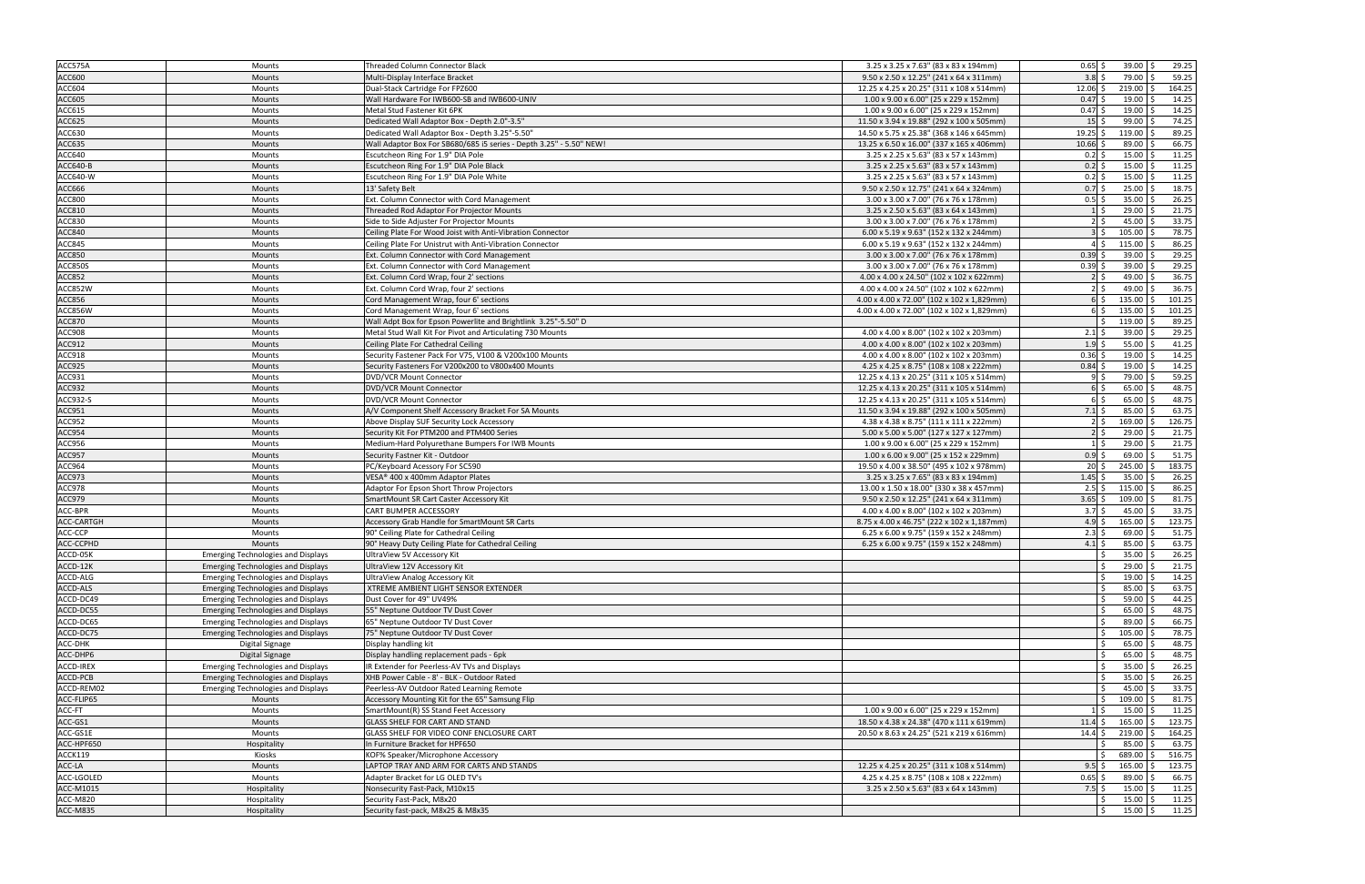| ACC575A          | Mounts                                    | <b>Threaded Column Connector Black</b>                              | 3.25 x 3.25 x 7.63" (83 x 83 x 194mm)      | $0.65$ \$<br>$39.00$ \$<br>29.25                    |
|------------------|-------------------------------------------|---------------------------------------------------------------------|--------------------------------------------|-----------------------------------------------------|
| ACC600           | Mounts                                    | Multi-Display Interface Bracket                                     | 9.50 x 2.50 x 12.25" (241 x 64 x 311mm)    | $3.8\frac{1}{5}$<br>79.00 \$<br>59.25               |
| ACC604           | Mounts                                    | Dual-Stack Cartridge For FPZ600                                     | 12.25 x 4.25 x 20.25" (311 x 108 x 514mm)  | 164.25<br>$12.06$ \$<br>219.00<br>-Ś                |
| <b>ACC605</b>    | <b>Mounts</b>                             | Wall Hardware For IWB600-SB and IWB600-UNIV                         | 1.00 x 9.00 x 6.00" (25 x 229 x 152mm)     | 0.47<br>19.00<br>14.25                              |
| ACC615           | Mounts                                    | Metal Stud Fastener Kit 6PK                                         | 1.00 x 9.00 x 6.00" (25 x 229 x 152mm)     | 14.25<br>$0.47$ \$<br>19.00                         |
| ACC625           | Mounts                                    | Dedicated Wall Adaptor Box - Depth 2.0"-3.5"                        | 11.50 x 3.94 x 19.88" (292 x 100 x 505mm)  | 74.25<br>$15$ \$<br>99.00                           |
| ACC630           | Mounts                                    | Dedicated Wall Adaptor Box - Depth 3.25"-5.50"                      | 14.50 x 5.75 x 25.38" (368 x 146 x 645mm)  | 89.25<br>$19.25$ \$<br>119.00                       |
| <b>ACC635</b>    | Mounts                                    | Wall Adaptor Box For SB680/685 i5 series - Depth 3.25" - 5.50" NEW! | 13.25 x 6.50 x 16.00" (337 x 165 x 406mm)  | 66.75<br>$10.66$ \$<br>89.00                        |
| ACC640           | Mounts                                    | Escutcheon Ring For 1.9" DIA Pole                                   | 3.25 x 2.25 x 5.63" (83 x 57 x 143mm)      | 11.25<br>15.00<br>$0.2$ \$                          |
| ACC640-B         | Mounts                                    | Escutcheon Ring For 1.9" DIA Pole Black                             | 3.25 x 2.25 x 5.63" (83 x 57 x 143mm)      | 11.25<br>$0.2$ \$<br>15.00                          |
| ACC640-W         | Mounts                                    | Escutcheon Ring For 1.9" DIA Pole White                             | 3.25 x 2.25 x 5.63" (83 x 57 x 143mm)      | 11.25<br>$0.2$ \$<br>15.00                          |
| ACC666           | Mounts                                    | 13' Safety Belt                                                     | 9.50 x 2.50 x 12.75" (241 x 64 x 324mm)    | 18.75<br>25.00<br>$0.7\frac{1}{5}$                  |
| ACC800           | Mounts                                    | Ext. Column Connector with Cord Management                          | 3.00 x 3.00 x 7.00" (76 x 76 x 178mm)      | $0.5$ \$<br>26.25<br>35.00                          |
| ACC810           | Mounts                                    | Threaded Rod Adaptor For Projector Mounts                           | 3.25 x 2.50 x 5.63" (83 x 64 x 143mm)      | 21.75<br>29.00<br>$1\vert$ \$                       |
| ACC830           | Mounts                                    | Side to Side Adjuster For Projector Mounts                          | 3.00 x 3.00 x 7.00" (76 x 76 x 178mm)      | 33.75<br>45.00<br>$2 \,$ \$                         |
| <b>ACC840</b>    | Mounts                                    | Ceiling Plate For Wood Joist with Anti-Vibration Connector          | 6.00 x 5.19 x 9.63" (152 x 132 x 244mm)    | 78.75<br>35<br>105.00                               |
| ACC845           | Mounts                                    | Ceiling Plate For Unistrut with Anti-Vibration Connector            | 6.00 x 5.19 x 9.63" (152 x 132 x 244mm)    | 86.25<br>115.00<br>$4\overline{\smash{5}}$          |
| <b>ACC850</b>    | <b>Mounts</b>                             | Ext. Column Connector with Cord Management                          | 3.00 x 3.00 x 7.00" (76 x 76 x 178mm)      | 29.25<br>39.00<br>$0.39$ \$                         |
| <b>ACC850S</b>   | Mounts                                    | Ext. Column Connector with Cord Management                          | 3.00 x 3.00 x 7.00" (76 x 76 x 178mm)      | 29.25<br>$0.39$ \$<br>39.00                         |
| <b>ACC852</b>    | Mounts                                    | Ext. Column Cord Wrap, four 2' sections                             | 4.00 x 4.00 x 24.50" (102 x 102 x 622mm)   | 36.75<br>49.00<br>$2 \mid 5$                        |
| ACC852W          | Mounts                                    | Ext. Column Cord Wrap, four 2' sections                             | 4.00 x 4.00 x 24.50" (102 x 102 x 622mm)   | 36.75<br>49.00<br>$2 \, \overline{\hspace{1ex}}\,$  |
| <b>ACC856</b>    | Mounts                                    | Cord Management Wrap, four 6' sections                              | 4.00 x 4.00 x 72.00" (102 x 102 x 1,829mm) | 101.25<br>135.00                                    |
| ACC856W          | Mounts                                    | Cord Management Wrap, four 6' sections                              | 4.00 x 4.00 x 72.00" (102 x 102 x 1,829mm) | 135.00<br>101.25<br>$6\overline{\smash{5}}$         |
| <b>ACC870</b>    | <b>Mounts</b>                             | Wall Adpt Box for Epson Powerlite and Brightlink 3.25"-5.50" D      |                                            | 89.25<br>119.00                                     |
| ACC908           |                                           |                                                                     | 4.00 x 4.00 x 8.00" (102 x 102 x 203mm)    | 29.25<br>$2.1\frac{1}{2}$<br>39.00                  |
| ACC912           | Mounts                                    | Metal Stud Wall Kit For Pivot and Articulating 730 Mounts           |                                            | 41.25<br>$1.9$ \$<br>55.00                          |
|                  | Mounts                                    | Ceiling Plate For Cathedral Ceiling                                 | 4.00 x 4.00 x 8.00" (102 x 102 x 203mm)    |                                                     |
| ACC918           | Mounts                                    | Security Fastener Pack For V75, V100 & V200x100 Mounts              | 4.00 x 4.00 x 8.00" (102 x 102 x 203mm)    | $0.36$ \$<br>19.00<br>14.25                         |
| ACC925           | Mounts                                    | Security Fasteners For V200x200 to V800x400 Mounts                  | 4.25 x 4.25 x 8.75" (108 x 108 x 222mm)    | 14.25<br>19.00<br>$0.84$ \$                         |
| ACC931           | Mounts                                    | DVD/VCR Mount Connector                                             | 12.25 x 4.13 x 20.25" (311 x 105 x 514mm)  | 59.25<br>79.00                                      |
| ACC932           | Mounts                                    | DVD/VCR Mount Connector                                             | 12.25 x 4.13 x 20.25" (311 x 105 x 514mm)  | 48.75<br>$65.00$ \$<br>$6$ $\overline{\phantom{0}}$ |
| ACC932-S         | Mounts                                    | <b>DVD/VCR Mount Connector</b>                                      | 12.25 x 4.13 x 20.25" (311 x 105 x 514mm)  | 48.75<br>65.00<br>65                                |
| ACC951           | Mounts                                    | A/V Component Shelf Accessory Bracket For SA Mounts                 | 11.50 x 3.94 x 19.88" (292 x 100 x 505mm)  | 63.75<br>$7.1$ \$<br>85.00                          |
| ACC952           | Mounts                                    | Above Display SUF Security Lock Accessory                           | 4.38 x 4.38 x 8.75" (111 x 111 x 222mm)    | 126.75<br>169.00<br>$2 \,$ \$                       |
| ACC954           | Mounts                                    | Security Kit For PTM200 and PTM400 Series                           | 5.00 x 5.00 x 5.00" (127 x 127 x 127mm)    | 29.00<br>21.75                                      |
| ACC956           | Mounts                                    | Medium-Hard Polyurethane Bumpers For IWB Mounts                     | 1.00 x 9.00 x 6.00" (25 x 229 x 152mm)     | 21.75<br>29.00<br>$1 \mid 5$                        |
| ACC957           | Mounts                                    | Security Fastner Kit - Outdoor                                      | 1.00 x 6.00 x 9.00" (25 x 152 x 229mm)     | $0.9$ \$<br>51.75<br>69.00                          |
| ACC964           | Mounts                                    | PC/Keyboard Acessory For SC590                                      | 19.50 x 4.00 x 38.50" (495 x 102 x 978mm)  | 183.75<br>$20\overline{\smash{5}}$<br>245.00        |
| ACC973           | Mounts                                    | VESA® 400 x 400mm Adaptor Plates                                    | 3.25 x 3.25 x 7.65" (83 x 83 x 194mm)      | 26.25<br>$1.45$ \$<br>35.00                         |
| ACC978           | Mounts                                    | Adaptor For Epson Short Throw Projectors                            | 13.00 x 1.50 x 18.00" (330 x 38 x 457mm)   | 86.25<br>$2.5$ \$<br>115.00                         |
| ACC979           | Mounts                                    | SmartMount SR Cart Caster Accessory Kit                             | 9.50 x 2.50 x 12.25" (241 x 64 x 311mm)    | 81.75<br>$3.65$ \$<br>109.00                        |
| ACC-BPR          | Mounts                                    | CART BUMPER ACCESSORY                                               | 4.00 x 4.00 x 8.00" (102 x 102 x 203mm)    | 33.75<br>45.00<br>$3.7\frac{2}{3}$                  |
| ACC-CARTGH       | <b>Mounts</b>                             | Accessory Grab Handle for SmartMount SR Carts                       | 8.75 x 4.00 x 46.75" (222 x 102 x 1,187mm) | 123.75<br>$4.9 \text{ }$ \$<br>$165.00$ \$          |
| ACC-CCP          | Mounts                                    | 90° Ceiling Plate for Cathedral Ceiling                             | 6.25 x 6.00 x 9.75" (159 x 152 x 248mm)    | $2.3\overline{\phantom{0}}$<br>69.00<br>51.75       |
| ACC-CCPHD        | Mounts                                    | 90° Heavy Duty Ceiling Plate for Cathedral Ceiling                  | 6.25 x 6.00 x 9.75" (159 x 152 x 248mm)    | $4.1 \,$ \$<br>63.75<br>85.00                       |
| ACCD-05K         | <b>Emerging Technologies and Displays</b> | UltraView 5V Accessory Kit                                          |                                            | $35.00$ \$<br>26.25                                 |
| ACCD-12K         | <b>Emerging Technologies and Displays</b> | UltraView 12V Accessory Kit                                         |                                            | $\ddot{\mathsf{S}}$<br>$29.00$ \$<br>21.75          |
| ACCD-ALG         | <b>Emerging Technologies and Displays</b> | UltraView Analog Accessory Kit                                      |                                            | $19.00$ \$<br>14.25                                 |
| ACCD-ALS         | <b>Emerging Technologies and Displays</b> | XTREME AMBIENT LIGHT SENSOR EXTENDER                                |                                            | $85.00$ \$<br>63.75<br>S.                           |
| ACCD-DC49        | <b>Emerging Technologies and Displays</b> | Dust Cover for 49" UV49%                                            |                                            | 44.25<br>59.00<br>l \$                              |
| ACCD-DC55        | <b>Emerging Technologies and Displays</b> | 55" Neptune Outdoor TV Dust Cover                                   |                                            | 48.75<br>65.00                                      |
| ACCD-DC65        | <b>Emerging Technologies and Displays</b> | 65" Neptune Outdoor TV Dust Cover                                   |                                            | 66.75<br>۱Ś<br>$89.00$ \$                           |
| ACCD-DC75        | <b>Emerging Technologies and Displays</b> | 75" Neptune Outdoor TV Dust Cover                                   |                                            | 78.75<br>105.00<br>۱Ś                               |
| ACC-DHK          | Digital Signage                           | Display handling kit                                                |                                            | 48.75<br>۱Ś<br>65.00                                |
| ACC-DHP6         | Digital Signage                           | Display handling replacement pads - 6pk                             |                                            | 48.75<br>65.00<br>Ŝ.                                |
| ACCD-IREX        | <b>Emerging Technologies and Displays</b> | IR Extender for Peerless-AV TVs and Displays                        |                                            | 26.25<br>35.00<br>۱Ś                                |
| ACCD-PCB         | <b>Emerging Technologies and Displays</b> | XHB Power Cable - 8' - BLK - Outdoor Rated                          |                                            | 26.25<br>35.00<br>Ŝ.                                |
| ACCD-REM02       | <b>Emerging Technologies and Displays</b> | Peerless-AV Outdoor Rated Learning Remote                           |                                            | 33.75<br>۱Ś<br>45.00                                |
| ACC-FLIP65       | Mounts                                    | Accessory Mounting Kit for the 65" Samsung Flip                     |                                            | 81.75<br>109.00<br>S.                               |
| ACC-FT           | Mounts                                    | SmartMount(R) SS Stand Feet Accessory                               | 1.00 x 9.00 x 6.00" (25 x 229 x 152mm)     | 15.00<br>11.25<br>$1\vert$ \$                       |
| ACC-GS1          | Mounts                                    | GLASS SHELF FOR CART AND STAND                                      | 18.50 x 4.38 x 24.38" (470 x 111 x 619mm)  | 123.75<br>165.00<br>$11.4 \;$ \$                    |
| ACC-GS1E         | Mounts                                    | GLASS SHELF FOR VIDEO CONF ENCLOSURE CART                           | 20.50 x 8.63 x 24.25" (521 x 219 x 616mm)  | $14.4 \pm$<br>219.00<br>164.25                      |
| ACC-HPF650       | Hospitality                               | In Furniture Bracket for HPF650                                     |                                            | 85.00<br>63.75                                      |
| ACCK119          | Kiosks                                    | KOF% Speaker/Microphone Accessory                                   |                                            | 516.75<br>689.00<br>Ŝ.                              |
| ACC-LA           | Mounts                                    | LAPTOP TRAY AND ARM FOR CARTS AND STANDS                            | 12.25 x 4.25 x 20.25" (311 x 108 x 514mm)  | 165.00<br>123.75<br>$9.5$ \$                        |
| ACC-LGOLED       | Mounts                                    | Adapter Bracket for LG OLED TV's                                    | 4.25 x 4.25 x 8.75" (108 x 108 x 222mm)    | 89.00<br>66.75<br>$0.65$ \$                         |
| <b>ACC-M1015</b> | Hospitality                               | Nonsecurity Fast-Pack, M10x15                                       | 3.25 x 2.50 x 5.63" (83 x 64 x 143mm)      | $7.5$ \$<br>$15.00$ \$<br>11.25                     |
| ACC-M820         | Hospitality                               | Security Fast-Pack, M8x20                                           |                                            | 11.25<br>$15.00$ \$                                 |
| ACC-M835         | Hospitality                               | Security fast-pack, M8x25 & M8x35                                   |                                            | $15.00 \; \S$<br>11.25                              |
|                  |                                           |                                                                     |                                            |                                                     |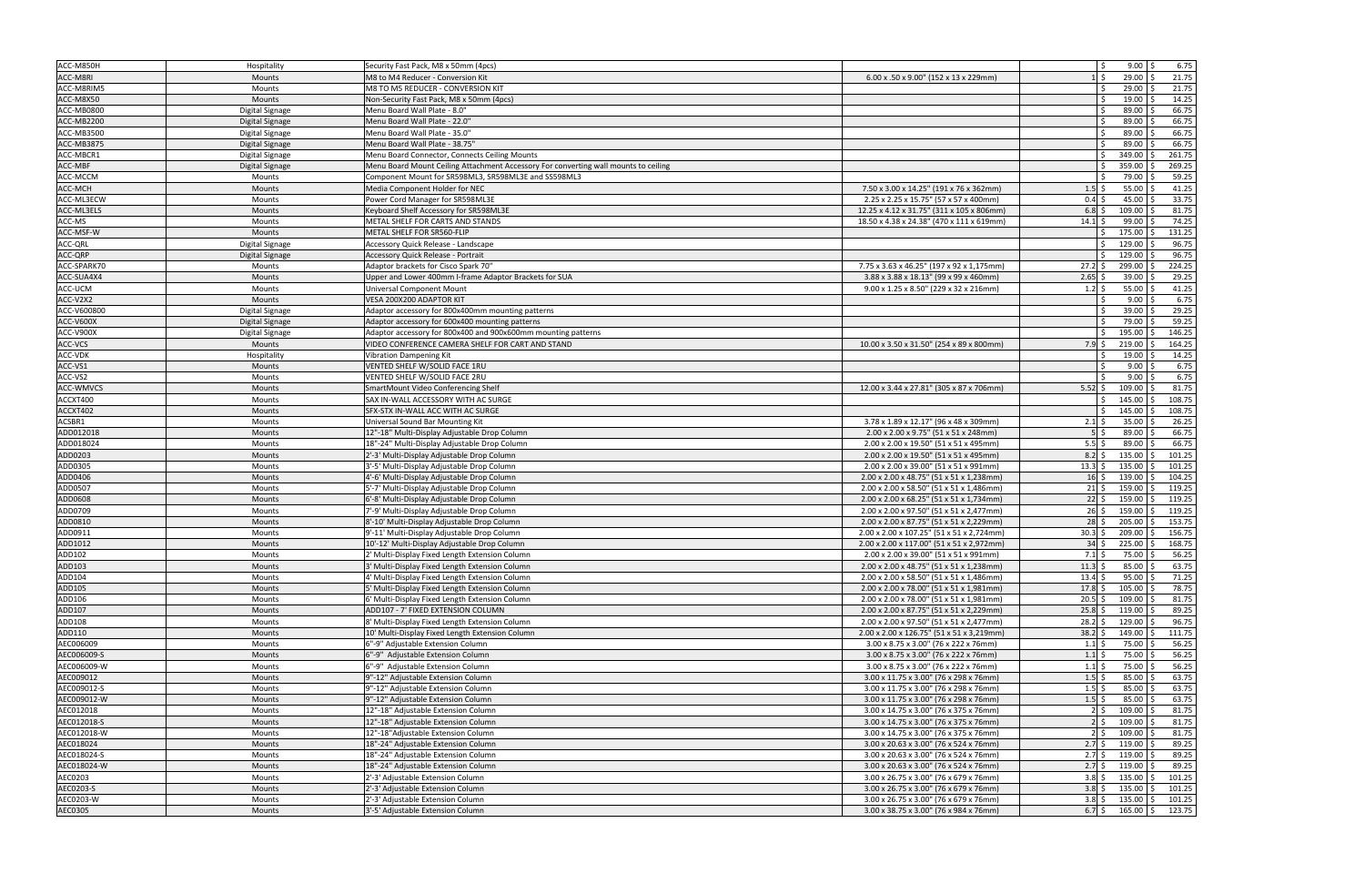| ACC-M850H   | Hospitality            | Security Fast Pack, M8 x 50mm (4pcs)                                                |                                           |                             | $\mathsf{S}$<br>$9.00$ \$ | 6.75             |
|-------------|------------------------|-------------------------------------------------------------------------------------|-------------------------------------------|-----------------------------|---------------------------|------------------|
| ACC-M8RI    | <b>Mounts</b>          | M8 to M4 Reducer - Conversion Kit                                                   | 6.00 x .50 x 9.00" (152 x 13 x 229mm)     |                             | $29.00$ \$<br>l \$        | 21.75            |
| ACC-M8RIM5  | Mounts                 | M8 TO M5 REDUCER - CONVERSION KIT                                                   |                                           |                             | $29.00$ \$                | 21.75            |
| ACC-M8X50   | Mounts                 | Non-Security Fast Pack, M8 x 50mm (4pcs)                                            |                                           |                             | $19.00$ \$                | 14.25            |
| ACC-MB0800  | Digital Signage        | Menu Board Wall Plate - 8.0"                                                        |                                           |                             | $89.00$ \$                | 66.75            |
| ACC-MB2200  | Digital Signage        | Menu Board Wall Plate - 22.0"                                                       |                                           |                             | 89.00                     | 66.75            |
| ACC-MB3500  | Digital Signage        | Menu Board Wall Plate - 35.0"                                                       |                                           |                             | $89.00$ \$                | 66.75            |
| ACC-MB3875  | <b>Digital Signage</b> | Menu Board Wall Plate - 38.75"                                                      |                                           |                             | 89.00                     | 66.75            |
| ACC-MBCR1   | Digital Signage        | Menu Board Connector, Connects Ceiling Mounts                                       |                                           |                             | 349.00<br>\$              | 261.75           |
| ACC-MBF     | Digital Signage        | Menu Board Mount Ceiling Attachment Accessory For converting wall mounts to ceiling |                                           |                             | 359.00                    | 269.25           |
| ACC-MCCM    | Mounts                 | Component Mount for SR598ML3, SR598ML3E and SS598ML3                                |                                           |                             | 79.00                     | 59.25            |
| ACC-MCH     | <b>Mounts</b>          | Media Component Holder for NEC                                                      | 7.50 x 3.00 x 14.25" (191 x 76 x 362mm)   | 1.5                         | 55.00                     | 41.25            |
| ACC-ML3ECW  | Mounts                 | Power Cord Manager for SR598ML3E                                                    | 2.25 x 2.25 x 15.75" (57 x 57 x 400mm)    | 0.4                         | $45.00$ \$                | 33.75            |
| ACC-ML3ELS  | Mounts                 | Keyboard Shelf Accessory for SR598ML3E                                              | 12.25 x 4.12 x 31.75" (311 x 105 x 806mm) | 6.8                         | $109.00$ \$               | 81.75            |
| ACC-MS      | Mounts                 | METAL SHELF FOR CARTS AND STANDS                                                    | 18.50 x 4.38 x 24.38" (470 x 111 x 619mm) | 14.1                        | 99.00                     | 74.25            |
| ACC-MSF-W   | Mounts                 | METAL SHELF FOR SR560-FLIP                                                          |                                           |                             | 175.00                    | 131.25           |
| ACC-QRL     | Digital Signage        | Accessory Quick Release - Landscape                                                 |                                           |                             | 129.00                    | 96.75            |
| ACC-QRP     | Digital Signage        | <b>Accessory Quick Release - Portrait</b>                                           |                                           |                             | 129.00                    | 96.75            |
| ACC-SPARK70 | Mounts                 | Adaptor brackets for Cisco Spark 70"                                                | 7.75 x 3.63 x 46.25" (197 x 92 x 1,175mm) | 27.2                        | 299.00 \$                 | 224.25           |
| ACC-SUA4X4  | <b>Mounts</b>          | Upper and Lower 400mm I-frame Adaptor Brackets for SUA                              | 3.88 x 3.88 x 18.13" (99 x 99 x 460mm)    | 2.65                        | $39.00$ \$                | 29.25            |
| ACC-UCM     | Mounts                 | <b>Universal Component Mount</b>                                                    | 9.00 x 1.25 x 8.50" (229 x 32 x 216mm)    | 1.2                         | $55.00$ \$                | 41.25            |
| ACC-V2X2    | Mounts                 | VESA 200X200 ADAPTOR KIT                                                            |                                           |                             | 9.00                      | 6.75             |
| ACC-V600800 | Digital Signage        | Adaptor accessory for 800x400mm mounting patterns                                   |                                           |                             | $39.00$ \$                | 29.25            |
| ACC-V600X   | Digital Signage        | Adaptor accessory for 600x400 mounting patterns                                     |                                           |                             | 79.00                     | 59.25            |
| ACC-V900X   | Digital Signage        | Adaptor accessory for 800x400 and 900x600mm mounting patterns                       |                                           |                             | 195.00                    | 146.25           |
| ACC-VCS     | Mounts                 | VIDEO CONFERENCE CAMERA SHELF FOR CART AND STAND                                    | 10.00 x 3.50 x 31.50" (254 x 89 x 800mm)  | $7.9 \text{ }$              | $219.00$ \$               | 164.25           |
| ACC-VDK     | Hospitality            | <b>Vibration Dampening Kit</b>                                                      |                                           |                             | 19.00                     | 14.25            |
| ACC-VS1     | <b>Mounts</b>          | VENTED SHELF W/SOLID FACE 1RU                                                       |                                           |                             | 9.00                      | 6.75             |
| ACC-VS2     | <b>Mounts</b>          | VENTED SHELF W/SOLID FACE 2RU                                                       |                                           |                             | 9.00                      | 6.75             |
| ACC-WMVCS   | Mounts                 | SmartMount Video Conferencing Shelf                                                 | 12.00 x 3.44 x 27.81" (305 x 87 x 706mm)  | 5.52                        | 109.00                    | 81.75            |
| ACCXT400    | Mounts                 | SAX IN-WALL ACCESSORY WITH AC SURGE                                                 |                                           |                             | 145.00                    | 108.75           |
| ACCXT402    | <b>Mounts</b>          | SFX-STX IN-WALL ACC WITH AC SURGE                                                   |                                           |                             | 145.00                    | 108.75           |
| ACSBR1      | Mounts                 | Universal Sound Bar Mounting Kit                                                    | 3.78 x 1.89 x 12.17" (96 x 48 x 309mm)    | 2.1                         | 35.00                     | 26.25            |
| ADD012018   | <b>Mounts</b>          | 12"-18" Multi-Display Adjustable Drop Column                                        | 2.00 x 2.00 x 9.75" (51 x 51 x 248mm)     |                             | 89.00                     | 66.75            |
| ADD018024   | Mounts                 | 18"-24" Multi-Display Adjustable Drop Column                                        | 2.00 x 2.00 x 19.50" (51 x 51 x 495mm)    | 5.5                         | 89.00                     | 66.75            |
| ADD0203     | Mounts                 | 2'-3' Multi-Display Adjustable Drop Column                                          | 2.00 x 2.00 x 19.50" (51 x 51 x 495mm)    | 8.2                         | $135.00$ \$               | 101.25           |
| ADD0305     | Mounts                 | 3'-5' Multi-Display Adjustable Drop Column                                          | 2.00 x 2.00 x 39.00" (51 x 51 x 991mm)    | 13.3                        | 135.00                    | 101.25<br>I \$   |
| ADD0406     | Mounts                 | 4'-6' Multi-Display Adjustable Drop Column                                          | 2.00 x 2.00 x 48.75" (51 x 51 x 1,238mm)  | 16                          | 139.00                    | 104.25           |
| ADD0507     | Mounts                 | 5'-7' Multi-Display Adjustable Drop Column                                          | 2.00 x 2.00 x 58.50" (51 x 51 x 1,486mm)  | 21                          | 159.00                    | 119.25<br>l S    |
| ADD0608     | Mounts                 | 6'-8' Multi-Display Adjustable Drop Column                                          | 2.00 x 2.00 x 68.25" (51 x 51 x 1,734mm)  | 22                          | 159.00                    | 119.25           |
| ADD0709     | Mounts                 | 7'-9' Multi-Display Adjustable Drop Column                                          | 2.00 x 2.00 x 97.50" (51 x 51 x 2,477mm)  | 26                          | 159.00                    | 119.25           |
| ADD0810     | Mounts                 | 8'-10' Multi-Display Adjustable Drop Column                                         | 2.00 x 2.00 x 87.75" (51 x 51 x 2,229mm)  | 28                          | 205.00                    | 153.75<br>-Ś     |
| ADD0911     | Mounts                 | 9'-11' Multi-Display Adjustable Drop Column                                         | 2.00 x 2.00 x 107.25" (51 x 51 x 2,724mm  | 30.3                        | 209.00                    | 156.75           |
| ADD1012     | <b>Mounts</b>          | 10'-12' Multi-Display Adjustable Drop Column                                        | 2.00 x 2.00 x 117.00" (51 x 51 x 2,972mm) | 34                          | 225.00                    | 168.75           |
| ADD102      | <b>Mounts</b>          | 2' Multi-Display Fixed Length Extension Column                                      | 2.00 x 2.00 x 39.00" (51 x 51 x 991mm)    | $7.1 \,$ \$                 | 75.00 \$                  | 56.25            |
| ADD103      | <b>Mounts</b>          | 3' Multi-Display Fixed Length Extension Column                                      | 2.00 x 2.00 x 48.75" (51 x 51 x 1,238mm)  | $11.3$ \$                   | $85.00$ \$                | 63.75            |
| ADD104      | Mounts                 | <sup>4</sup> Multi-Display Fixed Length Extension Column                            | 2.00 x 2.00 x 58.50" (51 x 51 x 1,486mm)  | 13.4                        | $95.00$ \$                | 71.25            |
| ADD105      | Mounts                 | 5' Multi-Display Fixed Length Extension Column                                      | 2.00 x 2.00 x 78.00" (51 x 51 x 1,981mm)  | $17.8\frac{1}{5}$           | $105.00$ \$               | 78.75            |
| ADD106      | Mounts                 | 5' Multi-Display Fixed Length Extension Column                                      | 2.00 x 2.00 x 78.00" (51 x 51 x 1,981mm)  | 20.5                        | $109.00$ \$               | 81.75            |
| ADD107      | Mounts                 | ADD107 - 7' FIXED EXTENSION COLUMN                                                  | 2.00 x 2.00 x 87.75" (51 x 51 x 2,229mm)  | 25.8                        | $119.00$ \$               | 89.25            |
| ADD108      | Mounts                 | 8' Multi-Display Fixed Length Extension Column                                      | 2.00 x 2.00 x 97.50" (51 x 51 x 2,477mm)  | $28.2 \div$                 | $129.00$ \$               | 96.75            |
| ADD110      | Mounts                 | 10' Multi-Display Fixed Length Extension Column                                     | 2.00 x 2.00 x 126.75" (51 x 51 x 3,219mm) | 38.2                        | 149.00 \$<br>Ŝ.           | 111.75           |
| AEC006009   | Mounts                 | 6"-9" Adjustable Extension Column                                                   | 3.00 x 8.75 x 3.00" (76 x 222 x 76mm)     | $1.1 \;$ \$                 | 75.00 \$                  | 56.25            |
| AEC006009-S | Mounts                 | 6"-9" Adjustable Extension Column                                                   | 3.00 x 8.75 x 3.00" (76 x 222 x 76mm)     | 1.1                         | 75.00 \$                  | 56.25            |
| AEC006009-W | Mounts                 | 6"-9" Adjustable Extension Column                                                   | 3.00 x 8.75 x 3.00" (76 x 222 x 76mm)     | $1.1 \;$ \$                 | 75.00 \$                  | 56.25            |
| AEC009012   | Mounts                 | 9"-12" Adjustable Extension Column                                                  | 3.00 x 11.75 x 3.00" (76 x 298 x 76mm)    | 1.5                         | $85.00$ \$                | 63.75            |
| AEC009012-S | Mounts                 | 9"-12" Adjustable Extension Column                                                  | 3.00 x 11.75 x 3.00" (76 x 298 x 76mm)    | $1.5$ \$                    | $85.00$ \$                | 63.75            |
| AEC009012-W | Mounts                 | 9"-12" Adjustable Extension Column                                                  | 3.00 x 11.75 x 3.00" (76 x 298 x 76mm)    | $1.5$ \$                    | $85.00$ \$                | 63.75            |
| AEC012018   | Mounts                 | 12"-18" Adjustable Extension Column                                                 | 3.00 x 14.75 x 3.00" (76 x 375 x 76mm)    | $2\overline{\smash{\cdot}}$ | 109.00 \$                 | 81.75            |
| AEC012018-S | Mounts                 | 12"-18" Adjustable Extension Column                                                 | 3.00 x 14.75 x 3.00" (76 x 375 x 76mm)    | $2 \,$ s                    | $109.00$ \$               | 81.75            |
| AEC012018-W | Mounts                 | 12"-18"Adjustable Extension Column                                                  | 3.00 x 14.75 x 3.00" (76 x 375 x 76mm)    | $2\overline{\smash{\cdot}}$ | $109.00$ \$               | 81.75            |
| AEC018024   | Mounts                 | 18"-24" Adjustable Extension Column                                                 | 3.00 x 20.63 x 3.00" (76 x 524 x 76mm)    | 2.7                         | $119.00$ \$<br>Ŝ.         | 89.25            |
| AEC018024-S | Mounts                 | 18"-24" Adjustable Extension Column                                                 | 3.00 x 20.63 x 3.00" (76 x 524 x 76mm)    | $2.7\frac{1}{2}$            | $119.00$ \$               | 89.25            |
| AEC018024-W | Mounts                 | 18"-24" Adjustable Extension Column                                                 | 3.00 x 20.63 x 3.00" (76 x 524 x 76mm)    | $2.7\frac{1}{5}$            | $119.00$ \$               | 89.25            |
| AEC0203     | Mounts                 | 2'-3' Adjustable Extension Column                                                   | 3.00 x 26.75 x 3.00" (76 x 679 x 76mm)    | 3.8                         | $135.00$ \$               | 101.25           |
| AEC0203-S   | Mounts                 | 2'-3' Adjustable Extension Column                                                   | 3.00 x 26.75 x 3.00" (76 x 679 x 76mm)    | 3.8                         | $135.00$ \$               | 101.25           |
| AEC0203-W   | Mounts                 | 2'-3' Adjustable Extension Column                                                   | 3.00 x 26.75 x 3.00" (76 x 679 x 76mm)    | $3.8\frac{1}{5}$            | $135.00$ \$               | 101.25           |
| AEC0305     | Mounts                 | 3'-5' Adjustable Extension Column                                                   | 3.00 x 38.75 x 3.00" (76 x 984 x 76mm)    | $6.7\frac{1}{5}$            |                           | 165.00 \$ 123.75 |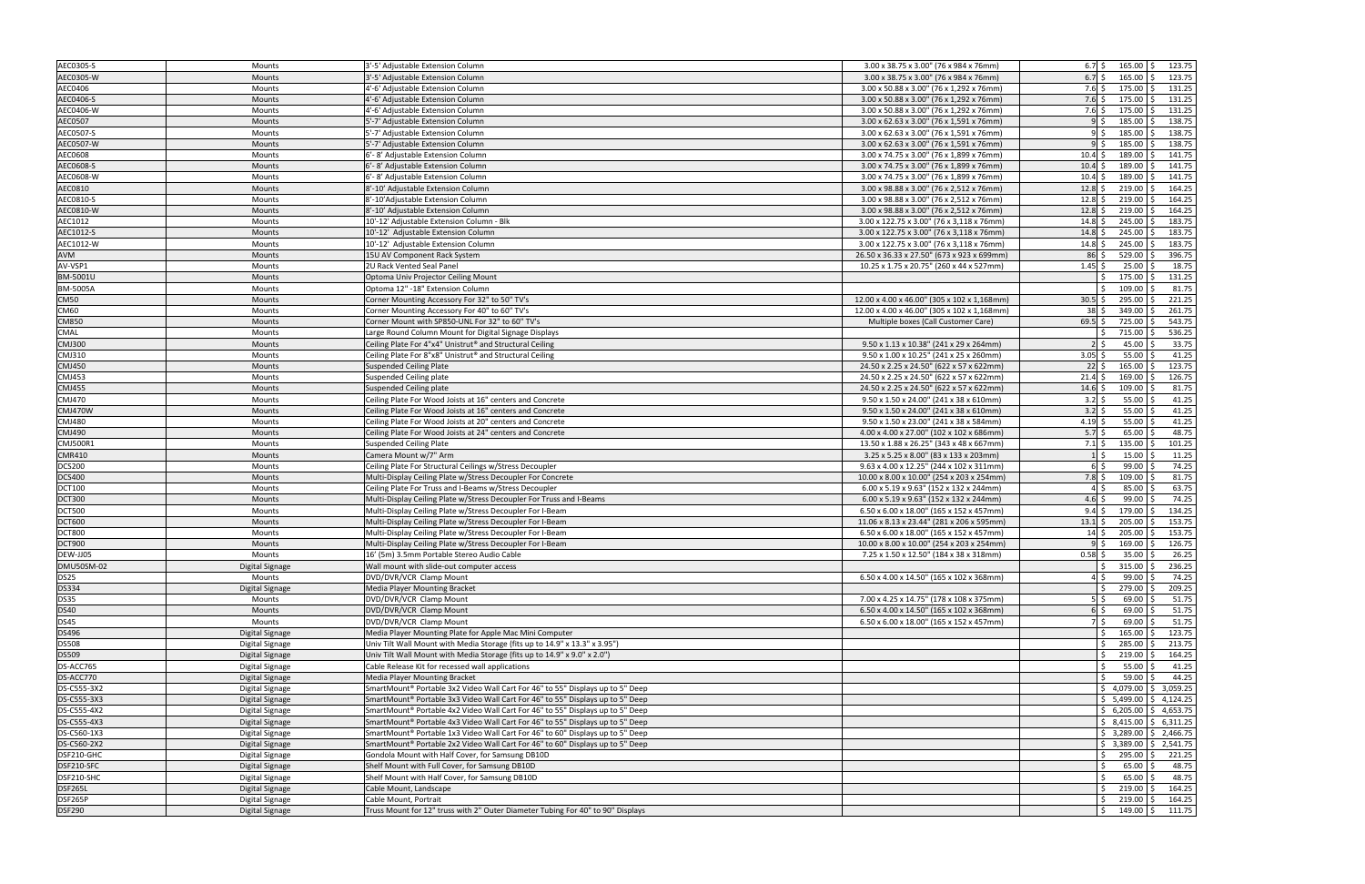| AEC0305-S                  | Mounts                 | 3'-5' Adjustable Extension Column                                                          | 3.00 x 38.75 x 3.00" (76 x 984 x 76mm)      | $6.7\frac{2}{3}$<br>$165.00$ \$<br>123.75                            |
|----------------------------|------------------------|--------------------------------------------------------------------------------------------|---------------------------------------------|----------------------------------------------------------------------|
| AEC0305-W                  | Mounts                 | 3'-5' Adjustable Extension Column                                                          | 3.00 x 38.75 x 3.00" (76 x 984 x 76mm)      | $6.7$ \$<br>165.00<br>123.75<br>-Ś                                   |
| AEC0406                    | Mounts                 | 4'-6' Adjustable Extension Column                                                          | 3.00 x 50.88 x 3.00" (76 x 1,292 x 76mm)    | $7.6\;$ \$<br>175.00 \$<br>131.25                                    |
| AEC0406-S                  | Mounts                 | 4'-6' Adjustable Extension Column                                                          | 3.00 x 50.88 x 3.00" (76 x 1,292 x 76mm)    | $7.6\;$ \$<br>$175.00$ \$<br>131.25                                  |
| AEC0406-W                  | Mounts                 | 4'-6' Adjustable Extension Column                                                          | 3.00 x 50.88 x 3.00" (76 x 1,292 x 76mm)    | 175.00<br>131.25<br>$7.6\,$ \$                                       |
| AEC0507                    | <b>Mounts</b>          | 5'-7' Adjustable Extension Column                                                          | 3.00 x 62.63 x 3.00" (76 x 1,591 x 76mm)    | 185.00<br>138.75<br>91 <sup>5</sup>                                  |
| AEC0507-S                  | Mounts                 | 5'-7' Adjustable Extension Column                                                          | 3.00 x 62.63 x 3.00" (76 x 1,591 x 76mm)    | 185.00<br>138.75<br>95<br>۰\$                                        |
| AEC0507-W                  | Mounts                 | 5'-7' Adjustable Extension Column                                                          | 3.00 x 62.63 x 3.00" (76 x 1,591 x 76mm)    | 185.00<br>138.75                                                     |
| AEC0608                    | Mounts                 | 6'-8' Adjustable Extension Column                                                          | 3.00 x 74.75 x 3.00" (76 x 1,899 x 76mm)    | 189.00<br>141.75<br>$10.4\bar{s}$                                    |
| AEC0608-S                  | Mounts                 | 6'-8' Adjustable Extension Column                                                          | 3.00 x 74.75 x 3.00" (76 x 1,899 x 76mm)    | $10.4 \,$ \$<br>$189.00$ \$<br>141.75                                |
| AEC0608-W                  | Mounts                 | 6'-8' Adjustable Extension Column                                                          | 3.00 x 74.75 x 3.00" (76 x 1,899 x 76mm)    | 189.00<br>141.75<br>$10.4$ \$                                        |
| AEC0810                    | Mounts                 | 8'-10' Adjustable Extension Column                                                         | 3.00 x 98.88 x 3.00" (76 x 2,512 x 76mm)    | 164.25<br>$12.8\frac{1}{5}$<br>219.00                                |
| AEC0810-S                  | Mounts                 | 8'-10'Adjustable Extension Column                                                          | 3.00 x 98.88 x 3.00" (76 x 2,512 x 76mm)    | $12.8\frac{1}{5}$<br>$219.00$ \$<br>164.25                           |
| AEC0810-W                  | Mounts                 | 8'-10' Adjustable Extension Column                                                         | 3.00 x 98.88 x 3.00" (76 x 2,512 x 76mm)    | 164.25<br>$12.8\frac{1}{5}$<br>219.00                                |
| AEC1012                    | Mounts                 | 10'-12' Adjustable Extension Column - Blk                                                  | 3.00 x 122.75 x 3.00" (76 x 3,118 x 76mm)   | $14.8 \;$ \$<br>245.00<br>183.75                                     |
| AEC1012-S                  | Mounts                 | 10'-12' Adjustable Extension Column                                                        | 3.00 x 122.75 x 3.00" (76 x 3,118 x 76mm)   | $14.8\bar{s}$<br>$245.00$ \$<br>183.75                               |
| AEC1012-W                  | Mounts                 | 10'-12' Adjustable Extension Column                                                        | 3.00 x 122.75 x 3.00" (76 x 3,118 x 76mm)   | 245.00<br>183.75<br>$14.8\frac{1}{5}$                                |
| AVM                        | Mounts                 | 15U AV Component Rack System                                                               | 26.50 x 36.33 x 27.50" (673 x 923 x 699mm)  | 86<br>529.00<br>396.75                                               |
| AV-VSP1                    | Mounts                 | 2U Rack Vented Seal Panel                                                                  | 10.25 x 1.75 x 20.75" (260 x 44 x 527mm)    | $1.45$ \$<br>25.00<br>18.75                                          |
| BM-5001U                   | Mounts                 | Optoma Univ Projector Ceiling Mount                                                        |                                             | 131.25<br>175.00<br><sup>5</sup>                                     |
| BM-5005A                   | Mounts                 | Optoma 12" -18" Extension Column                                                           |                                             | 109.00<br>81.75                                                      |
|                            |                        |                                                                                            |                                             |                                                                      |
| <b>CM50</b><br><b>CM60</b> | <b>Mounts</b>          | Corner Mounting Accessory For 32" to 50" TV's                                              | 12.00 x 4.00 x 46.00" (305 x 102 x 1,168mm) | $30.5$ \$<br>295.00<br>221.25<br>261.75<br>$38\frac{1}{2}$<br>349.00 |
|                            | Mounts                 | Corner Mounting Accessory For 40" to 60" TV's                                              | 12.00 x 4.00 x 46.00" (305 x 102 x 1,168mm) |                                                                      |
| CM850                      | <b>Mounts</b>          | Corner Mount with SP850-UNL For 32" to 60" TV's                                            | Multiple boxes (Call Customer Care)         | 725.00<br>543.75<br>$69.5$ \$                                        |
| CMAL                       | Mounts                 | Large Round Column Mount for Digital Signage Displays                                      |                                             | 715.00<br>536.25<br>21 <sup>5</sup>                                  |
| <b>CMJ300</b>              | Mounts                 | Ceiling Plate For 4"x4" Unistrut® and Structural Ceiling                                   | 9.50 x 1.13 x 10.38" (241 x 29 x 264mm)     | 33.75<br>45.00                                                       |
| CMJ310                     | Mounts                 | Ceiling Plate For 8"x8" Unistrut® and Structural Ceiling                                   | 9.50 x 1.00 x 10.25" (241 x 25 x 260mm)     | 41.25<br>$3.05$ \$<br>55.00                                          |
| <b>CMJ450</b>              | Mounts                 | <b>Suspended Ceiling Plate</b>                                                             | 24.50 x 2.25 x 24.50" (622 x 57 x 622mm)    | 123.75<br>$22 \mid 5$<br>165.00                                      |
| CMJ453                     | Mounts                 | Suspended Ceiling plate                                                                    | 24.50 x 2.25 x 24.50" (622 x 57 x 622mm)    | 126.75<br>169.00<br>$21.4\;$ \$                                      |
| <b>CMJ455</b>              | Mounts                 | Suspended Ceiling plate                                                                    | 24.50 x 2.25 x 24.50" (622 x 57 x 622mm)    | 109.00<br>81.75<br>$14.6 \S$                                         |
| CMJ470                     | Mounts                 | Ceiling Plate For Wood Joists at 16" centers and Concrete                                  | 9.50 x 1.50 x 24.00" (241 x 38 x 610mm)     | 41.25<br>$3.2 \div$<br>55.00                                         |
| CMJ470W                    | Mounts                 | Ceiling Plate For Wood Joists at 16" centers and Concrete                                  | 9.50 x 1.50 x 24.00" (241 x 38 x 610mm)     | 41.25<br>$3.2 \div$<br>55.00                                         |
| <b>CMJ480</b>              | Mounts                 | Ceiling Plate For Wood Joists at 20" centers and Concrete                                  | 9.50 x 1.50 x 23.00" (241 x 38 x 584mm)     | 41.25<br>55.00<br>4.19 \$                                            |
| <b>CMJ490</b>              | Mounts                 | Ceiling Plate For Wood Joists at 24" centers and Concrete                                  | 4.00 x 4.00 x 27.00" (102 x 102 x 686mm)    | $5.7$ \$<br>48.75<br>65.00                                           |
|                            |                        |                                                                                            |                                             |                                                                      |
| CMJ500R1                   | Mounts                 | <b>Suspended Ceiling Plate</b>                                                             | 13.50 x 1.88 x 26.25" (343 x 48 x 667mm)    | 101.25<br>$135.00$ \$<br>$7.1\,$ \$                                  |
| <b>CMR410</b>              | Mounts                 | Camera Mount w/7" Arm                                                                      | 3.25 x 5.25 x 8.00" (83 x 133 x 203mm)      | 15.00<br>11.25<br>$1\vert$ S                                         |
| <b>DCS200</b>              | Mounts                 | Ceiling Plate For Structural Ceilings w/Stress Decoupler                                   | 9.63 x 4.00 x 12.25" (244 x 102 x 311mm)    | 74.25<br>99.00<br>6 \$                                               |
| <b>DCS400</b>              | Mounts                 | Multi-Display Ceiling Plate w/Stress Decoupler For Concrete                                | 10.00 x 8.00 x 10.00" (254 x 203 x 254mm)   | 81.75<br>109.00<br>$7.8\frac{1}{2}$                                  |
| <b>DCT100</b>              | Mounts                 | Ceiling Plate For Truss and I-Beams w/Stress Decoupler                                     | 6.00 x 5.19 x 9.63" (152 x 132 x 244mm)     | 63.75<br>85.00<br>4 S                                                |
| <b>DCT300</b>              | Mounts                 | Multi-Display Ceiling Plate w/Stress Decoupler For Truss and I-Beams                       | 6.00 x 5.19 x 9.63" (152 x 132 x 244mm)     | 74.25<br>$4.6\overline{\smash{5}}$<br>99.00                          |
| <b>DCT500</b>              | Mounts                 | Multi-Display Ceiling Plate w/Stress Decoupler For I-Beam                                  | 6.50 x 6.00 x 18.00" (165 x 152 x 457mm)    | 179.00<br>134.25<br>$9.4\,$ S                                        |
| <b>DCT600</b>              | Mounts                 | Multi-Display Ceiling Plate w/Stress Decoupler For I-Beam                                  | 11.06 x 8.13 x 23.44" (281 x 206 x 595mm)   | 205.00<br>153.75<br>$13.1$ \$                                        |
| <b>DCT800</b>              | Mounts                 | Multi-Display Ceiling Plate w/Stress Decoupler For I-Beam                                  | 6.50 x 6.00 x 18.00" (165 x 152 x 457mm)    | 205.00<br>153.75<br>$14\overline{\smash{5}}$                         |
| <b>DCT900</b>              | <b>Mounts</b>          | Multi-Display Ceiling Plate w/Stress Decoupler For I-Beam                                  | 10.00 x 8.00 x 10.00" (254 x 203 x 254mm)   | 169.00<br>126.75                                                     |
| DEW-JJ05                   | <b>Mounts</b>          | 16' (5m) 3.5mm Portable Stereo Audio Cable                                                 | 7.25 x 1.50 x 12.50" (184 x 38 x 318mm)     | $0.58$ \$<br>$35.00$ \$<br>26.25                                     |
| <b>DMU50SM-02</b>          | <b>Digital Signage</b> | Wall mount with slide-out computer access                                                  |                                             | $\zeta$<br>$315.00$ \$<br>236.25                                     |
| <b>DS25</b>                | Mounts                 | DVD/DVR/VCR Clamp Mount                                                                    | 6.50 x 4.00 x 14.50" (165 x 102 x 368mm)    | 4\$<br>$99.00$ \$<br>74.25                                           |
| <b>DS334</b>               | Digital Signage        | <b>Media Player Mounting Bracket</b>                                                       |                                             | 279.00 \$<br>209.25<br>$\mathsf{S}$                                  |
| <b>DS35</b>                | Mounts                 | DVD/DVR/VCR Clamp Mount                                                                    | 7.00 x 4.25 x 14.75" (178 x 108 x 375mm)    | 51.75<br>$5\overline{\smash{5}}$<br>69.00                            |
| <b>DS40</b>                | Mounts                 | DVD/DVR/VCR Clamp Mount                                                                    | 6.50 x 4.00 x 14.50" (165 x 102 x 368mm)    | 51.75<br>69.00<br>$6$ $\overline{\phantom{0}}$                       |
| <b>DS45</b>                | Mounts                 | DVD/DVR/VCR Clamp Mount                                                                    | 6.50 x 6.00 x 18.00" (165 x 152 x 457mm)    | 51.75<br>7\$<br>$69.00$ \$                                           |
| <b>DS496</b>               | <b>Digital Signage</b> | Media Player Mounting Plate for Apple Mac Mini Computer                                    |                                             | 123.75<br>165.00                                                     |
| <b>DS508</b>               | Digital Signage        | Univ Tilt Wall Mount with Media Storage (fits up to 14.9" x 13.3" x 3.95")                 |                                             | 213.75<br>285.00<br>Ŝ.                                               |
| <b>DS509</b>               | Digital Signage        | Univ Tilt Wall Mount with Media Storage (fits up to 14.9" x 9.0" x 2.0")                   |                                             | $219.00$ \$<br>164.25<br>$\mathsf{S}$                                |
| DS-ACC765                  | Digital Signage        | Cable Release Kit for recessed wall applications                                           |                                             | 41.25<br>55.00                                                       |
| DS-ACC770                  | Digital Signage        | Media Player Mounting Bracket                                                              |                                             | 44.25<br>59.00                                                       |
| DS-C555-3X2                | Digital Signage        | SmartMount® Portable 3x2 Video Wall Cart For 46" to 55" Displays up to 5" Deep             |                                             | $$4,079.00 \& 3,059.25$                                              |
| DS-C555-3X3                | <b>Digital Signage</b> | SmartMount <sup>®</sup> Portable 3x3 Video Wall Cart For 46" to 55" Displays up to 5" Deep |                                             | $\frac{1}{2}$ 5,499.00 $\frac{1}{2}$ 4,124.25                        |
| DS-C555-4X2                | Digital Signage        | SmartMount <sup>®</sup> Portable 4x2 Video Wall Cart For 46" to 55" Displays up to 5" Deep |                                             | $\frac{1}{2}$ 6,205.00 $\frac{1}{2}$ 4,653.75                        |
| DS-C555-4X3                | Digital Signage        | SmartMount® Portable 4x3 Video Wall Cart For 46" to 55" Displays up to 5" Deep             |                                             | $\frac{1}{2}$ \$ 8,415.00 \$ 6,311.25                                |
| DS-C560-1X3                | Digital Signage        | SmartMount <sup>®</sup> Portable 1x3 Video Wall Cart For 46" to 60" Displays up to 5" Deep |                                             | $\frac{1}{2}$ \$ 3,289.00 \$ 2,466.75                                |
| DS-C560-2X2                | Digital Signage        | SmartMount® Portable 2x2 Video Wall Cart For 46" to 60" Displays up to 5" Deep             |                                             | $\frac{1}{2}$ \$ 3,389.00 $\frac{1}{2}$ 2,541.75                     |
| DSF210-GHC                 | Digital Signage        | Gondola Mount with Half Cover, for Samsung DB10D                                           |                                             | 295.00 \$<br>221.25<br>$\frac{1}{2}$                                 |
| DSF210-SFC                 | Digital Signage        | Shelf Mount with Full Cover, for Samsung DB10D                                             |                                             | 48.75<br>S.<br>$65.00$ \$                                            |
| DSF210-SHC                 | Digital Signage        | Shelf Mount with Half Cover, for Samsung DB10D                                             |                                             | 48.75<br>$65.00$ \$                                                  |
| DSF265L                    | Digital Signage        | Cable Mount, Landscape                                                                     |                                             | 164.25<br>$219.00$ \$<br>$\mathsf{S}$                                |
| DSF265P<br><b>DSF290</b>   | Digital Signage        | Cable Mount, Portrait                                                                      |                                             | 164.25<br>$219.00$ \$<br>S.                                          |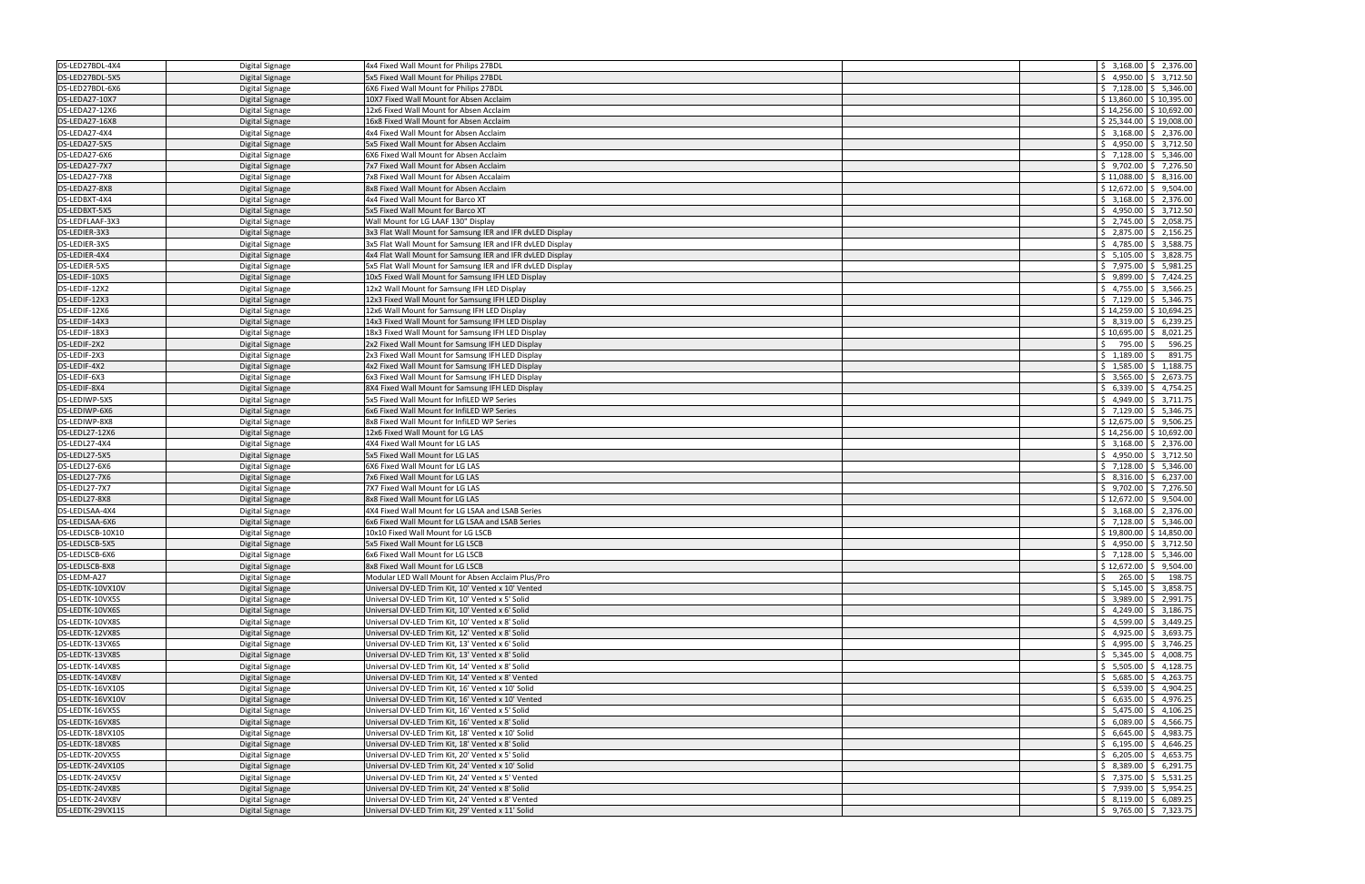| DS-LED27BDL-4X4                     | Digital Signage        | 4x4 Fixed Wall Mount for Philips 27BDL                                            |    |                           | $\frac{1}{2}$ \$ 3,168.00 $\frac{1}{2}$ 2,376.00                                    |
|-------------------------------------|------------------------|-----------------------------------------------------------------------------------|----|---------------------------|-------------------------------------------------------------------------------------|
| DS-LED27BDL-5X5                     | Digital Signage        | 5x5 Fixed Wall Mount for Philips 27BDL                                            |    |                           | $$4,950.00 \mid $3,712.50$                                                          |
| DS-LED27BDL-6X6                     | Digital Signage        | 6X6 Fixed Wall Mount for Philips 27BDL                                            |    |                           | $\frac{1}{2}$ 7,128.00 $\frac{1}{2}$ 5,346.00                                       |
| DS-LEDA27-10X7                      | Digital Signage        | 10X7 Fixed Wall Mount for Absen Acclaim                                           |    |                           | $$13,860.00$ $$10,395.00$                                                           |
| DS-LEDA27-12X6                      | Digital Signage        | 12x6 Fixed Wall Mount for Absen Acclaim                                           |    |                           | $$14,256.00 \& 10,692.00$                                                           |
| DS-LEDA27-16X8                      | Digital Signage        | 16x8 Fixed Wall Mount for Absen Acclaim                                           |    |                           | $$25,344.00$ $$19,008.00$                                                           |
| DS-LEDA27-4X4                       | Digital Signage        | 4x4 Fixed Wall Mount for Absen Acclaim                                            |    |                           | $$3,168.00$ $$2,376.00$                                                             |
| DS-LEDA27-5X5                       | <b>Digital Signage</b> | 5x5 Fixed Wall Mount for Absen Acclaim                                            |    |                           | $$4,950.00 \mid $3,712.50$                                                          |
| DS-LEDA27-6X6                       |                        | 6X6 Fixed Wall Mount for Absen Acclaim                                            |    |                           | $$7,128.00$ $$5,346.00$                                                             |
| DS-LEDA27-7X7                       | Digital Signage        |                                                                                   |    |                           | $$9,702.00 \mid $7,276.50$                                                          |
|                                     | Digital Signage        | 7x7 Fixed Wall Mount for Absen Acclaim<br>7x8 Fixed Wall Mount for Absen Accalaim |    |                           |                                                                                     |
| DS-LEDA27-7X8                       | Digital Signage        |                                                                                   |    |                           | $$11,088.00 \mid $8,316.00$                                                         |
| DS-LEDA27-8X8                       | Digital Signage        | 8x8 Fixed Wall Mount for Absen Acclaim                                            |    |                           | $$12,672.00 \mid $9,504.00$                                                         |
| DS-LEDBXT-4X4                       | Digital Signage        | 4x4 Fixed Wall Mount for Barco XT                                                 |    |                           | $\frac{1}{2}$ 3,168.00 $\frac{1}{2}$ 2,376.00                                       |
| DS-LEDBXT-5X5                       | Digital Signage        | 5x5 Fixed Wall Mount for Barco XT                                                 |    |                           | $\frac{1}{5}$ 4,950.00 \$ 3,712.50                                                  |
| DS-LEDFLAAF-3X3                     | Digital Signage        | Wall Mount for LG LAAF 130" Display                                               |    |                           | $\frac{1}{5}$ 2,745.00 \$ 2,058.75                                                  |
| DS-LEDIER-3X3                       | Digital Signage        | 3x3 Flat Wall Mount for Samsung IER and IFR dvLED Display                         |    |                           | $$2,875.00$ $$2,156.25$                                                             |
| DS-LEDIER-3X5                       | Digital Signage        | 3x5 Flat Wall Mount for Samsung IER and IFR dvLED Display                         |    |                           | $\frac{1}{2}$ 4,785.00 $\frac{1}{2}$ 3,588.75                                       |
| DS-LEDIER-4X4                       | Digital Signage        | 4x4 Flat Wall Mount for Samsung IER and IFR dvLED Display                         |    |                           | $$5,105.00 \mid $3,828.75$                                                          |
| DS-LEDIER-5X5                       | Digital Signage        | 5x5 Flat Wall Mount for Samsung IER and IFR dvLED Display                         |    |                           | $$7,975.00$ $$5,981.25$                                                             |
| DS-LEDIF-10X5                       | Digital Signage        | 10x5 Fixed Wall Mount for Samsung IFH LED Display                                 |    |                           | $$9,899.00 \& 7,424.25$                                                             |
| DS-LEDIF-12X2                       | Digital Signage        | 12x2 Wall Mount for Samsung IFH LED Display                                       |    |                           | $\frac{1}{2}$ 4,755.00 $\frac{1}{2}$ 3,566.25                                       |
| DS-LEDIF-12X3                       | Digital Signage        | 12x3 Fixed Wall Mount for Samsung IFH LED Display                                 |    |                           | $\frac{1}{2}$ 7,129.00 $\frac{1}{2}$ 5,346.75                                       |
| DS-LEDIF-12X6                       | Digital Signage        | 12x6 Wall Mount for Samsung IFH LED Display                                       |    |                           | $$14,259.00$ $$10,694.25$                                                           |
| DS-LEDIF-14X3                       | Digital Signage        | 14x3 Fixed Wall Mount for Samsung IFH LED Display                                 |    |                           | $$8,319.00 \mid $6,239.25$                                                          |
| DS-LEDIF-18X3                       | Digital Signage        | 18x3 Fixed Wall Mount for Samsung IFH LED Display                                 |    |                           | $$10,695.00 \$8,021.25$                                                             |
| DS-LEDIF-2X2                        | Digital Signage        | 2x2 Fixed Wall Mount for Samsung IFH LED Display                                  | Ś. | 795.00 \$                 | 596.25                                                                              |
| DS-LEDIF-2X3                        | Digital Signage        | 2x3 Fixed Wall Mount for Samsung IFH LED Display                                  |    | $$1.189.00$ \$            | 891.75                                                                              |
| DS-LEDIF-4X2                        | Digital Signage        | 4x2 Fixed Wall Mount for Samsung IFH LED Display                                  |    |                           | $$1,585.00$ $$1,188.75$                                                             |
| DS-LEDIF-6X3                        | Digital Signage        | 6x3 Fixed Wall Mount for Samsung IFH LED Display                                  |    |                           | $\frac{1}{2}$ \$ 3,565.00 \$ 2,673.75                                               |
| DS-LEDIF-8X4                        | Digital Signage        | 8X4 Fixed Wall Mount for Samsung IFH LED Display                                  |    |                           | $$6,339.00 \mid $4,754.25$                                                          |
| DS-LEDIWP-5X5                       | Digital Signage        | 5x5 Fixed Wall Mount for InfiLED WP Series                                        |    |                           | $\frac{1}{2}$ 4,949.00 $\frac{1}{2}$ 3,711.75                                       |
| DS-LEDIWP-6X6                       | Digital Signage        | 6x6 Fixed Wall Mount for InfiLED WP Series                                        |    |                           | $\frac{1}{2}$ 7,129.00 $\frac{1}{2}$ 5,346.75                                       |
| DS-LEDIWP-8X8                       | Digital Signage        | 8x8 Fixed Wall Mount for InfiLED WP Series                                        |    |                           | $$12,675.00$ $$9,506.25$                                                            |
| DS-LEDL27-12X6                      | Digital Signage        | 12x6 Fixed Wall Mount for LG LAS                                                  |    | $$14,256.00$ $$10,692.00$ |                                                                                     |
|                                     |                        |                                                                                   |    |                           |                                                                                     |
|                                     |                        |                                                                                   |    |                           |                                                                                     |
| DS-LEDL27-4X4                       | Digital Signage        | 4X4 Fixed Wall Mount for LG LAS                                                   |    |                           | $\frac{1}{2}$ 3,168.00 $\frac{1}{2}$ 2,376.00                                       |
| DS-LEDL27-5X5                       | Digital Signage        | 5x5 Fixed Wall Mount for LG LAS                                                   |    |                           | $$4,950.00$ $$3,712.50$                                                             |
| DS-LEDL27-6X6                       | Digital Signage        | 6X6 Fixed Wall Mount for LG LAS                                                   |    |                           | $$7,128.00 \mid $5,346.00$                                                          |
| DS-LEDL27-7X6                       | Digital Signage        | 7x6 Fixed Wall Mount for LG LAS                                                   |    |                           | $$8,316.00 \$6,237.00$                                                              |
| DS-LEDL27-7X7                       | Digital Signage        | 7X7 Fixed Wall Mount for LG LAS                                                   |    |                           | $$9,702.00 \mid $7,276.50$                                                          |
| DS-LEDL27-8X8                       | Digital Signage        | 8x8 Fixed Wall Mount for LG LAS                                                   |    |                           | $$12,672.00$ $$9,504.00$                                                            |
| DS-LEDLSAA-4X4                      | Digital Signage        | 4X4 Fixed Wall Mount for LG LSAA and LSAB Series                                  |    |                           | $\frac{1}{2}$ \$ 3,168.00 \$ 2,376.00                                               |
| DS-LEDLSAA-6X6                      | Digital Signage        | 6x6 Fixed Wall Mount for LG LSAA and LSAB Series                                  |    |                           | $$7,128.00 \mid $5,346.00$                                                          |
| DS-LEDLSCB-10X10                    | Digital Signage        | 10x10 Fixed Wall Mount for LG LSCB                                                |    |                           | $$19,800.00$ $$14,850.00$                                                           |
| DS-LEDLSCB-5X5                      | Digital Signage        | 5x5 Fixed Wall Mount for LG LSCB                                                  |    |                           | $$4,950.00 \mid $3,712.50$                                                          |
| DS-LEDLSCB-6X6                      | Digital Signage        | 6x6 Fixed Wall Mount for LG LSCB                                                  |    |                           | $\frac{1}{2}$ 7,128.00 $\frac{1}{2}$ 5,346.00                                       |
| DS-LEDLSCB-8X8                      | <b>Digital Signage</b> | 8x8 Fixed Wall Mount for LG LSCB                                                  |    |                           | $\frac{1}{2}$ \$ 12,672.00 $\frac{1}{2}$ 9,504.00                                   |
| DS-LEDM-A27                         | Digital Signage        | Modular LED Wall Mount for Absen Acclaim Plus/Pro                                 |    |                           | $\frac{1}{2}$ 265.00 \$ 198.75                                                      |
| DS-LEDTK-10VX10V                    | Digital Signage        | Universal DV-LED Trim Kit, 10' Vented x 10' Vented                                |    |                           | $\frac{1}{2}$ 5,145.00 $\frac{1}{2}$ 3,858.75                                       |
| DS-LEDTK-10VX5S                     | Digital Signage        | Universal DV-LED Trim Kit, 10' Vented x 5' Solid                                  |    |                           | $\frac{1}{2}$ \$ 3,989.00 $\frac{1}{2}$ 2,991.75                                    |
| DS-LEDTK-10VX6S                     | Digital Signage        | Universal DV-LED Trim Kit, 10' Vented x 6' Solid                                  |    |                           | $\frac{1}{2}$ 4,249.00 $\frac{1}{2}$ 3,186.75                                       |
| DS-LEDTK-10VX8S                     | Digital Signage        | Universal DV-LED Trim Kit, 10' Vented x 8' Solid                                  |    |                           | $\frac{1}{2}$ 4,599.00 $\frac{1}{2}$ 3,449.25                                       |
| DS-LEDTK-12VX8S                     | Digital Signage        | Universal DV-LED Trim Kit, 12' Vented x 8' Solid                                  |    |                           | $\frac{1}{2}$ 4,925.00 $\frac{1}{2}$ 3,693.75                                       |
| DS-LEDTK-13VX6S                     | Digital Signage        | Universal DV-LED Trim Kit, 13' Vented x 6' Solid                                  |    |                           | $\frac{1}{2}$ 4,995.00 $\frac{1}{2}$ 3,746.25                                       |
| DS-LEDTK-13VX8S                     | Digital Signage        | Universal DV-LED Trim Kit, 13' Vented x 8' Solid                                  |    |                           | $\frac{1}{2}$ 5,345.00 $\frac{1}{2}$ 4,008.75                                       |
| DS-LEDTK-14VX8S                     | Digital Signage        | Universal DV-LED Trim Kit, 14' Vented x 8' Solid                                  |    |                           | $\frac{1}{2}$ 5,505.00 $\frac{1}{2}$ 4,128.75                                       |
| DS-LEDTK-14VX8V                     | Digital Signage        | Universal DV-LED Trim Kit, 14' Vented x 8' Vented                                 |    |                           | $$5,685.00$ $$4,263.75$                                                             |
| DS-LEDTK-16VX10S                    | Digital Signage        | Universal DV-LED Trim Kit, 16' Vented x 10' Solid                                 |    |                           | $$6,539.00 \mid $4,904.25$                                                          |
| DS-LEDTK-16VX10V                    | Digital Signage        | Universal DV-LED Trim Kit, 16' Vented x 10' Vented                                |    |                           | $\frac{1}{2}$ 6,635.00 $\frac{1}{2}$ 4,976.25                                       |
| DS-LEDTK-16VX5S                     | Digital Signage        | Universal DV-LED Trim Kit, 16' Vented x 5' Solid                                  |    |                           | $\frac{1}{2}$ 5,475.00 $\frac{1}{2}$ 4,106.25                                       |
| DS-LEDTK-16VX8S                     | Digital Signage        | Universal DV-LED Trim Kit, 16' Vented x 8' Solid                                  |    |                           | $\frac{1}{2}$ 6,089.00 $\frac{1}{2}$ 4,566.75                                       |
| DS-LEDTK-18VX10S                    | Digital Signage        | Universal DV-LED Trim Kit, 18' Vented x 10' Solid                                 |    |                           | $\frac{1}{2}$ 6,645.00 $\frac{1}{2}$ 4,983.75                                       |
| DS-LEDTK-18VX8S                     | Digital Signage        | Universal DV-LED Trim Kit, 18' Vented x 8' Solid                                  |    |                           | $$6,195.00 \mid $4,646.25$                                                          |
| DS-LEDTK-20VX5S                     | Digital Signage        | Universal DV-LED Trim Kit, 20' Vented x 5' Solid                                  |    |                           | $\frac{1}{2}$ 6,205.00 $\frac{1}{2}$ 4,653.75                                       |
| DS-LEDTK-24VX10S                    | Digital Signage        | Universal DV-LED Trim Kit, 24' Vented x 10' Solid                                 |    |                           | $\frac{1}{5}$ 8,389.00 $\frac{1}{5}$ 6,291.75                                       |
| DS-LEDTK-24VX5V                     | Digital Signage        | Universal DV-LED Trim Kit, 24' Vented x 5' Vented                                 |    |                           | $\frac{1}{2}$ 7,375.00 $\frac{1}{2}$ 5,531.25                                       |
| DS-LEDTK-24VX8S                     | Digital Signage        | Universal DV-LED Trim Kit, 24' Vented x 8' Solid                                  |    |                           | $\frac{1}{2}$ 7,939.00 $\frac{1}{2}$ 5,954.25                                       |
| DS-LEDTK-24VX8V<br>DS-LEDTK-29VX11S | Digital Signage        | Universal DV-LED Trim Kit, 24' Vented x 8' Vented                                 |    |                           | $\frac{1}{5}$ 8,119.00 \$ 6,089.25<br>$\frac{1}{2}$ 9,765.00 $\frac{1}{2}$ 7,323.75 |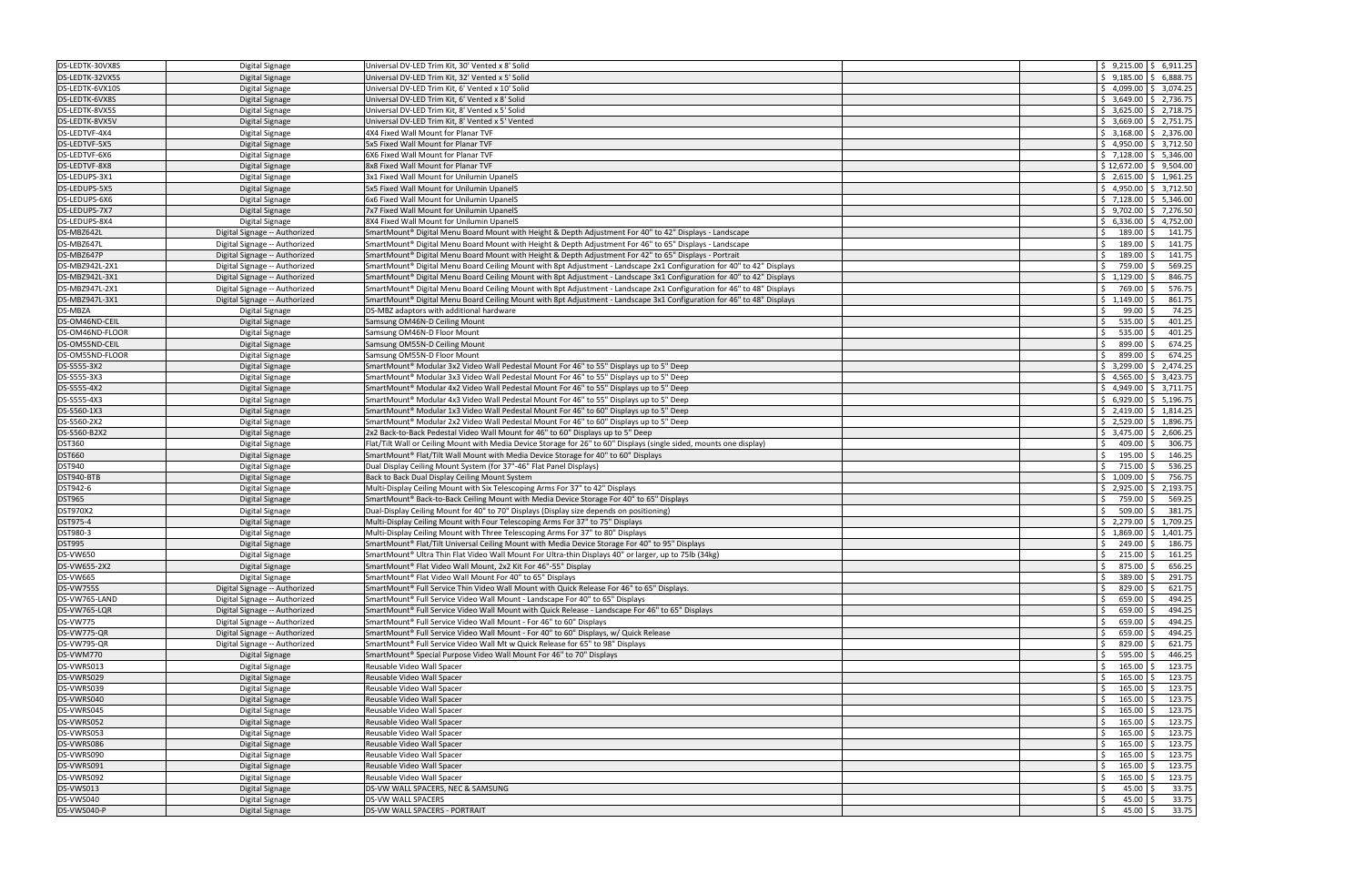| DS-LEDTK-30VX8S                                                                                                                                        | Digital Signage               | Universal DV-LED Trim Kit, 30' Vented x 8' Solid                                                                       | $\frac{1}{2}$ 9,215.00 \$ 6,911.25                |
|--------------------------------------------------------------------------------------------------------------------------------------------------------|-------------------------------|------------------------------------------------------------------------------------------------------------------------|---------------------------------------------------|
| DS-LEDTK-32VX5S                                                                                                                                        | Digital Signage               | Jniversal DV-LED Trim Kit. 32' Vented x 5' Solid                                                                       | $\frac{1}{5}$ 9.185.00 \$ 6.888.75                |
| DS-LEDTK-6VX10S                                                                                                                                        |                               | Universal DV-LED Trim Kit, 6' Vented x 10' Solid                                                                       | $$4,099.00 \& 3,074.25$                           |
|                                                                                                                                                        | Digital Signage               |                                                                                                                        |                                                   |
| DS-LEDTK-6VX8S                                                                                                                                         | Digital Signage               | Universal DV-LED Trim Kit, 6' Vented x 8' Solid                                                                        | $$3,649.00$ $$2,736.75$                           |
| DS-LEDTK-8VX5S                                                                                                                                         | Digital Signage               | Universal DV-LED Trim Kit, 8' Vented x 5' Solid                                                                        | $$3,625.00$ $$2,718.75$                           |
| DS-LEDTK-8VX5V                                                                                                                                         | Digital Signage               | Universal DV-LED Trim Kit, 8' Vented x 5' Vented                                                                       | $$3,669.00 \mid $2,751.75$                        |
| DS-LEDTVF-4X4                                                                                                                                          | Digital Signage               | 4X4 Fixed Wall Mount for Planar TVF                                                                                    | $$3,168.00$ $$2,376.00$                           |
| DS-LEDTVF-5X5                                                                                                                                          | Digital Signage               | 5x5 Fixed Wall Mount for Planar TVF                                                                                    | $$4,950.00 \mid $3,712.50$                        |
| DS-LEDTVF-6X6                                                                                                                                          | Digital Signage               | 6X6 Fixed Wall Mount for Planar TVF                                                                                    | $$7,128.00$ $$5,346.00$                           |
| DS-LEDTVF-8X8                                                                                                                                          | Digital Signage               | 8x8 Fixed Wall Mount for Planar TVF                                                                                    | $$12,672.00 \mid $9,504.00$                       |
| DS-LEDUPS-3X1                                                                                                                                          | Digital Signage               | 3x1 Fixed Wall Mount for Unilumin UpanelS                                                                              | $\frac{1}{2}$ , 2,615.00   \$ 1,961.25            |
| DS-LEDUPS-5X5                                                                                                                                          | Digital Signage               | 5x5 Fixed Wall Mount for Unilumin UpanelS                                                                              | $$4,950.00 \mid $3,712.50$                        |
|                                                                                                                                                        |                               |                                                                                                                        |                                                   |
| DS-LEDUPS-6X6                                                                                                                                          | Digital Signage               | 6x6 Fixed Wall Mount for Unilumin UpanelS                                                                              | $\frac{1}{2}$ 7,128.00 $\frac{1}{2}$ 5,346.00     |
| DS-LEDUPS-7X7                                                                                                                                          | Digital Signage               | 7x7 Fixed Wall Mount for Unilumin UpanelS                                                                              | $$9,702.00 \mid $7,276.50$                        |
| DS-LEDUPS-8X4                                                                                                                                          | Digital Signage               | 8X4 Fixed Wall Mount for Unilumin UpanelS                                                                              | $$6,336.00 \mid $4,752.00$                        |
| DS-MBZ642L                                                                                                                                             | Digital Signage -- Authorized | SmartMount® Digital Menu Board Mount with Height & Depth Adjustment For 40" to 42" Displays - Landscape                | 189.00 \$<br>Ŝ.<br>141.75                         |
| DS-MBZ647L                                                                                                                                             | Digital Signage -- Authorized | SmartMount® Digital Menu Board Mount with Height & Depth Adjustment For 46" to 65" Displays - Landscape                | Ŝ.<br>189.00 \$<br>141.75                         |
| DS-MBZ647P                                                                                                                                             | Digital Signage -- Authorized | SmartMount® Digital Menu Board Mount with Height & Depth Adjustment For 42" to 65" Displays - Portrait                 | 189.00<br>\$.<br>141.75<br>-S                     |
| DS-MBZ942L-2X1                                                                                                                                         | Digital Signage -- Authorized | SmartMount® Digital Menu Board Ceiling Mount with 8pt Adjustment - Landscape 2x1 Configuration for 40" to 42" Displays | 759.00 \$<br>569.25<br>Ŝ.                         |
| DS-MBZ942L-3X1                                                                                                                                         | Digital Signage -- Authorized | SmartMount® Digital Menu Board Ceiling Mount with 8pt Adjustment - Landscape 3x1 Configuration for 40" to 42" Displays | \$1,129.00<br>846.75                              |
| DS-MBZ947L-2X1                                                                                                                                         |                               | SmartMount® Digital Menu Board Ceiling Mount with 8pt Adjustment - Landscape 2x1 Configuration for 46" to 48" Displays | 769.00<br>576.75<br>Ŝ.<br>l S                     |
|                                                                                                                                                        | Digital Signage -- Authorized |                                                                                                                        |                                                   |
| DS-MBZ947L-3X1                                                                                                                                         | Digital Signage -- Authorized | SmartMount® Digital Menu Board Ceiling Mount with 8pt Adjustment - Landscape 3x1 Configuration for 46" to 48" Displays | $$1,149.00$ \$<br>861.75                          |
| DS-MBZA                                                                                                                                                | Digital Signage               | DS-MBZ adaptors with additional hardware                                                                               | 99.00<br>74.25                                    |
| DS-OM46ND-CEIL                                                                                                                                         | Digital Signage               | Samsung OM46N-D Ceiling Mount                                                                                          | Ś.<br>535.00<br>401.25<br>l S                     |
| DS-OM46ND-FLOOR                                                                                                                                        | Digital Signage               | Samsung OM46N-D Floor Mount                                                                                            | $535.00$ \$<br>401.25<br>Ŝ.                       |
| DS-OM55ND-CEIL                                                                                                                                         | Digital Signage               | Samsung OM55N-D Ceiling Mount                                                                                          | 899.00<br>674.25<br>S.                            |
| DS-OM55ND-FLOOR                                                                                                                                        | Digital Signage               | Samsung OM55N-D Floor Mount                                                                                            | Ś.<br>899.00<br>674.25<br>I\$                     |
| DS-S555-3X2                                                                                                                                            | Digital Signage               | SmartMount® Modular 3x2 Video Wall Pedestal Mount For 46" to 55" Displays up to 5" Deep                                | $$3,299.00 \  \  $2,474.25$                       |
| DS-S555-3X3                                                                                                                                            | Digital Signage               | SmartMount <sup>®</sup> Modular 3x3 Video Wall Pedestal Mount For 46" to 55" Displays up to 5" Deep                    | $$4,565.00 \mid $3,423.75$                        |
| DS-S555-4X2                                                                                                                                            | Digital Signage               | SmartMount® Modular 4x2 Video Wall Pedestal Mount For 46" to 55" Displays up to 5" Deep                                | $$4,949.00 \mid $3,711.75$                        |
|                                                                                                                                                        |                               |                                                                                                                        |                                                   |
| DS-S555-4X3                                                                                                                                            | Digital Signage               | SmartMount® Modular 4x3 Video Wall Pedestal Mount For 46" to 55" Displays up to 5" Deep                                | $$6,929.00$ $$5,196.75$                           |
| DS-S560-1X3                                                                                                                                            | Digital Signage               | SmartMount® Modular 1x3 Video Wall Pedestal Mount For 46" to 60" Displays up to 5" Deep                                | $\frac{1}{2}$ , 2,419.00 $\frac{1}{2}$ , 1,814.25 |
| DS-S560-2X2                                                                                                                                            | Digital Signage               | SmartMount® Modular 2x2 Video Wall Pedestal Mount For 46" to 60" Displays up to 5" Deep                                | $$2,529.00 \mid $1,896.75$                        |
| DS-S560-B2X2                                                                                                                                           | Digital Signage               | 2x2 Back-to-Back Pedestal Video Wall Mount for 46" to 60" Displays up to 5" Deep                                       | $$3,475.00$ $$2,606.25$                           |
|                                                                                                                                                        |                               |                                                                                                                        |                                                   |
| <b>DST360</b>                                                                                                                                          | Digital Signage               | Flat/Tilt Wall or Ceiling Mount with Media Device Storage for 26" to 60" Displays (single sided, mounts one display)   | $409.00$ \$<br>Ŝ.<br>306.75                       |
| <b>DST660</b>                                                                                                                                          | Digital Signage               | SmartMount® Flat/Tilt Wall Mount with Media Device Storage for 40" to 60" Displays                                     | Ś.<br>$195.00$ \$<br>146.25                       |
|                                                                                                                                                        |                               |                                                                                                                        | 536.25<br>Ś.<br>715.00<br>I \$                    |
| <b>DST940</b>                                                                                                                                          | Digital Signage               | Dual Display Ceiling Mount System (for 37"-46" Flat Panel Displays)                                                    |                                                   |
| DST940-BTB                                                                                                                                             | Digital Signage               | Back to Back Dual Display Ceiling Mount System                                                                         | $$1,009.00$ $$$<br>756.75                         |
| DST942-6                                                                                                                                               | Digital Signage               | Multi-Display Ceiling Mount with Six Telescoping Arms For 37" to 42" Displays                                          | $$2,925.00 \mid $2,193.75$                        |
| <b>DST965</b>                                                                                                                                          | Digital Signage               | SmartMount® Back-to-Back Ceiling Mount with Media Device Storage For 40" to 65" Displays                               | 569.25<br>759.00<br>IS.                           |
| <b>DST970X2</b>                                                                                                                                        | Digital Signage               | Dual-Display Ceiling Mount for 40" to 70" Displays (Display size depends on positioning)                               | Ŝ.<br>$509.00$ \$<br>381.75                       |
| DST975-4                                                                                                                                               | Digital Signage               | Multi-Display Ceiling Mount with Four Telescoping Arms For 37" to 75" Displays                                         | $$2,279.00 \  \  $1,709.25$                       |
| DST980-3                                                                                                                                               | Digital Signage               | Multi-Display Ceiling Mount with Three Telescoping Arms For 37" to 80" Displays                                        | $$1,869.00 \mid $1,401.75$                        |
| <b>DST995</b>                                                                                                                                          | Digital Signage               | SmartMount® Flat/Tilt Universal Ceiling Mount with Media Device Storage For 40" to 95" Displays                        | 249.00 \$<br>Ŝ.<br>186.75                         |
| <b>DS-VW650</b>                                                                                                                                        | Digital Signage               | SmartMount® Ultra Thin Flat Video Wall Mount For Ultra-thin Displays 40" or larger, up to 75lb (34kg)                  | $215.00$ \$<br>Ŝ.<br>161.25                       |
|                                                                                                                                                        | Digital Signage               | SmartMount® Flat Video Wall Mount, 2x2 Kit For 46"-55" Display                                                         | \$<br>875.00 \$<br>656.25                         |
|                                                                                                                                                        | Digital Signage               | SmartMount® Flat Video Wall Mount For 40" to 65" Displays                                                              | Ŝ.<br>389.00 \$<br>291.75                         |
|                                                                                                                                                        |                               | SmartMount® Full Service Thin Video Wall Mount with Quick Release For 46" to 65" Displays.                             | \$<br>$829.00$ \$<br>621.75                       |
|                                                                                                                                                        | Digital Signage -- Authorized |                                                                                                                        |                                                   |
| DS-VW765-LAND                                                                                                                                          | Digital Signage -- Authorized | SmartMount® Full Service Video Wall Mount - Landscape For 40" to 65" Displays                                          | 494.25<br>659.00                                  |
|                                                                                                                                                        | Digital Signage -- Authorized | SmartMount® Full Service Video Wall Mount with Quick Release - Landscape For 46" to 65" Displays                       | 659.00<br>494.25<br>Ś                             |
|                                                                                                                                                        | Digital Signage -- Authorized | SmartMount® Full Service Video Wall Mount - For 46" to 60" Displays                                                    | Ŝ.<br>$659.00$ \$<br>494.25                       |
| DS-VW655-2X2<br><b>DS-VW665</b><br><b>DS-VW755S</b><br>DS-VW765-LQR<br><b>DS-VW775</b><br>DS-VW775-QR                                                  | Digital Signage -- Authorized | SmartMount® Full Service Video Wall Mount - For 40" to 60" Displays, w/ Quick Release                                  | 494.25<br>659.00                                  |
|                                                                                                                                                        | Digital Signage -- Authorized | SmartMount <sup>®</sup> Full Service Video Wall Mt w Quick Release for 65" to 98" Displays                             | 829.00<br>621.75<br>Ŝ.<br>l S                     |
|                                                                                                                                                        | Digital Signage               | SmartMount® Special Purpose Video Wall Mount For 46" to 70" Displays                                                   | 595.00<br>446.25<br>Ś.                            |
|                                                                                                                                                        | Digital Signage               | Reusable Video Wall Spacer                                                                                             | 123.75<br>165.00<br>Ś.                            |
|                                                                                                                                                        | Digital Signage               | Reusable Video Wall Spacer                                                                                             | 165.00<br>123.75<br>Ŝ.<br>l S                     |
|                                                                                                                                                        | Digital Signage               | Reusable Video Wall Spacer                                                                                             | \$<br>$165.00$ \$                                 |
|                                                                                                                                                        |                               | Reusable Video Wall Spacer                                                                                             | 123.75<br>123.75<br>$165.00$ \$<br>Ś.             |
|                                                                                                                                                        | Digital Signage               |                                                                                                                        |                                                   |
|                                                                                                                                                        | Digital Signage               | Reusable Video Wall Spacer                                                                                             | 165.00<br>123.75<br>I\$                           |
| DS-VWRS052                                                                                                                                             | Digital Signage               | Reusable Video Wall Spacer                                                                                             | $165.00$ \$<br>123.75<br>Ŝ.                       |
|                                                                                                                                                        | Digital Signage               | Reusable Video Wall Spacer                                                                                             | Ś.<br>165.00<br>123.75<br>I \$                    |
|                                                                                                                                                        | Digital Signage               | Reusable Video Wall Spacer                                                                                             | 165.00<br>123.75<br>Ś.<br>- S                     |
| DS-VWRS090                                                                                                                                             | Digital Signage               | Reusable Video Wall Spacer                                                                                             | $165.00$ \$<br>123.75<br>S.                       |
|                                                                                                                                                        | Digital Signage               | Reusable Video Wall Spacer                                                                                             | 165.00<br>123.75                                  |
| DS-VW795-QR<br>DS-VWM770<br>DS-VWRS013<br>DS-VWRS029<br>DS-VWRS039<br>DS-VWRS040<br>DS-VWRS045<br>DS-VWRS053<br>DS-VWRS086<br>DS-VWRS091<br>DS-VWRS092 | Digital Signage               | Reusable Video Wall Spacer                                                                                             | 165.00<br>123.75                                  |
| DS-VWS013                                                                                                                                              | Digital Signage               | DS-VW WALL SPACERS, NEC & SAMSUNG                                                                                      | 45.00%<br>33.75<br>Ŝ.                             |
| DS-VWS040                                                                                                                                              | Digital Signage               | DS-VW WALL SPACERS                                                                                                     | $45.00$ \$<br>33.75                               |
| DS-VWS040-P                                                                                                                                            | Digital Signage               | DS-VW WALL SPACERS - PORTRAIT                                                                                          | $45.00$ \$<br>33.75                               |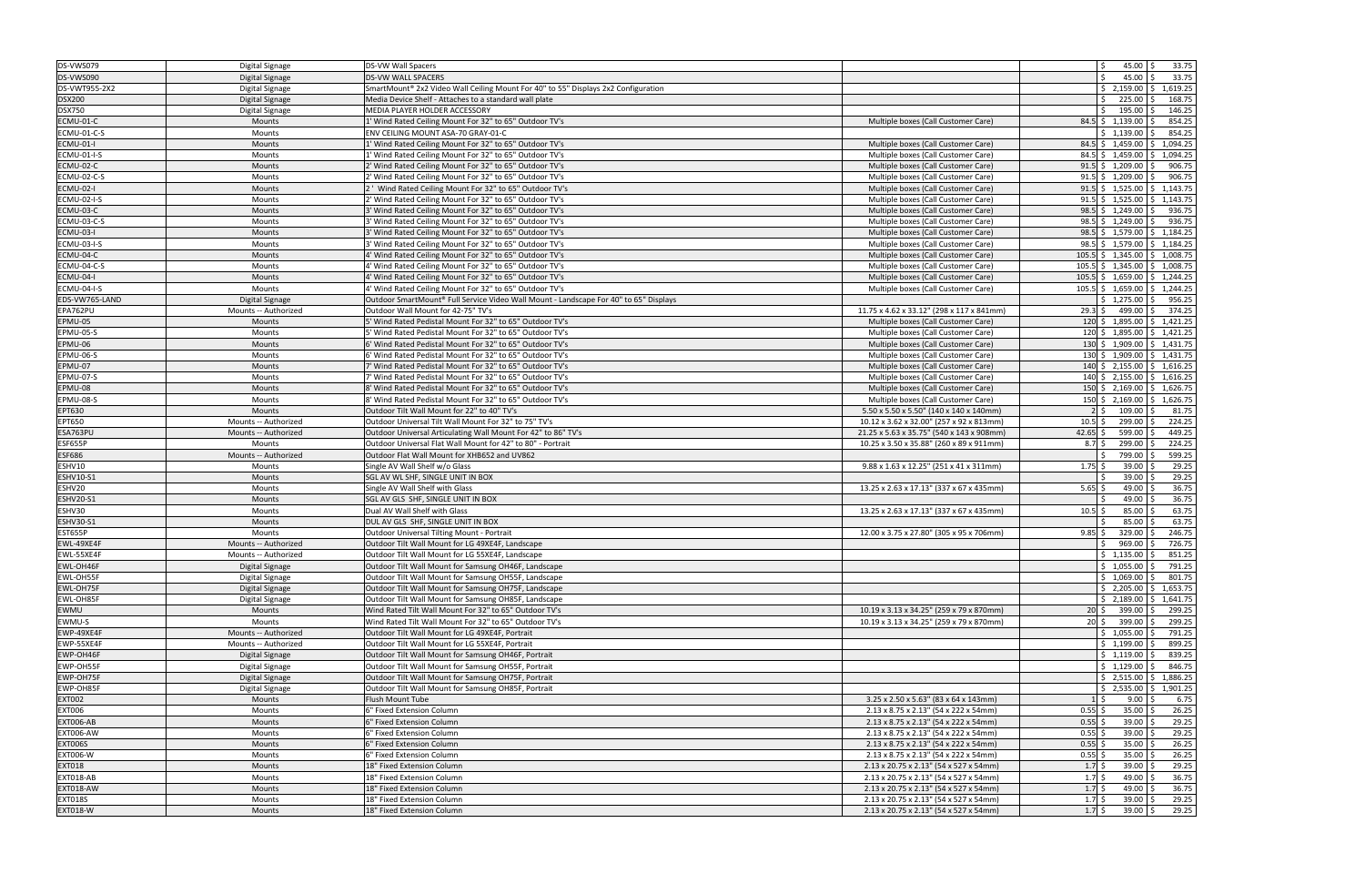| <b>DS-VWS079</b>   | <b>Digital Signage</b> | <b>DS-VW Wall Spacers</b>                                                             |                                           | <b>S</b><br>$45.00$ \$<br>33.75                   |
|--------------------|------------------------|---------------------------------------------------------------------------------------|-------------------------------------------|---------------------------------------------------|
| DS-VWS090          | Digital Signage        | <b>DS-VW WALL SPACERS</b>                                                             |                                           | 45.00<br>33.75                                    |
| DS-VWT955-2X2      | Digital Signage        | SmartMount® 2x2 Video Wall Ceiling Mount For 40" to 55" Displays 2x2 Configuration    |                                           | $\frac{1}{2}$ , 2,159.00 $\frac{1}{2}$ , 1,619.25 |
| <b>DSX200</b>      | <b>Digital Signage</b> | Media Device Shelf - Attaches to a standard wall plate                                |                                           | 225.00<br>168.75<br>Ŝ.<br>-S                      |
| <b>DSX750</b>      | Digital Signage        | MEDIA PLAYER HOLDER ACCESSORY                                                         |                                           | 195.00<br>146.25                                  |
| ECMU-01-C          | Mounts                 | 1' Wind Rated Ceiling Mount For 32" to 65" Outdoor TV's                               | Multiple boxes (Call Customer Care)       | $84.5$ \$ 1,139.00 \$<br>854.25                   |
| ECMU-01-C-S        | Mounts                 | ENV CEILING MOUNT ASA-70 GRAY-01-C                                                    |                                           | 854.25<br>\$1,139.00                              |
| ECMU-01-I          | Mounts                 | 1' Wind Rated Ceiling Mount For 32" to 65" Outdoor TV's                               | Multiple boxes (Call Customer Care)       | 84.5 \$1,459.00 \$1,094.25                        |
| ECMU-01-I-S        | Mounts                 | 1' Wind Rated Ceiling Mount For 32" to 65" Outdoor TV's                               | Multiple boxes (Call Customer Care)       | 84.5 \$1,459.00 \$1,094.25                        |
| ECMU-02-C          | <b>Mounts</b>          | 2' Wind Rated Ceiling Mount For 32" to 65" Outdoor TV's                               | Multiple boxes (Call Customer Care)       | $91.5$ \$ 1,209.00<br>906.75<br>-S                |
| ECMU-02-C-S        | Mounts                 | 2' Wind Rated Ceiling Mount For 32" to 65" Outdoor TV's                               | Multiple boxes (Call Customer Care)       | $91.5$ \$ 1,209.00 \$<br>906.75                   |
| <b>ECMU-02-I</b>   | Mounts                 | 2 ' Wind Rated Ceiling Mount For 32" to 65" Outdoor TV's                              | Multiple boxes (Call Customer Care)       | $91.5$ \$ 1,525.00 \$ 1,143.75                    |
|                    |                        |                                                                                       |                                           | 91.5 \$ 1,525.00 \$ 1,143.75                      |
| <b>ECMU-02-I-S</b> | Mounts                 | 2' Wind Rated Ceiling Mount For 32" to 65" Outdoor TV's                               | Multiple boxes (Call Customer Care)       |                                                   |
| ECMU-03-C          | Mounts                 | 3' Wind Rated Ceiling Mount For 32" to 65" Outdoor TV's                               | Multiple boxes (Call Customer Care)       | $98.5$ \$ 1,249.00 \$<br>936.75                   |
| ECMU-03-C-S        | Mounts                 | 3' Wind Rated Ceiling Mount For 32" to 65" Outdoor TV's                               | Multiple boxes (Call Customer Care)       | $98.5$ \$ 1,249.00 \$<br>936.75                   |
| ECMU-03-I          | Mounts                 | 3' Wind Rated Ceiling Mount For 32" to 65" Outdoor TV's                               | Multiple boxes (Call Customer Care)       | 98.5 \$ 1,579.00 \$ 1,184.25                      |
| ECMU-03-I-S        | Mounts                 | 3' Wind Rated Ceiling Mount For 32" to 65" Outdoor TV's                               | Multiple boxes (Call Customer Care)       | 98.5 \$ 1,579.00 \$ 1,184.25                      |
| ECMU-04-C          | Mounts                 | 4' Wind Rated Ceiling Mount For 32" to 65" Outdoor TV's                               | Multiple boxes (Call Customer Care)       | $105.5$ \$ 1,345.00 \$ 1,008.75                   |
| ECMU-04-C-S        | Mounts                 | 4' Wind Rated Ceiling Mount For 32" to 65" Outdoor TV's                               | Multiple boxes (Call Customer Care)       | $105.5$ \$ 1,345.00 \$ 1,008.75                   |
| ECMU-04-I          | Mounts                 | 4' Wind Rated Ceiling Mount For 32" to 65" Outdoor TV's                               | Multiple boxes (Call Customer Care)       | 105.5 \$ 1,659.00 \$ 1,244.25                     |
| ECMU-04-I-S        | Mounts                 | 4' Wind Rated Ceiling Mount For 32" to 65" Outdoor TV's                               | Multiple boxes (Call Customer Care)       | $105.5$ \$ 1,659.00 \$ 1,244.25                   |
| EDS-VW765-LAND     | Digital Signage        | Outdoor SmartMount® Full Service Video Wall Mount - Landscape For 40" to 65" Displays |                                           | $$1,275.00$ \$<br>956.25                          |
| EPA762PU           | Mounts -- Authorized   | Outdoor Wall Mount for 42-75" TV's                                                    | 11.75 x 4.62 x 33.12" (298 x 117 x 841mm) | 374.25<br>$29.3$ \$<br>499.00<br>S.               |
| EPMU-05            | Mounts                 | 5' Wind Rated Pedistal Mount For 32" to 65" Outdoor TV's                              | Multiple boxes (Call Customer Care)       | 120 \$ 1,895.00 \$ 1,421.25                       |
| EPMU-05-S          | Mounts                 | 5' Wind Rated Pedistal Mount For 32" to 65" Outdoor TV's                              | Multiple boxes (Call Customer Care)       | $120 \div 1,895.00 \div 1,421.25$                 |
| EPMU-06            | Mounts                 | 6' Wind Rated Pedistal Mount For 32" to 65" Outdoor TV's                              | Multiple boxes (Call Customer Care)       | 130 \$ 1,909.00 \$ 1,431.75                       |
| EPMU-06-S          | Mounts                 | 6' Wind Rated Pedistal Mount For 32" to 65" Outdoor TV's                              | Multiple boxes (Call Customer Care)       | 130 \$ 1,909.00 \$ 1,431.75                       |
| EPMU-07            | Mounts                 | 7' Wind Rated Pedistal Mount For 32" to 65" Outdoor TV's                              | Multiple boxes (Call Customer Care)       | $140 \div 2,155.00 \div 1,616.25$                 |
| EPMU-07-S          | <b>Mounts</b>          | 7' Wind Rated Pedistal Mount For 32" to 65" Outdoor TV's                              | Multiple boxes (Call Customer Care)       | $140 \div 2,155.00 \div 1,616.25$                 |
| EPMU-08            | Mounts                 | 8' Wind Rated Pedistal Mount For 32" to 65" Outdoor TV's                              | Multiple boxes (Call Customer Care)       | $150 \div 2,169.00 \div 1,626.75$                 |
| EPMU-08-S          | Mounts                 | 8' Wind Rated Pedistal Mount For 32" to 65" Outdoor TV's                              | Multiple boxes (Call Customer Care)       | 150 \$2,169.00 \$1,626.75                         |
| EPT630             | Mounts                 | Outdoor Tilt Wall Mount for 22" to 40" TV's                                           | 5.50 x 5.50 x 5.50" (140 x 140 x 140mm)   | 109.00<br>81.75<br>$2 \overline{\smash{\cdot}}$   |
| EPT650             | Mounts -- Authorized   | Outdoor Universal Tilt Wall Mount For 32" to 75" TV's                                 | 10.12 x 3.62 x 32.00" (257 x 92 x 813mm)  | 299.00<br>224.25<br>$10.5$ \$                     |
| ESA763PU           | Mounts -- Authorized   | Outdoor Universal Articulating Wall Mount For 42" to 86" TV's                         | 21.25 x 5.63 x 35.75" (540 x 143 x 908mm) | $42.65$ \$<br>599.00 \$<br>449.25                 |
| ESF655P            | Mounts                 | Outdoor Universal Flat Wall Mount for 42" to 80" - Portrait                           | 10.25 x 3.50 x 35.88" (260 x 89 x 911mm)  | 299.00<br>224.25<br>$8.7\;$ \$                    |
| <b>ESF686</b>      | Mounts -- Authorized   | Outdoor Flat Wall Mount for XHB652 and UV862                                          |                                           | 799.00<br>599.25                                  |
| ESHV10             | Mounts                 | Single AV Wall Shelf w/o Glass                                                        | 9.88 x 1.63 x 12.25" (251 x 41 x 311mm)   | 29.25<br>$1.75$ \$<br>$39.00$ \$                  |
| <b>ESHV10-S1</b>   | Mounts                 | SGL AV WL SHF, SINGLE UNIT IN BOX                                                     |                                           | 29.25<br>39.00                                    |
| ESHV20             | Mounts                 | Single AV Wall Shelf with Glass                                                       | 13.25 x 2.63 x 17.13" (337 x 67 x 435mm)  | 36.75<br>5.65<br>49.00                            |
| <b>ESHV20-S1</b>   | <b>Mounts</b>          | SGL AV GLS SHF, SINGLE UNIT IN BOX                                                    |                                           | 36.75<br>49.00                                    |
| ESHV30             | Mounts                 | Dual AV Wall Shelf with Glass                                                         | 13.25 x 2.63 x 17.13" (337 x 67 x 435mm)  | 63.75<br>85.00<br>$10.5$ \$                       |
| <b>ESHV30-S1</b>   | <b>Mounts</b>          | DUL AV GLS SHF, SINGLE UNIT IN BOX                                                    |                                           | 63.75<br>85.00                                    |
| <b>EST655P</b>     | Mounts                 | Outdoor Universal Tilting Mount - Portrait                                            | 12.00 x 3.75 x 27.80" (305 x 95 x 706mm)  | $9.85$ \$<br>329.00<br>246.75                     |
| EWL-49XE4F         | Mounts -- Authorized   | Outdoor Tilt Wall Mount for LG 49XE4F, Landscape                                      |                                           | 969.00<br>726.75<br>.S                            |
| EWL-55XE4F         |                        |                                                                                       |                                           | $\frac{1}{2}$ 1,135.00 \$                         |
| EWL-OH46F          | Mounts -- Authorized   | Outdoor Tilt Wall Mount for LG 55XE4F, Landscape                                      |                                           | 851.25<br>$$1,055.00$ $$$                         |
| EWL-OH55F          | Digital Signage        | Outdoor Tilt Wall Mount for Samsung OH46F, Landscape                                  |                                           | 791.25<br>\$1,069.00<br>801.75                    |
|                    | Digital Signage        | Outdoor Tilt Wall Mount for Samsung OH55F, Landscape                                  |                                           |                                                   |
| EWL-OH75F          | Digital Signage        | Outdoor Tilt Wall Mount for Samsung OH75F, Landscape                                  |                                           | $\frac{1}{2}$ , 2,205.00 $\frac{1}{2}$ , 1,653.75 |
| EWL-OH85F          | Digital Signage        | Outdoor Tilt Wall Mount for Samsung OH85F, Landscape                                  |                                           | $\frac{1}{2}$ , 2,189.00 $\frac{1}{2}$ , 1,641.75 |
| EWMU               | <b>Mounts</b>          | Wind Rated Tilt Wall Mount For 32" to 65" Outdoor TV's                                | 10.19 x 3.13 x 34.25" (259 x 79 x 870mm)  | 399.00<br>299.25<br>$20 \,$ \$<br>Ŝ.              |
| EWMU-S             | Mounts                 | Wind Rated Tilt Wall Mount For 32" to 65" Outdoor TV's                                | 10.19 x 3.13 x 34.25" (259 x 79 x 870mm)  | 20 \$ 399.00<br>299.25<br>S.                      |
| EWP-49XE4F         | Mounts -- Authorized   | Outdoor Tilt Wall Mount for LG 49XE4F, Portrait                                       |                                           | $$1,055.00$ \$<br>791.25                          |
| EWP-55XE4F         | Mounts -- Authorized   | Outdoor Tilt Wall Mount for LG 55XE4F, Portrait                                       |                                           | $$1,199.00$ \$<br>899.25                          |
| EWP-OH46F          | Digital Signage        | Outdoor Tilt Wall Mount for Samsung OH46F, Portrait                                   |                                           | \$1,119.00<br>839.25                              |
| EWP-OH55F          | Digital Signage        | Outdoor Tilt Wall Mount for Samsung OH55F, Portrait                                   |                                           | 846.75<br>$\frac{1}{2}$ 1,129.00 $\frac{1}{2}$    |
| EWP-OH75F          | Digital Signage        | Outdoor Tilt Wall Mount for Samsung OH75F, Portrait                                   |                                           | $\frac{1}{2}$ , 2,515.00 $\frac{1}{2}$ , 1,886.25 |
| EWP-OH85F          | Digital Signage        | Outdoor Tilt Wall Mount for Samsung OH85F, Portrait                                   |                                           | $\frac{1}{2}$ , 2,535.00 $\frac{1}{2}$ , 1,901.25 |
| <b>EXT002</b>      | Mounts                 | Flush Mount Tube                                                                      | 3.25 x 2.50 x 5.63" (83 x 64 x 143mm)     | $1 \overline{\overline{5}}$<br>6.75<br>9.00       |
| <b>EXT006</b>      | Mounts                 | 6" Fixed Extension Column                                                             | 2.13 x 8.75 x 2.13" (54 x 222 x 54mm)     | $0.55$ \$<br>26.25<br>$35.00$ \$                  |
| EXT006-AB          | Mounts                 | 6" Fixed Extension Column                                                             | 2.13 x 8.75 x 2.13" (54 x 222 x 54mm)     | 29.25<br>$0.55$ \$<br>$39.00$ \$                  |
| <b>EXT006-AW</b>   | Mounts                 | 6" Fixed Extension Column                                                             | 2.13 x 8.75 x 2.13" (54 x 222 x 54mm)     | 29.25<br>$0.55$ \$<br>39.00                       |
| <b>EXT006S</b>     | Mounts                 | 6" Fixed Extension Column                                                             | 2.13 x 8.75 x 2.13" (54 x 222 x 54mm)     | 26.25<br>$0.55$ \$<br>35.00 \$                    |
| <b>EXT006-W</b>    | Mounts                 | 6" Fixed Extension Column                                                             | 2.13 x 8.75 x 2.13" (54 x 222 x 54mm)     | 26.25<br>$0.55$ \$<br>$35.00$ \$                  |
| <b>EXT018</b>      | Mounts                 | 18" Fixed Extension Column                                                            | 2.13 x 20.75 x 2.13" (54 x 527 x 54mm)    | 29.25<br>39.00<br>$1.7\frac{1}{2}$                |
| <b>EXT018-AB</b>   | Mounts                 | 18" Fixed Extension Column                                                            | 2.13 x 20.75 x 2.13" (54 x 527 x 54mm)    | 36.75<br>$49.00$ \$<br>$1.7\;$ \$                 |
| <b>EXT018-AW</b>   | Mounts                 | 18" Fixed Extension Column                                                            | 2.13 x 20.75 x 2.13" (54 x 527 x 54mm)    | 36.75<br>$1.7\frac{1}{5}$<br>$49.00$ \$           |
| <b>EXT018S</b>     | Mounts                 | 18" Fixed Extension Column                                                            | 2.13 x 20.75 x 2.13" (54 x 527 x 54mm)    | 29.25<br>$1.7$ \$<br>$39.00$ \$                   |
| EXT018-W           | Mounts                 | 18" Fixed Extension Column                                                            | 2.13 x 20.75 x 2.13" (54 x 527 x 54mm)    | 29.25<br>$1.7\frac{1}{5}$<br>$39.00$ \$           |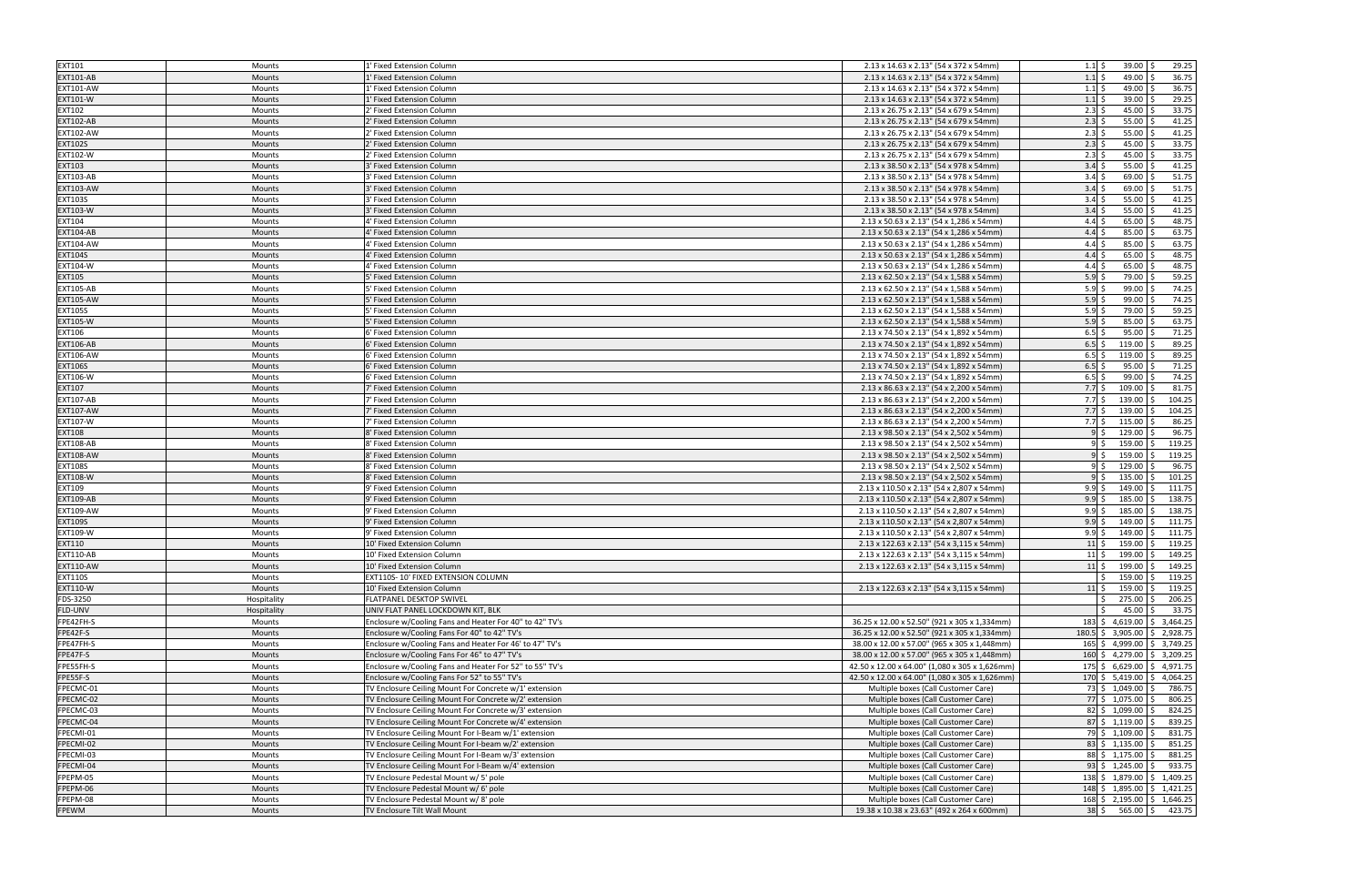| <b>EXT101</b>    | Mounts        | 1' Fixed Extension Column                               | 2.13 x 14.63 x 2.13" (54 x 372 x 54mm)         | $39.00$ \$<br>29.25<br>$1.1 \,$ \$                 |
|------------------|---------------|---------------------------------------------------------|------------------------------------------------|----------------------------------------------------|
| <b>EXT101-AB</b> | <b>Mounts</b> | 1' Fixed Extension Column                               | 2.13 x 14.63 x 2.13" (54 x 372 x 54mm)         | $1.1 \,$ \$<br>49.00 \$<br>36.75                   |
| <b>EXT101-AW</b> | Mounts        | 1' Fixed Extension Column                               | 2.13 x 14.63 x 2.13" (54 x 372 x 54mm)         | $1.1 \pm$<br>49.00<br>36.75                        |
| EXT101-W         | Mounts        | 1' Fixed Extension Column                               | 2.13 x 14.63 x 2.13" (54 x 372 x 54mm)         | 29.25<br>$1.1 \;$ \$<br>$39.00$ \$                 |
| EXT102           | Mounts        | 2' Fixed Extension Column                               | 2.13 x 26.75 x 2.13" (54 x 679 x 54mm)         | 33.75<br>$2.3$ \$<br>45.00                         |
| <b>EXT102-AB</b> | Mounts        | 2' Fixed Extension Column                               | 2.13 x 26.75 x 2.13" (54 x 679 x 54mm)         | $2.3$ \$<br>55.00<br>41.25                         |
| <b>EXT102-AW</b> | Mounts        | 2' Fixed Extension Column                               | 2.13 x 26.75 x 2.13" (54 x 679 x 54mm)         | 41.25<br>$2.3\frac{1}{5}$<br>$55.00$ \$            |
| <b>EXT102S</b>   | <b>Mounts</b> | 2' Fixed Extension Column                               | 2.13 x 26.75 x 2.13" (54 x 679 x 54mm)         | 33.75<br>$2.3$ \$<br>45.00                         |
| EXT102-W         | Mounts        | 2' Fixed Extension Column                               | 2.13 x 26.75 x 2.13" (54 x 679 x 54mm)         | 33.75<br>$2.3\frac{1}{5}$<br>45.00                 |
| EXT103           | <b>Mounts</b> | 3' Fixed Extension Column                               | 2.13 x 38.50 x 2.13" (54 x 978 x 54mm)         | $3.4\overline{\smash{5}}$<br>41.25<br>$55.00$ \$   |
| <b>EXT103-AB</b> | Mounts        | 3' Fixed Extension Column                               | 2.13 x 38.50 x 2.13" (54 x 978 x 54mm)         | $3.4 \pm$<br>51.75<br>69.00                        |
| <b>EXT103-AW</b> | Mounts        | 3' Fixed Extension Column                               | 2.13 x 38.50 x 2.13" (54 x 978 x 54mm)         | $3.4 \,$ \$<br>51.75<br>69.00                      |
| <b>EXT103S</b>   | Mounts        | 3' Fixed Extension Column                               | 2.13 x 38.50 x 2.13" (54 x 978 x 54mm)         | $3.4 \,$ \$<br>$55.00$ \$<br>41.25                 |
| <b>EXT103-W</b>  | Mounts        | 3' Fixed Extension Column                               | 2.13 x 38.50 x 2.13" (54 x 978 x 54mm)         | 41.25<br>$3.4\overline{\smash{5}}$<br>55.00        |
| <b>EXT104</b>    | Mounts        | 4' Fixed Extension Column                               | 2.13 x 50.63 x 2.13" (54 x 1,286 x 54mm)       | 48.75<br>$4.4\overline{\smash{5}}$<br>65.00        |
|                  |               |                                                         |                                                |                                                    |
| EXT104-AB        | <b>Mounts</b> | 4' Fixed Extension Column                               | 2.13 x 50.63 x 2.13" (54 x 1,286 x 54mm)       | 4.4<br>85.00<br>63.75                              |
| <b>EXT104-AW</b> | Mounts        | 4' Fixed Extension Column                               | 2.13 x 50.63 x 2.13" (54 x 1,286 x 54mm)       | $4.4 \,$ \$<br>63.75<br>85.00                      |
| <b>EXT104S</b>   | Mounts        | 4' Fixed Extension Column                               | 2.13 x 50.63 x 2.13" (54 x 1,286 x 54mm)       | $4.4 \,$ \$<br>65.00<br>48.75                      |
| EXT104-W         | Mounts        | 4' Fixed Extension Column                               | 2.13 x 50.63 x 2.13" (54 x 1,286 x 54mm)       | 48.75<br>$4.4 \,$ \$<br>$65.00$ \$                 |
| <b>EXT105</b>    | Mounts        | 5' Fixed Extension Column                               | 2.13 x 62.50 x 2.13" (54 x 1,588 x 54mm)       | $5.9$ \$<br>59.25<br>79.00                         |
| <b>EXT105-AB</b> | Mounts        | 5' Fixed Extension Column                               | 2.13 x 62.50 x 2.13" (54 x 1,588 x 54mm)       | 74.25<br>$5.9$ \$<br>99.00                         |
| <b>EXT105-AW</b> | Mounts        | 5' Fixed Extension Column                               | 2.13 x 62.50 x 2.13" (54 x 1,588 x 54mm)       | $5.9$ \$<br>74.25<br>99.00                         |
| <b>EXT105S</b>   | Mounts        | 5' Fixed Extension Column                               | 2.13 x 62.50 x 2.13" (54 x 1,588 x 54mm)       | 59.25<br>$5.9$ \$<br>79.00                         |
| <b>EXT105-W</b>  | Mounts        | 5' Fixed Extension Column                               | 2.13 x 62.50 x 2.13" (54 x 1,588 x 54mm)       | $5.9$ \$<br>85.00<br>63.75                         |
| EXT106           | Mounts        | 6' Fixed Extension Column                               | 2.13 x 74.50 x 2.13" (54 x 1,892 x 54mm)       | $6.5$ \$<br>71.25<br>$95.00$ \$                    |
| <b>EXT106-AB</b> | <b>Mounts</b> | 6' Fixed Extension Column                               | 2.13 x 74.50 x 2.13" (54 x 1,892 x 54mm)       | $6.5$ \$<br>89.25<br>119.00                        |
| <b>EXT106-AW</b> | Mounts        | 6' Fixed Extension Column                               | 2.13 x 74.50 x 2.13" (54 x 1,892 x 54mm)       | 89.25<br>$6.5$ \$<br>119.00                        |
| <b>EXT106S</b>   | <b>Mounts</b> | 6' Fixed Extension Column                               | 2.13 x 74.50 x 2.13" (54 x 1,892 x 54mm)       | $6.5$ \$<br>95.00<br>71.25                         |
| EXT106-W         | Mounts        | 6' Fixed Extension Column                               | 2.13 x 74.50 x 2.13" (54 x 1,892 x 54mm)       | 74.25<br>$6.5$ \$<br>$99.00$ \$                    |
| <b>EXT107</b>    | Mounts        | 7' Fixed Extension Column                               | 2.13 x 86.63 x 2.13" (54 x 2,200 x 54mm)       | $7.7\frac{1}{5}$<br>109.00<br>81.75                |
| <b>EXT107-AB</b> | Mounts        | 7' Fixed Extension Column                               | 2.13 x 86.63 x 2.13" (54 x 2,200 x 54mm)       | $7.7$ \$<br>139.00<br>104.25                       |
| <b>EXT107-AW</b> | <b>Mounts</b> | 7' Fixed Extension Column                               | 2.13 x 86.63 x 2.13" (54 x 2,200 x 54mm)       | $139.00$ \$<br>104.25<br>$7.7\;$ \$                |
| <b>EXT107-W</b>  | Mounts        | 7' Fixed Extension Column                               | 2.13 x 86.63 x 2.13" (54 x 2,200 x 54mm)       | $7.7\;$ \$<br>115.00<br>86.25                      |
| <b>EXT108</b>    | <b>Mounts</b> | 8' Fixed Extension Column                               | 2.13 x 98.50 x 2.13" (54 x 2,502 x 54mm)       | 96.75<br>129.00<br>$9$ \$                          |
| <b>EXT108-AB</b> | Mounts        | 8' Fixed Extension Column                               | 2.13 x 98.50 x 2.13" (54 x 2,502 x 54mm)       | $159.00$ \$<br>119.25<br>95                        |
| <b>EXT108-AW</b> | Mounts        | 8' Fixed Extension Column                               | 2.13 x 98.50 x 2.13" (54 x 2,502 x 54mm)       | 95<br>159.00<br>119.25                             |
| <b>EXT108S</b>   | Mounts        | 8' Fixed Extension Column                               | 2.13 x 98.50 x 2.13" (54 x 2,502 x 54mm)       | 129.00<br>96.75<br>9\$                             |
| <b>EXT108-W</b>  | <b>Mounts</b> | 8' Fixed Extension Column                               | 2.13 x 98.50 x 2.13" (54 x 2,502 x 54mm)       | 135.00<br>$9 \mid S$<br>101.25                     |
| EXT109           | Mounts        | 9' Fixed Extension Column                               | 2.13 x 110.50 x 2.13" (54 x 2,807 x 54mm)      | $9.9 \text{ }$<br>149.00 \$<br>111.75              |
| <b>EXT109-AB</b> | Mounts        | 9' Fixed Extension Column                               | 2.13 x 110.50 x 2.13" (54 x 2,807 x 54mm)      | $9.9 \text{ }$<br>185.00<br>138.75                 |
| <b>EXT109-AW</b> | Mounts        | 9' Fixed Extension Column                               | 2.13 x 110.50 x 2.13" (54 x 2,807 x 54mm)      | 185.00<br>9.9 <sup>5</sup><br>138.75               |
| <b>EXT109S</b>   | Mounts        | 9' Fixed Extension Column                               | 2.13 x 110.50 x 2.13" (54 x 2,807 x 54mm)      | 9.9<br>149.00<br>111.75                            |
| EXT109-W         | Mounts        | 9' Fixed Extension Column                               | 2.13 x 110.50 x 2.13" (54 x 2,807 x 54mm)      | 9.9<br>149.00<br>111.75                            |
| EXT110           | <b>Mounts</b> | 10' Fixed Extension Column                              | 2.13 x 122.63 x 2.13" (54 x 3,115 x 54mm)      | 159.00<br>119.25<br>$11\overline{\smash{\big)}\,}$ |
| <b>EXT110-AB</b> |               | 10' Fixed Extension Column                              |                                                | $11\overline{\text{S}}$<br>199.00 \$<br>149.25     |
|                  | Mounts        |                                                         | 2.13 x 122.63 x 2.13" (54 x 3,115 x 54mm)      | $11\vert \xi$ 199.00 $\vert \xi$ 149.25            |
| <b>EXT110-AW</b> | <b>Mounts</b> | 10' Fixed Extension Column                              | 2.13 x 122.63 x 2.13" (54 x 3,115 x 54mm)      |                                                    |
| <b>EXT110S</b>   | Mounts        | EXT110S-10' FIXED EXTENSION COLUMN                      |                                                | $159.00$ \$<br>119.25                              |
| EXT110-W         | Mounts        | 10' Fixed Extension Column                              | 2.13 x 122.63 x 2.13" (54 x 3,115 x 54mm)      | $11\frac{1}{2}$<br>159.00 \$<br>119.25             |
| FDS-3250         | Hospitality   | FLATPANEL DESKTOP SWIVEL                                |                                                | 206.25<br>275.00                                   |
| FLD-UNV          | Hospitality   | UNIV FLAT PANEL LOCKDOWN KIT, BLK                       |                                                | $45.00$ \$<br>33.75                                |
| FPE42FH-S        | Mounts        | Enclosure w/Cooling Fans and Heater For 40" to 42" TV's | 36.25 x 12.00 x 52.50" (921 x 305 x 1,334mm)   | $183 \div 4,619.00 \div 3,464.25$                  |
| FPE42F-S         | Mounts        | Enclosure w/Cooling Fans For 40" to 42" TV's            | 36.25 x 12.00 x 52.50" (921 x 305 x 1,334mm)   | 180.5 \$ 3,905.00 \$ 2,928.75                      |
| FPE47FH-S        | Mounts        | Enclosure w/Cooling Fans and Heater For 46' to 47" TV's | 38.00 x 12.00 x 57.00" (965 x 305 x 1,448mm)   | $165 \div 4,999.00 \div 3,749.25$                  |
| FPE47F-S         | Mounts        | Enclosure w/Cooling Fans For 46" to 47" TV's            | 38.00 x 12.00 x 57.00" (965 x 305 x 1,448mm)   | 160 \$ 4,279.00 \$ 3,209.25                        |
| FPE55FH-S        | Mounts        | Enclosure w/Cooling Fans and Heater For 52" to 55" TV's | 42.50 x 12.00 x 64.00" (1,080 x 305 x 1,626mm) | $175 \div 6,629.00 \div 4,971.75$                  |
| FPE55F-S         | Mounts        | Enclosure w/Cooling Fans For 52" to 55" TV's            | 42.50 x 12.00 x 64.00" (1,080 x 305 x 1,626mm) | 170 \$ $5,419.00$ \$ 4,064.25                      |
| FPECMC-01        | Mounts        | TV Enclosure Ceiling Mount For Concrete w/1' extension  | Multiple boxes (Call Customer Care)            | 73 \$ 1,049.00 \$<br>786.75                        |
| FPECMC-02        | Mounts        | TV Enclosure Ceiling Mount For Concrete w/2' extension  | Multiple boxes (Call Customer Care)            | 77 \$1,075.00 \$<br>806.25                         |
| FPECMC-03        | Mounts        | TV Enclosure Ceiling Mount For Concrete w/3' extension  | Multiple boxes (Call Customer Care)            | 82 \$1,099.00 \$<br>824.25                         |
| FPECMC-04        | Mounts        | TV Enclosure Ceiling Mount For Concrete w/4' extension  | Multiple boxes (Call Customer Care)            | $87 \div 1,119.00 \div$<br>839.25                  |
| FPECMI-01        | Mounts        | TV Enclosure Ceiling Mount For I-Beam w/1' extension    | Multiple boxes (Call Customer Care)            | 79 \$ 1,109.00 \$<br>831.75                        |
| FPECMI-02        | Mounts        | TV Enclosure Ceiling Mount For I-beam w/2' extension    | Multiple boxes (Call Customer Care)            | $83 \div 1,135.00 \div$<br>851.25                  |
| FPECMI-03        | Mounts        | TV Enclosure Ceiling Mount For I-Beam w/3' extension    | Multiple boxes (Call Customer Care)            | $88 \mid \xi \quad 1,175.00 \mid \xi$<br>881.25    |
| FPECMI-04        | Mounts        | TV Enclosure Ceiling Mount For I-Beam w/4' extension    | Multiple boxes (Call Customer Care)            | $93 \div 1,245.00 \div$<br>933.75                  |
| FPEPM-05         | Mounts        | TV Enclosure Pedestal Mount w/ 5' pole                  | Multiple boxes (Call Customer Care)            | 138 \$ 1,879.00 \$ 1,409.25                        |
| FPEPM-06         | Mounts        | TV Enclosure Pedestal Mount w/ 6' pole                  | Multiple boxes (Call Customer Care)            | 148 \$ 1,895.00 \$ 1,421.25                        |
| FPEPM-08         | Mounts        | TV Enclosure Pedestal Mount w/8' pole                   | Multiple boxes (Call Customer Care)            | 168 \$2,195.00 \$1,646.25                          |
| FPEWM            | <b>Mounts</b> | TV Enclosure Tilt Wall Mount                            | 19.38 x 10.38 x 23.63" (492 x 264 x 600mm)     | $38 \div 565.00 \div 423.75$                       |
|                  |               |                                                         |                                                |                                                    |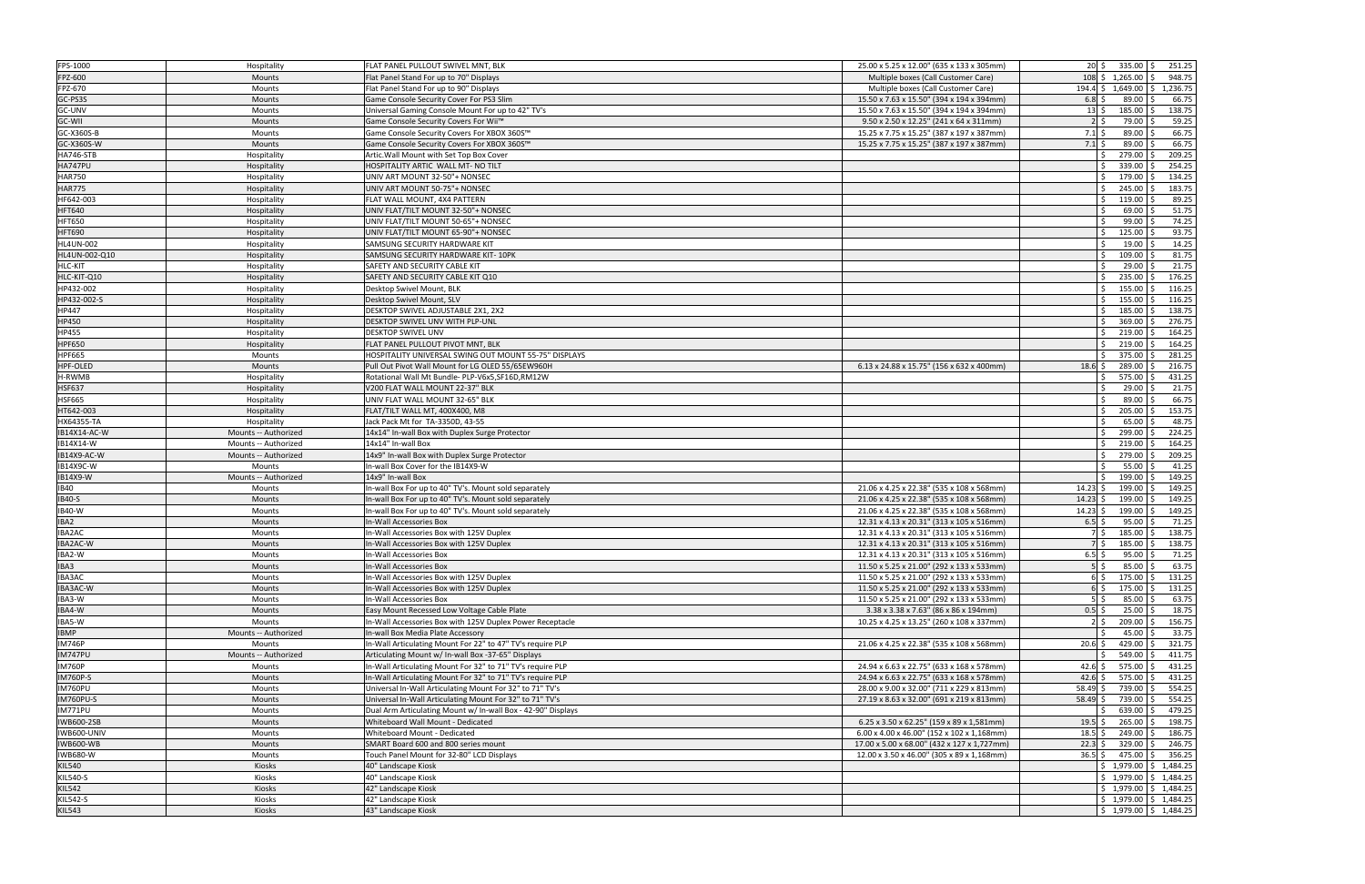| FPS-1000                         | Hospitality          | FLAT PANEL PULLOUT SWIVEL MNT, BLK                           | 25.00 x 5.25 x 12.00" (635 x 133 x 305mm)   | $20 \mid \xi$ 335.00 $\mid \xi$<br>251.25                            |
|----------------------------------|----------------------|--------------------------------------------------------------|---------------------------------------------|----------------------------------------------------------------------|
| FPZ-600                          | Mounts               | Flat Panel Stand For up to 70" Displays                      | Multiple boxes (Call Customer Care)         | $108 \mid S$ 1.265.00 \ S<br>948.75                                  |
| FPZ-670                          | Mounts               | Flat Panel Stand For up to 90" Displays                      | Multiple boxes (Call Customer Care)         | 194.4 \$1,649.00 \$1,236.75                                          |
| GC-PS3S                          | <b>Mounts</b>        | Game Console Security Cover For PS3 Slim                     | 15.50 x 7.63 x 15.50" (394 x 194 x 394mm)   | $6.8$ $\overline{\phantom{0}}$<br>89.00<br>66.75                     |
| GC-UNV                           | Mounts               | Universal Gaming Console Mount For up to 42" TV's            | 15.50 x 7.63 x 15.50" (394 x 194 x 394mm)   | 138.75<br>$13 \,$ \$<br>185.00                                       |
| GC-WII                           | <b>Mounts</b>        | Game Console Security Covers For Wii™                        | 9.50 x 2.50 x 12.25" (241 x 64 x 311mm)     | 59.25<br>79.00<br>$2 \,$ is                                          |
| GC-X360S-B                       | Mounts               | Game Console Security Covers For XBOX 360S™                  | 15.25 x 7.75 x 15.25" (387 x 197 x 387mm)   | 66.75<br>$7.1\,$ \$<br>89.00                                         |
| GC-X360S-W                       | <b>Mounts</b>        | Game Console Security Covers For XBOX 360S™                  | 15.25 x 7.75 x 15.25" (387 x 197 x 387mm)   | 66.75<br>$7.1 \,$ \$<br>89.00                                        |
| <b>HA746-STB</b>                 | Hospitality          | Artic. Wall Mount with Set Top Box Cover                     |                                             | 279.00<br>209.25                                                     |
| <b>HA747PU</b>                   | Hospitality          | HOSPITALITY ARTIC WALL MT- NO TILT                           |                                             | 339.00<br>254.25<br>Ŝ                                                |
| <b>HAR750</b>                    | Hospitality          | UNIV ART MOUNT 32-50"+ NONSEC                                |                                             | 134.25<br>179.00                                                     |
| <b>HAR775</b>                    | Hospitality          | UNIV ART MOUNT 50-75"+ NONSEC                                |                                             | 245.00<br>183.75                                                     |
| HF642-003                        | Hospitality          | FLAT WALL MOUNT, 4X4 PATTERN                                 |                                             | 89.25<br>119.00<br>Ŝ.                                                |
| <b>HFT640</b>                    | Hospitality          | UNIV FLAT/TILT MOUNT 32-50"+ NONSEC                          |                                             | 51.75<br>69.00                                                       |
| <b>HFT650</b>                    | Hospitality          | UNIV FLAT/TILT MOUNT 50-65"+ NONSEC                          |                                             | 74.25<br>99.00                                                       |
| <b>HFT690</b>                    | Hospitality          | UNIV FLAT/TILT MOUNT 65-90"+ NONSEC                          |                                             | 125.00<br>93.75<br>S.                                                |
| <b>HL4UN-002</b>                 | Hospitality          | SAMSUNG SECURITY HARDWARE KIT                                |                                             | 14.25<br>19.00                                                       |
| HL4UN-002-Q10                    | Hospitality          | SAMSUNG SECURITY HARDWARE KIT-10PK                           |                                             | 109.00<br>81.75                                                      |
| HLC-KIT                          | Hospitality          | SAFETY AND SECURITY CABLE KIT                                |                                             | $29.00$ \$<br>21.75<br>S.                                            |
| HLC-KIT-Q10                      | Hospitality          | SAFETY AND SECURITY CABLE KIT Q10                            |                                             | 235.00<br>176.25<br>Ŝ.                                               |
| HP432-002                        | Hospitality          | Desktop Swivel Mount, BLK                                    |                                             | 155.00<br>116.25<br>Ŝ.                                               |
| HP432-002-S                      | Hospitality          | Desktop Swivel Mount, SLV                                    |                                             | 155.00<br>116.25<br>S.                                               |
| HP447                            | Hospitality          | DESKTOP SWIVEL ADJUSTABLE 2X1, 2X2                           |                                             | 185.00<br>138.75<br>Ŝ.                                               |
| <b>HP450</b>                     | Hospitality          | DESKTOP SWIVEL UNV WITH PLP-UNL                              |                                             | 276.75<br>369.00                                                     |
| HP455                            | Hospitality          | <b>DESKTOP SWIVEL UNV</b>                                    |                                             | $219.00$ \$<br>164.25<br>S.                                          |
| <b>HPF650</b>                    | Hospitality          | FLAT PANEL PULLOUT PIVOT MNT, BLK                            |                                             | 164.25<br>219.00<br>Ŝ                                                |
| <b>HPF665</b>                    | Mounts               | HOSPITALITY UNIVERSAL SWING OUT MOUNT 55-75" DISPLAYS        |                                             | 375.00<br>281.25                                                     |
| HPF-OLED                         | Mounts               | Pull Out Pivot Wall Mount for LG OLED 55/65EW960H            | 6.13 x 24.88 x 15.75" (156 x 632 x 400mm)   | 289.00<br>216.75<br>$18.6$ \$                                        |
| H-RWMB                           | Hospitality          | Rotational Wall Mt Bundle- PLP-V6x5, SF16D, RM12W            |                                             | 431.25<br>575.00<br>Ŝ                                                |
| <b>HSF637</b>                    | Hospitality          | V200 FLAT WALL MOUNT 22-37" BLK                              |                                             | 21.75<br>29.00                                                       |
| <b>HSF665</b>                    | Hospitality          | UNIV FLAT WALL MOUNT 32-65" BLK                              |                                             | 66.75<br>89.00<br>l \$                                               |
| HT642-003                        | Hospitality          | FLAT/TILT WALL MT, 400X400, M8                               |                                             | 153.75<br>Ŝ.<br>205.00                                               |
| HX64355-TA                       | Hospitality          | Jack Pack Mt for TA-3350D, 43-55                             |                                             | 65.00<br>48.75<br>S.                                                 |
| IB14X14-AC-W                     | Mounts -- Authorized | 14x14" In-wall Box with Duplex Surge Protector               |                                             | 299.00<br>224.25<br>Ŝ.                                               |
|                                  |                      |                                                              |                                             |                                                                      |
| IB14X14-W                        | Mounts -- Authorized | 14x14" In-wall Box                                           |                                             | 219.00<br>164.25<br><sup>5</sup>                                     |
| IB14X9-AC-W                      | Mounts -- Authorized | 14x9" In-wall Box with Duplex Surge Protector                |                                             | 279.00<br>209.25<br>$\zeta$                                          |
| IB14X9C-W                        | Mounts               | In-wall Box Cover for the IB14X9-W                           |                                             | 41.25<br>55.00                                                       |
| IB14X9-W                         | Mounts -- Authorized | 14x9" In-wall Box                                            |                                             | 199.00<br>149.25                                                     |
| <b>IB40</b>                      | Mounts               | In-wall Box For up to 40" TV's. Mount sold separately        | 21.06 x 4.25 x 22.38" (535 x 108 x 568mm)   | 199.00<br>$14.23$ \$<br>149.25                                       |
| <b>IB40-S</b>                    | <b>Mounts</b>        | In-wall Box For up to 40" TV's. Mount sold separately        | 21.06 x 4.25 x 22.38" (535 x 108 x 568mm)   | 149.25<br>$14.23$ \$<br>199.00                                       |
| <b>IB40-W</b>                    | Mounts               | In-wall Box For up to 40" TV's. Mount sold separately        | 21.06 x 4.25 x 22.38" (535 x 108 x 568mm)   | 149.25<br>199.00<br>$14.23 \,$ \$                                    |
| IBA2                             | <b>Mounts</b>        | In-Wall Accessories Box                                      | 12.31 x 4.13 x 20.31" (313 x 105 x 516mm)   | $6.5$ \$<br>95.00<br>71.25                                           |
| IBA2AC                           | Mounts               | In-Wall Accessories Box with 125V Duplex                     | 12.31 x 4.13 x 20.31" (313 x 105 x 516mm)   | 185.00<br>138.75                                                     |
| IBA2AC-W                         | <b>Mounts</b>        | In-Wall Accessories Box with 125V Duplex                     | 12.31 x 4.13 x 20.31" (313 x 105 x 516mm)   | 138.75<br>$185.00$ \$<br>7 S                                         |
| IBA2-W                           | <b>Mounts</b>        | In-Wall Accessories Box                                      | 12.31 x 4.13 x 20.31" (313 x 105 x 516mm)   | $6.5$ \$<br>$95.00$ \$<br>71.25                                      |
| IBA3                             | Mounts               | In-Wall Accessories Box                                      | 11.50 x 5.25 x 21.00" (292 x 133 x 533mm)   | $5\overline{\smash{\big\vert}}\,$<br>85.00 \$<br>63.75               |
| IBA3AC                           | Mounts               | In-Wall Accessories Box with 125V Duplex                     | 11.50 x 5.25 x 21.00" (292 x 133 x 533mm)   | 6 \$<br>$175.00$ \$<br>131.25                                        |
| IBA3AC-W                         | Mounts               | In-Wall Accessories Box with 125V Duplex                     | 11.50 x 5.25 x 21.00" (292 x 133 x 533mm)   | 175.00 \$<br>131.25<br>$6\overline{\smash{\circ}}$                   |
| IBA3-W                           | Mounts               | In-Wall Accessories Box                                      | 11.50 x 5.25 x 21.00" (292 x 133 x 533mm)   | 63.75<br>$5\overline{\smash{5}}$<br>85.00                            |
|                                  | Mounts               | Easy Mount Recessed Low Voltage Cable Plate                  | 3.38 x 3.38 x 7.63" (86 x 86 x 194mm)       | 18.75<br>$0.5$ \$<br>25.00                                           |
| IBA5-W                           | Mounts               | In-Wall Accessories Box with 125V Duplex Power Receptacle    | 10.25 x 4.25 x 13.25" (260 x 108 x 337mm)   | 209.00 \$<br>156.75<br>$2 \,$ s                                      |
| IBA4-W<br><b>IBMP</b>            | Mounts -- Authorized | In-wall Box Media Plate Accessory                            |                                             | 33.75<br>45.00                                                       |
| <b>IM746P</b>                    | Mounts               | In-Wall Articulating Mount For 22" to 47" TV's require PLP   | 21.06 x 4.25 x 22.38" (535 x 108 x 568mm)   | 429.00<br>321.75<br>$20.6\frac{1}{5}$                                |
| IM747PU                          | Mounts -- Authorized | Articulating Mount w/ In-wall Box -37-65" Displays           |                                             | 549.00<br>411.75<br>$\zeta$                                          |
| <b>IM760P</b>                    | Mounts               | In-Wall Articulating Mount For 32" to 71" TV's require PLP   | 24.94 x 6.63 x 22.75" (633 x 168 x 578mm)   | 575.00<br>431.25<br>$42.6\frac{1}{5}$                                |
| IM760P-S                         | Mounts               | In-Wall Articulating Mount For 32" to 71" TV's require PLP   | 24.94 x 6.63 x 22.75" (633 x 168 x 578mm)   | $42.6\frac{1}{5}$<br>575.00<br>431.25                                |
| IM760PU                          | Mounts               | Universal In-Wall Articulating Mount For 32" to 71" TV's     | 28.00 x 9.00 x 32.00" (711 x 229 x 813mm)   | 739.00 \$<br>554.25<br>$58.49 \pm$                                   |
| <b>IM760PU-S</b>                 | Mounts               | Universal In-Wall Articulating Mount For 32" to 71" TV's     | 27.19 x 8.63 x 32.00" (691 x 219 x 813mm)   | $58.49 \pm$<br>739.00<br>554.25                                      |
| <b>IM771PU</b>                   | Mounts               | Dual Arm Articulating Mount w/ In-wall Box - 42-90" Displays |                                             | 639.00<br>479.25                                                     |
| IWB600-2SB                       | Mounts               | Whiteboard Wall Mount - Dedicated                            | 6.25 x 3.50 x 62.25" (159 x 89 x 1,581mm)   | 265.00<br>198.75<br>$19.5$ \$                                        |
| IWB600-UNIV                      | Mounts               | Whiteboard Mount - Dedicated                                 | 6.00 x 4.00 x 46.00" (152 x 102 x 1,168mm)  | 249.00<br>186.75<br>$18.5$ \$                                        |
| <b>IWB600-WB</b>                 | Mounts               | SMART Board 600 and 800 series mount                         | 17.00 x 5.00 x 68.00" (432 x 127 x 1,727mm) | 329.00<br>246.75<br>$22.3$ \$                                        |
| <b>IWB680-W</b>                  | Mounts               | Touch Panel Mount for 32-80" LCD Displays                    | 12.00 x 3.50 x 46.00" (305 x 89 x 1,168mm)  | $36.5$ \$<br>475.00 \$<br>356.25                                     |
| <b>KIL540</b>                    | Kiosks               | 40" Landscape Kiosk                                          |                                             | $$1,979.00 \mid $1,484.25$                                           |
| <b>KIL540-S</b>                  | Kiosks               | 40" Landscape Kiosk                                          |                                             | $\frac{1}{2}$ 1,979.00 $\frac{1}{2}$ 1,484.25                        |
| <b>KIL542</b>                    | Kiosks               | 42" Landscape Kiosk                                          |                                             | $\frac{1}{2}$ \$ 1,979.00 \$ 1,484.25                                |
| <b>KIL542-S</b><br><b>KIL543</b> | Kiosks<br>Kiosks     | 42" Landscape Kiosk<br>43" Landscape Kiosk                   |                                             | $ \$ 1,979.00  \$ 1,484.25$<br>$\frac{1}{2}$ \$ 1,979.00 \$ 1,484.25 |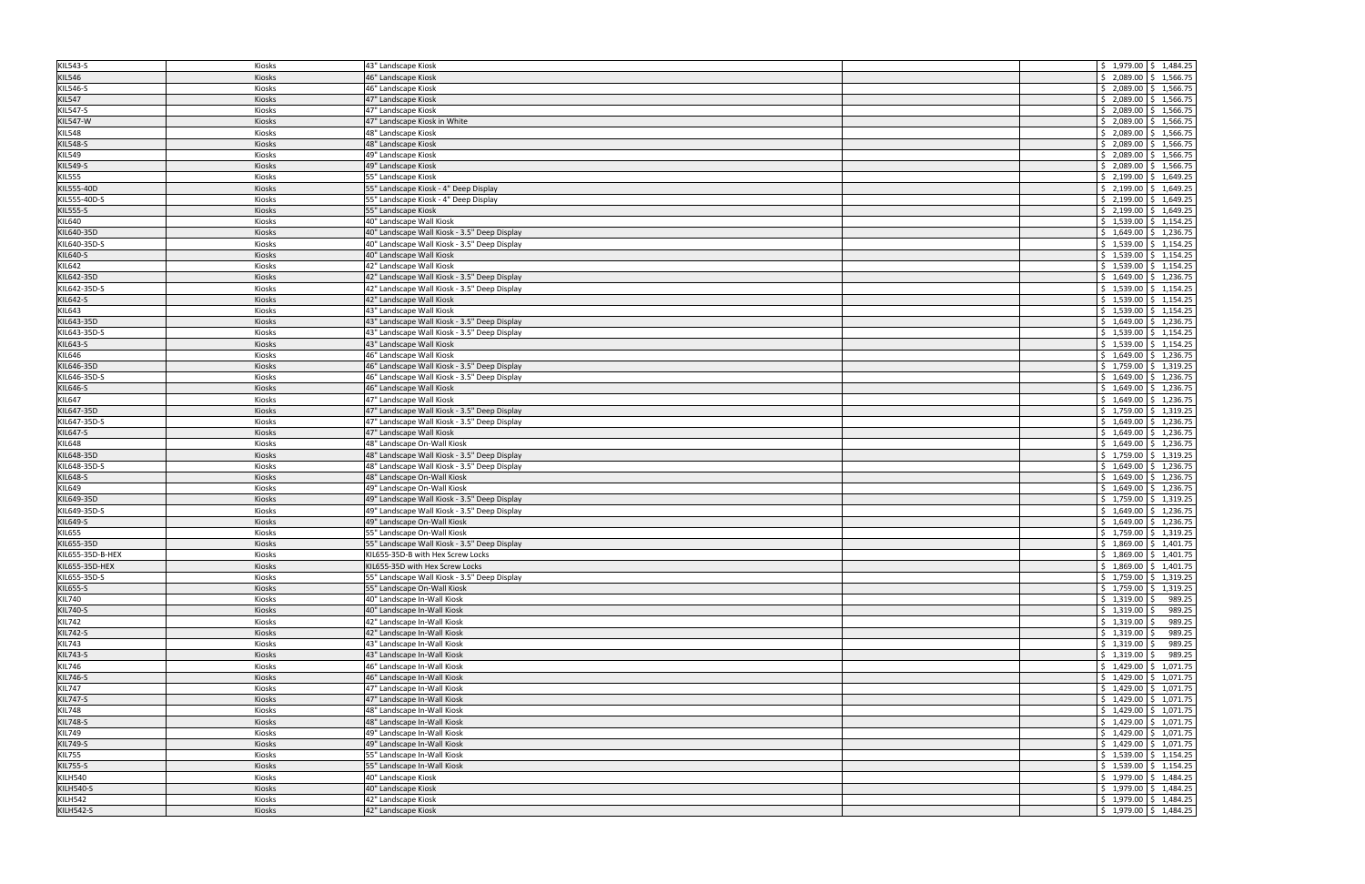| KIL543-S         | Kiosks        | 43" Landscape Kiosk                          | $\frac{1}{2}$ 1,979.00 $\frac{1}{2}$ 1,484.25     |
|------------------|---------------|----------------------------------------------|---------------------------------------------------|
| <b>KIL546</b>    | <b>Kiosks</b> | 46" Landscape Kiosk                          | $$2,089.00$ \$ 1,566.75                           |
| KIL546-S         | Kiosks        | 46" Landscape Kiosk                          | $\frac{1}{2}$ , 2,089.00 $\frac{1}{2}$ 1,566.75   |
|                  |               |                                              |                                                   |
| <b>KIL547</b>    | Kiosks        | 47" Landscape Kiosk                          | $\frac{1}{2}$ , 2,089.00 $\frac{1}{2}$ 1,566.75   |
| <b>KIL547-S</b>  | Kiosks        | 47" Landscape Kiosk                          | $\frac{1}{2}$ , 2,089.00 $\frac{1}{2}$ 1,566.75   |
| <b>KIL547-W</b>  | Kiosks        | 47" Landscape Kiosk in White                 | $\frac{1}{2}$ , 2,089.00 $\frac{1}{2}$ 1,566.75   |
| <b>KIL548</b>    | Kiosks        | 48" Landscape Kiosk                          | $\frac{1}{2}$ , 2,089.00 $\frac{1}{2}$ 1,566.75   |
| <b>KIL548-S</b>  | Kiosks        | 48" Landscape Kiosk                          | $\frac{1}{2}$ , 2,089.00 $\frac{1}{2}$ 1,566.75   |
| <b>KIL549</b>    | Kiosks        | 49" Landscape Kiosk                          | $\frac{1}{2}$ , 2,089.00 $\frac{1}{2}$ 1,566.75   |
| KIL549-S         | Kiosks        | 49" Landscape Kiosk                          | $\frac{1}{2}$ , 2,089.00 $\frac{1}{2}$ 1,566.75   |
| <b>KIL555</b>    | Kiosks        | 55" Landscape Kiosk                          | $\frac{1}{2}$ , 2,199.00 $\frac{1}{2}$ , 1,649.25 |
|                  |               |                                              |                                                   |
| KIL555-40D       | Kiosks        | 55" Landscape Kiosk - 4" Deep Display        | $\frac{1}{2}$ , 2,199.00 $\frac{1}{2}$ , 1,649.25 |
| KIL555-40D-S     | Kiosks        | 55" Landscape Kiosk - 4" Deep Display        | $\frac{1}{2}$ , 2,199.00 $\frac{1}{2}$ , 1,649.25 |
| <b>KIL555-S</b>  | Kiosks        | 55" Landscape Kiosk                          | $\frac{1}{2}$ , 2,199.00 $\frac{1}{2}$ , 1,649.25 |
| KIL640           | Kiosks        | 40" Landscape Wall Kiosk                     | $\frac{1}{2}$ 1,539.00 $\frac{1}{2}$ 1,154.25     |
| KIL640-35D       | Kiosks        | 40" Landscape Wall Kiosk - 3.5" Deep Display | $\frac{1}{2}$ 1,649.00 $\frac{1}{2}$ 1,236.75     |
| KIL640-35D-S     | Kiosks        | 40" Landscape Wall Kiosk - 3.5" Deep Display | $\frac{1}{2}$ 1,539.00 $\frac{1}{2}$ 1,154.25     |
| KIL640-S         | Kiosks        | 40" Landscape Wall Kiosk                     | $\frac{1}{2}$ 1,539.00 $\frac{1}{2}$ 1,154.25     |
| KIL642           | Kiosks        | 42" Landscape Wall Kiosk                     | $\frac{1}{2}$ 1,539.00 $\frac{1}{2}$ 1,154.25     |
|                  |               |                                              |                                                   |
| KIL642-35D       | <b>Kiosks</b> | 42" Landscape Wall Kiosk - 3.5" Deep Display | $\frac{1}{2}$ 1,649.00 $\frac{1}{2}$ 1,236.75     |
| KIL642-35D-S     | Kiosks        | 42" Landscape Wall Kiosk - 3.5" Deep Display | $\frac{1}{2}$ 1,539.00 $\frac{1}{2}$ 1,154.25     |
| KIL642-S         | Kiosks        | 42" Landscape Wall Kiosk                     | $\frac{1}{2}$ 1,539.00 $\frac{1}{2}$ 1,154.25     |
| KIL643           | Kiosks        | 43" Landscape Wall Kiosk                     | $\frac{1}{2}$ 1,539.00 $\frac{1}{2}$ 1,154.25     |
| KIL643-35D       | Kiosks        | 43" Landscape Wall Kiosk - 3.5" Deep Display | $\frac{1}{2}$ 1,649.00 $\frac{1}{2}$ 1,236.75     |
| KIL643-35D-S     | Kiosks        | 43" Landscape Wall Kiosk - 3.5" Deep Display | $\frac{1}{2}$ 1,539.00 $\frac{1}{2}$ 1,154.25     |
| KIL643-S         | Kiosks        | 43" Landscape Wall Kiosk                     | $\frac{1}{2}$ 1,539.00 $\frac{1}{2}$ 1,154.25     |
| KIL646           |               | 46" Landscape Wall Kiosk                     | $\frac{1}{2}$ 1,649.00 $\frac{1}{2}$ 1,236.75     |
|                  | Kiosks        |                                              |                                                   |
| KIL646-35D       | Kiosks        | 46" Landscape Wall Kiosk - 3.5" Deep Display | $\frac{1}{2}$ 1,759.00 $\frac{1}{2}$ 1,319.25     |
| KIL646-35D-S     | Kiosks        | 46" Landscape Wall Kiosk - 3.5" Deep Display | $\frac{1}{2}$ 1,649.00 $\frac{1}{2}$ 1,236.75     |
| <b>KIL646-S</b>  | Kiosks        | 46" Landscape Wall Kiosk                     | $$1,649.00 \mid $1,236.75$                        |
| KIL647           | Kiosks        | 47" Landscape Wall Kiosk                     | $\frac{1}{2}$ 1,649.00 $\frac{1}{2}$ 1,236.75     |
| KIL647-35D       | Kiosks        | 47" Landscape Wall Kiosk - 3.5" Deep Display | $\frac{1}{2}$ 1,759.00 $\frac{1}{2}$ 1,319.25     |
| KIL647-35D-S     | Kiosks        | 47" Landscape Wall Kiosk - 3.5" Deep Display | $\frac{1}{2}$ 1,649.00 $\frac{1}{2}$ 1,236.75     |
| <b>KIL647-S</b>  | Kiosks        | 47" Landscape Wall Kiosk                     | $\frac{1}{2}$ 1,649.00 $\frac{1}{2}$ 1,236.75     |
| <b>KIL648</b>    | Kiosks        | 48" Landscape On-Wall Kiosk                  | $\frac{1}{2}$ 1,649.00 \$ 1,236.75                |
| KIL648-35D       |               |                                              |                                                   |
|                  | Kiosks        | 48" Landscape Wall Kiosk - 3.5" Deep Display | $\frac{1}{2}$ 1,759.00 $\frac{1}{2}$ 1,319.25     |
|                  |               |                                              |                                                   |
| KIL648-35D-S     | Kiosks        | 48" Landscape Wall Kiosk - 3.5" Deep Display | $\frac{1}{2}$ 1,649.00 $\frac{1}{2}$ 1,236.75     |
| <b>KIL648-S</b>  | Kiosks        | 48" Landscape On-Wall Kiosk                  | $\frac{1}{2}$ 1,649.00 $\frac{1}{2}$ 1,236.75     |
| KIL649           | Kiosks        | 49" Landscape On-Wall Kiosk                  | $$1,649.00 \mid $1,236.75$                        |
| KIL649-35D       | Kiosks        | 49" Landscape Wall Kiosk - 3.5" Deep Display | $\frac{1}{2}$ 1,759.00 $\frac{1}{2}$ 1,319.25     |
|                  | Kiosks        | 49" Landscape Wall Kiosk - 3.5" Deep Display | $\frac{1}{2}$ 1,649.00 \$ 1,236.75                |
| KIL649-35D-S     |               |                                              |                                                   |
| KIL649-S         | Kiosks        | 49" Landscape On-Wall Kiosk                  | $\frac{1}{2}$ 1,649.00 $\frac{1}{2}$ 1,236.75     |
| <b>KIL655</b>    | Kiosks        | 55" Landscape On-Wall Kiosk                  | $\frac{1}{2}$ 1,759.00 $\frac{1}{2}$ 1,319.25     |
| KIL655-35D       | Kiosks        | 55" Landscape Wall Kiosk - 3.5" Deep Display | $\frac{1}{2}$ 1,869.00 $\frac{1}{2}$ 1,401.75     |
| KIL655-35D-B-HEX | Kiosks        | KIL655-35D-B with Hex Screw Locks            | $\frac{1}{2}$ 1,869.00 $\frac{1}{2}$ 1,401.75     |
| KIL655-35D-HEX   | Kiosks        | KIL655-35D with Hex Screw Locks              | $\frac{1}{2}$ \$ 1,869.00 \$ 1,401.75             |
| KIL655-35D-S     | Kiosks        | 55" Landscape Wall Kiosk - 3.5" Deep Display | $\frac{1}{2}$ 1,759.00 $\frac{1}{2}$ 1,319.25     |
| KIL655-S         | Kiosks        | 55" Landscape On-Wall Kiosk                  | $\frac{1}{2}$ 1,759.00 $\frac{1}{2}$ 1,319.25     |
| <b>KIL740</b>    | Kiosks        | 40" Landscape In-Wall Kiosk                  | $$1,319.00$ \$<br>989.25                          |
| KIL740-S         | Kiosks        | 40" Landscape In-Wall Kiosk                  | $\frac{1}{2}$ 1,319.00 \$<br>989.25               |
|                  | Kiosks        |                                              |                                                   |
| <b>KIL742</b>    |               | 42" Landscape In-Wall Kiosk                  | $\frac{1}{2}$ 1,319.00 \$<br>989.25               |
| <b>KIL742-S</b>  | Kiosks        | 42" Landscape In-Wall Kiosk                  | $\frac{1}{2}$ 1,319.00 \$<br>989.25               |
| <b>KIL743</b>    | Kiosks        | 43" Landscape In-Wall Kiosk                  | $\frac{1}{2}$ 1,319.00 \$<br>989.25               |
| KIL743-S         | Kiosks        | 43" Landscape In-Wall Kiosk                  | $\frac{1}{2}$ 1,319.00 \$<br>989.25               |
| <b>KIL746</b>    | Kiosks        | 46" Landscape In-Wall Kiosk                  | $\frac{1}{2}$ 1,429.00 $\frac{1}{2}$ 1,071.75     |
| KIL746-S         | Kiosks        | 46" Landscape In-Wall Kiosk                  | $\frac{1}{2}$ 1,429.00 $\frac{1}{2}$ 1,071.75     |
| <b>KIL747</b>    | Kiosks        | 47" Landscape In-Wall Kiosk                  | $\frac{1}{2}$ 1,429.00 $\frac{1}{2}$ 1,071.75     |
| <b>KIL747-S</b>  | Kiosks        | 47" Landscape In-Wall Kiosk                  | $\frac{1}{2}$ \$ 1,429.00 \$ 1,071.75             |
|                  | Kiosks        | 48" Landscape In-Wall Kiosk                  | $\frac{1}{2}$ 1,429.00 $\frac{1}{2}$ 1,071.75     |
| <b>KIL748</b>    |               |                                              |                                                   |
| <b>KIL748-S</b>  | Kiosks        | 48" Landscape In-Wall Kiosk                  | $\frac{1}{2}$ \$ 1,429.00 $\frac{1}{2}$ 1,071.75  |
| <b>KIL749</b>    | Kiosks        | 49" Landscape In-Wall Kiosk                  | $\frac{1}{2}$ 1,429.00 $\frac{1}{2}$ 1,071.75     |
| KIL749-S         | Kiosks        | 49" Landscape In-Wall Kiosk                  | $\frac{1}{2}$ 1,429.00 $\frac{1}{2}$ 1,071.75     |
| <b>KIL755</b>    | Kiosks        | 55" Landscape In-Wall Kiosk                  | $\frac{1}{2}$ 1,539.00 $\frac{1}{2}$ 1,154.25     |
| <b>KIL755-S</b>  | Kiosks        | 55" Landscape In-Wall Kiosk                  | $\frac{1}{2}$ \$ 1,539.00 \$ 1,154.25             |
| KILH540          | Kiosks        | 40" Landscape Kiosk                          | $\frac{1}{2}$ 1,979.00 $\frac{1}{2}$ 1,484.25     |
| <b>KILH540-S</b> | Kiosks        | 40" Landscape Kiosk                          | $\frac{1}{2}$ \$ 1,979.00 \$ 1,484.25             |
| <b>KILH542</b>   | Kiosks        | 42" Landscape Kiosk                          | $\frac{1}{2}$ \$ 1,979.00 \$ 1,484.25             |
| <b>KILH542-S</b> | Kiosks        | 42" Landscape Kiosk                          | $\frac{1}{2}$ 1,979.00 $\frac{1}{2}$ 1,484.25     |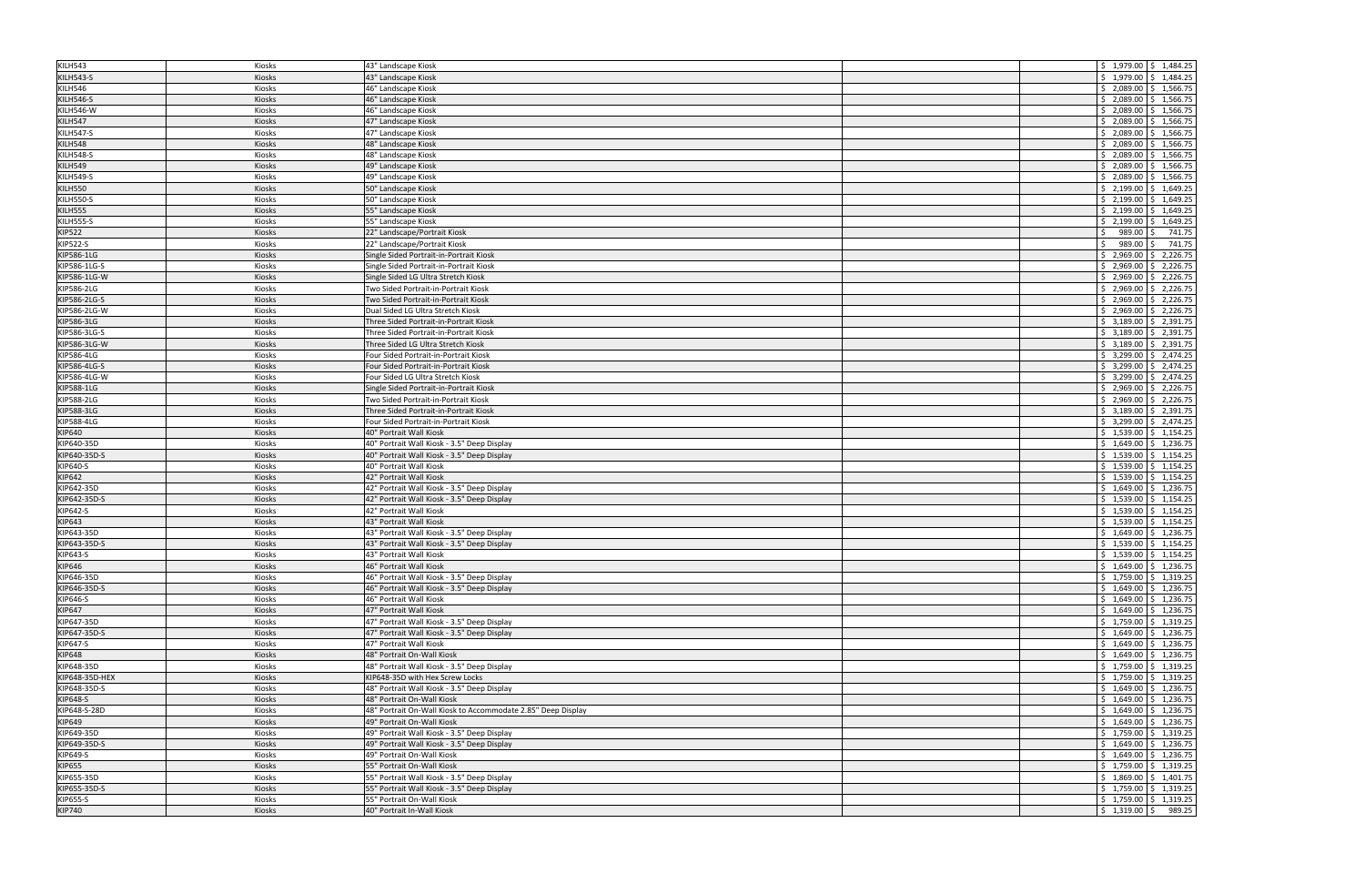| KILH543          | Kiosks | 43" Landscape Kiosk                                          | $\frac{1}{2}$ \$ 1,979.00 \$ 1,484.25             |
|------------------|--------|--------------------------------------------------------------|---------------------------------------------------|
| <b>KILH543-S</b> | Kiosks | 43" Landscape Kiosk                                          | $$1,979.00$ $$1,484.25$                           |
| KILH546          | Kiosks | 46" Landscape Kiosk                                          | $\frac{1}{2}$ , 2,089.00 $\frac{1}{2}$ 1,566.75   |
|                  |        |                                                              |                                                   |
| <b>KILH546-S</b> | Kiosks | 46" Landscape Kiosk                                          | $\frac{1}{2}$ , 2,089.00 $\frac{1}{2}$ 1,566.75   |
| KILH546-W        | Kiosks | 46" Landscape Kiosk                                          | $\frac{1}{2}$ , 2,089.00 $\frac{1}{2}$ 1,566.75   |
| KILH547          | Kiosks | 47" Landscape Kiosk                                          | $$2,089.00$ $$1,566.75$                           |
| KILH547-S        | Kiosks | 47" Landscape Kiosk                                          | $\frac{1}{2}$ , 2,089.00 $\frac{1}{2}$ 1,566.75   |
| KILH548          | Kiosks | 48" Landscape Kiosk                                          | $\frac{1}{2}$ , 2,089.00 $\frac{1}{2}$ 1,566.75   |
| <b>KILH548-S</b> | Kiosks | 48" Landscape Kiosk                                          | \$2,089.00<br>\$1,566.75                          |
| KILH549          | Kiosks | 49" Landscape Kiosk                                          | $\frac{1}{2}$ , 2,089.00 $\frac{1}{2}$ 1,566.75   |
| <b>KILH549-S</b> | Kiosks | 49" Landscape Kiosk                                          | \$2,089.00<br>\$1,566.75                          |
| <b>KILH550</b>   | Kiosks | 50" Landscape Kiosk                                          | \$2,199.00<br>\$1,649.25                          |
|                  |        |                                                              |                                                   |
| <b>KILH550-S</b> | Kiosks | 50" Landscape Kiosk                                          | $\frac{1}{2}$ , 2,199.00 $\frac{1}{2}$ , 1,649.25 |
| <b>KILH555</b>   | Kiosks | 55" Landscape Kiosk                                          | \$2,199.00<br>\$1,649.25                          |
| <b>KILH555-S</b> | Kiosks | 55" Landscape Kiosk                                          | \$2,199.00<br>\$1,649.25                          |
| <b>KIP522</b>    | Kiosks | 22" Landscape/Portrait Kiosk                                 | 989.00<br>741.75<br>$\mathsf{S}$<br>Ŝ.            |
| <b>KIP522-S</b>  | Kiosks | 22" Landscape/Portrait Kiosk                                 | 989.00<br>741.75<br>S.<br>Ŝ.                      |
| KIP586-1LG       | Kiosks | Single Sided Portrait-in-Portrait Kiosk                      | \$2,969.00<br>\$2,226.75                          |
| KIP586-1LG-S     | Kiosks | Single Sided Portrait-in-Portrait Kiosk                      | \$2,226.75<br>\$2,969.00                          |
| KIP586-1LG-W     | Kiosks | Single Sided LG Ultra Stretch Kiosk                          | \$2,969.00<br>\$2,226.75                          |
| KIP586-2LG       | Kiosks | Two Sided Portrait-in-Portrait Kiosk                         | \$2,969.00<br>\$2,226.75                          |
|                  |        |                                                              |                                                   |
| KIP586-2LG-S     | Kiosks | Two Sided Portrait-in-Portrait Kiosk                         | \$2,226.75<br>\$2,969.00                          |
| KIP586-2LG-W     | Kiosks | Dual Sided LG Ultra Stretch Kiosk                            | \$2,969.00<br>$\frac{1}{2}$ 2,226.75              |
| KIP586-3LG       | Kiosks | Three Sided Portrait-in-Portrait Kiosk                       | \$3,189.00<br>\$2,391.75                          |
| KIP586-3LG-S     | Kiosks | Three Sided Portrait-in-Portrait Kiosk                       | \$2,391.75<br>\$3,189.00                          |
| KIP586-3LG-W     | Kiosks | Three Sided LG Ultra Stretch Kiosk                           | \$3,189.00<br>\$2,391.75                          |
| KIP586-4LG       | Kiosks | Four Sided Portrait-in-Portrait Kiosk                        | \$3,299.00<br>$\frac{1}{2}$ , 2,474.25            |
| KIP586-4LG-S     | Kiosks | Four Sided Portrait-in-Portrait Kiosk                        | \$3,299.00<br>\$2,474.25                          |
| KIP586-4LG-W     | Kiosks | Four Sided LG Ultra Stretch Kiosk                            | \$3,299.00<br>$\frac{1}{2}$ , 2,474.25            |
| KIP588-1LG       | Kiosks | Single Sided Portrait-in-Portrait Kiosk                      | \$2,226.75<br>\$2,969.00                          |
| KIP588-2LG       | Kiosks | Two Sided Portrait-in-Portrait Kiosk                         | \$2,969.00<br>\$2,226.75                          |
|                  |        | Three Sided Portrait-in-Portrait Kiosk                       | \$3,189.00                                        |
| KIP588-3LG       | Kiosks |                                                              | \$2,391.75                                        |
| KIP588-4LG       | Kiosks | Four Sided Portrait-in-Portrait Kiosk                        | \$3,299.00<br>$\frac{1}{2}$ , 2,474.25            |
| KIP640           | Kiosks | 40" Portrait Wall Kiosk                                      | $\frac{1}{2}$ \$ 1,539.00 $\frac{1}{2}$ 1,154.25  |
| KIP640-35D       | Kiosks | 40" Portrait Wall Kiosk - 3.5" Deep Display                  | $\frac{1}{2}$ 1,649.00 $\frac{1}{2}$ 1,236.75     |
| KIP640-35D-S     | Kiosks | 40" Portrait Wall Kiosk - 3.5" Deep Display                  | $\frac{1}{2}$ 1,539.00 $\frac{1}{2}$ 1,154.25     |
| KIP640-S         | Kiosks | 40" Portrait Wall Kiosk                                      | $\frac{1}{2}$ \$ 1,539.00 $\frac{1}{2}$ 1,154.25  |
| KIP642           | Kiosks | 42" Portrait Wall Kiosk                                      | $\frac{1}{2}$ 1,539.00 $\frac{1}{2}$ 1,154.25     |
| KIP642-35D       | Kiosks | 42" Portrait Wall Kiosk - 3.5" Deep Display                  | $\frac{1}{5}$ 1,649.00 $\frac{1}{5}$ 1,236.75     |
| KIP642-35D-S     | Kiosks | 42" Portrait Wall Kiosk - 3.5" Deep Display                  | $\frac{1}{2}$ 1,539.00 $\frac{1}{2}$ 1,154.25     |
|                  |        | 42" Portrait Wall Kiosk                                      | $\frac{1}{5}$ 1,539.00 $\frac{1}{5}$ 1,154.25     |
| KIP642-S         | Kiosks |                                                              |                                                   |
| <b>KIP643</b>    | Kiosks | 43" Portrait Wall Kiosk                                      | $\frac{1}{2}$ 1,539.00 $\frac{1}{2}$ 1,154.25     |
| KIP643-35D       | Kiosks | 43" Portrait Wall Kiosk - 3.5" Deep Display                  | $\frac{1}{2}$ 1,649.00 $\frac{1}{2}$ 1,236.75     |
| KIP643-35D-S     | Kiosks | 43" Portrait Wall Kiosk - 3.5" Deep Display                  | $\frac{1}{2}$ 1,539.00 $\frac{1}{2}$ 1,154.25     |
| KIP643-S         | Kiosks | 43" Portrait Wall Kiosk                                      | $\frac{1}{2}$ \$ 1,539.00 $\frac{1}{2}$ 1,154.25  |
| KIP646           | Kiosks | 46" Portrait Wall Kiosk                                      | $\frac{1}{2}$ \$ 1,649.00 \$ 1,236.75             |
| KIP646-35D       | Kiosks | 46" Portrait Wall Kiosk - 3.5" Deep Display                  | $\frac{1}{2}$ 1,759.00 $\frac{1}{2}$ 1,319.25     |
| KIP646-35D-S     | Kiosks | 46" Portrait Wall Kiosk - 3.5" Deep Display                  | $\frac{1}{2}$ \$ 1,649.00 $\frac{1}{2}$ 1,236.75  |
| KIP646-S         | Kiosks | 46" Portrait Wall Kiosk                                      | $\frac{1}{2}$ \$ 1,649.00 \$ 1,236.75             |
| <b>KIP647</b>    | Kiosks | 47" Portrait Wall Kiosk                                      | $\frac{1}{2}$ 1,649.00 $\frac{1}{2}$ 1,236.75     |
| KIP647-35D       | Kiosks | 47" Portrait Wall Kiosk - 3.5" Deep Display                  | $\frac{1}{2}$ \$ 1,759.00 \$ 1,319.25             |
|                  |        |                                                              | $\frac{1}{2}$ \$ 1,649.00 \$ 1,236.75             |
| KIP647-35D-S     | Kiosks | 47" Portrait Wall Kiosk - 3.5" Deep Display                  |                                                   |
| KIP647-S         | Kiosks | 47" Portrait Wall Kiosk                                      | $\frac{1}{2}$ 1,649.00 $\frac{1}{2}$ 1,236.75     |
| <b>KIP648</b>    | Kiosks | 48" Portrait On-Wall Kiosk                                   | $\frac{1}{2}$ \$ 1,649.00 \$ 1,236.75             |
| KIP648-35D       | Kiosks | 48" Portrait Wall Kiosk - 3.5" Deep Display                  | $\frac{1}{2}$ \$ 1,759.00 \$ 1,319.25             |
| KIP648-35D-HEX   | Kiosks | KIP648-35D with Hex Screw Locks                              | $\frac{1}{2}$ \$ 1,759.00 $\frac{1}{2}$ 1,319.25  |
| KIP648-35D-S     | Kiosks | 48" Portrait Wall Kiosk - 3.5" Deep Display                  | $\frac{1}{2}$ \$ 1,649.00 \$ 1,236.75             |
| <b>KIP648-S</b>  | Kiosks | 48" Portrait On-Wall Kiosk                                   | $\frac{1}{2}$ \$ 1,649.00 $\frac{1}{2}$ 1,236.75  |
| KIP648-S-28D     | Kiosks | 48" Portrait On-Wall Kiosk to Accommodate 2.85" Deep Display | $\frac{1}{2}$ 1,649.00 $\frac{1}{2}$ 1,236.75     |
| KIP649           | Kiosks | 49" Portrait On-Wall Kiosk                                   | $\frac{1}{2}$ \$ 1,649.00 $\frac{1}{2}$ 1,236.75  |
| KIP649-35D       | Kiosks | 49" Portrait Wall Kiosk - 3.5" Deep Display                  | $\frac{1}{2}$ 1,759.00 $\frac{1}{2}$ 1,319.25     |
| KIP649-35D-S     | Kiosks | 49" Portrait Wall Kiosk - 3.5" Deep Display                  | $\frac{1}{2}$ 1,649.00 $\frac{1}{2}$ 1,236.75     |
|                  |        |                                                              |                                                   |
| KIP649-S         | Kiosks | 49" Portrait On-Wall Kiosk                                   | $\frac{1}{2}$ 1,649.00 $\frac{1}{2}$ 1,236.75     |
| <b>KIP655</b>    | Kiosks | 55" Portrait On-Wall Kiosk                                   | $\frac{1}{2}$ \$ 1,759.00 $\frac{1}{2}$ 1,319.25  |
| KIP655-35D       | Kiosks | 55" Portrait Wall Kiosk - 3.5" Deep Display                  | $\frac{1}{2}$ 1,869.00 $\frac{1}{2}$ 1,401.75     |
| KIP655-35D-S     | Kiosks | 55" Portrait Wall Kiosk - 3.5" Deep Display                  | $\frac{1}{2}$ \$ 1,759.00 \$ 1,319.25             |
| KIP655-S         | Kiosks | 55" Portrait On-Wall Kiosk                                   | $\frac{1}{2}$ \$ 1,759.00 \$ 1,319.25             |
| <b>KIP740</b>    | Kiosks | 40" Portrait In-Wall Kiosk                                   | $\frac{1}{2}$ \$ 1,319.00 \$ 989.25               |
|                  |        |                                                              |                                                   |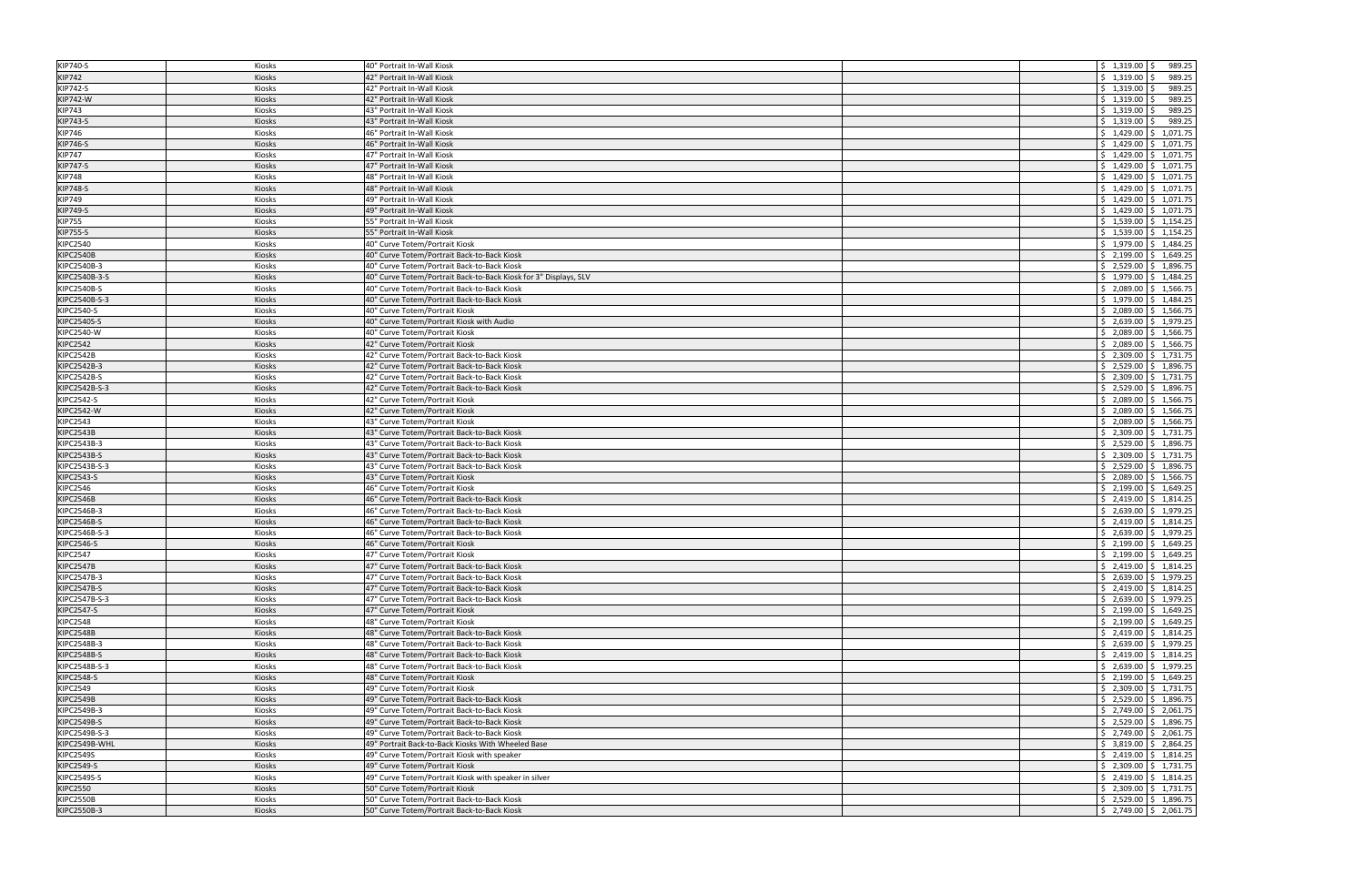| <b>KIP740-S</b>           | Kiosks        | 40" Portrait In-Wall Kiosk                                                  | $$1,319.00$ \$<br>989.25                          |
|---------------------------|---------------|-----------------------------------------------------------------------------|---------------------------------------------------|
| <b>KIP742</b>             | Kiosks        | 42" Portrait In-Wall Kiosk                                                  | $$1,319.00$ $$$<br>989.25                         |
| <b>KIP742-S</b>           | Kiosks        | 42" Portrait In-Wall Kiosk                                                  | $$1,319.00$ $$$<br>989.25                         |
| <b>KIP742-W</b>           | Kiosks        | 42" Portrait In-Wall Kiosk                                                  | 989.25<br>$$1,319.00$ $$$                         |
| KIP743                    | Kiosks        | 43" Portrait In-Wall Kiosk                                                  | 989.25<br>$$1,319.00$ $$$                         |
| <b>KIP743-S</b>           | Kiosks        | 43" Portrait In-Wall Kiosk                                                  | $$1,319.00$ $$$<br>989.25                         |
| <b>KIP746</b>             | Kiosks        | 46" Portrait In-Wall Kiosk                                                  | $\frac{1}{2}$ 1,429.00 $\frac{1}{2}$ 1,071.75     |
| <b>KIP746-S</b>           | <b>Kiosks</b> | 46" Portrait In-Wall Kiosk                                                  | $\frac{1}{2}$ 1,429.00 $\frac{1}{2}$ 1,071.75     |
| <b>KIP747</b>             | Kiosks        | 47" Portrait In-Wall Kiosk                                                  | $\frac{1}{2}$ 1,429.00 $\frac{1}{2}$ 1,071.75     |
| <b>KIP747-S</b>           | Kiosks        | 47" Portrait In-Wall Kiosk                                                  | $\frac{1}{2}$ 1,429.00 $\frac{1}{2}$ 1,071.75     |
| <b>KIP748</b>             | Kiosks        | 48" Portrait In-Wall Kiosk                                                  | $\frac{1}{2}$ 1,429.00 $\frac{1}{2}$ 1,071.75     |
| <b>KIP748-S</b>           | Kiosks        | 48" Portrait In-Wall Kiosk                                                  | $\frac{1}{2}$ 1,429.00 $\frac{1}{2}$ 1,071.75     |
| <b>KIP749</b>             | Kiosks        | 49" Portrait In-Wall Kiosk                                                  | $\frac{1}{2}$ 1,429.00 $\frac{1}{2}$ 1,071.75     |
| <b>KIP749-S</b>           | Kiosks        | 49" Portrait In-Wall Kiosk                                                  | $\frac{1}{2}$ 1,429.00 $\frac{1}{2}$ 1,071.75     |
| <b>KIP755</b>             | Kiosks        | 55" Portrait In-Wall Kiosk                                                  | $\frac{1}{2}$ 1,539.00 $\frac{1}{2}$ 1,154.25     |
| <b>KIP755-S</b>           | Kiosks        | 55" Portrait In-Wall Kiosk                                                  | $\frac{1}{2}$ 1,539.00 $\frac{1}{2}$ 1,154.25     |
| <b>KIPC2540</b>           | Kiosks        | 40" Curve Totem/Portrait Kiosk                                              | $\frac{1}{2}$ 1,979.00 $\frac{1}{2}$ 1,484.25     |
| KIPC2540B                 | Kiosks        | 40" Curve Totem/Portrait Back-to-Back Kiosk                                 | $\frac{1}{2}$ , 2,199.00 $\frac{1}{2}$ , 1,649.25 |
| KIPC2540B-3               | Kiosks        | 40" Curve Totem/Portrait Back-to-Back Kiosk                                 | $\frac{1}{2}$ , 2,529.00 $\frac{1}{2}$ , 1,896.75 |
| KIPC2540B-3-S             | Kiosks        | 40" Curve Totem/Portrait Back-to-Back Kiosk for 3" Displays, SLV            | $\frac{1}{2}$ 1,979.00 $\frac{1}{2}$ 1,484.25     |
| KIPC2540B-S               | Kiosks        | 40" Curve Totem/Portrait Back-to-Back Kiosk                                 | $\frac{1}{2}$ , 2,089.00 $\frac{1}{2}$ 1,566.75   |
| KIPC2540B-S-3             | Kiosks        | 40" Curve Totem/Portrait Back-to-Back Kiosk                                 | $\frac{1}{2}$ 1,979.00 \$ 1,484.25                |
|                           | Kiosks        |                                                                             | $$2,089.00$ $$1,566.75$                           |
| KIPC2540-S<br>KIPC2540S-S | Kiosks        | 40" Curve Totem/Portrait Kiosk<br>40" Curve Totem/Portrait Kiosk with Audio | $$2,639.00 \  \  $1,979.25$                       |
|                           |               |                                                                             |                                                   |
| $KIPC2540-W$              | Kiosks        | 40" Curve Totem/Portrait Kiosk                                              | $\frac{1}{2}$ , 2,089.00 $\frac{1}{2}$ 1,566.75   |
| <b>KIPC2542</b>           | Kiosks        | 42" Curve Totem/Portrait Kiosk                                              | $$2,089.00$ $$1,566.75$                           |
| KIPC2542B                 | Kiosks        | 42" Curve Totem/Portrait Back-to-Back Kiosk                                 | $\frac{1}{2}$ , 2,309.00 $\frac{1}{2}$ 1,731.75   |
| KIPC2542B-3               | Kiosks        | 42" Curve Totem/Portrait Back-to-Back Kiosk                                 | $\frac{1}{2}$ , 2,529.00 $\frac{1}{2}$ , 1,896.75 |
| KIPC2542B-S               | Kiosks        | 42" Curve Totem/Portrait Back-to-Back Kiosk                                 | $$2,309.00$ $$1,731.75$                           |
| KIPC2542B-S-3             | Kiosks        | 42" Curve Totem/Portrait Back-to-Back Kiosk                                 | $\frac{1}{2}$ , 2,529.00 $\frac{1}{2}$ , 1,896.75 |
| KIPC2542-S                | Kiosks        | 42" Curve Totem/Portrait Kiosk                                              | $\frac{1}{2}$ , 2,089.00 $\frac{1}{2}$ 1,566.75   |
| <b>KIPC2542-W</b>         | Kiosks        | 42" Curve Totem/Portrait Kiosk                                              | $\frac{1}{2}$ , 2,089.00 $\frac{1}{2}$ 1,566.75   |
| <b>KIPC2543</b>           | Kiosks        | 43" Curve Totem/Portrait Kiosk                                              | $\frac{1}{2}$ , 2,089.00 $\frac{1}{2}$ 1,566.75   |
| KIPC2543B                 | Kiosks        | 43" Curve Totem/Portrait Back-to-Back Kiosk                                 | $\frac{1}{2}$ , 2,309.00 $\frac{1}{2}$ , 1,731.75 |
| KIPC2543B-3               | Kiosks        | 43" Curve Totem/Portrait Back-to-Back Kiosk                                 | $\frac{1}{2}$ , 2,529.00 $\frac{1}{2}$ , 1,896.75 |
| KIPC2543B-S               | Kiosks        | 43" Curve Totem/Portrait Back-to-Back Kiosk                                 | $\frac{1}{2}$ , 2,309.00 $\frac{1}{2}$ , 1,731.75 |
| KIPC2543B-S-3             | Kiosks        | 43" Curve Totem/Portrait Back-to-Back Kiosk                                 | $\frac{1}{2}$ , 2,529.00 $\frac{1}{2}$ , 1,896.75 |
| <b>KIPC2543-S</b>         | Kiosks        | 43" Curve Totem/Portrait Kiosk                                              | $\frac{1}{2}$ , 2,089.00 $\frac{1}{2}$ 1,566.75   |
| <b>KIPC2546</b>           | Kiosks        | 46" Curve Totem/Portrait Kiosk                                              | $\frac{1}{2}$ , 2,199.00 $\frac{1}{2}$ , 1,649.25 |
| KIPC2546B                 | Kiosks        | 46" Curve Totem/Portrait Back-to-Back Kiosk                                 | $\frac{1}{2}$ , 2,419.00 $\frac{1}{2}$ , 1,814.25 |
| KIPC2546B-3               | Kiosks        | 46" Curve Totem/Portrait Back-to-Back Kiosk                                 | $\frac{1}{2}$ , 2,639.00 $\frac{1}{2}$ , 1,979.25 |
| <b>KIPC2546B-S</b>        | Kiosks        | 46" Curve Totem/Portrait Back-to-Back Kiosk                                 | $$2,419.00 \mid $1,814.25$                        |
| KIPC2546B-S-3             | Kiosks        | 46" Curve Totem/Portrait Back-to-Back Kiosk                                 | $$2,639.00$ \$ 1,979.25                           |
| <b>KIPC2546-S</b>         | <b>Kiosks</b> | 46" Curve Totem/Portrait Kiosk                                              | $\frac{1}{2}$ , 2,199.00   \$ 1,649.25            |
| <b>KIPC2547</b>           | Kiosks        | 47" Curve Totem/Portrait Kiosk                                              | $$2,199.00 \$1,649.25$                            |
| KIPC2547B                 | Kiosks        | 47" Curve Totem/Portrait Back-to-Back Kiosk                                 | $\frac{1}{2}$ , 2,419.00 $\frac{1}{2}$ , 1,814.25 |
| KIPC2547B-3               | Kiosks        | 47" Curve Totem/Portrait Back-to-Back Kiosk                                 | $$2,639.00$ $$1,979.25$                           |
| <b>KIPC2547B-S</b>        | Kiosks        | 47" Curve Totem/Portrait Back-to-Back Kiosk                                 | $\frac{1}{2}$ , 2,419.00 $\frac{1}{2}$ , 1,814.25 |
| KIPC2547B-S-3             | Kiosks        | 47" Curve Totem/Portrait Back-to-Back Kiosk                                 | $\frac{1}{2}$ , 2,639.00 $\frac{1}{2}$ 1,979.25   |
| <b>KIPC2547-S</b>         | Kiosks        | 47" Curve Totem/Portrait Kiosk                                              | $\frac{1}{2}$ , 2,199.00 $\frac{1}{2}$ , 1,649.25 |
| <b>KIPC2548</b>           | Kiosks        | 48" Curve Totem/Portrait Kiosk                                              | $\frac{1}{2}$ , 2,199.00 $\frac{1}{2}$ , 1,649.25 |
| KIPC2548B                 | Kiosks        | 48" Curve Totem/Portrait Back-to-Back Kiosk                                 | $\frac{1}{2}$ , 2,419.00 $\frac{1}{2}$ , 1,814.25 |
| KIPC2548B-3               | Kiosks        | 48" Curve Totem/Portrait Back-to-Back Kiosk                                 | $\frac{1}{2}$ , 2,639.00 $\frac{1}{2}$ , 1,979.25 |
| <b>KIPC2548B-S</b>        | Kiosks        | 48" Curve Totem/Portrait Back-to-Back Kiosk                                 | $\frac{1}{2}$ , 2,419.00 $\frac{1}{2}$ , 1,814.25 |
| KIPC2548B-S-3             | Kiosks        | 48" Curve Totem/Portrait Back-to-Back Kiosk                                 | $\frac{1}{2}$ , 2,639.00 $\frac{1}{2}$ , 1,979.25 |
| <b>KIPC2548-S</b>         | Kiosks        | 48" Curve Totem/Portrait Kiosk                                              | $\frac{1}{2}$ , 2,199.00 $\frac{1}{2}$ , 1,649.25 |
| <b>KIPC2549</b>           | Kiosks        | 49" Curve Totem/Portrait Kiosk                                              | $\frac{1}{2}$ , 2,309.00 $\frac{1}{2}$ , 1,731.75 |
| KIPC2549B                 | Kiosks        | 49" Curve Totem/Portrait Back-to-Back Kiosk                                 | $\frac{1}{2}$ , 2,529.00 $\frac{1}{2}$ , 1,896.75 |
| KIPC2549B-3               | Kiosks        | 49" Curve Totem/Portrait Back-to-Back Kiosk                                 | $\frac{1}{2}$ , 2,749.00 $\frac{1}{2}$ , 2,061.75 |
| KIPC2549B-S               | Kiosks        | 49" Curve Totem/Portrait Back-to-Back Kiosk                                 | $\frac{1}{2}$ , 2,529.00 $\frac{1}{2}$ , 1,896.75 |
| KIPC2549B-S-3             | Kiosks        | 49" Curve Totem/Portrait Back-to-Back Kiosk                                 | $\frac{1}{2}$ , 2,749.00 $\frac{1}{2}$ , 2,061.75 |
| KIPC2549B-WHL             | Kiosks        | 49" Portrait Back-to-Back Kiosks With Wheeled Base                          | $\frac{1}{2}$ 3,819.00 $\frac{1}{2}$ 2,864.25     |
| KIPC2549S                 | Kiosks        | 49" Curve Totem/Portrait Kiosk with speaker                                 | $\frac{1}{2}$ , 2,419.00 $\frac{1}{2}$ , 1,814.25 |
| <b>KIPC2549-S</b>         | Kiosks        | 49" Curve Totem/Portrait Kiosk                                              | $\frac{1}{2}$ , 2,309.00 $\frac{1}{2}$ , 1,731.75 |
| KIPC2549S-S               | Kiosks        | 49" Curve Totem/Portrait Kiosk with speaker in silver                       | $\frac{1}{2}$ , 2,419.00 $\frac{1}{2}$ , 1,814.25 |
| <b>KIPC2550</b>           | Kiosks        | 50" Curve Totem/Portrait Kiosk                                              | $\frac{1}{2}$ , 2,309.00 $\frac{1}{2}$ , 1,731.75 |
| KIPC2550B                 | Kiosks        | 50" Curve Totem/Portrait Back-to-Back Kiosk                                 | $\frac{1}{2}$ , 2,529.00 $\frac{1}{2}$ , 1,896.75 |
| KIPC2550B-3               | Kiosks        | 50" Curve Totem/Portrait Back-to-Back Kiosk                                 | $\frac{1}{2}$ , 2,749.00 $\frac{1}{2}$ , 2,061.75 |
|                           |               |                                                                             |                                                   |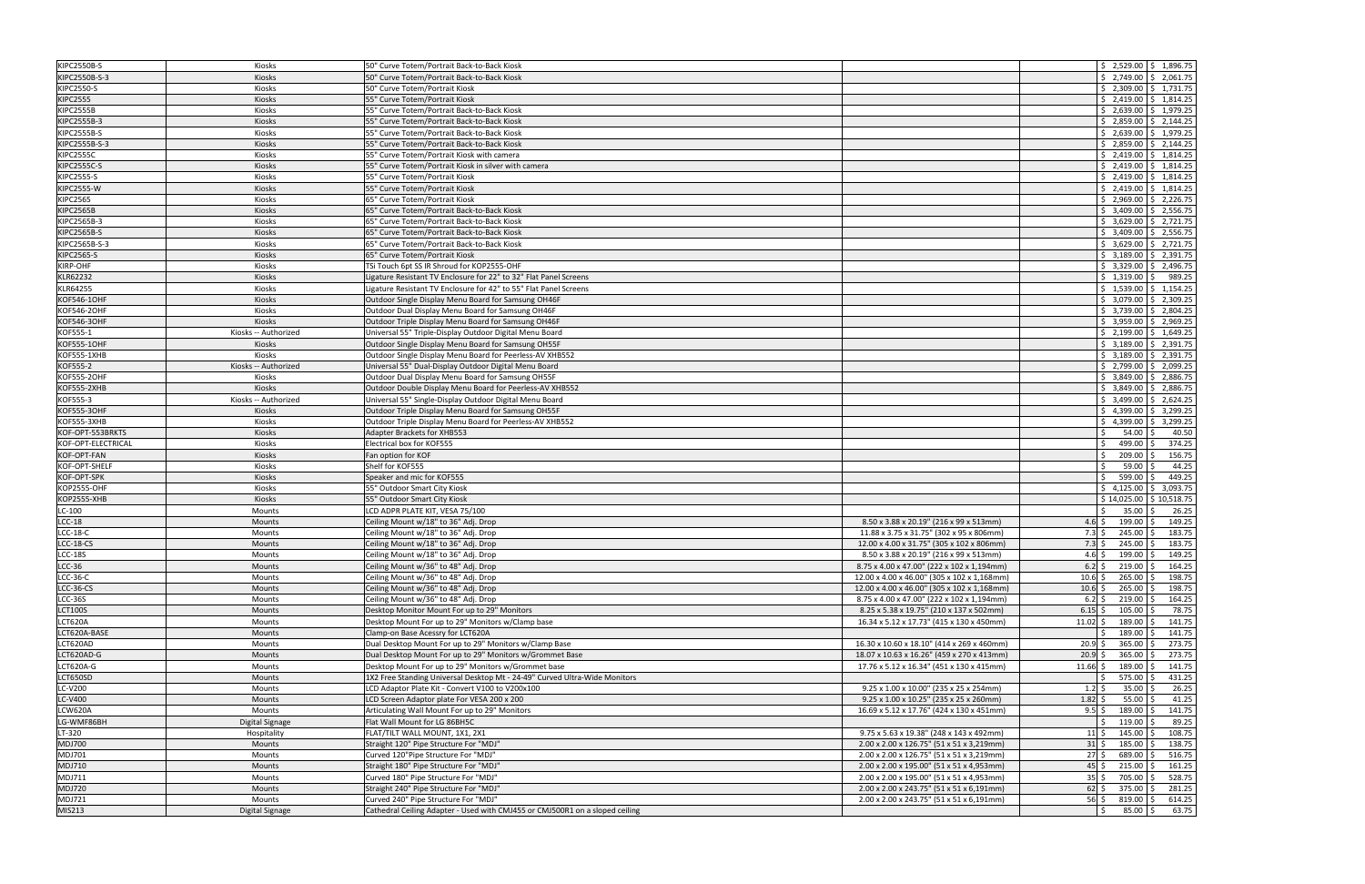| <b>KIPC2550B-S</b> | Kiosks               | 50" Curve Totem/Portrait Back-to-Back Kiosk                                  |                                             | $\frac{1}{2}$ , 2,529.00 $\frac{1}{2}$ , 1,896.75                                                  |
|--------------------|----------------------|------------------------------------------------------------------------------|---------------------------------------------|----------------------------------------------------------------------------------------------------|
| KIPC2550B-S-3      | <b>Kiosks</b>        | 50" Curve Totem/Portrait Back-to-Back Kiosk                                  |                                             | $\frac{1}{2}$ , 2,749.00 $\frac{1}{2}$ , 2,061.75                                                  |
| <b>KIPC2550-S</b>  | Kiosks               | 50" Curve Totem/Portrait Kiosk                                               |                                             | $$2,309.00 \mid $1,731.75$                                                                         |
| <b>KIPC2555</b>    | Kiosks               | 55" Curve Totem/Portrait Kiosk                                               |                                             | $\frac{1}{2}$ , 2,419.00 $\frac{1}{2}$ , 1,814.25                                                  |
| <b>KIPC2555B</b>   | Kiosks               | 55" Curve Totem/Portrait Back-to-Back Kiosk                                  |                                             | $\frac{1}{2}$ , 2,639.00 $\frac{1}{2}$ , 1,979.25                                                  |
| KIPC2555B-3        | Kiosks               | 55" Curve Totem/Portrait Back-to-Back Kiosk                                  |                                             | $\frac{1}{2}$ , 2,859.00 $\frac{1}{2}$ , 2,144.25                                                  |
| <b>KIPC2555B-S</b> | Kiosks               | 55" Curve Totem/Portrait Back-to-Back Kiosk                                  |                                             | $\frac{1}{2}$ , 2,639.00 $\frac{1}{2}$ , 1,979.25                                                  |
| KIPC2555B-S-3      | Kiosks               | 55" Curve Totem/Portrait Back-to-Back Kiosk                                  |                                             | $\frac{1}{2}$ , 2,859.00 $\frac{1}{2}$ , 2,144.25                                                  |
| <b>KIPC2555C</b>   | Kiosks               | 55" Curve Totem/Portrait Kiosk with camera                                   |                                             | $\frac{1}{2}$ , 2,419.00 $\frac{1}{2}$ , 1,814.25                                                  |
| <b>KIPC2555C-S</b> | Kiosks               | 55" Curve Totem/Portrait Kiosk in silver with camera                         |                                             | $\frac{1}{2}$ , 2,419.00 $\frac{1}{2}$ , 1,814.25                                                  |
| <b>KIPC2555-S</b>  | Kiosks               | 55" Curve Totem/Portrait Kiosk                                               |                                             | $\frac{1}{2}$ , 2,419.00 $\frac{1}{2}$ , 1,814.25                                                  |
| <b>KIPC2555-W</b>  | Kiosks               | 55" Curve Totem/Portrait Kiosk                                               |                                             | $$2,419.00 \;   \; $1,814.25$                                                                      |
| <b>KIPC2565</b>    | Kiosks               | 65" Curve Totem/Portrait Kiosk                                               |                                             | $\frac{1}{2}$ , 2,969.00 $\frac{1}{2}$ , 2,226.75                                                  |
| <b>KIPC2565B</b>   | Kiosks               | 65" Curve Totem/Portrait Back-to-Back Kiosk                                  |                                             | $$3,409.00$ $$2,556.75$                                                                            |
| KIPC2565B-3        | Kiosks               | 65" Curve Totem/Portrait Back-to-Back Kiosk                                  |                                             | $\frac{1}{2}$ 3,629.00 $\frac{1}{2}$ 2,721.75                                                      |
| <b>KIPC2565B-S</b> | Kiosks               | 65" Curve Totem/Portrait Back-to-Back Kiosk                                  |                                             | $\frac{1}{2}$ \$ 3,409.00 $\frac{1}{2}$ 2,556.75                                                   |
| KIPC2565B-S-3      | Kiosks               | 65" Curve Totem/Portrait Back-to-Back Kiosk                                  |                                             | $\frac{1}{2}$ 3,629.00 $\frac{1}{2}$ 2,721.75                                                      |
| <b>KIPC2565-S</b>  | Kiosks               | 65" Curve Totem/Portrait Kiosk                                               |                                             | $\frac{1}{2}$ 3,189.00 $\frac{1}{2}$ 2,391.75                                                      |
| KIRP-OHF           | Kiosks               | TSi Touch 6pt SS IR Shroud for KOP2555-OHF                                   |                                             | $\frac{1}{2}$ 3,329.00 $\frac{1}{2}$ 2,496.75                                                      |
| KLR62232           | Kiosks               | Ligature Resistant TV Enclosure for 22" to 32" Flat Panel Screens            |                                             | $$1,319.00$ $$$<br>989.25                                                                          |
| KLR64255           | Kiosks               | Ligature Resistant TV Enclosure for 42" to 55" Flat Panel Screens            |                                             | $\frac{1}{2}$ 1,539.00 $\frac{1}{2}$ 1,154.25                                                      |
| KOF546-1OHF        | Kiosks               | Outdoor Single Display Menu Board for Samsung OH46F                          |                                             | $\frac{1}{2}$ 3,079.00 $\frac{1}{2}$ 2,309.25                                                      |
| KOF546-2OHF        | Kiosks               | Outdoor Dual Display Menu Board for Samsung OH46F                            |                                             | $\frac{1}{2}$ 3,739.00 $\frac{1}{2}$ 2,804.25                                                      |
| <b>KOF546-30HF</b> | Kiosks               | Outdoor Triple Display Menu Board for Samsung OH46F                          |                                             | $\frac{1}{2}$ 3,959.00 $\frac{1}{2}$ 2,969.25                                                      |
| KOF555-1           | Kiosks -- Authorized | Universal 55" Triple-Display Outdoor Digital Menu Board                      |                                             | $\frac{1}{2}$ , 2,199.00 $\frac{1}{2}$ , 1,649.25                                                  |
| <b>KOF555-1OHF</b> | Kiosks               |                                                                              |                                             | $$3,189.00$ $$2,391.75$                                                                            |
|                    |                      | Outdoor Single Display Menu Board for Samsung OH55F                          |                                             |                                                                                                    |
| KOF555-1XHB        | Kiosks               | Outdoor Single Display Menu Board for Peerless-AV XHB552                     |                                             | $\frac{1}{2}$ 3,189.00 $\frac{1}{2}$ 2,391.75<br>$\frac{1}{2}$ , 2,799.00 $\frac{1}{2}$ , 2,099.25 |
| KOF555-2           | Kiosks -- Authorized | Universal 55" Dual-Display Outdoor Digital Menu Board                        |                                             |                                                                                                    |
| <b>KOF555-2OHF</b> | Kiosks               | Outdoor Dual Display Menu Board for Samsung OH55F                            |                                             | $$3,849.00$ $$2,886.75$                                                                            |
| KOF555-2XHB        | Kiosks               | Outdoor Double Display Menu Board for Peerless-AV XHB552                     |                                             | $\frac{1}{2}$ 3,849.00 $\frac{1}{2}$ 2,886.75                                                      |
| KOF555-3           | Kiosks -- Authorized | Universal 55" Single-Display Outdoor Digital Menu Board                      |                                             | $\frac{1}{2}$ 3,499.00 $\frac{1}{2}$ 2,624.25                                                      |
| <b>KOF555-3OHF</b> | Kiosks               | Outdoor Triple Display Menu Board for Samsung OH55F                          |                                             | $\frac{1}{2}$ 4,399.00 $\frac{1}{2}$ 3,299.25                                                      |
| KOF555-3XHB        | Kiosks               | Outdoor Triple Display Menu Board for Peerless-AV XHB552                     |                                             | $\frac{1}{2}$ 4,399.00 $\frac{1}{2}$ 3,299.25                                                      |
| KOF-OPT-553BRKTS   | Kiosks               | Adapter Brackets for XHB553                                                  |                                             | 40.50<br>Ŝ.<br>54.00                                                                               |
| KOF-OPT-ELECTRICAL | Kiosks               | Electrical box for KOF555                                                    |                                             | 374.25<br>499.00 \$<br>I\$                                                                         |
| KOF-OPT-FAN        | Kiosks               | Fan option for KOF                                                           |                                             | 209.00<br>156.75<br>Ŝ.                                                                             |
| KOF-OPT-SHELF      | Kiosks               | Shelf for KOF555                                                             |                                             | 59.00<br>44.25                                                                                     |
| KOF-OPT-SPK        | Kiosks               | Speaker and mic for KOF555                                                   |                                             | 599.00<br>449.25<br>I\$                                                                            |
| <b>KOP2555-OHF</b> | Kiosks               | 55" Outdoor Smart City Kiosk                                                 |                                             | \$3,093.75<br>\$4,125.00                                                                           |
| <b>KOP2555-XHB</b> | Kiosks               | 55" Outdoor Smart City Kiosk                                                 |                                             | \$14.025.00<br>\$10,518.75                                                                         |
| $LC-100$           | Mounts               | LCD ADPR PLATE KIT. VESA 75/100                                              |                                             | 35.00<br>26.25<br><sup>5</sup><br>-S                                                               |
| $LCC-18$           | <b>Mounts</b>        | Ceiling Mount w/18" to 36" Adj. Drop                                         | 8.50 x 3.88 x 20.19" (216 x 99 x 513mm)     | $199.00$ \$<br>149.25<br>$4.6\overline{\smash{\big)}\,}$                                           |
| $LCC-18-C$         | Mounts               | Ceiling Mount w/18" to 36" Adj. Drop                                         | 11.88 x 3.75 x 31.75" (302 x 95 x 806mm)    | $7.3\;$ \$<br>245.00<br>183.75                                                                     |
| LCC-18-CS          | <b>Mounts</b>        | Ceiling Mount w/18" to 36" Adj. Drop                                         | 12.00 x 4.00 x 31.75" (305 x 102 x 806mm)   | 245.00<br>$7.3\,$ \$<br>183.75                                                                     |
| <b>LCC-18S</b>     | Mounts               | Ceiling Mount w/18" to 36" Adj. Drop                                         | 8.50 x 3.88 x 20.19" (216 x 99 x 513mm)     | $4.6\overline{\smash{5}}$<br>$199.00$ \$<br>149.25                                                 |
| $LCC-36$           | Mounts               | Ceiling Mount w/36" to 48" Adj. Drop                                         | 8.75 x 4.00 x 47.00" (222 x 102 x 1,194mm)  | $6.2$ \$ 219.00 \$ 164.25                                                                          |
| $LCC-36-C$         | Mounts               | Ceiling Mount w/36" to 48" Adj. Drop                                         | 12.00 x 4.00 x 46.00" (305 x 102 x 1,168mm) | $10.6$ \$<br>$265.00$ \$<br>198.75                                                                 |
| $LCC-36-CS$        | Mounts               | Ceiling Mount w/36" to 48" Adj. Drop                                         | 12.00 x 4.00 x 46.00" (305 x 102 x 1,168mm) | $10.6$ \$<br>$265.00$ \$<br>198.75                                                                 |
| <b>LCC-36S</b>     | Mounts               | Ceiling Mount w/36" to 48" Adj. Drop                                         | 8.75 x 4.00 x 47.00" (222 x 102 x 1,194mm)  | $6.2 \,$ \$<br>$219.00$ \$<br>164.25                                                               |
| <b>LCT100S</b>     | Mounts               | Desktop Monitor Mount For up to 29" Monitors                                 | 8.25 x 5.38 x 19.75" (210 x 137 x 502mm)    | $6.15$ \$<br>105.00<br>78.75                                                                       |
| LCT620A            | Mounts               | Desktop Mount For up to 29" Monitors w/Clamp base                            | 16.34 x 5.12 x 17.73" (415 x 130 x 450mm)   | $189.00$ \$<br>141.75<br>$11.02 \;$ \$                                                             |
| LCT620A-BASE       | Mounts               | Clamp-on Base Acessry for LCT620A                                            |                                             | 189.00 \$<br>141.75                                                                                |
| LCT620AD           | Mounts               | Dual Desktop Mount For up to 29" Monitors w/Clamp Base                       | 16.30 x 10.60 x 18.10" (414 x 269 x 460mm)  | 365.00<br>273.75<br>$20.9$ \$<br>-S                                                                |
| LCT620AD-G         | Mounts               | Dual Desktop Mount For up to 29" Monitors w/Grommet Base                     | 18.07 x 10.63 x 16.26" (459 x 270 x 413mm)  | $20.9$ \$<br>$365.00$ \$<br>273.75                                                                 |
| LCT620A-G          | Mounts               | Desktop Mount For up to 29" Monitors w/Grommet base                          | 17.76 x 5.12 x 16.34" (451 x 130 x 415mm)   | $11.66$ \$<br>189.00<br>141.75                                                                     |
| LCT650SD           | Mounts               | 1X2 Free Standing Universal Desktop Mt - 24-49" Curved Ultra-Wide Monitors   |                                             | 575.00<br>431.25<br>Ŝ.                                                                             |
| LC-V200            | Mounts               | LCD Adaptor Plate Kit - Convert V100 to V200x100                             | 9.25 x 1.00 x 10.00" (235 x 25 x 254mm)     | 26.25<br>$35.00 \&$<br>$1.2 \,$ \$                                                                 |
| LC-V400            | Mounts               | LCD Screen Adaptor plate For VESA 200 x 200                                  | 9.25 x 1.00 x 10.25" (235 x 25 x 260mm)     | 41.25<br>$1.82 \div$<br>$55.00$ \$                                                                 |
| LCW620A            | Mounts               | Articulating Wall Mount For up to 29" Monitors                               | 16.69 x 5.12 x 17.76" (424 x 130 x 451mm)   | $9.5$ \$<br>189.00<br>141.75                                                                       |
| LG-WMF86BH         | Digital Signage      | Flat Wall Mount for LG 86BH5C                                                |                                             | $119.00$ \$<br>89.25<br>I\$                                                                        |
| LT-320             | Hospitality          | FLAT/TILT WALL MOUNT, 1X1, 2X1                                               | 9.75 x 5.63 x 19.38" (248 x 143 x 492mm)    | 108.75<br>145.00<br>$11\frac{1}{2}$                                                                |
| <b>MDJ700</b>      | Mounts               | Straight 120" Pipe Structure For "MDJ"                                       | 2.00 x 2.00 x 126.75" (51 x 51 x 3,219mm)   | $31\overline{\phantom{0}}$<br>185.00<br>138.75                                                     |
| MDJ701             | Mounts               | Curved 120"Pipe Structure For "MDJ"                                          | 2.00 x 2.00 x 126.75" (51 x 51 x 3,219mm)   | $27\frac{1}{2}$<br>689.00 \$<br>516.75                                                             |
| <b>MDJ710</b>      | Mounts               | Straight 180" Pipe Structure For "MDJ"                                       | 2.00 x 2.00 x 195.00" (51 x 51 x 4,953mm)   | $45\overline{\smash{\big)}\,}$<br>$215.00$ \$<br>161.25                                            |
| <b>MDJ711</b>      | Mounts               | Curved 180" Pipe Structure For "MDJ"                                         | 2.00 x 2.00 x 195.00" (51 x 51 x 4,953mm)   | $35 \frac{1}{5}$<br>705.00<br>528.75                                                               |
| <b>MDJ720</b>      | Mounts               | Straight 240" Pipe Structure For "MDJ"                                       | 2.00 x 2.00 x 243.75" (51 x 51 x 6,191mm)   | $62 \div$<br>375.00 \$<br>281.25                                                                   |
| <b>MDJ721</b>      | Mounts               | Curved 240" Pipe Structure For "MDJ"                                         | 2.00 x 2.00 x 243.75" (51 x 51 x 6,191mm)   | $56\overline{\smash{5}}$<br>$819.00$ \$<br>614.25                                                  |
| MIS213             | Digital Signage      | Cathedral Ceiling Adapter - Used with CMJ455 or CMJ500R1 on a sloped ceiling |                                             | 63.75<br>$85.00$ \$<br>Ŝ.                                                                          |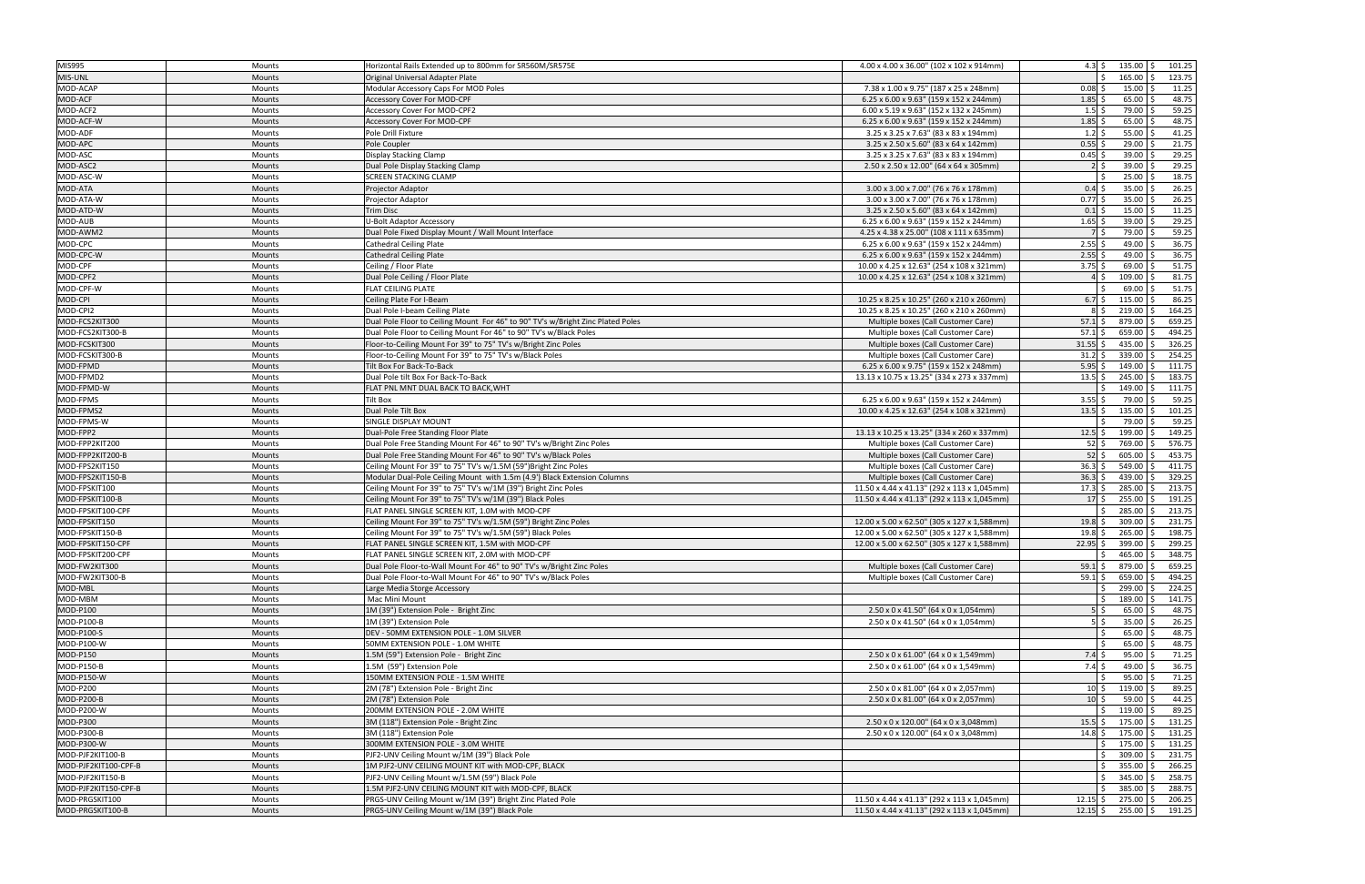| MIS995                     | Mounts           | Horizontal Rails Extended up to 800mm for SR560M/SR575E                                                           | 4.00 x 4.00 x 36.00" (102 x 102 x 914mm)                                                  | 4.3 $\frac{1}{5}$        | $135.00$ \$           | 101.25          |
|----------------------------|------------------|-------------------------------------------------------------------------------------------------------------------|-------------------------------------------------------------------------------------------|--------------------------|-----------------------|-----------------|
| MIS-UNL                    | <b>Mounts</b>    | Original Universal Adapter Plate                                                                                  |                                                                                           |                          | 165.00 \$             | 123.75          |
| MOD-ACAP                   | Mounts           | Modular Accessory Caps For MOD Poles                                                                              | 7.38 x 1.00 x 9.75" (187 x 25 x 248mm)                                                    | 0.08                     | $15.00$ \$            | 11.25           |
| MOD-ACF                    | <b>Mounts</b>    | <b>Accessory Cover For MOD-CPF</b>                                                                                | 6.25 x 6.00 x 9.63" (159 x 152 x 244mm)                                                   | 1.85                     | $65.00$ \$            | 48.75           |
| MOD-ACF2                   | Mounts           | Accessory Cover For MOD-CPF2                                                                                      | 6.00 x 5.19 x 9.63" (152 x 132 x 245mm)                                                   | 1.5                      | 79.00 \$              | 59.25           |
| MOD-ACF-W                  | <b>Mounts</b>    | Accessory Cover For MOD-CPF                                                                                       | 6.25 x 6.00 x 9.63" (159 x 152 x 244mm)                                                   | 1.85                     | $65.00$ \$            | 48.75           |
| MOD-ADF                    | Mounts           | Pole Drill Fixture                                                                                                | 3.25 x 3.25 x 7.63" (83 x 83 x 194mm)                                                     | 1.2                      | $55.00$ \$            | 41.25           |
| MOD-APC                    | Mounts           | Pole Coupler                                                                                                      | 3.25 x 2.50 x 5.60" (83 x 64 x 142mm)                                                     | 0.55                     | $29.00$ \$            | 21.75           |
| MOD-ASC                    | Mounts           | Display Stacking Clamp                                                                                            | 3.25 x 3.25 x 7.63" (83 x 83 x 194mm)                                                     | 0.45                     | 39.00                 | 29.25           |
| MOD-ASC2                   | Mounts           | Dual Pole Display Stacking Clamp                                                                                  | 2.50 x 2.50 x 12.00" (64 x 64 x 305mm)                                                    |                          | $39.00$ \$            | 29.25           |
| MOD-ASC-W                  | Mounts           | <b>SCREEN STACKING CLAMP</b>                                                                                      |                                                                                           |                          | 25.00                 | 18.75           |
| MOD-ATA                    | <b>Mounts</b>    | Projector Adaptor                                                                                                 | 3.00 x 3.00 x 7.00" (76 x 76 x 178mm)                                                     | 0.4                      | 35.00                 | 26.25           |
| MOD-ATA-W                  | Mounts           | Projector Adaptor                                                                                                 | 3.00 x 3.00 x 7.00" (76 x 76 x 178mm)                                                     | 0.77                     | $35.00$ \$            | 26.25           |
| MOD-ATD-W                  | Mounts           | Trim Disc                                                                                                         | 3.25 x 2.50 x 5.60" (83 x 64 x 142mm)                                                     | 0.1                      | $15.00$ \$            | 11.25           |
| MOD-AUB                    | <b>Mounts</b>    | U-Bolt Adaptor Accessory                                                                                          | 6.25 x 6.00 x 9.63" (159 x 152 x 244mm)                                                   | 1.65                     | 39.00                 | 29.25           |
| MOD-AWM2                   | <b>Mounts</b>    | Dual Pole Fixed Display Mount / Wall Mount Interface                                                              | 4.25 x 4.38 x 25.00" (108 x 111 x 635mm)                                                  |                          | 79.00 \$              | 59.25           |
| MOD-CPC                    | Mounts           | <b>Cathedral Ceiling Plate</b>                                                                                    | 6.25 x 6.00 x 9.63" (159 x 152 x 244mm)                                                   | 2.55                     | $49.00$ \$            | 36.75           |
| MOD-CPC-W                  | <b>Mounts</b>    | <b>Cathedral Ceiling Plate</b>                                                                                    | 6.25 x 6.00 x 9.63" (159 x 152 x 244mm)                                                   | 2.55                     | $49.00$ \$            | 36.75           |
| MOD-CPF                    | <b>Mounts</b>    | Ceiling / Floor Plate                                                                                             | 10.00 x 4.25 x 12.63" (254 x 108 x 321mm)                                                 | $3.75$ \$                | $69.00$ \$            | 51.75           |
| MOD-CPF2                   | Mounts           | Dual Pole Ceiling / Floor Plate                                                                                   | 10.00 x 4.25 x 12.63" (254 x 108 x 321mm)                                                 |                          | $109.00$ \$           | 81.75           |
| MOD-CPF-W                  | Mounts           | FLAT CEILING PLATE                                                                                                |                                                                                           |                          | 69.00                 | 51.75           |
| MOD-CPI                    | <b>Mounts</b>    | Ceiling Plate For I-Beam                                                                                          | 10.25 x 8.25 x 10.25" (260 x 210 x 260mm)<br>10.25 x 8.25 x 10.25" (260 x 210 x 260mm)    | 6.7                      | $115.00$ \$<br>219.00 | 86.25<br>164.25 |
| MOD-CPI2<br>MOD-FCS2KIT300 | Mounts           | Dual Pole I-beam Ceiling Plate<br>Dual Pole Floor to Ceiling Mount For 46" to 90" TV's w/Bright Zinc Plated Poles | Multiple boxes (Call Customer Care)                                                       | 57.1                     | 879.00                | 659.25          |
| MOD-FCS2KIT300-B           | Mounts<br>Mounts | Dual Pole Floor to Ceiling Mount For 46" to 90" TV's w/Black Poles                                                | Multiple boxes (Call Customer Care)                                                       | 57.1                     | 659.00 \$             | 494.25          |
| MOD-FCSKIT300              | <b>Mounts</b>    | Floor-to-Ceiling Mount For 39" to 75" TV's w/Bright Zinc Poles                                                    | Multiple boxes (Call Customer Care)                                                       | 31.55                    | $435.00$ \$           | 326.25          |
| MOD-FCSKIT300-B            | Mounts           | Floor-to-Ceiling Mount For 39" to 75" TV's w/Black Poles                                                          | Multiple boxes (Call Customer Care)                                                       | 31.2                     | 339.00                | 254.25          |
| MOD-FPMD                   | <b>Mounts</b>    | Tilt Box For Back-To-Back                                                                                         | 6.25 x 6.00 x 9.75" (159 x 152 x 248mm)                                                   | 5.95                     | 149.00                | l \$<br>111.75  |
| MOD-FPMD2                  | Mounts           | Dual Pole tilt Box For Back-To-Back                                                                               | 13.13 x 10.75 x 13.25" (334 x 273 x 337mm)                                                | 13.5                     | 245.00                | 183.75<br>I \$  |
| MOD-FPMD-W                 | <b>Mounts</b>    | FLAT PNL MNT DUAL BACK TO BACK, WHT                                                                               |                                                                                           |                          | 149.00                | 111.75          |
| MOD-FPMS                   | Mounts           | Tilt Box                                                                                                          | 6.25 x 6.00 x 9.63" (159 x 152 x 244mm)                                                   | 3.55                     | 79.00 \$              | 59.25           |
| MOD-FPMS2                  | <b>Mounts</b>    | Dual Pole Tilt Box                                                                                                | 10.00 x 4.25 x 12.63" (254 x 108 x 321mm)                                                 | 13.5                     | $135.00$ \$<br>Ŝ.     | 101.25          |
| MOD-FPMS-W                 | Mounts           | SINGLE DISPLAY MOUNT                                                                                              |                                                                                           |                          | 79.00                 | 59.25           |
| MOD-FPP2                   | <b>Mounts</b>    | Dual-Pole Free Standing Floor Plate                                                                               | 13.13 x 10.25 x 13.25" (334 x 260 x 337mm)                                                | 12.5                     | 199.00                | 149.25          |
| MOD-FPP2KIT200             | Mounts           | Dual Pole Free Standing Mount For 46" to 90" TV's w/Bright Zinc Poles                                             | Multiple boxes (Call Customer Care)                                                       | 52                       | 769.00<br>$\zeta$     | 576.75          |
| MOD-FPP2KIT200-B           | Mounts           | Dual Pole Free Standing Mount For 46" to 90" TV's w/Black Poles                                                   | Multiple boxes (Call Customer Care)                                                       | 52                       | 605.00                | 453.75<br>۱Ś.   |
| MOD-FPS2KIT150             | Mounts           | Ceiling Mount For 39" to 75" TV's w/1.5M (59") Bright Zinc Poles                                                  | Multiple boxes (Call Customer Care)                                                       | 36.3                     | 549.00                | 411.75          |
| MOD-FPS2KIT150-B           | Mounts           | Modular Dual-Pole Ceiling Mount with 1.5m (4.9') Black Extension Columns                                          | Multiple boxes (Call Customer Care)                                                       | 36.3                     | 439.00                | 329.25          |
| MOD-FPSKIT100              | Mounts           | Ceiling Mount For 39" to 75" TV's w/1M (39") Bright Zinc Poles                                                    | 11.50 x 4.44 x 41.13" (292 x 113 x 1,045mm)                                               | 17.3                     | 285.00                | 213.75<br>I\$   |
| MOD-FPSKIT100-B            | Mounts           | Ceiling Mount For 39" to 75" TV's w/1M (39") Black Poles                                                          | 11.50 x 4.44 x 41.13" (292 x 113 x 1,045mm)                                               | 17                       | 255.00                | 191.25          |
| MOD-FPSKIT100-CPF          | <b>Mounts</b>    | FLAT PANEL SINGLE SCREEN KIT, 1.0M with MOD-CPF                                                                   |                                                                                           |                          | 285.00                | 213.75<br>S.    |
| MOD-FPSKIT150              | <b>Mounts</b>    | Ceiling Mount For 39" to 75" TV's w/1.5M (59") Bright Zinc Poles                                                  | 12.00 x 5.00 x 62.50" (305 x 127 x 1,588mm)                                               | 19.8                     | 309.00                | 231.75<br>-S    |
| MOD-FPSKIT150-B            | <b>Mounts</b>    | Ceiling Mount For 39" to 75" TV's w/1.5M (59") Black Poles                                                        | 12.00 x 5.00 x 62.50" (305 x 127 x 1,588mm)                                               | 19.8                     | 265.00                | 198.75          |
| MOD-FPSKIT150-CPF          | <b>Mounts</b>    | FLAT PANEL SINGLE SCREEN KIT, 1.5M with MOD-CPF                                                                   | 12.00 x 5.00 x 62.50" (305 x 127 x 1,588mm)                                               | 22.95                    | 399.00 \$             | 299.25          |
| MOD-FPSKIT200-CPF          | <b>Mounts</b>    | FLAT PANEL SINGLE SCREEN KIT, 2.0M with MOD-CPF                                                                   |                                                                                           |                          | $465.00$ \$<br>Ŝ.     | 348.75          |
| MOD-FW2KIT300              | Mounts           | Dual Pole Floor-to-Wall Mount For 46" to 90" TV's w/Bright Zinc Poles                                             | Multiple boxes (Call Customer Care)                                                       | $59.1 \text{ }$          | 879.00 \$             | 659.25          |
| MOD-FW2KIT300-B            | Mounts           | Dual Pole Floor-to-Wall Mount For 46" to 90" TV's w/Black Poles                                                   | Multiple boxes (Call Customer Care)                                                       | $59.1 \text{ }$ \$       | $659.00$ \$           | 494.25          |
| MOD-MBL                    | Mounts           | Large Media Storge Accessory                                                                                      |                                                                                           |                          | 299.00 \$             | 224.25          |
| MOD-MBM<br>MOD-P100        | Mounts           | Mac Mini Mount<br>1M (39") Extension Pole - Bright Zinc                                                           |                                                                                           | $5\overline{\smash{5}}$  | 189.00<br>$65.00$ \$  | 141.75<br>48.75 |
| MOD-P100-B                 | Mounts<br>Mounts | 1M (39") Extension Pole                                                                                           | $2.50 \times 0 \times 41.50$ " (64 x 0 x 1,054mm)<br>2.50 x 0 x 41.50" (64 x 0 x 1,054mm) | $5\overline{\smash{5}}$  | $35.00$ \$            | 26.25           |
| MOD-P100-S                 | Mounts           | DEV - 50MM EXTENSION POLE - 1.0M SILVER                                                                           |                                                                                           |                          | $65.00$ \$            | 48.75           |
| MOD-P100-W                 | Mounts           | 50MM EXTENSION POLE - 1.0M WHITE                                                                                  |                                                                                           |                          | $65.00$ \$            | 48.75           |
| MOD-P150                   | Mounts           | 1.5M (59") Extension Pole - Bright Zinc                                                                           | 2.50 x 0 x 61.00" (64 x 0 x 1,549mm)                                                      | $7.4\overline{\text{S}}$ | $95.00$ \$            | 71.25           |
| MOD-P150-B                 | Mounts           | 1.5M (59") Extension Pole                                                                                         | 2.50 x 0 x 61.00" (64 x 0 x 1,549mm)                                                      | 7.4                      | $49.00$ \$            | 36.75           |
| MOD-P150-W                 | Mounts           | 150MM EXTENSION POLE - 1.5M WHITE                                                                                 |                                                                                           |                          | $95.00$ \$            | 71.25           |
| MOD-P200                   | Mounts           | 2M (78") Extension Pole - Bright Zinc                                                                             | 2.50 x 0 x 81.00" (64 x 0 x 2,057mm)                                                      | $10 \,$ \$               | $119.00$ \$           | 89.25           |
| MOD-P200-B                 | Mounts           | 2M (78") Extension Pole                                                                                           | 2.50 x 0 x 81.00" (64 x 0 x 2,057mm)                                                      | $10 \,$ \$               | $59.00$ \$            | 44.25           |
| $MOD-P200-W$               | Mounts           | 200MM EXTENSION POLE - 2.0M WHITE                                                                                 |                                                                                           |                          | 119.00                | 89.25           |
| MOD-P300                   | Mounts           | 3M (118") Extension Pole - Bright Zinc                                                                            | 2.50 x 0 x 120.00" (64 x 0 x 3,048mm)                                                     | $15.5\frac{2}{3}$        | 175.00 \$             | 131.25          |
| MOD-P300-B                 | Mounts           | 3M (118") Extension Pole                                                                                          | 2.50 x 0 x 120.00" (64 x 0 x 3,048mm)                                                     | 14.8                     | 175.00                | 131.25          |
| MOD-P300-W                 | Mounts           | 300MM EXTENSION POLE - 3.0M WHITE                                                                                 |                                                                                           |                          | 175.00                | 131.25          |
| MOD-PJF2KIT100-B           | Mounts           | PJF2-UNV Ceiling Mount w/1M (39") Black Pole                                                                      |                                                                                           |                          | $309.00$ \$<br>Ś.     | 231.75          |
| MOD-PJF2KIT100-CPF-B       | <b>Mounts</b>    | 1M PJF2-UNV CEILING MOUNT KIT with MOD-CPF, BLACK                                                                 |                                                                                           |                          | 355.00<br>Ś.          | 266.25          |
| MOD-PJF2KIT150-B           | Mounts           | PJF2-UNV Ceiling Mount w/1.5M (59") Black Pole                                                                    |                                                                                           |                          | 345.00<br>Ś.          | 258.75          |
| MOD-PJF2KIT150-CPF-B       | Mounts           | 1.5M PJF2-UNV CEILING MOUNT KIT with MOD-CPF, BLACK                                                               |                                                                                           |                          | 385.00 \$<br>$\zeta$  | 288.75          |
| MOD-PRGSKIT100             | Mounts           | PRGS-UNV Ceiling Mount w/1M (39") Bright Zinc Plated Pole                                                         | 11.50 x 4.44 x 41.13" (292 x 113 x 1,045mm)                                               | $12.15$ \$               | 275.00 \$             | 206.25          |
| MOD-PRGSKIT100-B           | Mounts           | PRGS-UNV Ceiling Mount w/1M (39") Black Pole                                                                      | 11.50 x 4.44 x 41.13" (292 x 113 x 1,045mm)                                               | $12.15$ \$               | $255.00$ \$           | 191.25          |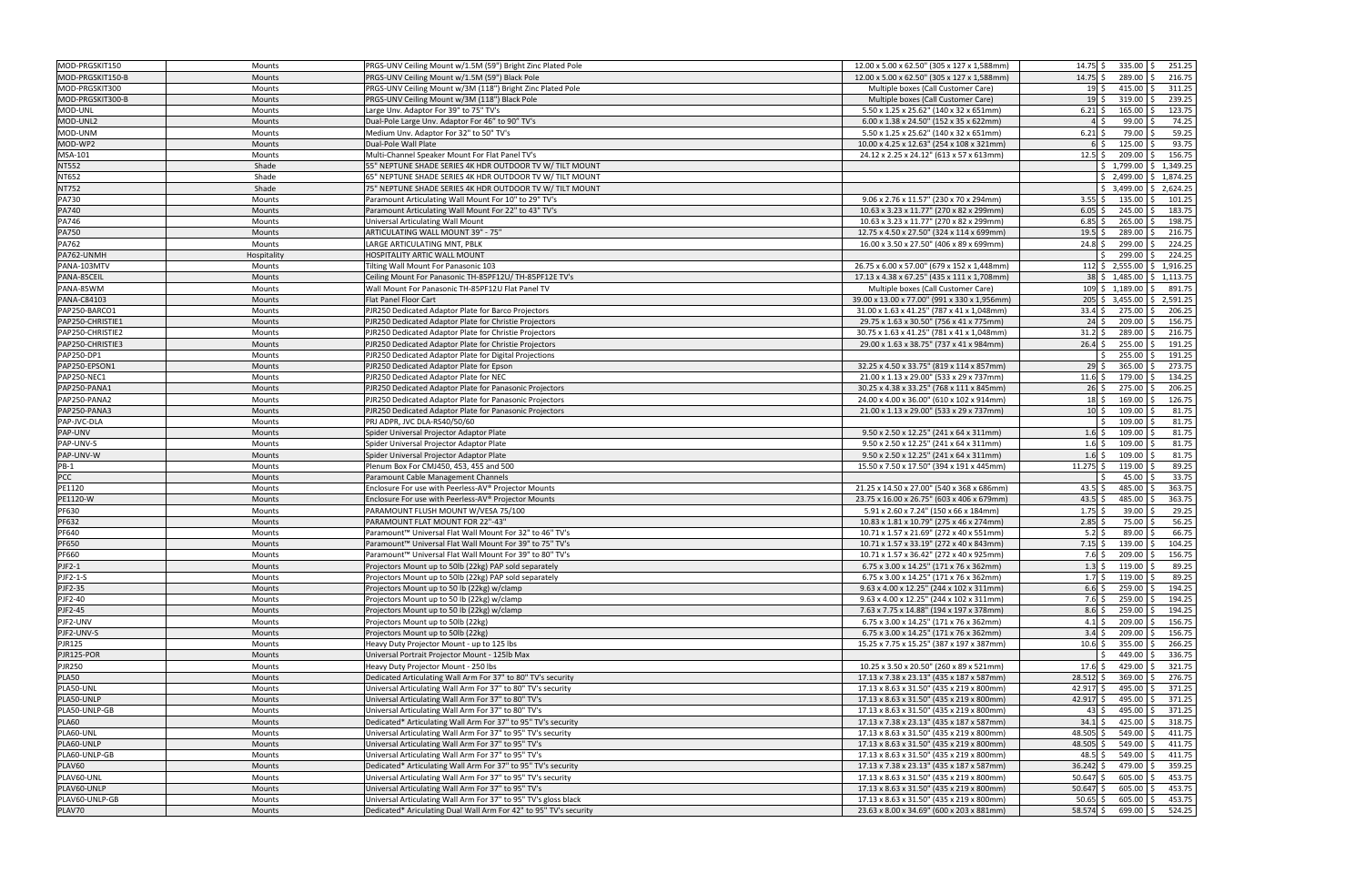| MOD-PRGSKIT150                                                                             | Mounts           | PRGS-UNV Ceiling Mount w/1.5M (59") Bright Zinc Plated Pole                                                                          | 12.00 x 5.00 x 62.50" (305 x 127 x 1,588mm)                                            | $14.75$ \$<br>$335.00$ \$<br>251.25                                            |
|--------------------------------------------------------------------------------------------|------------------|--------------------------------------------------------------------------------------------------------------------------------------|----------------------------------------------------------------------------------------|--------------------------------------------------------------------------------|
| MOD-PRGSKIT150-B                                                                           | Mounts           | PRGS-UNV Ceiling Mount w/1.5M (59") Black Pole                                                                                       | 12.00 x 5.00 x 62.50" (305 x 127 x 1,588mm)                                            | $14.75$ \$<br>289.00 \$<br>216.75                                              |
| MOD-PRGSKIT300                                                                             | Mounts           | PRGS-UNV Ceiling Mount w/3M (118") Bright Zinc Plated Pole                                                                           | Multiple boxes (Call Customer Care)                                                    | $415.00$   \$<br>311.25<br>19 \$                                               |
| MOD-PRGSKIT300-B                                                                           | Mounts           | PRGS-UNV Ceiling Mount w/3M (118") Black Pole                                                                                        | Multiple boxes (Call Customer Care)                                                    | $319.00$ \$<br>239.25<br>$19$ \$                                               |
| MOD-UNL                                                                                    | Mounts           | Large Unv. Adaptor For 39" to 75" TV's                                                                                               | 5.50 x 1.25 x 25.62" (140 x 32 x 651mm)                                                | $165.00$ \$<br>123.75<br>$6.21\frac{1}{2}$                                     |
| MOD-UNL2                                                                                   | <b>Mounts</b>    | Dual-Pole Large Unv. Adaptor For 46" to 90" TV's                                                                                     | 6.00 x 1.38 x 24.50" (152 x 35 x 622mm)                                                | $99.00$ \$<br>74.25<br>$4\overline{\smash{5}}$                                 |
| MOD-UNM                                                                                    | Mounts           | Medium Unv. Adaptor For 32" to 50" TV's                                                                                              | 5.50 x 1.25 x 25.62" (140 x 32 x 651mm)                                                | 59.25<br>$6.21$ \$<br>79.00 \$                                                 |
| MOD-WP2                                                                                    | Mounts           | Dual-Pole Wall Plate                                                                                                                 | 10.00 x 4.25 x 12.63" (254 x 108 x 321mm)                                              | 93.75<br>$125.00$ \$<br>$6\overline{\smash{5}}$                                |
| MSA-101                                                                                    | Mounts           | Multi-Channel Speaker Mount For Flat Panel TV's                                                                                      | 24.12 x 2.25 x 24.12" (613 x 57 x 613mm)                                               | $209.00$ \$<br>156.75<br>12.5                                                  |
| <b>NT552</b>                                                                               | Shade            | 55" NEPTUNE SHADE SERIES 4K HDR OUTDOOR TV W/ TILT MOUNT                                                                             |                                                                                        | $$1,799.00 \mid $1,349.25$                                                     |
| NT652                                                                                      | Shade            | 65" NEPTUNE SHADE SERIES 4K HDR OUTDOOR TV W/ TILT MOUNT                                                                             |                                                                                        | $$2,499.00$ $$1,874.25$                                                        |
| <b>NT752</b>                                                                               | Shade            | 75" NEPTUNE SHADE SERIES 4K HDR OUTDOOR TV W/ TILT MOUNT                                                                             |                                                                                        | $$3,499.00$ $$2,624.25$                                                        |
| <b>PA730</b>                                                                               | Mounts           | Paramount Articulating Wall Mount For 10" to 29" TV's                                                                                | 9.06 x 2.76 x 11.57" (230 x 70 x 294mm)                                                | $135.00$ \$<br>101.25<br>$3.55$ \$                                             |
| <b>PA740</b>                                                                               | Mounts           | Paramount Articulating Wall Mount For 22" to 43" TV's                                                                                | 10.63 x 3.23 x 11.77" (270 x 82 x 299mm)                                               | 183.75<br>$6.05 \leq$<br>$245.00$ \$                                           |
| PA746                                                                                      | Mounts           | Universal Articulating Wall Mount                                                                                                    | 10.63 x 3.23 x 11.77" (270 x 82 x 299mm)                                               | 198.75<br>$265.00$ \$<br>6.85                                                  |
|                                                                                            |                  |                                                                                                                                      |                                                                                        | 19.5<br>289.00 \$<br>216.75                                                    |
| <b>PA750</b><br><b>PA762</b>                                                               | <b>Mounts</b>    | ARTICULATING WALL MOUNT 39" - 75"                                                                                                    | 12.75 x 4.50 x 27.50" (324 x 114 x 699mm)                                              | $299.00$ \$<br>224.25                                                          |
|                                                                                            | Mounts           | LARGE ARTICULATING MNT, PBLK                                                                                                         | 16.00 x 3.50 x 27.50" (406 x 89 x 699mm)                                               | $24.8\;$ \$<br>$299.00$ \$<br>224.25<br>ς.                                     |
| PA762-UNMH                                                                                 | Hospitality      | HOSPITALITY ARTIC WALL MOUNT                                                                                                         |                                                                                        |                                                                                |
| PANA-103MTV                                                                                | Mounts           | Tilting Wall Mount For Panasonic 103                                                                                                 | 26.75 x 6.00 x 57.00" (679 x 152 x 1,448mm)                                            | $112 \div 2,555.00 \div 1,916.25$                                              |
| PANA-85CEIL                                                                                | Mounts           | Ceiling Mount For Panasonic TH-85PF12U/ TH-85PF12E TV's                                                                              | 17.13 x 4.38 x 67.25" (435 x 111 x 1,708mm)                                            | 38 \$ 1,485.00 \$ 1,113.75                                                     |
| PANA-85WM                                                                                  | Mounts           | Wall Mount For Panasonic TH-85PF12U Flat Panel TV                                                                                    | Multiple boxes (Call Customer Care)                                                    | $109 \mid \xi$ 1,189.00 $\mid \xi$<br>891.75                                   |
| PANA-C84103                                                                                | <b>Mounts</b>    | <b>Flat Panel Floor Cart</b>                                                                                                         | 39.00 x 13.00 x 77.00" (991 x 330 x 1,956mm)                                           | 205 \$ 3,455.00 \$ 2,591.25                                                    |
| PAP250-BARCO1                                                                              | Mounts           | PJR250 Dedicated Adaptor Plate for Barco Projectors                                                                                  | 31.00 x 1.63 x 41.25" (787 x 41 x 1,048mm)                                             | $33.4 \pm 5$<br>275.00 \$<br>206.25                                            |
| PAP250-CHRISTIE1                                                                           | Mounts           | PJR250 Dedicated Adaptor Plate for Christie Projectors                                                                               | 29.75 x 1.63 x 30.50" (756 x 41 x 775mm)                                               | $209.00$ \$<br>156.75<br>$24\frac{1}{2}$                                       |
| PAP250-CHRISTIE2                                                                           | Mounts           | PJR250 Dedicated Adaptor Plate for Christie Projectors                                                                               | 30.75 x 1.63 x 41.25" (781 x 41 x 1,048mm)                                             | 289.00 \$<br>$31.2 \,$ \$<br>216.75                                            |
| PAP250-CHRISTIE3                                                                           | Mounts           | PJR250 Dedicated Adaptor Plate for Christie Projectors                                                                               | 29.00 x 1.63 x 38.75" (737 x 41 x 984mm)                                               | $255.00$ \$<br>191.25<br>$26.4\;$ \$                                           |
| PAP250-DP1                                                                                 | Mounts           | PJR250 Dedicated Adaptor Plate for Digital Projections                                                                               |                                                                                        | $255.00$ \$<br>191.25                                                          |
| PAP250-EPSON1                                                                              | <b>Mounts</b>    | PJR250 Dedicated Adaptor Plate for Epson                                                                                             | 32.25 x 4.50 x 33.75" (819 x 114 x 857mm)                                              | $365.00$ \$<br>273.75<br>29S                                                   |
| PAP250-NEC1                                                                                | Mounts           | PJR250 Dedicated Adaptor Plate for NEC                                                                                               | 21.00 x 1.13 x 29.00" (533 x 29 x 737mm)                                               | $179.00$ \$<br>134.25<br>$11.6$ \$                                             |
| PAP250-PANA1                                                                               | Mounts           | PJR250 Dedicated Adaptor Plate for Panasonic Projectors                                                                              | 30.25 x 4.38 x 33.25" (768 x 111 x 845mm)                                              | $275.00$ \$<br>206.25<br>$26\frac{1}{2}$                                       |
| PAP250-PANA2                                                                               | Mounts           | PJR250 Dedicated Adaptor Plate for Panasonic Projectors                                                                              | 24.00 x 4.00 x 36.00" (610 x 102 x 914mm)                                              | 126.75<br>$169.00$ \$<br>$18\overline{\smash{\big)}\,}$                        |
| PAP250-PANA3                                                                               | Mounts           | PJR250 Dedicated Adaptor Plate for Panasonic Projectors                                                                              | 21.00 x 1.13 x 29.00" (533 x 29 x 737mm)                                               | $10\overline{\smash{\big)}\,}$<br>$109.00$ \$<br>81.75                         |
| PAP-JVC-DLA                                                                                | Mounts           | PRJ ADPR, JVC DLA-RS40/50/60                                                                                                         |                                                                                        | 81.75<br>$109.00$ \$<br>ς.                                                     |
| PAP-UNV                                                                                    | <b>Mounts</b>    | Spider Universal Projector Adaptor Plate                                                                                             | 9.50 x 2.50 x 12.25" (241 x 64 x 311mm)                                                | 81.75<br>$109.00$ \$<br>$1.6$ \$                                               |
|                                                                                            |                  |                                                                                                                                      |                                                                                        |                                                                                |
| PAP-UNV-S                                                                                  | Mounts           | Spider Universal Projector Adaptor Plate                                                                                             | 9.50 x 2.50 x 12.25" (241 x 64 x 311mm)                                                | 81.75<br>$109.00$ \$<br>$1.6\frac{1}{2}$                                       |
| PAP-UNV-W                                                                                  | Mounts           | Spider Universal Projector Adaptor Plate                                                                                             | 9.50 x 2.50 x 12.25" (241 x 64 x 311mm)                                                | $109.00$ \$<br>81.75<br>$1.6$ \$                                               |
| $PB-1$                                                                                     | Mounts           | Plenum Box For CMJ450, 453, 455 and 500                                                                                              | 15.50 x 7.50 x 17.50" (394 x 191 x 445mm)                                              | 89.25<br>11.275<br>$119.00$ \$                                                 |
|                                                                                            | Mounts           | Paramount Cable Management Channels                                                                                                  |                                                                                        | 33.75<br>$45.00$ \$                                                            |
| <b>PCC</b><br>PE1120                                                                       | Mounts           | Enclosure For use with Peerless-AV® Projector Mounts                                                                                 | 21.25 x 14.50 x 27.00" (540 x 368 x 686mm)                                             | 363.75<br>485.00 \$<br>43.5 \$                                                 |
| PE1120-W                                                                                   | <b>Mounts</b>    | Enclosure For use with Peerless-AV® Projector Mounts                                                                                 | 23.75 x 16.00 x 26.75" (603 x 406 x 679mm)                                             | 363.75<br>43.5<br>485.00 \$                                                    |
| PF630                                                                                      | Mounts           | PARAMOUNT FLUSH MOUNT W/VESA 75/100                                                                                                  | 5.91 x 2.60 x 7.24" (150 x 66 x 184mm)                                                 | $1.75$ \$<br>$39.00$ \$<br>29.25                                               |
| PF632                                                                                      | Mounts           | PARAMOUNT FLAT MOUNT FOR 22"-43"                                                                                                     | 10.83 x 1.81 x 10.79" (275 x 46 x 274mm)                                               | 56.25<br>2.85<br>75.00 \$                                                      |
| PF640                                                                                      | Mounts           | Paramount™ Universal Flat Wall Mount For 32" to 46" TV's                                                                             | 10.71 x 1.57 x 21.69" (272 x 40 x 551mm)                                               | 66.75<br>5.2<br>$89.00$ \$                                                     |
| PF650                                                                                      | <b>Mounts</b>    | Paramount™ Universal Flat Wall Mount For 39" to 75" TV's                                                                             | 10.71 x 1.57 x 33.19" (272 x 40 x 843mm)                                               | $7.15$ \$<br>$139.00$ \$<br>104.25                                             |
| PF660                                                                                      | Mounts           | Paramount™ Universal Flat Wall Mount For 39" to 80" TV's                                                                             |                                                                                        | $209.00$ \$<br>156.75<br>7.6 \$                                                |
| $PIF2-1$                                                                                   | Mounts           | Projectors Mount up to 50lb (22kg) PAP sold separately                                                                               | 10.71 x 1.57 x 36.42" (272 x 40 x 925mm)<br>6.75 x 3.00 x 14.25" (171 x 76 x 362mm)    | $1.3$ \$ 119.00 \$<br>89.25                                                    |
|                                                                                            | Mounts           | Projectors Mount up to 50lb (22kg) PAP sold separately                                                                               | 6.75 x 3.00 x 14.25" (171 x 76 x 362mm)                                                | $1.7\;$ \$<br>$119.00$ \$<br>89.25                                             |
|                                                                                            | Mounts           | Projectors Mount up to 50 lb (22kg) w/clamp                                                                                          | 9.63 x 4.00 x 12.25" (244 x 102 x 311mm)                                               | 259.00 \$<br>$6.6$ \$<br>194.25                                                |
|                                                                                            | Mounts           | Projectors Mount up to 50 lb (22kg) w/clamp                                                                                          | 9.63 x 4.00 x 12.25" (244 x 102 x 311mm)                                               | 194.25<br>$7.6\;$ \$<br>$259.00$ \$                                            |
| <b>PJF2-1-S</b><br><b>PJF2-35</b><br>PJF2-40<br><b>PJF2-45</b>                             | Mounts           | Projectors Mount up to 50 lb (22kg) w/clamp                                                                                          | 7.63 x 7.75 x 14.88" (194 x 197 x 378mm)                                               | $259.00$ \$<br>194.25<br>$8.6\,$ \$                                            |
|                                                                                            | Mounts           | Projectors Mount up to 50lb (22kg)                                                                                                   | 6.75 x 3.00 x 14.25" (171 x 76 x 362mm)                                                | $209.00$ \$<br>156.75<br>$4.1 \,$ \$                                           |
|                                                                                            | Mounts           | Projectors Mount up to 50lb (22kg)                                                                                                   | 6.75 x 3.00 x 14.25" (171 x 76 x 362mm)                                                | 156.75<br>$3.4\overline{\smash{\big\vert}}\,$ \$<br>$209.00$ \$                |
|                                                                                            | Mounts           | Heavy Duty Projector Mount - up to 125 lbs                                                                                           | 15.25 x 7.75 x 15.25" (387 x 197 x 387mm)                                              | $355.00$ \$<br>266.25<br>$10.6\frac{1}{2}$                                     |
| PJF2-UNV<br>PJF2-UNV-S<br><b>PJR125</b><br>PJR125-POR                                      | Mounts           | Universal Portrait Projector Mount - 125lb Max                                                                                       |                                                                                        | 449.00 \$<br>336.75<br>Ś.                                                      |
|                                                                                            |                  |                                                                                                                                      |                                                                                        |                                                                                |
| <b>PJR250</b>                                                                              | Mounts           | Heavy Duty Projector Mount - 250 lbs                                                                                                 | 10.25 x 3.50 x 20.50" (260 x 89 x 521mm)<br>17.13 x 7.38 x 23.13" (435 x 187 x 587mm)  | $429.00$ \$<br>321.75<br>$17.6\;$ \$                                           |
| <b>PLA50</b><br>PLA50-UNL                                                                  | Mounts<br>Mounts | Dedicated Articulating Wall Arm For 37" to 80" TV's security<br>Universal Articulating Wall Arm For 37" to 80" TV's security         |                                                                                        | $28.512 \mid 5$<br>$369.00$ \$<br>276.75<br>$42.917$ \$<br>495.00 \$<br>371.25 |
| PLA50-UNLP                                                                                 | Mounts           | Universal Articulating Wall Arm For 37" to 80" TV's                                                                                  | 17.13 x 8.63 x 31.50" (435 x 219 x 800mm)<br>17.13 x 8.63 x 31.50" (435 x 219 x 800mm) | $42.917$ \$<br>495.00 \$<br>371.25                                             |
|                                                                                            | Mounts           | Universal Articulating Wall Arm For 37" to 80" TV's                                                                                  | 17.13 x 8.63 x 31.50" (435 x 219 x 800mm)                                              | $495.00$ \$<br>371.25<br>43 \$                                                 |
|                                                                                            |                  |                                                                                                                                      |                                                                                        |                                                                                |
|                                                                                            | Mounts<br>Mounts | Dedicated* Articulating Wall Arm For 37" to 95" TV's security                                                                        | 17.13 x 7.38 x 23.13" (435 x 187 x 587mm)                                              | $34.1 \text{ }$ \$<br>$425.00$ \$<br>318.75<br>$549.00$ \$                     |
|                                                                                            |                  | Universal Articulating Wall Arm For 37" to 95" TV's security                                                                         | 17.13 x 8.63 x 31.50" (435 x 219 x 800mm)                                              | 48.505 \$<br>411.75                                                            |
|                                                                                            | Mounts           | Universal Articulating Wall Arm For 37" to 95" TV's                                                                                  | 17.13 x 8.63 x 31.50" (435 x 219 x 800mm)                                              | $48.505$ \$<br>$549.00$ \$<br>411.75                                           |
|                                                                                            | Mounts<br>Mounts | Universal Articulating Wall Arm For 37" to 95" TV's                                                                                  | 17.13 x 8.63 x 31.50" (435 x 219 x 800mm)                                              | $48.5$ \$<br>$549.00$ \$<br>411.75                                             |
| PLA50-UNLP-GB<br><b>PLA60</b><br>PLA60-UNL<br>PLA60-UNLP<br>PLA60-UNLP-GB<br><b>PLAV60</b> |                  | Dedicated* Articulating Wall Arm For 37" to 95" TV's security                                                                        | 17.13 x 7.38 x 23.13" (435 x 187 x 587mm)                                              | 359.25<br>$36.242$ \$<br>479.00 \$                                             |
| PLAV60-UNL                                                                                 | Mounts           | Universal Articulating Wall Arm For 37" to 95" TV's security                                                                         | 17.13 x 8.63 x 31.50" (435 x 219 x 800mm)                                              | $605.00$ \$<br>453.75<br>$50.647$ \$                                           |
| PLAV60-UNLP                                                                                | Mounts           | Universal Articulating Wall Arm For 37" to 95" TV's                                                                                  | 17.13 x 8.63 x 31.50" (435 x 219 x 800mm)                                              | $50.647$ \$<br>$605.00$ \$<br>453.75                                           |
| PLAV60-UNLP-GB<br>PLAV70                                                                   | Mounts<br>Mounts | Universal Articulating Wall Arm For 37" to 95" TV's gloss black<br>Dedicated* Ariculating Dual Wall Arm For 42" to 95" TV's security | 17.13 x 8.63 x 31.50" (435 x 219 x 800mm)<br>23.63 x 8.00 x 34.69" (600 x 203 x 881mm) | 453.75<br>$50.65$ \$<br>$605.00$ \$<br>58.574 \$<br>699.00 \$ 524.25           |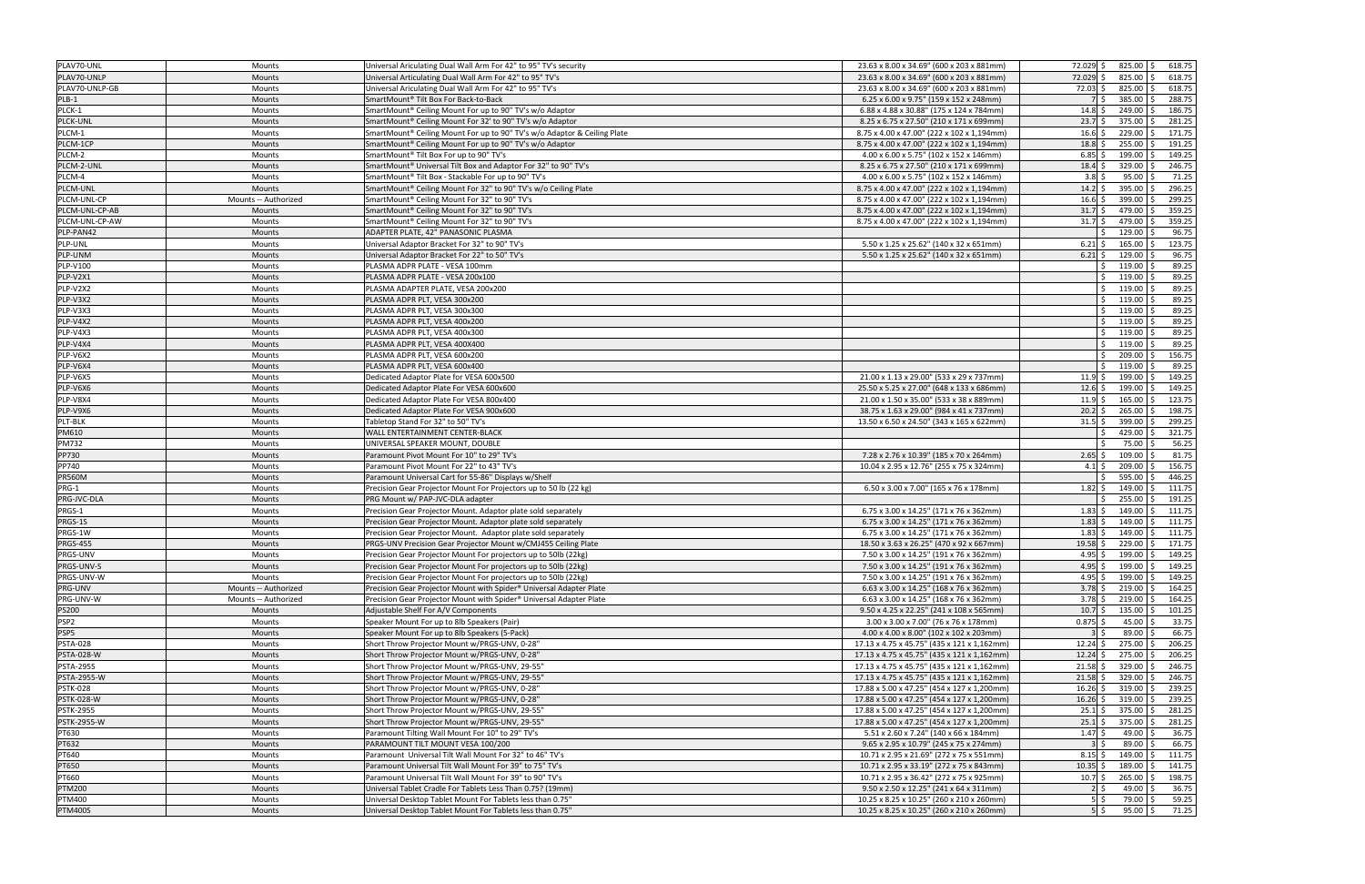| PLAV70-UNL         | Mounts               | Universal Ariculating Dual Wall Arm For 42" to 95" TV's security                | 23.63 x 8.00 x 34.69" (600 x 203 x 881mm)   | 72.029 \$                                     | 825.00 \$                      | 618.75 |
|--------------------|----------------------|---------------------------------------------------------------------------------|---------------------------------------------|-----------------------------------------------|--------------------------------|--------|
| PLAV70-UNLP        | Mounts               | Jniversal Articulating Dual Wall Arm For 42" to 95" TV's                        | 23.63 x 8.00 x 34.69" (600 x 203 x 881mm)   | 72.029 \$                                     | $825.00$ \$                    | 618.75 |
| PLAV70-UNLP-GB     | Mounts               | Universal Ariculating Dual Wall Arm For 42" to 95" TV's                         | 23.63 x 8.00 x 34.69" (600 x 203 x 881mm)   | 72.03 \$                                      | $825.00$ \$                    | 618.75 |
| PLB-1              | <b>Mounts</b>        | SmartMount® Tilt Box For Back-to-Back                                           | 6.25 x 6.00 x 9.75" (159 x 152 x 248mm)     | 7 S                                           | $385.00$ \$                    | 288.75 |
| PLCK-1             | Mounts               | SmartMount® Ceiling Mount For up to 90" TV's w/o Adaptor                        | 6.88 x 4.88 x 30.88" (175 x 124 x 784mm)    | $14.8\bar{s}$                                 | $249.00$ \$                    | 186.75 |
|                    |                      | SmartMount <sup>®</sup> Ceiling Mount For 32' to 90" TV's w/o Adaptor           |                                             |                                               | 375.00 \$                      | 281.25 |
| <b>PLCK-UNL</b>    | <b>Mounts</b>        |                                                                                 | 8.25 x 6.75 x 27.50" (210 x 171 x 699mm)    | 23.7                                          |                                |        |
| PLCM-1             | Mounts               | SmartMount® Ceiling Mount For up to 90" TV's w/o Adaptor & Ceiling Plate        | 8.75 x 4.00 x 47.00" (222 x 102 x 1,194mm)  | $16.6\frac{1}{2}$                             | $229.00$ \$                    | 171.75 |
| PLCM-1CP           | <b>Mounts</b>        | SmartMount® Ceiling Mount For up to 90" TV's w/o Adaptor                        | 8.75 x 4.00 x 47.00" (222 x 102 x 1,194mm)  | 18.8                                          | $255.00$ \$                    | 191.25 |
| PLCM-2             | Mounts               | SmartMount® Tilt Box For up to 90" TV's                                         | 4.00 x 6.00 x 5.75" (102 x 152 x 146mm)     | 6.85                                          | $199.00$ \$                    | 149.25 |
| PLCM-2-UNL         | Mounts               | SmartMount® Universal Tilt Box and Adaptor For 32" to 90" TV's                  | 8.25 x 6.75 x 27.50" (210 x 171 x 699mm)    | $18.4 \;$ \$                                  | $329.00$ \$                    | 246.75 |
| PLCM-4             | <b>Mounts</b>        | SmartMount® Tilt Box - Stackable For up to 90" TV's                             | 4.00 x 6.00 x 5.75" (102 x 152 x 146mm)     | $3.8\overline{\smash{\big)}}$                 | $95.00$ \$                     | 71.25  |
| PLCM-UNL           | Mounts               | SmartMount® Ceiling Mount For 32" to 90" TV's w/o Ceiling Plate                 | 8.75 x 4.00 x 47.00" (222 x 102 x 1,194mm)  | $14.2 \div$                                   | $395.00$ \$                    | 296.25 |
| PLCM-UNL-CP        | Mounts -- Authorized | SmartMount® Ceiling Mount For 32" to 90" TV's                                   | 8.75 x 4.00 x 47.00" (222 x 102 x 1,194mm)  | $16.6\frac{1}{5}$                             | $399.00$ \$                    | 299.25 |
| PLCM-UNL-CP-AB     | Mounts               | SmartMount® Ceiling Mount For 32" to 90" TV's                                   | 8.75 x 4.00 x 47.00" (222 x 102 x 1,194mm)  | $31.7\frac{1}{2}$                             | 479.00 \$                      | 359.25 |
| PLCM-UNL-CP-AW     | Mounts               | SmartMount® Ceiling Mount For 32" to 90" TV's                                   | 8.75 x 4.00 x 47.00" (222 x 102 x 1,194mm)  | $31.7\frac{1}{5}$                             | 479.00 \$                      | 359.25 |
| PLP-PAN42          | <b>Mounts</b>        | ADAPTER PLATE, 42" PANASONIC PLASMA                                             |                                             | $\zeta$                                       | $129.00$ \$                    | 96.75  |
| PLP-UNL            | <b>Mounts</b>        | Universal Adaptor Bracket For 32" to 90" TV's                                   | 5.50 x 1.25 x 25.62" (140 x 32 x 651mm)     | $6.21\frac{1}{2}$                             | $165.00$ \$                    | 123.75 |
|                    |                      |                                                                                 |                                             |                                               | $129.00$ \$                    | 96.75  |
| PLP-UNM            | Mounts               | Universal Adaptor Bracket For 22" to 50" TV's                                   | 5.50 x 1.25 x 25.62" (140 x 32 x 651mm)     | $6.21\;$ \$                                   |                                |        |
| PLP-V100           | Mounts               | PLASMA ADPR PLATE - VESA 100mm                                                  |                                             | \$                                            | $119.00$ \$                    | 89.25  |
| PLP-V2X1           | <b>Mounts</b>        | PLASMA ADPR PLATE - VESA 200x100                                                |                                             | Ŝ.                                            | $119.00$ \$                    | 89.25  |
| PLP-V2X2           | Mounts               | PLASMA ADAPTER PLATE, VESA 200x200                                              |                                             | Ŝ.                                            | $119.00$ \$                    | 89.25  |
| PLP-V3X2           | <b>Mounts</b>        | PLASMA ADPR PLT, VESA 300x200                                                   |                                             | Ŝ.                                            | $119.00$ \$                    | 89.25  |
| PLP-V3X3           | Mounts               | PLASMA ADPR PLT, VESA 300x300                                                   |                                             | Ŝ.                                            | $119.00$ \$                    | 89.25  |
| PLP-V4X2           | <b>Mounts</b>        | PLASMA ADPR PLT, VESA 400x200                                                   |                                             | Ŝ.                                            | $119.00$ \$                    | 89.25  |
| PLP-V4X3           | Mounts               | PLASMA ADPR PLT, VESA 400x300                                                   |                                             | Ś.                                            | $119.00$ \$                    | 89.25  |
| PLP-V4X4           | <b>Mounts</b>        | PLASMA ADPR PLT, VESA 400X400                                                   |                                             | $\zeta$                                       | $119.00$ \$                    | 89.25  |
| PLP-V6X2           | <b>Mounts</b>        | PLASMA ADPR PLT, VESA 600x200                                                   |                                             | $\zeta$                                       | 209.00 \$                      | 156.75 |
| PLP-V6X4           | Mounts               | PLASMA ADPR PLT, VESA 600x400                                                   |                                             | Ŝ.                                            | $119.00$ \$                    | 89.25  |
| PLP-V6X5           | Mounts               | Dedicated Adaptor Plate for VESA 600x500                                        | 21.00 x 1.13 x 29.00" (533 x 29 x 737mm)    | $11.9 \S$                                     | $199.00$ \$                    | 149.25 |
|                    |                      |                                                                                 |                                             |                                               | $199.00$ \$                    | 149.25 |
| PLP-V6X6           | <b>Mounts</b>        | Dedicated Adaptor Plate For VESA 600x600                                        | 25.50 x 5.25 x 27.00" (648 x 133 x 686mm)   | $12.6\frac{1}{2}$                             |                                |        |
| PLP-V8X4           | Mounts               | Dedicated Adaptor Plate For VESA 800x400                                        | 21.00 x 1.50 x 35.00" (533 x 38 x 889mm)    | 11.9                                          | $165.00$ \$                    | 123.75 |
| PLP-V9X6           | <b>Mounts</b>        | Dedicated Adaptor Plate For VESA 900x600                                        | 38.75 x 1.63 x 29.00" (984 x 41 x 737mm)    | $20.2 \div$                                   | $265.00$ \$                    | 198.75 |
| PLT-BLK            | Mounts               | Tabletop Stand For 32" to 50" TV's                                              | 13.50 x 6.50 x 24.50" (343 x 165 x 622mm)   | $31.5$ \$                                     | $399.00$ \$                    | 299.25 |
| PM610              | Mounts               | WALL ENTERTAINMENT CENTER-BLACK                                                 |                                             |                                               | 429.00 \$                      | 321.75 |
| <b>PM732</b>       | Mounts               | UNIVERSAL SPEAKER MOUNT, DOUBLE                                                 |                                             | ς.                                            | 75.00 \$                       | 56.25  |
| PP730              | Mounts               | Paramount Pivot Mount For 10" to 29" TV's                                       | 7.28 x 2.76 x 10.39" (185 x 70 x 264mm)     | $2.65\frac{1}{5}$                             | $109.00$ \$                    | 81.75  |
| PP740              | Mounts               | Paramount Pivot Mount For 22" to 43" TV's                                       | 10.04 x 2.95 x 12.76" (255 x 75 x 324mm)    | 4.1 \$                                        | $209.00$ \$                    | 156.75 |
| <b>PR560M</b>      | <b>Mounts</b>        | Paramount Universal Cart for 55-86" Displays w/Shelf                            |                                             | ς                                             | $595.00$ \$                    | 446.25 |
| PRG-1              | Mounts               | Precision Gear Projector Mount For Projectors up to 50 lb (22 kg)               | 6.50 x 3.00 x 7.00" (165 x 76 x 178mm)      | $1.82 \,$ \$                                  | $149.00$ \$                    | 111.75 |
| PRG-JVC-DLA        | Mounts               | PRG Mount w/ PAP-JVC-DLA adapter                                                |                                             |                                               | $255.00$ \$                    | 191.25 |
| PRGS-1             | Mounts               | Precision Gear Projector Mount. Adaptor plate sold separately                   | 6.75 x 3.00 x 14.25" (171 x 76 x 362mm)     | $1.83\overline{\phantom{0}}$ \$               | $149.00$ \$                    | 111.75 |
| PRGS-1S            | Mounts               | Precision Gear Projector Mount. Adaptor plate sold separately                   | 6.75 x 3.00 x 14.25" (171 x 76 x 362mm)     | $1.83 \,$ \$                                  | $149.00$ \$                    | 111.75 |
|                    |                      |                                                                                 |                                             |                                               | $149.00$ \$                    | 111.75 |
| PRGS-1W            | <b>Mounts</b>        | Precision Gear Projector Mount. Adaptor plate sold separately                   | 6.75 x 3.00 x 14.25" (171 x 76 x 362mm)     | 1.83                                          |                                |        |
| <b>PRGS-455</b>    | <b>Mounts</b>        | PRGS-UNV Precision Gear Projector Mount w/CMJ455 Ceiling Plate                  | 18.50 x 3.63 x 26.25" (470 x 92 x 667mm)    | $19.58$ \$                                    | $229.00$ \$                    | 171.75 |
| PRGS-UNV           | <b>Mounts</b>        | Precision Gear Projector Mount For projectors up to 50lb (22kg)                 | 7.50 x 3.00 x 14.25" (191 x 76 x 362mm)     | $4.95$ \$                                     | 199.00 \$                      | 149.25 |
| PRGS-UNV-S         | Mounts               | Precision Gear Projector Mount For projectors up to 50lb (22kg)                 | 7.50 x 3.00 x 14.25" (191 x 76 x 362mm)     |                                               | $4.95 \div 199.00 \div 149.25$ |        |
| PRGS-UNV-W         | Mounts               | Precision Gear Projector Mount For projectors up to 50lb (22kg)                 | 7.50 x 3.00 x 14.25" (191 x 76 x 362mm)     | 4.95 \$                                       | 199.00 \$                      | 149.25 |
| PRG-UNV            | Mounts -- Authorized | Precision Gear Projector Mount with Spider® Universal Adapter Plate             | 6.63 x 3.00 x 14.25" (168 x 76 x 362mm)     | 3.78 \$                                       | $219.00$ \$                    | 164.25 |
| PRG-UNV-W          | Mounts -- Authorized | Precision Gear Projector Mount with Spider <sup>®</sup> Universal Adapter Plate | 6.63 x 3.00 x 14.25" (168 x 76 x 362mm)     | $3.78\;$ \$                                   | $219.00$ \$                    | 164.25 |
| <b>PS200</b>       | Mounts               | Adjustable Shelf For A/V Components                                             | 9.50 x 4.25 x 22.25" (241 x 108 x 565mm)    | $10.7\frac{1}{5}$                             | $135.00$ \$                    | 101.25 |
| PSP <sub>2</sub>   | Mounts               | Speaker Mount For up to 8lb Speakers (Pair)                                     | 3.00 x 3.00 x 7.00" (76 x 76 x 178mm)       | $0.875$ \$                                    | $45.00$ \$                     | 33.75  |
| PSP5               | <b>Mounts</b>        | Speaker Mount For up to 8lb Speakers (5-Pack)                                   | 4.00 x 4.00 x 8.00" (102 x 102 x 203mm)     | $3 \mid 5$                                    | $89.00$ \$                     | 66.75  |
| <b>PSTA-028</b>    | Mounts               | Short Throw Projector Mount w/PRGS-UNV, 0-28"                                   | 17.13 x 4.75 x 45.75" (435 x 121 x 1,162mm) | $12.24$ \$                                    | $275.00$ \$                    | 206.25 |
| <b>PSTA-028-W</b>  | Mounts               | Short Throw Projector Mount w/PRGS-UNV, 0-28"                                   | 17.13 x 4.75 x 45.75" (435 x 121 x 1,162mm) | $12.24$ \$                                    | $275.00$ \$                    | 206.25 |
| <b>PSTA-2955</b>   | Mounts               | Short Throw Projector Mount w/PRGS-UNV, 29-55"                                  | 17.13 x 4.75 x 45.75" (435 x 121 x 1,162mm) | $21.58$ \$                                    | $329.00$ \$                    | 246.75 |
|                    |                      |                                                                                 |                                             |                                               |                                |        |
| PSTA-2955-W        | Mounts               | Short Throw Projector Mount w/PRGS-UNV, 29-55"                                  | 17.13 x 4.75 x 45.75" (435 x 121 x 1,162mm) | $21.58$ \$                                    | $329.00$ \$                    | 246.75 |
| <b>PSTK-028</b>    | Mounts               | Short Throw Projector Mount w/PRGS-UNV, 0-28"                                   | 17.88 x 5.00 x 47.25" (454 x 127 x 1,200mm) | $16.26$ \$                                    | 319.00 \$                      | 239.25 |
| <b>PSTK-028-W</b>  | <b>Mounts</b>        | Short Throw Projector Mount w/PRGS-UNV, 0-28"                                   | 17.88 x 5.00 x 47.25" (454 x 127 x 1,200mm) | $16.26$ \$                                    | $319.00$ \$                    | 239.25 |
| <b>PSTK-2955</b>   | Mounts               | Short Throw Projector Mount w/PRGS-UNV, 29-55"                                  | 17.88 x 5.00 x 47.25" (454 x 127 x 1,200mm) | $25.1$ \$                                     | $375.00$ \$                    | 281.25 |
| <b>PSTK-2955-W</b> | Mounts               | Short Throw Projector Mount w/PRGS-UNV, 29-55"                                  | 17.88 x 5.00 x 47.25" (454 x 127 x 1,200mm) | $25.1 \text{ }$                               | $375.00$ \$                    | 281.25 |
| PT630              | Mounts               | Paramount Tilting Wall Mount For 10" to 29" TV's                                | 5.51 x 2.60 x 7.24" (140 x 66 x 184mm)      | $1.47\frac{1}{5}$                             | 49.00 \$                       | 36.75  |
| PT632              | Mounts               | PARAMOUNT TILT MOUNT VESA 100/200                                               | 9.65 x 2.95 x 10.79" (245 x 75 x 274mm)     | $3 \mid \zeta$                                | $89.00$ \$                     | 66.75  |
| PT640              | Mounts               | Paramount Universal Tilt Wall Mount For 32" to 46" TV's                         | 10.71 x 2.95 x 21.69" (272 x 75 x 551mm)    | $8.15 \;$ \$                                  | 149.00 \$                      | 111.75 |
| PT650              | Mounts               | Paramount Universal Tilt Wall Mount For 39" to 75" TV's                         | 10.71 x 2.95 x 33.19" (272 x 75 x 843mm)    | $10.35$ \$                                    | 189.00 \$                      | 141.75 |
| PT660              | Mounts               | Paramount Universal Tilt Wall Mount For 39" to 90" TV's                         | 10.71 x 2.95 x 36.42" (272 x 75 x 925mm)    | $10.7$   \$                                   | $265.00$ \$                    | 198.75 |
| <b>PTM200</b>      | Mounts               | Universal Tablet Cradle For Tablets Less Than 0.75? (19mm)                      | 9.50 x 2.50 x 12.25" (241 x 64 x 311mm)     | $2 \mid 5$                                    | $49.00$ \$                     | 36.75  |
| <b>PTM400</b>      | Mounts               | Universal Desktop Tablet Mount For Tablets less than 0.75"                      | 10.25 x 8.25 x 10.25" (260 x 210 x 260mm)   | $5\,$ \$                                      | 79.00 \$                       | 59.25  |
|                    |                      |                                                                                 |                                             | $5\overline{\smash{\big\vert}}\hspace{0.1cm}$ |                                |        |
| <b>PTM400S</b>     | Mounts               | Universal Desktop Tablet Mount For Tablets less than 0.75"                      | 10.25 x 8.25 x 10.25" (260 x 210 x 260mm)   |                                               | $95.00$ \$                     | 71.25  |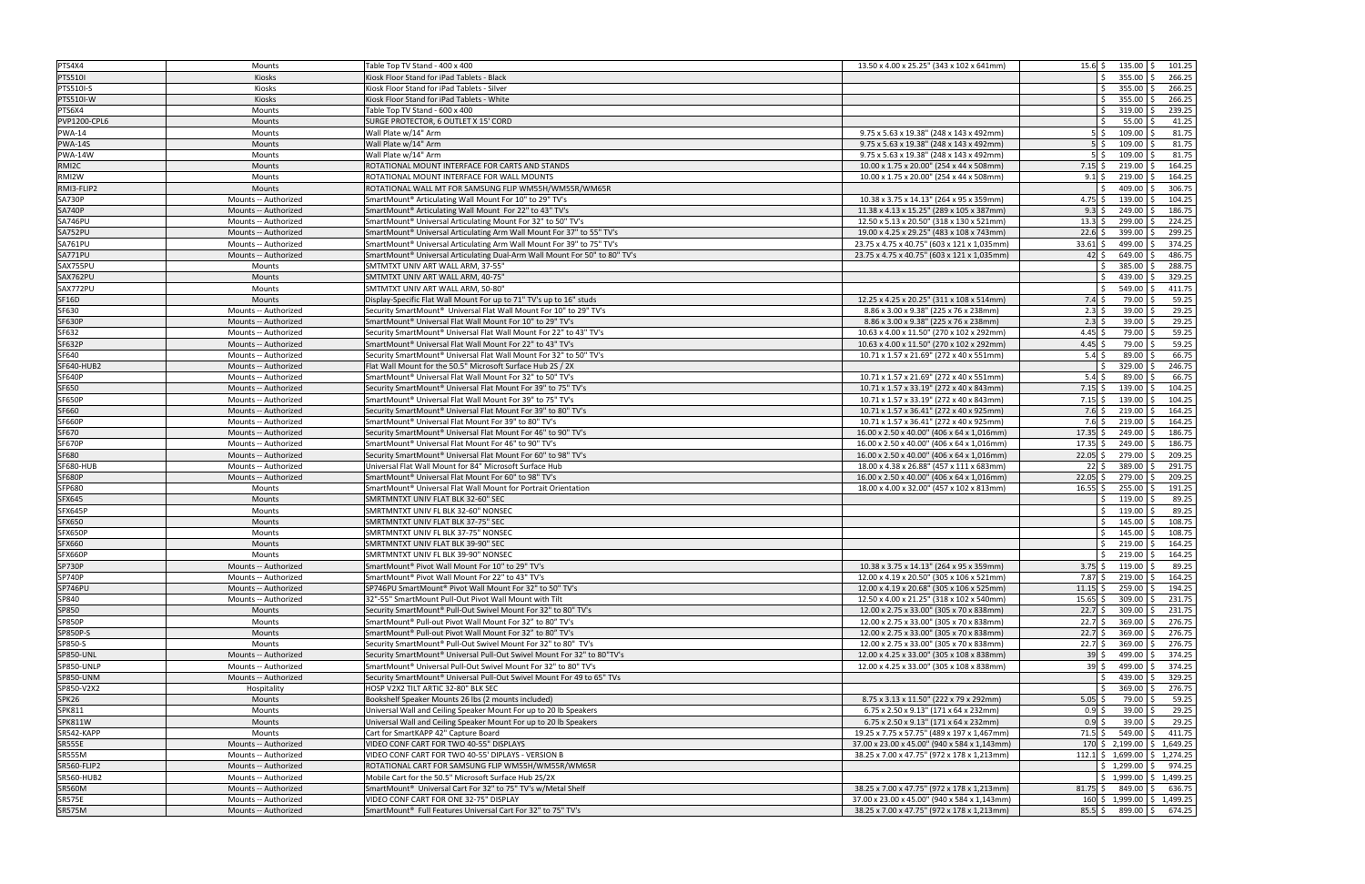| PTS4X4              | Mounts               | Table Top TV Stand - 400 x 400                                                     | 13.50 x 4.00 x 25.25" (343 x 102 x 641mm)    | $15.6$ $\vert \xi \vert$ 135.00 $\vert \xi \vert$<br>101.25 |
|---------------------|----------------------|------------------------------------------------------------------------------------|----------------------------------------------|-------------------------------------------------------------|
| <b>PTS510I</b>      | <b>Kiosks</b>        | Kiosk Floor Stand for iPad Tablets - Black                                         |                                              | 266.25<br>$355.00$ \$                                       |
| PTS510I-S           | Kiosks               | Kiosk Floor Stand for iPad Tablets - Silver                                        |                                              | 355.00 \$<br>266.25<br>Ŝ.                                   |
| PTS510I-W           | Kiosks               | Kiosk Floor Stand for iPad Tablets - White                                         |                                              | $355.00$ \$<br>266.25<br>Ŝ.                                 |
| PTS6X4              | Mounts               | Table Top TV Stand - 600 x 400                                                     |                                              | 239.25<br>$319.00$ \$<br>Ś.                                 |
| <b>PVP1200-CPL6</b> | Mounts               | SURGE PROTECTOR, 6 OUTLET X 15' CORD                                               |                                              | 41.25<br>$55.00$ \$<br>$\zeta$                              |
| <b>PWA-14</b>       | <b>Mounts</b>        | Wall Plate w/14" Arm                                                               | 9.75 x 5.63 x 19.38" (248 x 143 x 492mm)     | 81.75<br>109.00 \$<br>$5\overline{\smash{5}}$               |
| <b>PWA-14S</b>      | Mounts               | Wall Plate w/14" Arm                                                               | 9.75 x 5.63 x 19.38" (248 x 143 x 492mm)     | 81.75<br>109.00 \$<br>$5\overline{\smash{5}}$               |
| <b>PWA-14W</b>      | Mounts               | Wall Plate w/14" Arm                                                               | 9.75 x 5.63 x 19.38" (248 x 143 x 492mm)     | 81.75<br>$109.00$ \$<br>$5\,$ S                             |
| RMI2C               | <b>Mounts</b>        | ROTATIONAL MOUNT INTERFACE FOR CARTS AND STANDS                                    | 10.00 x 1.75 x 20.00" (254 x 44 x 508mm)     | 164.25<br>$219.00$ \$<br>$7.15$ \$                          |
| RMI2W               | Mounts               | ROTATIONAL MOUNT INTERFACE FOR WALL MOUNTS                                         | 10.00 x 1.75 x 20.00" (254 x 44 x 508mm)     | 164.25<br>$9.1 \,$ \$<br>$219.00$ \$                        |
| RMI3-FLIP2          | Mounts               | ROTATIONAL WALL MT FOR SAMSUNG FLIP WM55H/WM55R/WM65R                              |                                              | 306.75<br>409.00 \$                                         |
| <b>SA730P</b>       | Mounts -- Authorized | SmartMount <sup>®</sup> Articulating Wall Mount For 10" to 29" TV's                | 10.38 x 3.75 x 14.13" (264 x 95 x 359mm)     | 104.25<br>$4.75$ \$<br>$139.00$ \$                          |
| <b>SA740P</b>       | Mounts -- Authorized | SmartMount® Articulating Wall Mount For 22" to 43" TV's                            | 11.38 x 4.13 x 15.25" (289 x 105 x 387mm)    | $9.3 \,$ \$<br>$249.00$ \$<br>186.75                        |
| <b>SA746PU</b>      | Mounts -- Authorized | SmartMount® Universal Articulating Mount For 32" to 50" TV's                       | 12.50 x 5.13 x 20.50" (318 x 130 x 521mm)    | $299.00$ \$<br>224.25<br>$13.3$ \$                          |
| SA752PU             | Mounts -- Authorized | SmartMount® Universal Articulating Arm Wall Mount For 37" to 55" TV's              | 19.00 x 4.25 x 29.25" (483 x 108 x 743mm)    | $399.00$ \$<br>299.25<br>$22.6$ \$                          |
| SA761PU             | Mounts -- Authorized | SmartMount® Universal Articulating Arm Wall Mount For 39" to 75" TV's              | 23.75 x 4.75 x 40.75" (603 x 121 x 1,035mm)  | 499.00 \$<br>374.25<br>$33.61$ \$                           |
| SA771PU             | Mounts -- Authorized | SmartMount® Universal Articulating Dual-Arm Wall Mount For 50" to 80" TV's         | 23.75 x 4.75 x 40.75" (603 x 121 x 1,035mm)  | $649.00$ \$<br>486.75<br>$42 \overline{\phantom{0}}$        |
| SAX755PU            | Mounts               | SMTMTXT UNIV ART WALL ARM, 37-55"                                                  |                                              | 385.00 \$<br>288.75<br>Ś.                                   |
| SAX762PU            | Mounts               | SMTMTXT UNIV ART WALL ARM, 40-75"                                                  |                                              | 439.00 \$<br>329.25<br>\$                                   |
| SAX772PU            | Mounts               | SMTMTXT UNIV ART WALL ARM, 50-80"                                                  |                                              | 411.75<br>549.00 \$<br>Ś                                    |
| SF16D               | Mounts               | Display-Specific Flat Wall Mount For up to 71" TV's up to 16" studs                | 12.25 x 4.25 x 20.25" (311 x 108 x 514mm)    | 59.25<br>79.00 \$<br>$7.4\overline{\smash{\big\vert}}\,$ \$ |
| SF630               | Mounts -- Authorized | Security SmartMount® Universal Flat Wall Mount For 10" to 29" TV's                 | 8.86 x 3.00 x 9.38" (225 x 76 x 238mm)       | 29.25<br>$39.00$ \$<br>$2.3\frac{1}{5}$                     |
| <b>SF630P</b>       | Mounts -- Authorized | SmartMount <sup>®</sup> Universal Flat Wall Mount For 10" to 29" TV's              | 8.86 x 3.00 x 9.38" (225 x 76 x 238mm)       | 29.25<br>$2.3$ \$<br>$39.00$ \$                             |
| SF632               | Mounts -- Authorized | Security SmartMount® Universal Flat Wall Mount For 22" to 43" TV's                 | 10.63 x 4.00 x 11.50" (270 x 102 x 292mm)    | 4.45 \$<br>59.25<br>79.00 \$                                |
| <b>SF632P</b>       | Mounts -- Authorized | SmartMount® Universal Flat Wall Mount For 22" to 43" TV's                          | 10.63 x 4.00 x 11.50" (270 x 102 x 292mm)    | 59.25<br>$4.45$ \$<br>79.00 \$                              |
| SF640               | Mounts -- Authorized | Security SmartMount <sup>®</sup> Universal Flat Wall Mount For 32" to 50" TV's     | 10.71 x 1.57 x 21.69" (272 x 40 x 551mm)     | 89.00 \$<br>66.75<br>$5.4\ \text{S}$                        |
| <b>SF640-HUB2</b>   | Mounts -- Authorized | Flat Wall Mount for the 50.5" Microsoft Surface Hub 2S / 2X                        |                                              | $329.00$ \$<br>246.75<br>Ŝ.                                 |
| <b>SF640P</b>       | Mounts -- Authorized | SmartMount <sup>®</sup> Universal Flat Wall Mount For 32" to 50" TV's              | 10.71 x 1.57 x 21.69" (272 x 40 x 551mm)     | 66.75<br>$5.4\overline{\text{S}}$<br>$89.00$ \$             |
| <b>SF650</b>        | Mounts -- Authorized | Security SmartMount <sup>®</sup> Universal Flat Mount For 39" to 75" TV's          | 10.71 x 1.57 x 33.19" (272 x 40 x 843mm)     | 104.25<br>$7.15$ \$<br>$139.00$ \$                          |
| <b>SF650P</b>       | Mounts -- Authorized | SmartMount® Universal Flat Wall Mount For 39" to 75" TV's                          | 10.71 x 1.57 x 33.19" (272 x 40 x 843mm)     | 104.25<br>$7.15$ \$<br>$139.00$ \$                          |
| SF660               | Mounts -- Authorized | Security SmartMount <sup>®</sup> Universal Flat Mount For 39" to 80" TV's          | 10.71 x 1.57 x 36.41" (272 x 40 x 925mm)     | $219.00$ \$<br>164.25<br>$7.6\;$ \$                         |
| <b>SF660P</b>       | Mounts -- Authorized | SmartMount <sup>®</sup> Universal Flat Mount For 39" to 80" TV's                   | 10.71 x 1.57 x 36.41" (272 x 40 x 925mm)     | 164.25<br>$219.00$ \$<br>$7.6\;$ \$                         |
| SF670               | Mounts -- Authorized | Security SmartMount® Universal Flat Mount For 46" to 90" TV's                      | 16.00 x 2.50 x 40.00" (406 x 64 x 1,016mm)   | 249.00 \$<br>186.75<br>$17.35$ \$                           |
| <b>SF670P</b>       | Mounts -- Authorized | SmartMount <sup>®</sup> Universal Flat Mount For 46" to 90" TV's                   | 16.00 x 2.50 x 40.00" (406 x 64 x 1,016mm)   | 249.00 \$<br>186.75<br>$17.35$ \$                           |
| SF680               | Mounts -- Authorized | Security SmartMount® Universal Flat Mount For 60" to 98" TV's                      | 16.00 x 2.50 x 40.00" (406 x 64 x 1,016mm)   | 22.05<br>279.00 \$<br>209.25                                |
| <b>SF680-HUB</b>    | Mounts -- Authorized | Universal Flat Wall Mount for 84" Microsoft Surface Hub                            | 18.00 x 4.38 x 26.88" (457 x 111 x 683mm)    | 389.00 \$<br>291.75<br>22 \$                                |
| <b>SF680P</b>       | Mounts -- Authorized | SmartMount® Universal Flat Mount For 60" to 98" TV's                               | 16.00 x 2.50 x 40.00" (406 x 64 x 1,016mm)   | $279.00$ \$<br>209.25<br>$22.05$ \$                         |
| SFP680              | Mounts               | SmartMount® Universal Flat Wall Mount for Portrait Orientation                     | 18.00 x 4.00 x 32.00" (457 x 102 x 813mm)    | $255.00$ \$<br>191.25<br>$16.55$ \$                         |
| <b>SFX645</b>       | <b>Mounts</b>        | SMRTMNTXT UNIV FLAT BLK 32-60" SEC                                                 |                                              | $119.00$   \$<br>89.25                                      |
| SFX645P             | Mounts               | SMRTMNTXT UNIV FL BLK 32-60" NONSEC                                                |                                              | 89.25<br>$119.00$   \$<br>Ŝ.                                |
| <b>SFX650</b>       | <b>Mounts</b>        | SMRTMNTXT UNIV FLAT BLK 37-75" SEC                                                 |                                              | $145.00$ \$<br>108.75<br>Ŝ.                                 |
| SFX650P             | <b>Mounts</b>        | SMRTMNTXT UNIV FL BLK 37-75" NONSEC                                                |                                              | $145.00$   \$<br>108.75                                     |
| SFX660              | Mounts               | SMRTMNTXT UNIV FLAT BLK 39-90" SEC                                                 |                                              | $219.00$ \$<br>164.25<br>\$                                 |
| <b>SFX660P</b>      | Mounts               | SMRTMNTXT UNIV FL BLK 39-90" NONSEC                                                |                                              | 219.00 \$<br>164.25<br>Ŝ.                                   |
| <b>SP730P</b>       | Mounts -- Authorized | SmartMount <sup>®</sup> Pivot Wall Mount For 10" to 29" TV's                       | 10.38 x 3.75 x 14.13" (264 x 95 x 359mm)     | 89.25<br>$3.75$ \$ 119.00 \$                                |
| <b>SP740P</b>       | Mounts -- Authorized | SmartMount® Pivot Wall Mount For 22" to 43" TV's                                   | 12.00 x 4.19 x 20.50" (305 x 106 x 521mm)    | $7.87\frac{1}{2}$<br>$219.00$ \$<br>164.25                  |
| SP746PU             | Mounts -- Authorized | SP746PU SmartMount <sup>®</sup> Pivot Wall Mount For 32" to 50" TV's               | 12.00 x 4.19 x 20.68" (305 x 106 x 525mm)    | 259.00 \$<br>194.25<br>$11.15$ \$                           |
| SP840               | Mounts -- Authorized | 32"-55" SmartMount Pull-Out Pivot Wall Mount with Tilt                             | 12.50 x 4.00 x 21.25" (318 x 102 x 540mm)    | $15.65$ \$<br>231.75<br>309.00 \$                           |
| SP850               | Mounts               | Security SmartMount® Pull-Out Swivel Mount For 32" to 80" TV's                     | 12.00 x 2.75 x 33.00" (305 x 70 x 838mm)     | $22.7\frac{1}{2}$<br>$309.00$ \$<br>231.75                  |
| <b>SP850P</b>       | Mounts               | SmartMount® Pull-out Pivot Wall Mount For 32" to 80" TV's                          | 12.00 x 2.75 x 33.00" (305 x 70 x 838mm)     | $369.00$ \$<br>$22.7\frac{1}{2}$<br>276.75                  |
| SP850P-S            | Mounts               | SmartMount <sup>®</sup> Pull-out Pivot Wall Mount For 32" to 80" TV's              | 12.00 x 2.75 x 33.00" (305 x 70 x 838mm)     | $22.7\frac{1}{5}$<br>$369.00$ \$<br>276.75                  |
| SP850-S             | Mounts               | Security SmartMount® Pull-Out Swivel Mount For 32" to 80" TV's                     | 12.00 x 2.75 x 33.00" (305 x 70 x 838mm)     | $369.00$ \$<br>276.75<br>$22.7\frac{1}{2}$                  |
| <b>SP850-UNL</b>    | Mounts -- Authorized | Security SmartMount® Universal Pull-Out Swivel Mount For 32" to 80"TV's            | 12.00 x 4.25 x 33.00" (305 x 108 x 838mm)    | 499.00 \$<br>374.25<br>$39 \mid \xi$                        |
| SP850-UNLP          | Mounts -- Authorized | SmartMount® Universal Pull-Out Swivel Mount For 32" to 80" TV's                    | 12.00 x 4.25 x 33.00" (305 x 108 x 838mm)    | 39S<br>374.25<br>$499.00$ \$                                |
| SP850-UNM           | Mounts -- Authorized | Security SmartMount <sup>®</sup> Universal Pull-Out Swivel Mount For 49 to 65" TVs |                                              | $439.00$ \$<br>329.25<br>Ŝ.                                 |
| SP850-V2X2          | Hospitality          | HOSP V2X2 TILT ARTIC 32-80" BLK SEC                                                |                                              | $369.00$ \$<br>276.75<br>Ŝ.                                 |
| SPK26               | Mounts               | Bookshelf Speaker Mounts 26 lbs (2 mounts included)                                | 8.75 x 3.13 x 11.50" (222 x 79 x 292mm)      | 59.25<br>$5.05\frac{1}{5}$<br>79.00 \$                      |
| SPK811              | Mounts               | Universal Wall and Ceiling Speaker Mount For up to 20 lb Speakers                  | 6.75 x 2.50 x 9.13" (171 x 64 x 232mm)       | $39.00$ \$<br>29.25<br>$0.9 \,$ \$                          |
| SPK811W             | Mounts               | Universal Wall and Ceiling Speaker Mount For up to 20 lb Speakers                  | 6.75 x 2.50 x 9.13" (171 x 64 x 232mm)       | 29.25<br>$39.00$ \$<br>$0.9$ \$                             |
| SR542-KAPP          | Mounts               | Cart for SmartKAPP 42" Capture Board                                               | 19.25 x 7.75 x 57.75" (489 x 197 x 1,467mm)  | 411.75<br>$71.5$ \$<br>549.00 \$                            |
| <b>SR555E</b>       | Mounts -- Authorized | VIDEO CONF CART FOR TWO 40-55" DISPLAYS                                            | 37.00 x 23.00 x 45.00" (940 x 584 x 1,143mm) | $170 \div 2,199.00 \div 1,649.25$                           |
| <b>SR555M</b>       | Mounts -- Authorized | VIDEO CONF CART FOR TWO 40-55' DIPLAYS - VERSION B                                 | 38.25 x 7.00 x 47.75" (972 x 178 x 1,213mm)  | 112.1 $\binom{1}{2}$ 1,699.00 $\binom{1}{2}$ 1,274.25       |
| SR560-FLIP2         | Mounts -- Authorized | ROTATIONAL CART FOR SAMSUNG FLIP WM55H/WM55R/WM65R                                 |                                              | $$1,299.00$ $$974.25$                                       |
| <b>SR560-HUB2</b>   | Mounts -- Authorized | Mobile Cart for the 50.5" Microsoft Surface Hub 2S/2X                              |                                              | $$1,999.00 \mid $1,499.25$                                  |
| <b>SR560M</b>       | Mounts -- Authorized | SmartMount <sup>®</sup> Universal Cart For 32" to 75" TV's w/Metal Shelf           | 38.25 x 7.00 x 47.75" (972 x 178 x 1,213mm)  | $81.75$ \$ $849.00$ \$ 636.75                               |
| <b>SR575E</b>       | Mounts -- Authorized | VIDEO CONF CART FOR ONE 32-75" DISPLAY                                             | 37.00 x 23.00 x 45.00" (940 x 584 x 1,143mm) | 160 \$ 1,999.00 \$ 1,499.25                                 |
| <b>SR575M</b>       | Mounts -- Authorized | SmartMount <sup>®</sup> Full Features Universal Cart For 32" to 75" TV's           | 38.25 x 7.00 x 47.75" (972 x 178 x 1,213mm)  | $85.5$ \$ $899.00$ \$ 674.25                                |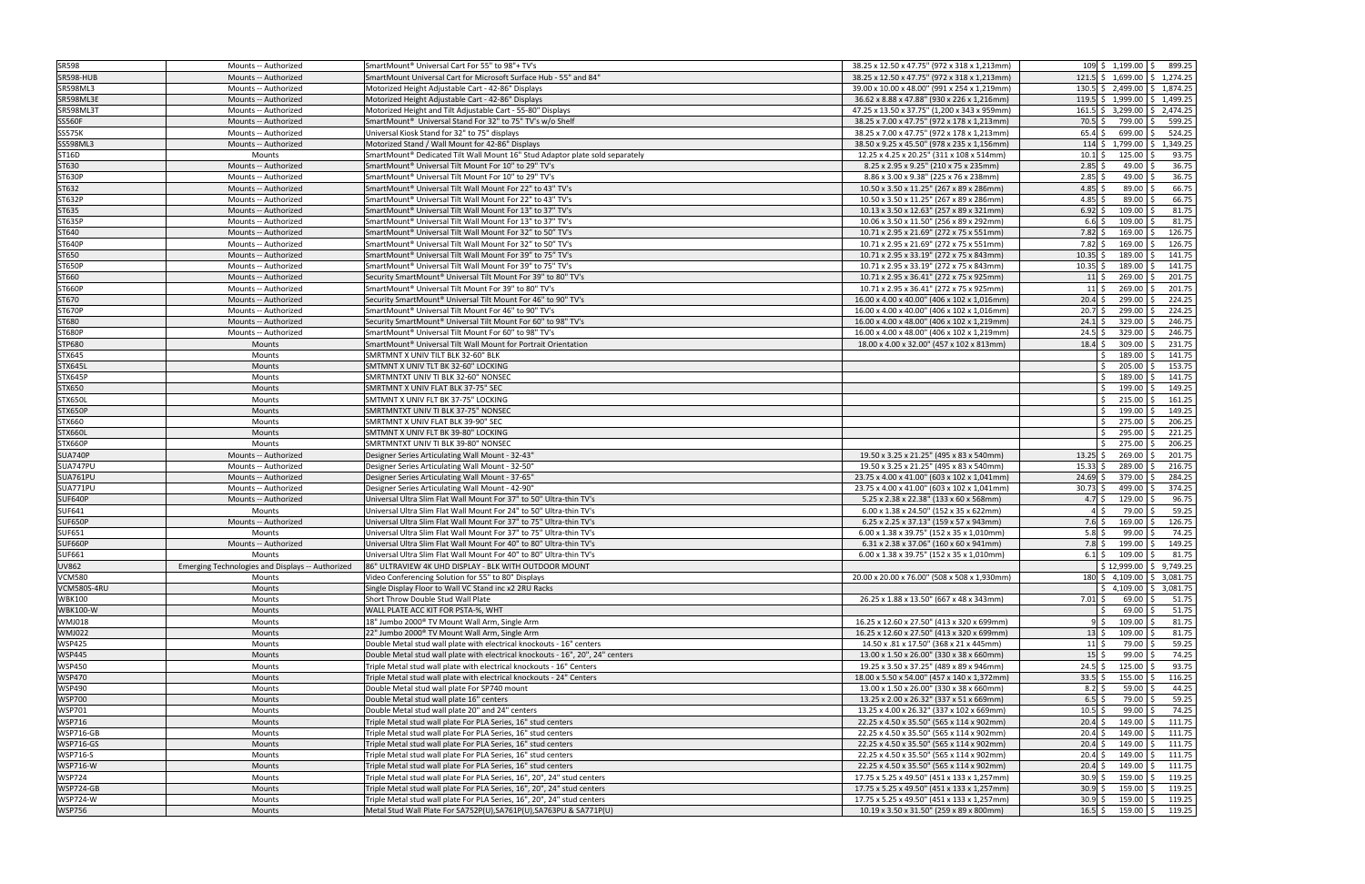| SR598            | Mounts -- Authorized                             | SmartMount <sup>®</sup> Universal Cart For 55" to 98"+ TV's                    | 38.25 x 12.50 x 47.75" (972 x 318 x 1,213mm) | $109 \div 1,199.00 \div 899.25$                         |
|------------------|--------------------------------------------------|--------------------------------------------------------------------------------|----------------------------------------------|---------------------------------------------------------|
| <b>SR598-HUB</b> | Mounts -- Authorized                             | SmartMount Universal Cart for Microsoft Surface Hub - 55" and 84"              | 38.25 x 12.50 x 47.75" (972 x 318 x 1,213mm) | 121.5 \$ 1.699.00 \$ 1.274.25                           |
| <b>SR598ML3</b>  | Mounts -- Authorized                             | Motorized Height Adjustable Cart - 42-86" Displays                             | 39.00 x 10.00 x 48.00" (991 x 254 x 1,219mm) | $130.5$ \$ 2,499.00 \$ 1,874.25                         |
| SR598ML3E        | Mounts -- Authorized                             | Motorized Height Adjustable Cart - 42-86" Displays                             | 36.62 x 8.88 x 47.88" (930 x 226 x 1,216mm)  | 119.5 $\vert$ \$ 1,999.00 $\vert$ \$ 1,499.25           |
| SR598ML3T        | Mounts -- Authorized                             | Motorized Height and Tilt Adjustable Cart - 55-80" Displays                    | 47.25 x 13.50 x 37.75" (1,200 x 343 x 959mm) | $161.5$ \$ 3,299.00 \$ 2,474.25                         |
| <b>SS560F</b>    | Mounts -- Authorized                             | SmartMount <sup>®</sup> Universal Stand For 32" to 75" TV's w/o Shelf          | 38.25 x 7.00 x 47.75" (972 x 178 x 1,213mm)  | 799.00 \$<br>599.25<br>70.5 \$                          |
| SS575K           | Mounts -- Authorized                             | Universal Kiosk Stand for 32" to 75" displays                                  | 38.25 x 7.00 x 47.75" (972 x 178 x 1,213mm)  | 699.00 \$ 524.25<br>$65.4\;$ \$                         |
| <b>SS598ML3</b>  | Mounts -- Authorized                             | Motorized Stand / Wall Mount for 42-86" Displays                               | 38.50 x 9.25 x 45.50" (978 x 235 x 1,156mm)  | $114 \div 1,799.00 \div 1,349.25$                       |
| ST16D            | Mounts                                           | SmartMount® Dedicated Tilt Wall Mount 16" Stud Adaptor plate sold separately   | 12.25 x 4.25 x 20.25" (311 x 108 x 514mm)    | $125.00$ \$<br>93.75<br>$10.1 \;$ \$                    |
| ST630            | Mounts -- Authorized                             | SmartMount® Universal Tilt Mount For 10" to 29" TV's                           | 8.25 x 2.95 x 9.25" (210 x 75 x 235mm)       | 36.75<br>$2.85$ \$<br>49.00 \$                          |
| <b>ST630P</b>    | Mounts -- Authorized                             | SmartMount® Universal Tilt Mount For 10" to 29" TV's                           | 8.86 x 3.00 x 9.38" (225 x 76 x 238mm)       | 36.75<br>$2.85$ \$<br>49.00 \$                          |
| ST632            | Mounts -- Authorized                             | SmartMount <sup>®</sup> Universal Tilt Wall Mount For 22" to 43" TV's          | 10.50 x 3.50 x 11.25" (267 x 89 x 286mm)     | 66.75<br>4.85 \$<br>$89.00$ \$                          |
| ST632P           | Mounts -- Authorized                             | SmartMount® Universal Tilt Wall Mount For 22" to 43" TV's                      | 10.50 x 3.50 x 11.25" (267 x 89 x 286mm)     | 4.85<br>66.75<br>89.00 \$                               |
| ST635            | Mounts -- Authorized                             | SmartMount® Universal Tilt Wall Mount For 13" to 37" TV's                      | 10.13 x 3.50 x 12.63" (257 x 89 x 321mm)     | $6.92 \div$<br>$109.00$ \$<br>81.75                     |
| ST635P           | Mounts -- Authorized                             | SmartMount® Universal Tilt Wall Mount For 13" to 37" TV's                      | 10.06 x 3.50 x 11.50" (256 x 89 x 292mm)     | $109.00$ \$<br>81.75<br>$6.6\frac{1}{5}$                |
| ST640            | Mounts -- Authorized                             | SmartMount® Universal Tilt Wall Mount For 32" to 50" TV's                      | 10.71 x 2.95 x 21.69" (272 x 75 x 551mm)     | 126.75<br>$7.82 \div$<br>$169.00$ \$                    |
| <b>ST640P</b>    | Mounts -- Authorized                             | SmartMount® Universal Tilt Wall Mount For 32" to 50" TV's                      | 10.71 x 2.95 x 21.69" (272 x 75 x 551mm)     | $7.82 \;$ \$<br>169.00 \$<br>126.75                     |
|                  |                                                  |                                                                                |                                              | 189.00 \$<br>141.75                                     |
| ST650            | Mounts -- Authorized                             | SmartMount <sup>®</sup> Universal Tilt Wall Mount For 39" to 75" TV's          | 10.71 x 2.95 x 33.19" (272 x 75 x 843mm)     | $10.35$ \$                                              |
| <b>ST650P</b>    | Mounts -- Authorized                             | SmartMount® Universal Tilt Wall Mount For 39" to 75" TV's                      | 10.71 x 2.95 x 33.19" (272 x 75 x 843mm)     | 189.00 \$<br>141.75<br>10.35                            |
| ST660            | Mounts -- Authorized                             | Security SmartMount® Universal Tilt Mount For 39" to 80" TV's                  | 10.71 x 2.95 x 36.41" (272 x 75 x 925mm)     | $269.00$ \$<br>201.75<br>$11\overline{\smash{\big)}\,}$ |
| <b>ST660P</b>    | Mounts -- Authorized                             | SmartMount® Universal Tilt Mount For 39" to 80" TV's                           | 10.71 x 2.95 x 36.41" (272 x 75 x 925mm)     | 269.00 \$<br>201.75<br>$11\frac{1}{2}$                  |
| ST670            | Mounts -- Authorized                             | Security SmartMount® Universal Tilt Mount For 46" to 90" TV's                  | 16.00 x 4.00 x 40.00" (406 x 102 x 1,016mm)  | 224.25<br>20.4<br>$299.00$ \$                           |
| <b>ST670P</b>    | Mounts -- Authorized                             | SmartMount® Universal Tilt Mount For 46" to 90" TV's                           | 16.00 x 4.00 x 40.00" (406 x 102 x 1,016mm)  | 299.00 \$<br>224.25<br>$20.7\frac{1}{2}$                |
| ST680            | Mounts -- Authorized                             | Security SmartMount® Universal Tilt Mount For 60" to 98" TV's                  | 16.00 x 4.00 x 48.00" (406 x 102 x 1,219mm)  | $329.00$ \$<br>246.75<br>$24.1$ \$                      |
| <b>ST680P</b>    | Mounts -- Authorized                             | SmartMount® Universal Tilt Mount For 60" to 98" TV's                           | 16.00 x 4.00 x 48.00" (406 x 102 x 1,219mm)  | 246.75<br>24.5<br>$329.00$ \$                           |
| STP680           | Mounts                                           | SmartMount <sup>®</sup> Universal Tilt Wall Mount for Portrait Orientation     | 18.00 x 4.00 x 32.00" (457 x 102 x 813mm)    | $309.00$ \$<br>231.75<br>$18.4\overline{\phantom{0}}$   |
| STX645           | Mounts                                           | SMRTMNT X UNIV TILT BLK 32-60" BLK                                             |                                              | 189.00 \$<br>141.75<br>Ŝ.                               |
| <b>STX645L</b>   | Mounts                                           | SMTMNT X UNIV TLT BK 32-60" LOCKING                                            |                                              | 153.75<br>$205.00$ \$<br>Ś.                             |
| STX645P          | Mounts                                           | SMRTMNTXT UNIV TI BLK 32-60" NONSEC                                            |                                              | $189.00$ \$<br>141.75<br>Ś.                             |
| STX650           | Mounts                                           | SMRTMNT X UNIV FLAT BLK 37-75" SEC                                             |                                              | 149.25<br>Ŝ.<br>$199.00$ \$                             |
| <b>STX650L</b>   | Mounts                                           | SMTMNT X UNIV FLT BK 37-75" LOCKING                                            |                                              | $215.00$ \$<br>161.25<br>Ś.                             |
| <b>STX650P</b>   | Mounts                                           | SMRTMNTXT UNIV TI BLK 37-75" NONSEC                                            |                                              | 199.00 \$<br>149.25                                     |
| STX660           | Mounts                                           | SMRTMNT X UNIV FLAT BLK 39-90" SEC                                             |                                              | $275.00$ \$<br>206.25<br>Ŝ.                             |
| <b>STX660L</b>   | Mounts                                           | SMTMNT X UNIV FLT BK 39-80" LOCKING                                            |                                              | $295.00$ \$<br>221.25                                   |
| <b>STX660P</b>   | Mounts                                           | SMRTMNTXT UNIV TI BLK 39-80" NONSEC                                            |                                              | 275.00 \$<br>206.25                                     |
| SUA740P          | Mounts -- Authorized                             | Designer Series Articulating Wall Mount - 32-43"                               | 19.50 x 3.25 x 21.25" (495 x 83 x 540mm)     | $13.25$ \$<br>$269.00$ \$<br>201.75                     |
| SUA747PU         | Mounts -- Authorized                             | Designer Series Articulating Wall Mount - 32-50"                               | 19.50 x 3.25 x 21.25" (495 x 83 x 540mm)     | 216.75<br>$15.33$ \$<br>289.00 \$                       |
| <b>SUA761PU</b>  | Mounts -- Authorized                             | Designer Series Articulating Wall Mount - 37-65"                               | 23.75 x 4.00 x 41.00" (603 x 102 x 1,041mm)  | 284.25<br>379.00 \$<br>$24.69$ \$                       |
| SUA771PU         | Mounts -- Authorized                             | Designer Series Articulating Wall Mount - 42-90"                               | 23.75 x 4.00 x 41.00" (603 x 102 x 1,041mm)  | $30.73$ \$<br>499.00 \$<br>374.25                       |
| <b>SUF640P</b>   | Mounts -- Authorized                             | Universal Ultra Slim Flat Wall Mount For 37" to 50" Ultra-thin TV's            | 5.25 x 2.38 x 22.38" (133 x 60 x 568mm)      | 96.75<br>$129.00$ \$<br>4.7 \$                          |
| <b>SUF641</b>    | Mounts                                           | Universal Ultra Slim Flat Wall Mount For 24" to 50" Ultra-thin TV's            | 6.00 x 1.38 x 24.50" (152 x 35 x 622mm)      | 59.25<br>79.00 \$<br>4 I S                              |
| <b>SUF650P</b>   | Mounts -- Authorized                             | Universal Ultra Slim Flat Wall Mount For 37" to 75" Ultra-thin TV's            | 6.25 x 2.25 x 37.13" (159 x 57 x 943mm)      | 126.75<br>$7.6\frac{1}{2}$<br>$169.00$ \$               |
| SUF651           | Mounts                                           | Universal Ultra Slim Flat Wall Mount For 37" to 75" Ultra-thin TV's            | 6.00 x 1.38 x 39.75" (152 x 35 x 1,010mm)    | $5.8\frac{1}{5}$<br>$99.00$ \$<br>74.25                 |
| <b>SUF660P</b>   | Mounts -- Authorized                             | Universal Ultra Slim Flat Wall Mount For 40" to 80" Ultra-thin TV's            | 6.31 x 2.38 x 37.06" (160 x 60 x 941mm)      | 149.25<br>$7.8$ \$<br>199.00 \$                         |
| <b>SUF661</b>    | Mounts                                           | Universal Ultra Slim Flat Wall Mount For 40" to 80" Ultra-thin TV's            | 6.00 x 1.38 x 39.75" (152 x 35 x 1,010mm)    | $109.00$ \$<br>$6.1$ \$<br>81.75                        |
|                  |                                                  |                                                                                |                                              |                                                         |
| <b>UV862</b>     | Emerging Technologies and Displays -- Authorized | 86" ULTRAVIEW 4K UHD DISPLAY - BLK WITH OUTDOOR MOUNT                          |                                              | $$12,999.00 \mid $9,749.25$                             |
| <b>VCM580</b>    | Mounts                                           | Video Conferencing Solution for 55" to 80" Displays                            | 20.00 x 20.00 x 76.00" (508 x 508 x 1,930mm) | 180 \$ 4,109.00 \$ 3,081.75                             |
| VCM580S-4RU      | Mounts                                           | Single Display Floor to Wall VC Stand inc x2 2RU Racks                         |                                              | $\frac{1}{2}$ 4,109.00 $\frac{1}{2}$ 3,081.75           |
| <b>WBK100</b>    | Mounts                                           | Short Throw Double Stud Wall Plate                                             | 26.25 x 1.88 x 13.50" (667 x 48 x 343mm)     | $69.00$ \$<br>$7.01$ \$<br>51.75                        |
| <b>WBK100-W</b>  | Mounts                                           | WALL PLATE ACC KIT FOR PSTA-%, WHT                                             |                                              | $69.00$ \$<br>51.75                                     |
| <b>WMJ018</b>    | Mounts                                           | 18" Jumbo 2000® TV Mount Wall Arm, Single Arm                                  | 16.25 x 12.60 x 27.50" (413 x 320 x 699mm)   | $109.00$ \$<br>81.75<br>9\$                             |
| <b>WMJ022</b>    | Mounts                                           | 22" Jumbo 2000® TV Mount Wall Arm, Single Arm                                  | 16.25 x 12.60 x 27.50" (413 x 320 x 699mm)   | $13 \, \frac{1}{5}$<br>$109.00$ \$<br>81.75             |
| <b>WSP425</b>    | Mounts                                           | Double Metal stud wall plate with electrical knockouts - 16" centers           | 14.50 x .81 x 17.50" (368 x 21 x 445mm)      | 59.25<br>$11\overline{\phantom{0}}$<br>79.00 \$         |
| <b>WSP445</b>    | Mounts                                           | Double Metal stud wall plate with electrical knockouts - 16", 20", 24" centers | 13.00 x 1.50 x 26.00" (330 x 38 x 660mm)     | $15$ \$<br>$99.00$ \$<br>74.25                          |
| <b>WSP450</b>    | Mounts                                           | Triple Metal stud wall plate with electrical knockouts - 16" Centers           | 19.25 x 3.50 x 37.25" (489 x 89 x 946mm)     | 93.75<br>$24.5$ \$<br>$125.00$ \$                       |
| <b>WSP470</b>    | <b>Mounts</b>                                    | Triple Metal stud wall plate with electrical knockouts - 24" Centers           | 18.00 x 5.50 x 54.00" (457 x 140 x 1,372mm)  | $33.5$ \$<br>$155.00$ \$<br>116.25                      |
| <b>WSP490</b>    | Mounts                                           | Double Metal stud wall plate For SP740 mount                                   | 13.00 x 1.50 x 26.00" (330 x 38 x 660mm)     | $8.2 \div$<br>$59.00$ \$<br>44.25                       |
| <b>WSP700</b>    | Mounts                                           | Double Metal stud wall plate 16" centers                                       | 13.25 x 2.00 x 26.32" (337 x 51 x 669mm)     | 59.25<br>$6.5$ \$<br>79.00 \$                           |
| <b>WSP701</b>    | Mounts                                           | Double Metal stud wall plate 20" and 24" centers                               | 13.25 x 4.00 x 26.32" (337 x 102 x 669mm)    | $99.00$ \$<br>74.25<br>$10.5$ \$                        |
| <b>WSP716</b>    | Mounts                                           | Triple Metal stud wall plate For PLA Series, 16" stud centers                  | 22.25 x 4.50 x 35.50" (565 x 114 x 902mm)    | $20.4 \text{ }$ \$<br>$149.00$ \$<br>111.75             |
| <b>WSP716-GB</b> | Mounts                                           | Triple Metal stud wall plate For PLA Series, 16" stud centers                  | 22.25 x 4.50 x 35.50" (565 x 114 x 902mm)    | $149.00$ \$<br>111.75<br>$20.4 \;$ \$                   |
| <b>WSP716-GS</b> | Mounts                                           | Triple Metal stud wall plate For PLA Series, 16" stud centers                  | 22.25 x 4.50 x 35.50" (565 x 114 x 902mm)    | 149.00 \$<br>$20.4 \;$ \$<br>111.75                     |
| <b>WSP716-S</b>  | Mounts                                           | Triple Metal stud wall plate For PLA Series, 16" stud centers                  | 22.25 x 4.50 x 35.50" (565 x 114 x 902mm)    | 149.00 \$ 111.75<br>$20.4\overline{\phantom{0}}$        |
| <b>WSP716-W</b>  | Mounts                                           | Triple Metal stud wall plate For PLA Series, 16" stud centers                  | 22.25 x 4.50 x 35.50" (565 x 114 x 902mm)    | 149.00 \$ 111.75<br>$20.4\overline{\phantom{0}}$        |
| <b>WSP724</b>    | Mounts                                           | Triple Metal stud wall plate For PLA Series, 16", 20", 24" stud centers        | 17.75 x 5.25 x 49.50" (451 x 133 x 1,257mm)  | 159.00 \$<br>$30.9 \,$ \$<br>119.25                     |
| WSP724-GB        | Mounts                                           | Triple Metal stud wall plate For PLA Series, 16", 20", 24" stud centers        | 17.75 x 5.25 x 49.50" (451 x 133 x 1,257mm)  | 159.00 \$ 119.25<br>$30.9$ \$                           |
| <b>WSP724-W</b>  | Mounts                                           | Triple Metal stud wall plate For PLA Series, 16", 20", 24" stud centers        | 17.75 x 5.25 x 49.50" (451 x 133 x 1,257mm)  | 159.00 \$ 119.25<br>$30.9$ \$                           |
| <b>WSP756</b>    | Mounts                                           | Metal Stud Wall Plate For SA752P(U), SA761P(U), SA763PU & SA771P(U)            | 10.19 x 3.50 x 31.50" (259 x 89 x 800mm)     | $16.5$ \$<br>159.00 \$ 119.25                           |
|                  |                                                  |                                                                                |                                              |                                                         |